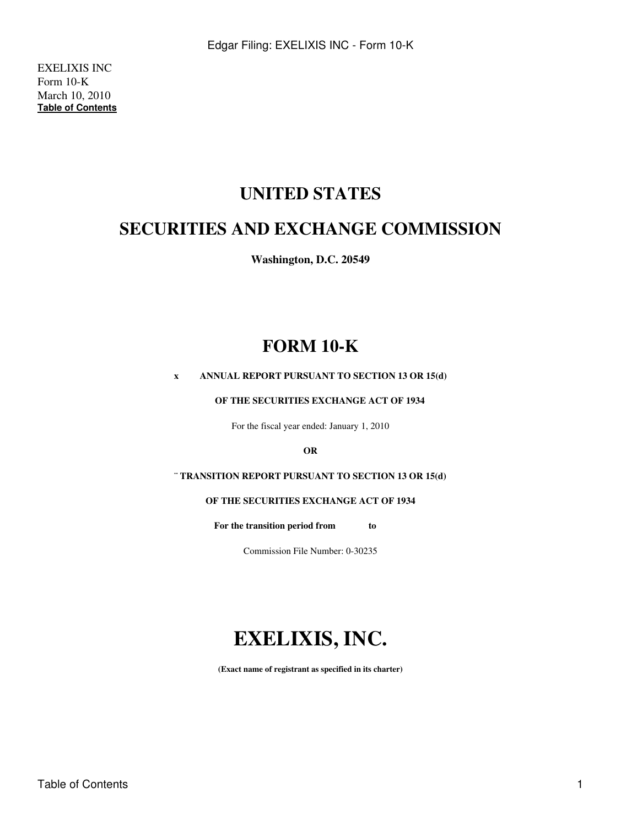EXELIXIS INC Form 10-K March 10, 2010 **[Table of Contents](#page-3-0)**

# **UNITED STATES**

# **SECURITIES AND EXCHANGE COMMISSION**

**Washington, D.C. 20549**

# **FORM 10-K**

#### **x ANNUAL REPORT PURSUANT TO SECTION 13 OR 15(d)**

 **OF THE SECURITIES EXCHANGE ACT OF 1934**

For the fiscal year ended: January 1, 2010

**OR**

**¨ TRANSITION REPORT PURSUANT TO SECTION 13 OR 15(d)**

#### **OF THE SECURITIES EXCHANGE ACT OF 1934**

**For the transition period from to** 

Commission File Number: 0-30235

# **EXELIXIS, INC.**

**(Exact name of registrant as specified in its charter)**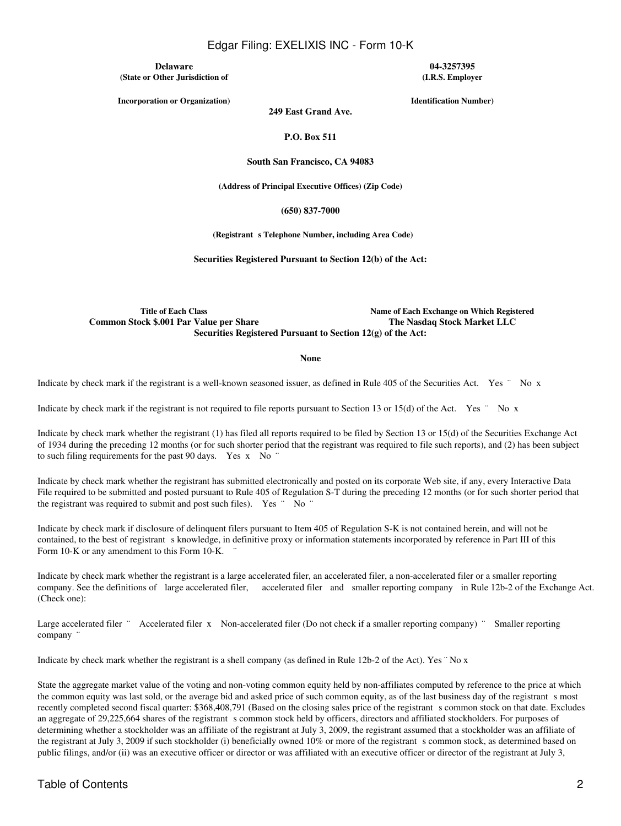Edgar Filing: EXELIXIS INC - Form 10-K

**Delaware 04-3257395**

**(State or Other Jurisdiction of**

**Incorporation or Organization)**

**Identification Number)**

**(I.R.S. Employer**

**P.O. Box 511**

**249 East Grand Ave.**

**South San Francisco, CA 94083**

**(Address of Principal Executive Offices) (Zip Code)**

**(650) 837-7000**

**(Registrants Telephone Number, including Area Code)**

**Securities Registered Pursuant to Section 12(b) of the Act:**

**Title of Each Class Name of Each Exchange on Which Registered Common Stock \$.001 Par Value per Share The Nasdaq Stock Market LLC Securities Registered Pursuant to Section 12(g) of the Act:**

**None**

Indicate by check mark if the registrant is a well-known seasoned issuer, as defined in Rule 405 of the Securities Act. Yes " No x

Indicate by check mark if the registrant is not required to file reports pursuant to Section 13 or 15(d) of the Act. Yes " No x

Indicate by check mark whether the registrant (1) has filed all reports required to be filed by Section 13 or 15(d) of the Securities Exchange Act of 1934 during the preceding 12 months (or for such shorter period that the registrant was required to file such reports), and (2) has been subject to such filing requirements for the past 90 days. Yes x No "

Indicate by check mark whether the registrant has submitted electronically and posted on its corporate Web site, if any, every Interactive Data File required to be submitted and posted pursuant to Rule 405 of Regulation S-T during the preceding 12 months (or for such shorter period that the registrant was required to submit and post such files). Yes ¨ No ¨

Indicate by check mark if disclosure of delinquent filers pursuant to Item 405 of Regulation S-K is not contained herein, and will not be contained, to the best of registrant s knowledge, in definitive proxy or information statements incorporated by reference in Part III of this Form 10-K or any amendment to this Form 10-K.

Indicate by check mark whether the registrant is a large accelerated filer, an accelerated filer, a non-accelerated filer or a smaller reporting company. See the definitions of large accelerated filer, accelerated filer and smaller reporting company in Rule 12b-2 of the Exchange Act. (Check one):

Large accelerated filer <sup>"</sup> Accelerated filer x Non-accelerated filer (Do not check if a smaller reporting company) " Smaller reporting company  $\cdot$ 

Indicate by check mark whether the registrant is a shell company (as defined in Rule 12b-2 of the Act). Yes ¨ No x

State the aggregate market value of the voting and non-voting common equity held by non-affiliates computed by reference to the price at which the common equity was last sold, or the average bid and asked price of such common equity, as of the last business day of the registrant smost recently completed second fiscal quarter: \$368,408,791 (Based on the closing sales price of the registrant s common stock on that date. Excludes an aggregate of 29,225,664 shares of the registrant s common stock held by officers, directors and affiliated stockholders. For purposes of determining whether a stockholder was an affiliate of the registrant at July 3, 2009, the registrant assumed that a stockholder was an affiliate of the registrant at July 3, 2009 if such stockholder (i) beneficially owned 10% or more of the registrant s common stock, as determined based on public filings, and/or (ii) was an executive officer or director or was affiliated with an executive officer or director of the registrant at July 3,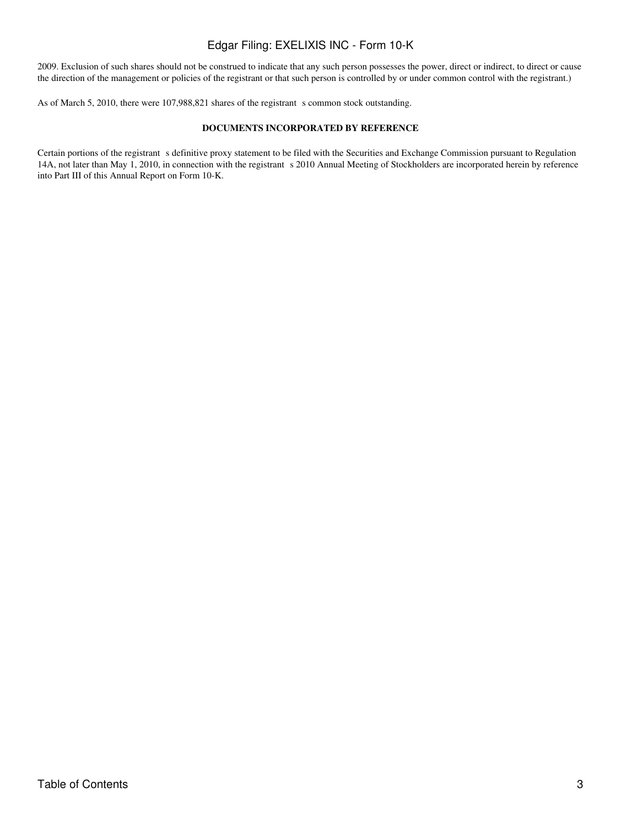## Edgar Filing: EXELIXIS INC - Form 10-K

2009. Exclusion of such shares should not be construed to indicate that any such person possesses the power, direct or indirect, to direct or cause the direction of the management or policies of the registrant or that such person is controlled by or under common control with the registrant.)

As of March 5, 2010, there were 107,988,821 shares of the registrant s common stock outstanding.

#### **DOCUMENTS INCORPORATED BY REFERENCE**

Certain portions of the registrant s definitive proxy statement to be filed with the Securities and Exchange Commission pursuant to Regulation 14A, not later than May 1, 2010, in connection with the registrant s 2010 Annual Meeting of Stockholders are incorporated herein by reference into Part III of this Annual Report on Form 10-K.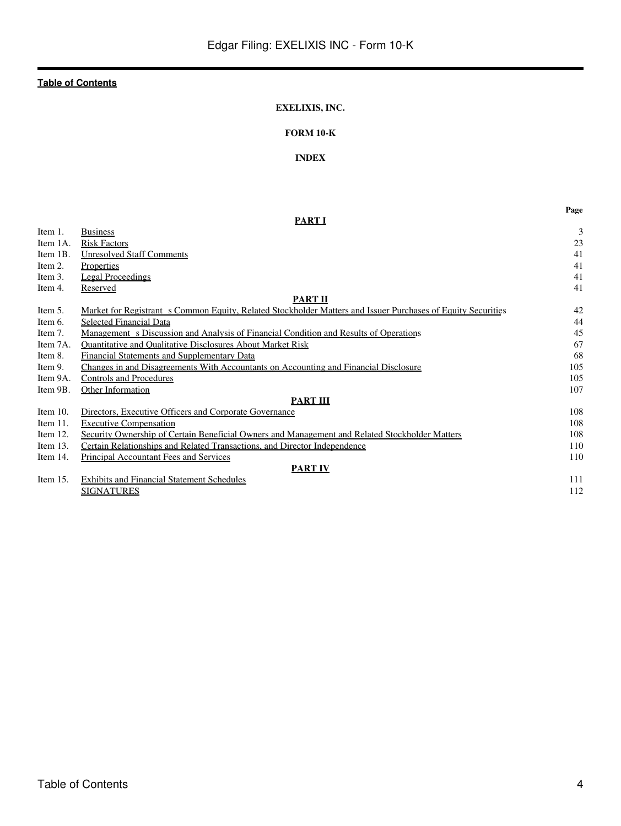#### **EXELIXIS, INC.**

#### **FORM 10-K**

#### **INDEX**

<span id="page-3-0"></span>

|          |                                                                                                              | Page |
|----------|--------------------------------------------------------------------------------------------------------------|------|
|          | <b>PART I</b>                                                                                                |      |
| Item 1.  | <b>Business</b>                                                                                              | 3    |
| Item 1A. | <b>Risk Factors</b>                                                                                          | 23   |
| Item 1B. | <b>Unresolved Staff Comments</b>                                                                             | 41   |
| Item 2.  | Properties                                                                                                   | 41   |
| Item 3.  | <b>Legal Proceedings</b>                                                                                     | 41   |
| Item 4.  | <b>Reserved</b>                                                                                              | 41   |
|          | <b>PART II</b>                                                                                               |      |
| Item 5.  | Market for Registrant s Common Equity, Related Stockholder Matters and Issuer Purchases of Equity Securities | 42   |
| Item 6.  | Selected Financial Data                                                                                      | 44   |
| Item 7.  | <u>Management s Discussion and Analysis of Financial Condition and Results of Operations</u>                 | 45   |
| Item 7A. | <b>Quantitative and Qualitative Disclosures About Market Risk</b>                                            | 67   |
| Item 8.  | <b>Financial Statements and Supplementary Data</b>                                                           | 68   |
| Item 9.  | Changes in and Disagreements With Accountants on Accounting and Financial Disclosure                         | 105  |
| Item 9A. | <b>Controls and Procedures</b>                                                                               | 105  |
| Item 9B. | Other Information                                                                                            | 107  |
|          | <b>PART III</b>                                                                                              |      |
| Item 10. | Directors, Executive Officers and Corporate Governance                                                       | 108  |
| Item 11. | <b>Executive Compensation</b>                                                                                | 108  |
| Item 12. | Security Ownership of Certain Beneficial Owners and Management and Related Stockholder Matters               | 108  |
| Item 13. | Certain Relationships and Related Transactions, and Director Independence                                    | 110  |
| Item 14. | Principal Accountant Fees and Services                                                                       | 110  |
|          | <b>PART IV</b>                                                                                               |      |
| Item 15. | <b>Exhibits and Financial Statement Schedules</b>                                                            | 111  |
|          | <b>SIGNATURES</b>                                                                                            | 112  |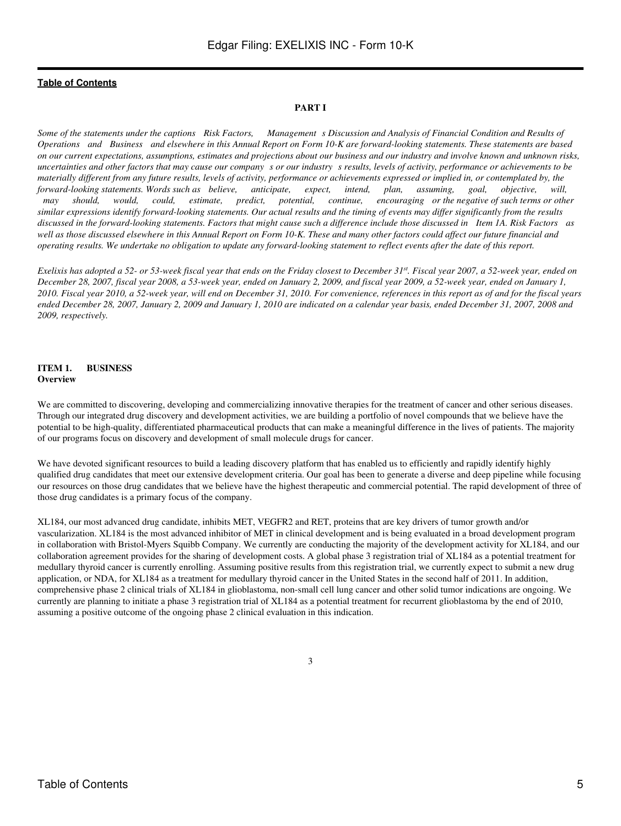#### **PART I**

<span id="page-4-0"></span>Some of the statements under the captions Risk Factors, Management s Discussion and Analysis of Financial Condition and Results of *Operations and Business and elsewhere in this Annual Report on Form 10-K are forward-looking statements. These statements are based on our current expectations, assumptions, estimates and projections about our business and our industry and involve known and unknown risks, uncertainties and other factors that may cause our companys or our industrys results, levels of activity, performance or achievements to be materially different from any future results, levels of activity, performance or achievements expressed or implied in, or contemplated by, the forward-looking statements. Words such as believe, anticipate, expect, intend, plan, assuming, goal, objective, will, may should, would, could, estimate, predict, potential, continue, encouraging or the negative of such terms or other similar expressions identify forward-looking statements. Our actual results and the timing of events may differ significantly from the results discussed in the forward-looking statements. Factors that might cause such a difference include those discussed in Item 1A. Risk Factors as well as those discussed elsewhere in this Annual Report on Form 10-K. These and many other factors could affect our future financial and operating results. We undertake no obligation to update any forward-looking statement to reflect events after the date of this report.*

*Exelixis has adopted a 52- or 53-week fiscal year that ends on the Friday closest to December 31st. Fiscal year 2007, a 52-week year, ended on December 28, 2007, fiscal year 2008, a 53-week year, ended on January 2, 2009, and fiscal year 2009, a 52-week year, ended on January 1, 2010. Fiscal year 2010, a 52-week year, will end on December 31, 2010. For convenience, references in this report as of and for the fiscal years ended December 28, 2007, January 2, 2009 and January 1, 2010 are indicated on a calendar year basis, ended December 31, 2007, 2008 and 2009, respectively.*

#### <span id="page-4-1"></span>**ITEM 1. BUSINESS Overview**

We are committed to discovering, developing and commercializing innovative therapies for the treatment of cancer and other serious diseases. Through our integrated drug discovery and development activities, we are building a portfolio of novel compounds that we believe have the potential to be high-quality, differentiated pharmaceutical products that can make a meaningful difference in the lives of patients. The majority of our programs focus on discovery and development of small molecule drugs for cancer.

We have devoted significant resources to build a leading discovery platform that has enabled us to efficiently and rapidly identify highly qualified drug candidates that meet our extensive development criteria. Our goal has been to generate a diverse and deep pipeline while focusing our resources on those drug candidates that we believe have the highest therapeutic and commercial potential. The rapid development of three of those drug candidates is a primary focus of the company.

XL184, our most advanced drug candidate, inhibits MET, VEGFR2 and RET, proteins that are key drivers of tumor growth and/or vascularization. XL184 is the most advanced inhibitor of MET in clinical development and is being evaluated in a broad development program in collaboration with Bristol-Myers Squibb Company. We currently are conducting the majority of the development activity for XL184, and our collaboration agreement provides for the sharing of development costs. A global phase 3 registration trial of XL184 as a potential treatment for medullary thyroid cancer is currently enrolling. Assuming positive results from this registration trial, we currently expect to submit a new drug application, or NDA, for XL184 as a treatment for medullary thyroid cancer in the United States in the second half of 2011. In addition, comprehensive phase 2 clinical trials of XL184 in glioblastoma, non-small cell lung cancer and other solid tumor indications are ongoing. We currently are planning to initiate a phase 3 registration trial of XL184 as a potential treatment for recurrent glioblastoma by the end of 2010, assuming a positive outcome of the ongoing phase 2 clinical evaluation in this indication.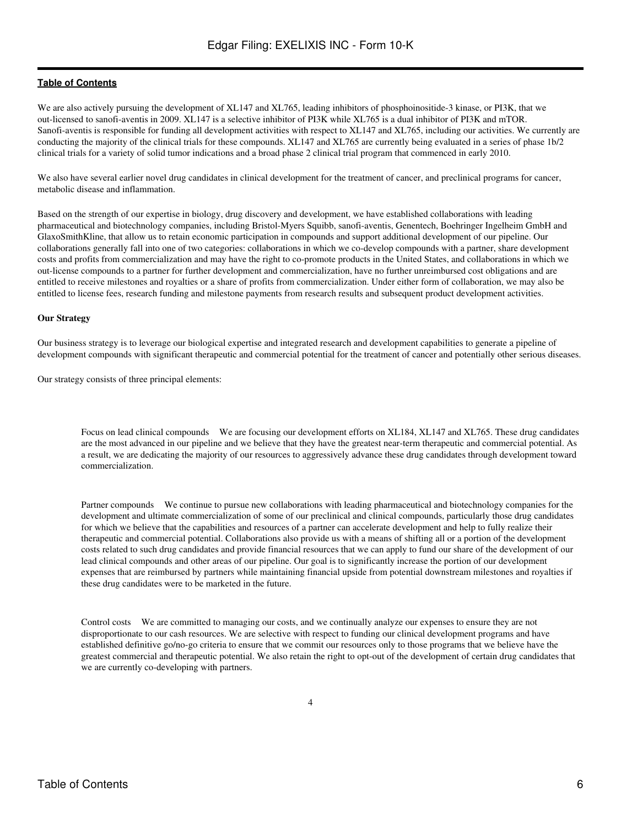We are also actively pursuing the development of XL147 and XL765, leading inhibitors of phosphoinositide-3 kinase, or PI3K, that we out-licensed to sanofi-aventis in 2009. XL147 is a selective inhibitor of PI3K while XL765 is a dual inhibitor of PI3K and mTOR. Sanofi-aventis is responsible for funding all development activities with respect to XL147 and XL765, including our activities. We currently are conducting the majority of the clinical trials for these compounds. XL147 and XL765 are currently being evaluated in a series of phase 1b/2 clinical trials for a variety of solid tumor indications and a broad phase 2 clinical trial program that commenced in early 2010.

We also have several earlier novel drug candidates in clinical development for the treatment of cancer, and preclinical programs for cancer, metabolic disease and inflammation.

Based on the strength of our expertise in biology, drug discovery and development, we have established collaborations with leading pharmaceutical and biotechnology companies, including Bristol-Myers Squibb, sanofi-aventis, Genentech, Boehringer Ingelheim GmbH and GlaxoSmithKline, that allow us to retain economic participation in compounds and support additional development of our pipeline. Our collaborations generally fall into one of two categories: collaborations in which we co-develop compounds with a partner, share development costs and profits from commercialization and may have the right to co-promote products in the United States, and collaborations in which we out-license compounds to a partner for further development and commercialization, have no further unreimbursed cost obligations and are entitled to receive milestones and royalties or a share of profits from commercialization. Under either form of collaboration, we may also be entitled to license fees, research funding and milestone payments from research results and subsequent product development activities.

#### **Our Strategy**

Our business strategy is to leverage our biological expertise and integrated research and development capabilities to generate a pipeline of development compounds with significant therapeutic and commercial potential for the treatment of cancer and potentially other serious diseases.

Our strategy consists of three principal elements:

Focus on lead clinical compounds We are focusing our development efforts on XL184, XL147 and XL765. These drug candidates are the most advanced in our pipeline and we believe that they have the greatest near-term therapeutic and commercial potential. As a result, we are dedicating the majority of our resources to aggressively advance these drug candidates through development toward commercialization.

Partner compounds We continue to pursue new collaborations with leading pharmaceutical and biotechnology companies for the development and ultimate commercialization of some of our preclinical and clinical compounds, particularly those drug candidates for which we believe that the capabilities and resources of a partner can accelerate development and help to fully realize their therapeutic and commercial potential. Collaborations also provide us with a means of shifting all or a portion of the development costs related to such drug candidates and provide financial resources that we can apply to fund our share of the development of our lead clinical compounds and other areas of our pipeline. Our goal is to significantly increase the portion of our development expenses that are reimbursed by partners while maintaining financial upside from potential downstream milestones and royalties if these drug candidates were to be marketed in the future.

Control costs We are committed to managing our costs, and we continually analyze our expenses to ensure they are not disproportionate to our cash resources. We are selective with respect to funding our clinical development programs and have established definitive go/no-go criteria to ensure that we commit our resources only to those programs that we believe have the greatest commercial and therapeutic potential. We also retain the right to opt-out of the development of certain drug candidates that we are currently co-developing with partners.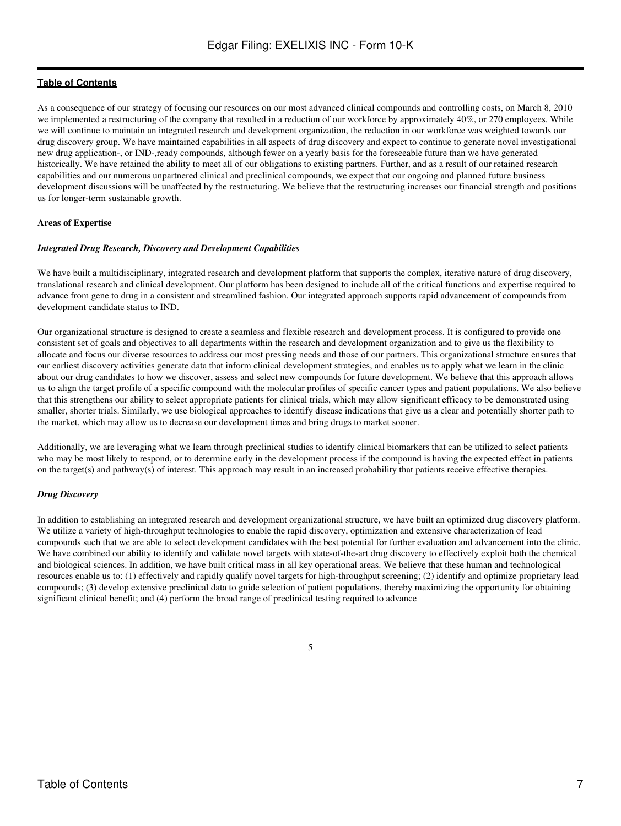As a consequence of our strategy of focusing our resources on our most advanced clinical compounds and controlling costs, on March 8, 2010 we implemented a restructuring of the company that resulted in a reduction of our workforce by approximately 40%, or 270 employees. While we will continue to maintain an integrated research and development organization, the reduction in our workforce was weighted towards our drug discovery group. We have maintained capabilities in all aspects of drug discovery and expect to continue to generate novel investigational new drug application-, or IND-,ready compounds, although fewer on a yearly basis for the foreseeable future than we have generated historically. We have retained the ability to meet all of our obligations to existing partners. Further, and as a result of our retained research capabilities and our numerous unpartnered clinical and preclinical compounds, we expect that our ongoing and planned future business development discussions will be unaffected by the restructuring. We believe that the restructuring increases our financial strength and positions us for longer-term sustainable growth.

#### **Areas of Expertise**

#### *Integrated Drug Research, Discovery and Development Capabilities*

We have built a multidisciplinary, integrated research and development platform that supports the complex, iterative nature of drug discovery, translational research and clinical development. Our platform has been designed to include all of the critical functions and expertise required to advance from gene to drug in a consistent and streamlined fashion. Our integrated approach supports rapid advancement of compounds from development candidate status to IND.

Our organizational structure is designed to create a seamless and flexible research and development process. It is configured to provide one consistent set of goals and objectives to all departments within the research and development organization and to give us the flexibility to allocate and focus our diverse resources to address our most pressing needs and those of our partners. This organizational structure ensures that our earliest discovery activities generate data that inform clinical development strategies, and enables us to apply what we learn in the clinic about our drug candidates to how we discover, assess and select new compounds for future development. We believe that this approach allows us to align the target profile of a specific compound with the molecular profiles of specific cancer types and patient populations. We also believe that this strengthens our ability to select appropriate patients for clinical trials, which may allow significant efficacy to be demonstrated using smaller, shorter trials. Similarly, we use biological approaches to identify disease indications that give us a clear and potentially shorter path to the market, which may allow us to decrease our development times and bring drugs to market sooner.

Additionally, we are leveraging what we learn through preclinical studies to identify clinical biomarkers that can be utilized to select patients who may be most likely to respond, or to determine early in the development process if the compound is having the expected effect in patients on the target(s) and pathway(s) of interest. This approach may result in an increased probability that patients receive effective therapies.

#### *Drug Discovery*

In addition to establishing an integrated research and development organizational structure, we have built an optimized drug discovery platform. We utilize a variety of high-throughput technologies to enable the rapid discovery, optimization and extensive characterization of lead compounds such that we are able to select development candidates with the best potential for further evaluation and advancement into the clinic. We have combined our ability to identify and validate novel targets with state-of-the-art drug discovery to effectively exploit both the chemical and biological sciences. In addition, we have built critical mass in all key operational areas. We believe that these human and technological resources enable us to: (1) effectively and rapidly qualify novel targets for high-throughput screening; (2) identify and optimize proprietary lead compounds; (3) develop extensive preclinical data to guide selection of patient populations, thereby maximizing the opportunity for obtaining significant clinical benefit; and (4) perform the broad range of preclinical testing required to advance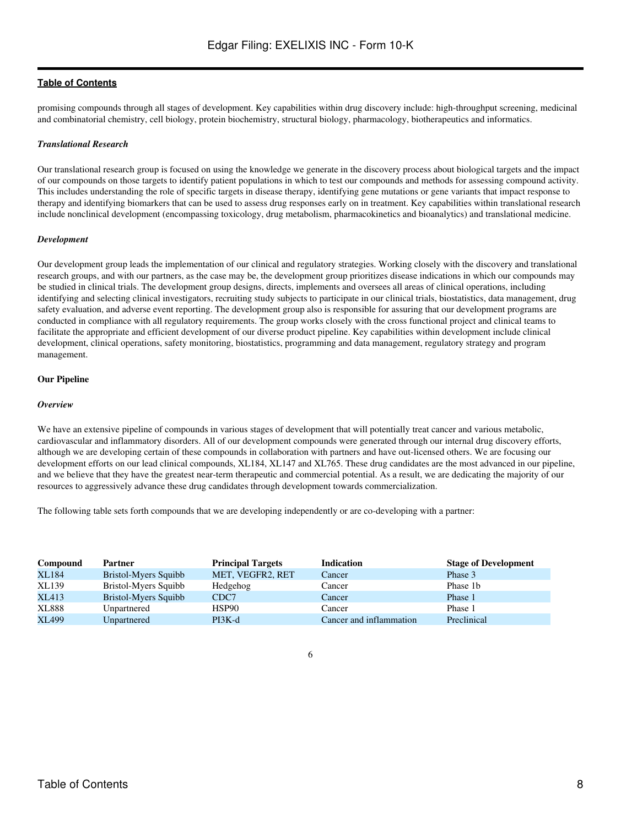promising compounds through all stages of development. Key capabilities within drug discovery include: high-throughput screening, medicinal and combinatorial chemistry, cell biology, protein biochemistry, structural biology, pharmacology, biotherapeutics and informatics.

#### *Translational Research*

Our translational research group is focused on using the knowledge we generate in the discovery process about biological targets and the impact of our compounds on those targets to identify patient populations in which to test our compounds and methods for assessing compound activity. This includes understanding the role of specific targets in disease therapy, identifying gene mutations or gene variants that impact response to therapy and identifying biomarkers that can be used to assess drug responses early on in treatment. Key capabilities within translational research include nonclinical development (encompassing toxicology, drug metabolism, pharmacokinetics and bioanalytics) and translational medicine.

#### *Development*

Our development group leads the implementation of our clinical and regulatory strategies. Working closely with the discovery and translational research groups, and with our partners, as the case may be, the development group prioritizes disease indications in which our compounds may be studied in clinical trials. The development group designs, directs, implements and oversees all areas of clinical operations, including identifying and selecting clinical investigators, recruiting study subjects to participate in our clinical trials, biostatistics, data management, drug safety evaluation, and adverse event reporting. The development group also is responsible for assuring that our development programs are conducted in compliance with all regulatory requirements. The group works closely with the cross functional project and clinical teams to facilitate the appropriate and efficient development of our diverse product pipeline. Key capabilities within development include clinical development, clinical operations, safety monitoring, biostatistics, programming and data management, regulatory strategy and program management.

#### **Our Pipeline**

#### *Overview*

We have an extensive pipeline of compounds in various stages of development that will potentially treat cancer and various metabolic, cardiovascular and inflammatory disorders. All of our development compounds were generated through our internal drug discovery efforts, although we are developing certain of these compounds in collaboration with partners and have out-licensed others. We are focusing our development efforts on our lead clinical compounds, XL184, XL147 and XL765. These drug candidates are the most advanced in our pipeline, and we believe that they have the greatest near-term therapeutic and commercial potential. As a result, we are dedicating the majority of our resources to aggressively advance these drug candidates through development towards commercialization.

The following table sets forth compounds that we are developing independently or are co-developing with a partner:

| Compound     | <b>Partner</b>       | <b>Principal Targets</b> | <b>Indication</b>       | <b>Stage of Development</b> |
|--------------|----------------------|--------------------------|-------------------------|-----------------------------|
| XL184        | Bristol-Myers Squibb | MET, VEGFR2, RET         | Cancer                  | Phase 3                     |
| XL139        | Bristol-Myers Squibb | Hedgehog                 | Cancer                  | Phase 1b                    |
| XL413        | Bristol-Myers Squibb | CDC7                     | Cancer                  | Phase 1                     |
| <b>XL888</b> | Unpartnered          | HSP90                    | Cancer                  | Phase 1                     |
| XL499        | Unpartnered          | $PI3K-d$                 | Cancer and inflammation | Preclinical                 |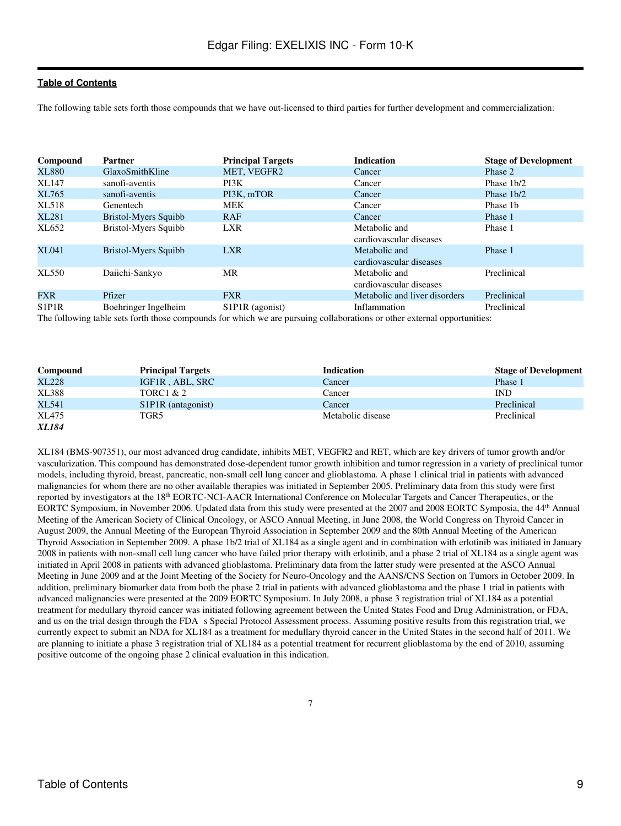The following table sets forth those compounds that we have out-licensed to third parties for further development and commercialization:

| Compound                        | <b>Partner</b>       | <b>Principal Targets</b> | <b>Indication</b>                        | <b>Stage of Development</b> |
|---------------------------------|----------------------|--------------------------|------------------------------------------|-----------------------------|
| XL880                           | GlaxoSmithKline      | MET, VEGFR2              | Cancer                                   | Phase 2                     |
| XL147                           | sanofi-aventis       | PI3K                     | Cancer                                   | Phase 1b/2                  |
| XL765                           | sanofi-aventis       | PI3K, mTOR               | Cancer                                   | Phase $1b/2$                |
| XL518                           | Genentech            | <b>MEK</b>               | Cancer                                   | Phase 1b                    |
| XL281                           | Bristol-Myers Squibb | <b>RAF</b>               | Cancer                                   | Phase 1                     |
| XL652                           | Bristol-Myers Squibb | <b>LXR</b>               | Metabolic and<br>cardiovascular diseases | Phase 1                     |
| <b>XL041</b>                    | Bristol-Myers Squibb | <b>LXR</b>               | Metabolic and<br>cardiovascular diseases | Phase 1                     |
| XL550                           | Daiichi-Sankyo       | MR                       | Metabolic and<br>cardiovascular diseases | Preclinical                 |
| FXR                             | Pfizer               | <b>FXR</b>               | Metabolic and liver disorders            | Preclinical                 |
| S <sub>1</sub> P <sub>1</sub> R | Boehringer Ingelheim | $S1PIR$ (agonist)        | Inflammation                             | Preclinical                 |

The following table sets forth those compounds for which we are pursuing collaborations or other external opportunities:

| Compound     | <b>Principal Targets</b>                     | <b>Indication</b> | <b>Stage of Development</b> |
|--------------|----------------------------------------------|-------------------|-----------------------------|
| XL228        | IGF1R, ABL, SRC                              | Cancer            | Phase 1                     |
| XL388        | <b>TORC1 &amp; 2</b>                         | Cancer            | <b>IND</b>                  |
| XL541        | S <sub>1</sub> P <sub>1</sub> R (antagonist) | Cancer            | Preclinical                 |
| XL475        | TGR5                                         | Metabolic disease | Preclinical                 |
| <b>XL184</b> |                                              |                   |                             |

XL184 (BMS-907351), our most advanced drug candidate, inhibits MET, VEGFR2 and RET, which are key drivers of tumor growth and/or vascularization. This compound has demonstrated dose-dependent tumor growth inhibition and tumor regression in a variety of preclinical tumor models, including thyroid, breast, pancreatic, non-small cell lung cancer and glioblastoma. A phase 1 clinical trial in patients with advanced malignancies for whom there are no other available therapies was initiated in September 2005. Preliminary data from this study were first reported by investigators at the 18th EORTC-NCI-AACR International Conference on Molecular Targets and Cancer Therapeutics, or the EORTC Symposium, in November 2006. Updated data from this study were presented at the 2007 and 2008 EORTC Symposia, the 44th Annual Meeting of the American Society of Clinical Oncology, or ASCO Annual Meeting, in June 2008, the World Congress on Thyroid Cancer in August 2009, the Annual Meeting of the European Thyroid Association in September 2009 and the 80th Annual Meeting of the American Thyroid Association in September 2009. A phase 1b/2 trial of XL184 as a single agent and in combination with erlotinib was initiated in January 2008 in patients with non-small cell lung cancer who have failed prior therapy with erlotinib, and a phase 2 trial of XL184 as a single agent was initiated in April 2008 in patients with advanced glioblastoma. Preliminary data from the latter study were presented at the ASCO Annual Meeting in June 2009 and at the Joint Meeting of the Society for Neuro-Oncology and the AANS/CNS Section on Tumors in October 2009. In addition, preliminary biomarker data from both the phase 2 trial in patients with advanced glioblastoma and the phase 1 trial in patients with advanced malignancies were presented at the 2009 EORTC Symposium. In July 2008, a phase 3 registration trial of XL184 as a potential treatment for medullary thyroid cancer was initiated following agreement between the United States Food and Drug Administration, or FDA, and us on the trial design through the FDA s Special Protocol Assessment process. Assuming positive results from this registration trial, we currently expect to submit an NDA for XL184 as a treatment for medullary thyroid cancer in the United States in the second half of 2011. We are planning to initiate a phase 3 registration trial of XL184 as a potential treatment for recurrent glioblastoma by the end of 2010, assuming positive outcome of the ongoing phase 2 clinical evaluation in this indication.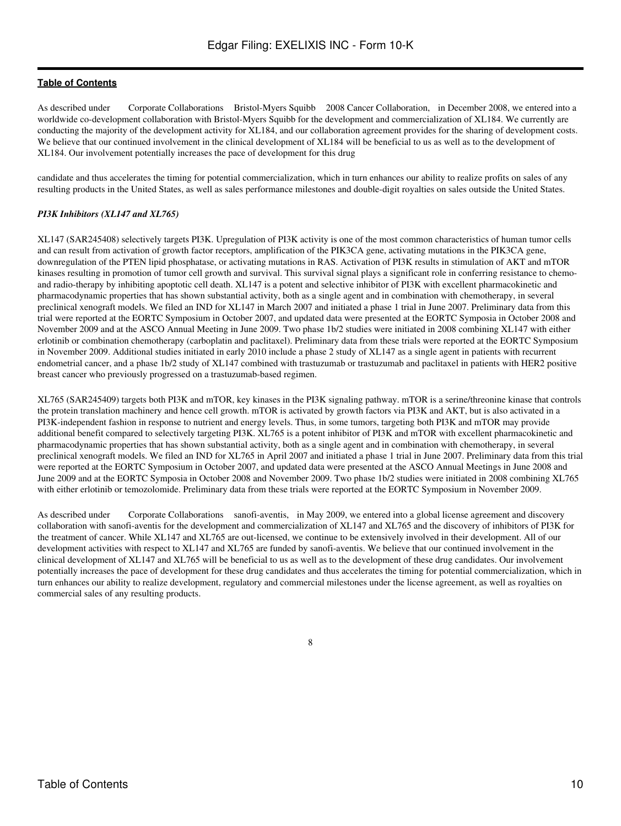As described under Corporate Collaborations Bristol-Myers Squibb 2008 Cancer Collaboration, in December 2008, we entered into a worldwide co-development collaboration with Bristol-Myers Squibb for the development and commercialization of XL184. We currently are conducting the majority of the development activity for XL184, and our collaboration agreement provides for the sharing of development costs. We believe that our continued involvement in the clinical development of XL184 will be beneficial to us as well as to the development of XL184. Our involvement potentially increases the pace of development for this drug

candidate and thus accelerates the timing for potential commercialization, which in turn enhances our ability to realize profits on sales of any resulting products in the United States, as well as sales performance milestones and double-digit royalties on sales outside the United States.

#### *PI3K Inhibitors (XL147 and XL765)*

XL147 (SAR245408) selectively targets PI3K. Upregulation of PI3K activity is one of the most common characteristics of human tumor cells and can result from activation of growth factor receptors, amplification of the PIK3CA gene, activating mutations in the PIK3CA gene, downregulation of the PTEN lipid phosphatase, or activating mutations in RAS. Activation of PI3K results in stimulation of AKT and mTOR kinases resulting in promotion of tumor cell growth and survival. This survival signal plays a significant role in conferring resistance to chemoand radio-therapy by inhibiting apoptotic cell death. XL147 is a potent and selective inhibitor of PI3K with excellent pharmacokinetic and pharmacodynamic properties that has shown substantial activity, both as a single agent and in combination with chemotherapy, in several preclinical xenograft models. We filed an IND for XL147 in March 2007 and initiated a phase 1 trial in June 2007. Preliminary data from this trial were reported at the EORTC Symposium in October 2007, and updated data were presented at the EORTC Symposia in October 2008 and November 2009 and at the ASCO Annual Meeting in June 2009. Two phase 1b/2 studies were initiated in 2008 combining XL147 with either erlotinib or combination chemotherapy (carboplatin and paclitaxel). Preliminary data from these trials were reported at the EORTC Symposium in November 2009. Additional studies initiated in early 2010 include a phase 2 study of XL147 as a single agent in patients with recurrent endometrial cancer, and a phase 1b/2 study of XL147 combined with trastuzumab or trastuzumab and paclitaxel in patients with HER2 positive breast cancer who previously progressed on a trastuzumab-based regimen.

XL765 (SAR245409) targets both PI3K and mTOR, key kinases in the PI3K signaling pathway. mTOR is a serine/threonine kinase that controls the protein translation machinery and hence cell growth. mTOR is activated by growth factors via PI3K and AKT, but is also activated in a PI3K-independent fashion in response to nutrient and energy levels. Thus, in some tumors, targeting both PI3K and mTOR may provide additional benefit compared to selectively targeting PI3K. XL765 is a potent inhibitor of PI3K and mTOR with excellent pharmacokinetic and pharmacodynamic properties that has shown substantial activity, both as a single agent and in combination with chemotherapy, in several preclinical xenograft models. We filed an IND for XL765 in April 2007 and initiated a phase 1 trial in June 2007. Preliminary data from this trial were reported at the EORTC Symposium in October 2007, and updated data were presented at the ASCO Annual Meetings in June 2008 and June 2009 and at the EORTC Symposia in October 2008 and November 2009. Two phase 1b/2 studies were initiated in 2008 combining XL765 with either erlotinib or temozolomide. Preliminary data from these trials were reported at the EORTC Symposium in November 2009.

As described under Corporate Collaborations sanofi-aventis, in May 2009, we entered into a global license agreement and discovery collaboration with sanofi-aventis for the development and commercialization of XL147 and XL765 and the discovery of inhibitors of PI3K for the treatment of cancer. While XL147 and XL765 are out-licensed, we continue to be extensively involved in their development. All of our development activities with respect to XL147 and XL765 are funded by sanofi-aventis. We believe that our continued involvement in the clinical development of XL147 and XL765 will be beneficial to us as well as to the development of these drug candidates. Our involvement potentially increases the pace of development for these drug candidates and thus accelerates the timing for potential commercialization, which in turn enhances our ability to realize development, regulatory and commercial milestones under the license agreement, as well as royalties on commercial sales of any resulting products.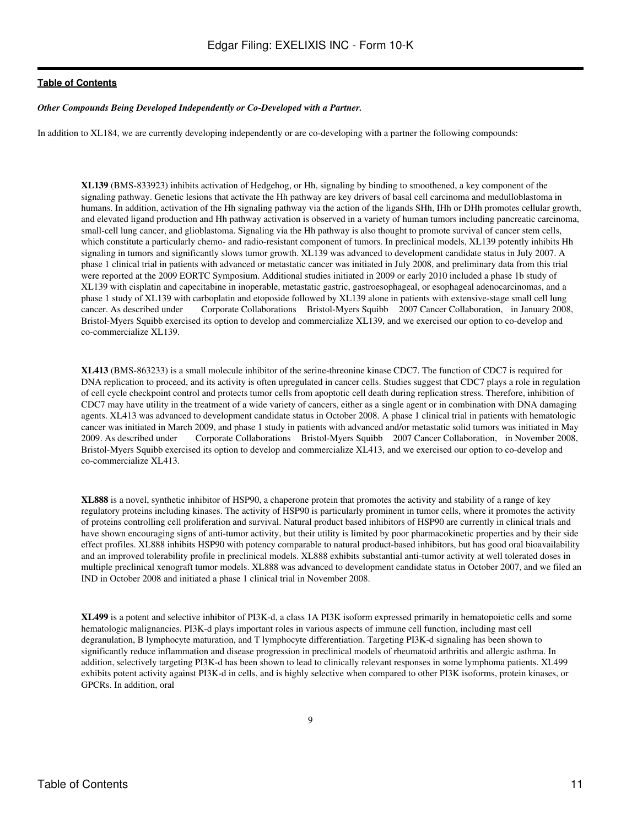#### *Other Compounds Being Developed Independently or Co-Developed with a Partner.*

In addition to XL184, we are currently developing independently or are co-developing with a partner the following compounds:

**XL139** (BMS-833923) inhibits activation of Hedgehog, or Hh, signaling by binding to smoothened, a key component of the signaling pathway. Genetic lesions that activate the Hh pathway are key drivers of basal cell carcinoma and medulloblastoma in humans. In addition, activation of the Hh signaling pathway via the action of the ligands SHh, IHh or DHh promotes cellular growth, and elevated ligand production and Hh pathway activation is observed in a variety of human tumors including pancreatic carcinoma, small-cell lung cancer, and glioblastoma. Signaling via the Hh pathway is also thought to promote survival of cancer stem cells, which constitute a particularly chemo- and radio-resistant component of tumors. In preclinical models, XL139 potently inhibits Hh signaling in tumors and significantly slows tumor growth. XL139 was advanced to development candidate status in July 2007. A phase 1 clinical trial in patients with advanced or metastatic cancer was initiated in July 2008, and preliminary data from this trial were reported at the 2009 EORTC Symposium. Additional studies initiated in 2009 or early 2010 included a phase 1b study of XL139 with cisplatin and capecitabine in inoperable, metastatic gastric, gastroesophageal, or esophageal adenocarcinomas, and a phase 1 study of XL139 with carboplatin and etoposide followed by XL139 alone in patients with extensive-stage small cell lung cancer. As described under Corporate Collaborations Bristol-Myers Squibb 2007 Cancer Collaboration, in January 2008, Bristol-Myers Squibb exercised its option to develop and commercialize XL139, and we exercised our option to co-develop and co-commercialize XL139.

**XL413** (BMS-863233) is a small molecule inhibitor of the serine-threonine kinase CDC7. The function of CDC7 is required for DNA replication to proceed, and its activity is often upregulated in cancer cells. Studies suggest that CDC7 plays a role in regulation of cell cycle checkpoint control and protects tumor cells from apoptotic cell death during replication stress. Therefore, inhibition of CDC7 may have utility in the treatment of a wide variety of cancers, either as a single agent or in combination with DNA damaging agents. XL413 was advanced to development candidate status in October 2008. A phase 1 clinical trial in patients with hematologic cancer was initiated in March 2009, and phase 1 study in patients with advanced and/or metastatic solid tumors was initiated in May 2009. As described under Corporate Collaborations Bristol-Myers Squibb 2007 Cancer Collaboration, in November 2008, Bristol-Myers Squibb exercised its option to develop and commercialize XL413, and we exercised our option to co-develop and co-commercialize XL413.

**XL888** is a novel, synthetic inhibitor of HSP90, a chaperone protein that promotes the activity and stability of a range of key regulatory proteins including kinases. The activity of HSP90 is particularly prominent in tumor cells, where it promotes the activity of proteins controlling cell proliferation and survival. Natural product based inhibitors of HSP90 are currently in clinical trials and have shown encouraging signs of anti-tumor activity, but their utility is limited by poor pharmacokinetic properties and by their side effect profiles. XL888 inhibits HSP90 with potency comparable to natural product-based inhibitors, but has good oral bioavailability and an improved tolerability profile in preclinical models. XL888 exhibits substantial anti-tumor activity at well tolerated doses in multiple preclinical xenograft tumor models. XL888 was advanced to development candidate status in October 2007, and we filed an IND in October 2008 and initiated a phase 1 clinical trial in November 2008.

**XL499** is a potent and selective inhibitor of PI3K-d, a class 1A PI3K isoform expressed primarily in hematopoietic cells and some hematologic malignancies. PI3K-d plays important roles in various aspects of immune cell function, including mast cell degranulation, B lymphocyte maturation, and T lymphocyte differentiation. Targeting PI3K-d signaling has been shown to significantly reduce inflammation and disease progression in preclinical models of rheumatoid arthritis and allergic asthma. In addition, selectively targeting PI3K-d has been shown to lead to clinically relevant responses in some lymphoma patients. XL499 exhibits potent activity against PI3K-d in cells, and is highly selective when compared to other PI3K isoforms, protein kinases, or GPCRs. In addition, oral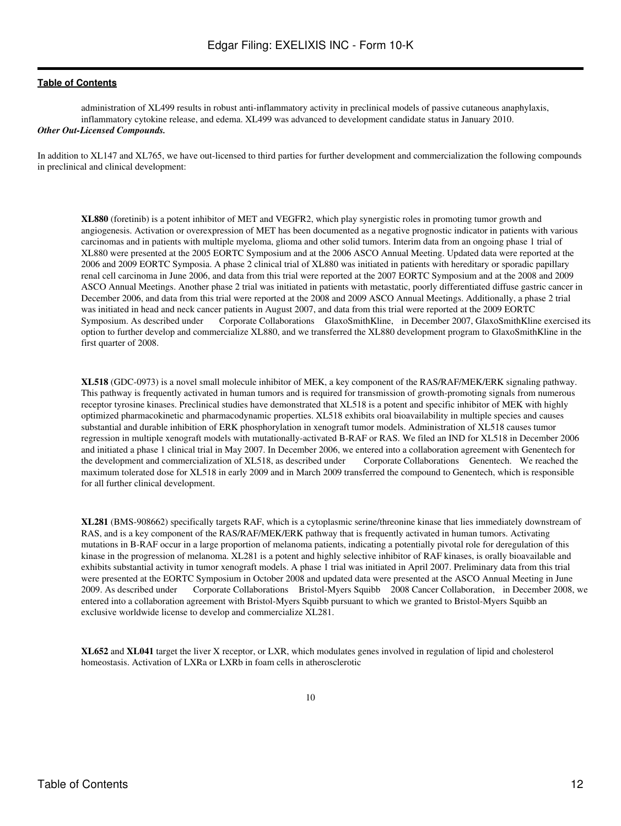administration of XL499 results in robust anti-inflammatory activity in preclinical models of passive cutaneous anaphylaxis, inflammatory cytokine release, and edema. XL499 was advanced to development candidate status in January 2010. *Other Out-Licensed Compounds.*

In addition to XL147 and XL765, we have out-licensed to third parties for further development and commercialization the following compounds in preclinical and clinical development:

**XL880** (foretinib) is a potent inhibitor of MET and VEGFR2, which play synergistic roles in promoting tumor growth and angiogenesis. Activation or overexpression of MET has been documented as a negative prognostic indicator in patients with various carcinomas and in patients with multiple myeloma, glioma and other solid tumors. Interim data from an ongoing phase 1 trial of XL880 were presented at the 2005 EORTC Symposium and at the 2006 ASCO Annual Meeting. Updated data were reported at the 2006 and 2009 EORTC Symposia. A phase 2 clinical trial of XL880 was initiated in patients with hereditary or sporadic papillary renal cell carcinoma in June 2006, and data from this trial were reported at the 2007 EORTC Symposium and at the 2008 and 2009 ASCO Annual Meetings. Another phase 2 trial was initiated in patients with metastatic, poorly differentiated diffuse gastric cancer in December 2006, and data from this trial were reported at the 2008 and 2009 ASCO Annual Meetings. Additionally, a phase 2 trial was initiated in head and neck cancer patients in August 2007, and data from this trial were reported at the 2009 EORTC Symposium. As described under Corporate Collaborations GlaxoSmithKline, in December 2007, GlaxoSmithKline exercised its option to further develop and commercialize XL880, and we transferred the XL880 development program to GlaxoSmithKline in the first quarter of 2008.

**XL518** (GDC-0973) is a novel small molecule inhibitor of MEK, a key component of the RAS/RAF/MEK/ERK signaling pathway. This pathway is frequently activated in human tumors and is required for transmission of growth-promoting signals from numerous receptor tyrosine kinases. Preclinical studies have demonstrated that XL518 is a potent and specific inhibitor of MEK with highly optimized pharmacokinetic and pharmacodynamic properties. XL518 exhibits oral bioavailability in multiple species and causes substantial and durable inhibition of ERK phosphorylation in xenograft tumor models. Administration of XL518 causes tumor regression in multiple xenograft models with mutationally-activated B-RAF or RAS. We filed an IND for XL518 in December 2006 and initiated a phase 1 clinical trial in May 2007. In December 2006, we entered into a collaboration agreement with Genentech for the development and commercialization of XL518, as described under Corporate Collaborations Genentech. We reached the maximum tolerated dose for XL518 in early 2009 and in March 2009 transferred the compound to Genentech, which is responsible for all further clinical development.

**XL281** (BMS-908662) specifically targets RAF, which is a cytoplasmic serine/threonine kinase that lies immediately downstream of RAS, and is a key component of the RAS/RAF/MEK/ERK pathway that is frequently activated in human tumors. Activating mutations in B-RAF occur in a large proportion of melanoma patients, indicating a potentially pivotal role for deregulation of this kinase in the progression of melanoma. XL281 is a potent and highly selective inhibitor of RAF kinases, is orally bioavailable and exhibits substantial activity in tumor xenograft models. A phase 1 trial was initiated in April 2007. Preliminary data from this trial were presented at the EORTC Symposium in October 2008 and updated data were presented at the ASCO Annual Meeting in June 2009. As described under Corporate Collaborations Bristol-Myers Squibb 2008 Cancer Collaboration, in December 2008, we entered into a collaboration agreement with Bristol-Myers Squibb pursuant to which we granted to Bristol-Myers Squibb an exclusive worldwide license to develop and commercialize XL281.

**XL652** and **XL041** target the liver X receptor, or LXR, which modulates genes involved in regulation of lipid and cholesterol homeostasis. Activation of LXRa or LXRb in foam cells in atherosclerotic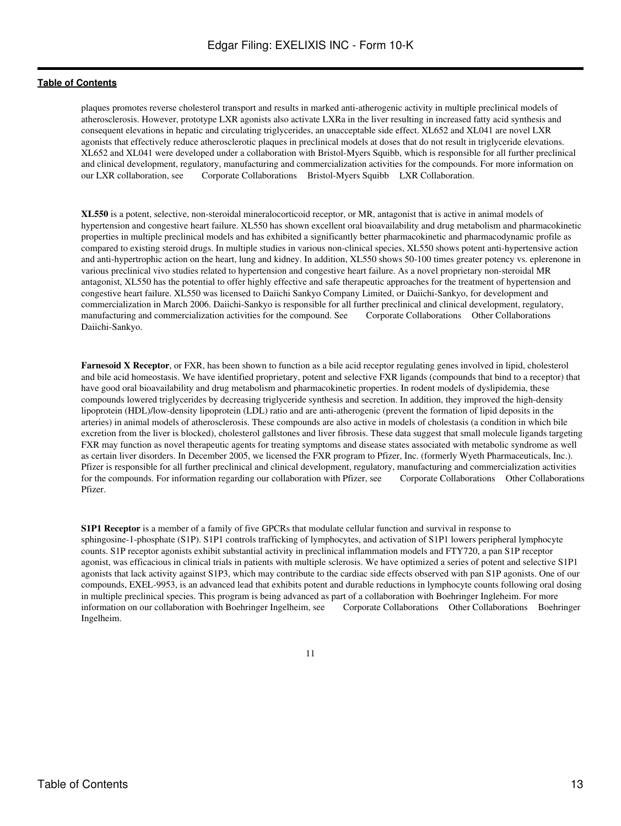plaques promotes reverse cholesterol transport and results in marked anti-atherogenic activity in multiple preclinical models of atherosclerosis. However, prototype LXR agonists also activate LXRa in the liver resulting in increased fatty acid synthesis and consequent elevations in hepatic and circulating triglycerides, an unacceptable side effect. XL652 and XL041 are novel LXR agonists that effectively reduce atherosclerotic plaques in preclinical models at doses that do not result in triglyceride elevations. XL652 and XL041 were developed under a collaboration with Bristol-Myers Squibb, which is responsible for all further preclinical and clinical development, regulatory, manufacturing and commercialization activities for the compounds. For more information on our LXR collaboration, see Corporate Collaborations Bristol-Myers Squibb LXR Collaboration.

**XL550** is a potent, selective, non-steroidal mineralocorticoid receptor, or MR, antagonist that is active in animal models of hypertension and congestive heart failure. XL550 has shown excellent oral bioavailability and drug metabolism and pharmacokinetic properties in multiple preclinical models and has exhibited a significantly better pharmacokinetic and pharmacodynamic profile as compared to existing steroid drugs. In multiple studies in various non-clinical species, XL550 shows potent anti-hypertensive action and anti-hypertrophic action on the heart, lung and kidney. In addition, XL550 shows 50-100 times greater potency vs. eplerenone in various preclinical vivo studies related to hypertension and congestive heart failure. As a novel proprietary non-steroidal MR antagonist, XL550 has the potential to offer highly effective and safe therapeutic approaches for the treatment of hypertension and congestive heart failure. XL550 was licensed to Daiichi Sankyo Company Limited, or Daiichi-Sankyo, for development and commercialization in March 2006. Daiichi-Sankyo is responsible for all further preclinical and clinical development, regulatory, manufacturing and commercialization activities for the compound. See Corporate Collaborations Other Collaborations Daiichi-Sankyo.

**Farnesoid X Receptor**, or FXR, has been shown to function as a bile acid receptor regulating genes involved in lipid, cholesterol and bile acid homeostasis. We have identified proprietary, potent and selective FXR ligands (compounds that bind to a receptor) that have good oral bioavailability and drug metabolism and pharmacokinetic properties. In rodent models of dyslipidemia, these compounds lowered triglycerides by decreasing triglyceride synthesis and secretion. In addition, they improved the high-density lipoprotein (HDL)/low-density lipoprotein (LDL) ratio and are anti-atherogenic (prevent the formation of lipid deposits in the arteries) in animal models of atherosclerosis. These compounds are also active in models of cholestasis (a condition in which bile excretion from the liver is blocked), cholesterol gallstones and liver fibrosis. These data suggest that small molecule ligands targeting FXR may function as novel therapeutic agents for treating symptoms and disease states associated with metabolic syndrome as well as certain liver disorders. In December 2005, we licensed the FXR program to Pfizer, Inc. (formerly Wyeth Pharmaceuticals, Inc.). Pfizer is responsible for all further preclinical and clinical development, regulatory, manufacturing and commercialization activities for the compounds. For information regarding our collaboration with Pfizer, see Corporate Collaborations Other Collaborations Pfizer.

**S1P1 Receptor** is a member of a family of five GPCRs that modulate cellular function and survival in response to sphingosine-1-phosphate (S1P). S1P1 controls trafficking of lymphocytes, and activation of S1P1 lowers peripheral lymphocyte counts. S1P receptor agonists exhibit substantial activity in preclinical inflammation models and FTY720, a pan S1P receptor agonist, was efficacious in clinical trials in patients with multiple sclerosis. We have optimized a series of potent and selective S1P1 agonists that lack activity against S1P3, which may contribute to the cardiac side effects observed with pan S1P agonists. One of our compounds, EXEL-9953, is an advanced lead that exhibits potent and durable reductions in lymphocyte counts following oral dosing in multiple preclinical species. This program is being advanced as part of a collaboration with Boehringer Ingleheim. For more information on our collaboration with Boehringer Ingelheim, see Corporate Collaborations Other Collaborations Boehringer Ingelheim.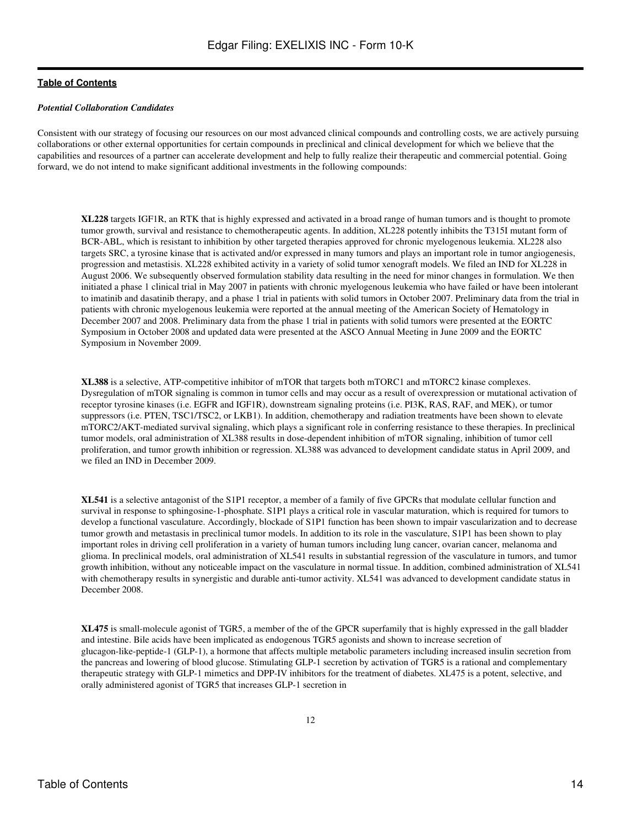#### *Potential Collaboration Candidates*

Consistent with our strategy of focusing our resources on our most advanced clinical compounds and controlling costs, we are actively pursuing collaborations or other external opportunities for certain compounds in preclinical and clinical development for which we believe that the capabilities and resources of a partner can accelerate development and help to fully realize their therapeutic and commercial potential. Going forward, we do not intend to make significant additional investments in the following compounds:

**XL228** targets IGF1R, an RTK that is highly expressed and activated in a broad range of human tumors and is thought to promote tumor growth, survival and resistance to chemotherapeutic agents. In addition, XL228 potently inhibits the T315I mutant form of BCR-ABL, which is resistant to inhibition by other targeted therapies approved for chronic myelogenous leukemia. XL228 also targets SRC, a tyrosine kinase that is activated and/or expressed in many tumors and plays an important role in tumor angiogenesis, progression and metastisis. XL228 exhibited activity in a variety of solid tumor xenograft models. We filed an IND for XL228 in August 2006. We subsequently observed formulation stability data resulting in the need for minor changes in formulation. We then initiated a phase 1 clinical trial in May 2007 in patients with chronic myelogenous leukemia who have failed or have been intolerant to imatinib and dasatinib therapy, and a phase 1 trial in patients with solid tumors in October 2007. Preliminary data from the trial in patients with chronic myelogenous leukemia were reported at the annual meeting of the American Society of Hematology in December 2007 and 2008. Preliminary data from the phase 1 trial in patients with solid tumors were presented at the EORTC Symposium in October 2008 and updated data were presented at the ASCO Annual Meeting in June 2009 and the EORTC Symposium in November 2009.

**XL388** is a selective, ATP-competitive inhibitor of mTOR that targets both mTORC1 and mTORC2 kinase complexes. Dysregulation of mTOR signaling is common in tumor cells and may occur as a result of overexpression or mutational activation of receptor tyrosine kinases (i.e. EGFR and IGF1R), downstream signaling proteins (i.e. PI3K, RAS, RAF, and MEK), or tumor suppressors (i.e. PTEN, TSC1/TSC2, or LKB1). In addition, chemotherapy and radiation treatments have been shown to elevate mTORC2/AKT-mediated survival signaling, which plays a significant role in conferring resistance to these therapies. In preclinical tumor models, oral administration of XL388 results in dose-dependent inhibition of mTOR signaling, inhibition of tumor cell proliferation, and tumor growth inhibition or regression. XL388 was advanced to development candidate status in April 2009, and we filed an IND in December 2009.

**XL541** is a selective antagonist of the S1P1 receptor, a member of a family of five GPCRs that modulate cellular function and survival in response to sphingosine-1-phosphate. S1P1 plays a critical role in vascular maturation, which is required for tumors to develop a functional vasculature. Accordingly, blockade of S1P1 function has been shown to impair vascularization and to decrease tumor growth and metastasis in preclinical tumor models. In addition to its role in the vasculature, S1P1 has been shown to play important roles in driving cell proliferation in a variety of human tumors including lung cancer, ovarian cancer, melanoma and glioma. In preclinical models, oral administration of XL541 results in substantial regression of the vasculature in tumors, and tumor growth inhibition, without any noticeable impact on the vasculature in normal tissue. In addition, combined administration of XL541 with chemotherapy results in synergistic and durable anti-tumor activity. XL541 was advanced to development candidate status in December 2008.

**XL475** is small-molecule agonist of TGR5, a member of the of the GPCR superfamily that is highly expressed in the gall bladder and intestine. Bile acids have been implicated as endogenous TGR5 agonists and shown to increase secretion of glucagon-like-peptide-1 (GLP-1), a hormone that affects multiple metabolic parameters including increased insulin secretion from the pancreas and lowering of blood glucose. Stimulating GLP-1 secretion by activation of TGR5 is a rational and complementary therapeutic strategy with GLP-1 mimetics and DPP-IV inhibitors for the treatment of diabetes. XL475 is a potent, selective, and orally administered agonist of TGR5 that increases GLP-1 secretion in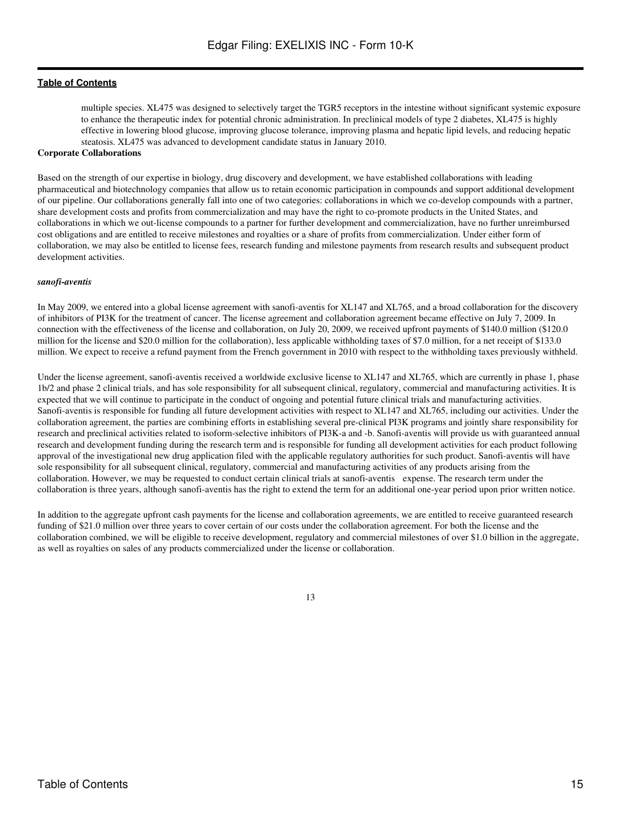multiple species. XL475 was designed to selectively target the TGR5 receptors in the intestine without significant systemic exposure to enhance the therapeutic index for potential chronic administration. In preclinical models of type 2 diabetes, XL475 is highly effective in lowering blood glucose, improving glucose tolerance, improving plasma and hepatic lipid levels, and reducing hepatic steatosis. XL475 was advanced to development candidate status in January 2010.

#### **Corporate Collaborations**

Based on the strength of our expertise in biology, drug discovery and development, we have established collaborations with leading pharmaceutical and biotechnology companies that allow us to retain economic participation in compounds and support additional development of our pipeline. Our collaborations generally fall into one of two categories: collaborations in which we co-develop compounds with a partner, share development costs and profits from commercialization and may have the right to co-promote products in the United States, and collaborations in which we out-license compounds to a partner for further development and commercialization, have no further unreimbursed cost obligations and are entitled to receive milestones and royalties or a share of profits from commercialization. Under either form of collaboration, we may also be entitled to license fees, research funding and milestone payments from research results and subsequent product development activities.

#### *sanofi-aventis*

In May 2009, we entered into a global license agreement with sanofi-aventis for XL147 and XL765, and a broad collaboration for the discovery of inhibitors of PI3K for the treatment of cancer. The license agreement and collaboration agreement became effective on July 7, 2009. In connection with the effectiveness of the license and collaboration, on July 20, 2009, we received upfront payments of \$140.0 million (\$120.0 million for the license and \$20.0 million for the collaboration), less applicable withholding taxes of \$7.0 million, for a net receipt of \$133.0 million. We expect to receive a refund payment from the French government in 2010 with respect to the withholding taxes previously withheld.

Under the license agreement, sanofi-aventis received a worldwide exclusive license to XL147 and XL765, which are currently in phase 1, phase 1b/2 and phase 2 clinical trials, and has sole responsibility for all subsequent clinical, regulatory, commercial and manufacturing activities. It is expected that we will continue to participate in the conduct of ongoing and potential future clinical trials and manufacturing activities. Sanofi-aventis is responsible for funding all future development activities with respect to XL147 and XL765, including our activities. Under the collaboration agreement, the parties are combining efforts in establishing several pre-clinical PI3K programs and jointly share responsibility for research and preclinical activities related to isoform-selective inhibitors of PI3K-a and -b. Sanofi-aventis will provide us with guaranteed annual research and development funding during the research term and is responsible for funding all development activities for each product following approval of the investigational new drug application filed with the applicable regulatory authorities for such product. Sanofi-aventis will have sole responsibility for all subsequent clinical, regulatory, commercial and manufacturing activities of any products arising from the collaboration. However, we may be requested to conduct certain clinical trials at sanofi-aventis expense. The research term under the collaboration is three years, although sanofi-aventis has the right to extend the term for an additional one-year period upon prior written notice.

In addition to the aggregate upfront cash payments for the license and collaboration agreements, we are entitled to receive guaranteed research funding of \$21.0 million over three years to cover certain of our costs under the collaboration agreement. For both the license and the collaboration combined, we will be eligible to receive development, regulatory and commercial milestones of over \$1.0 billion in the aggregate, as well as royalties on sales of any products commercialized under the license or collaboration.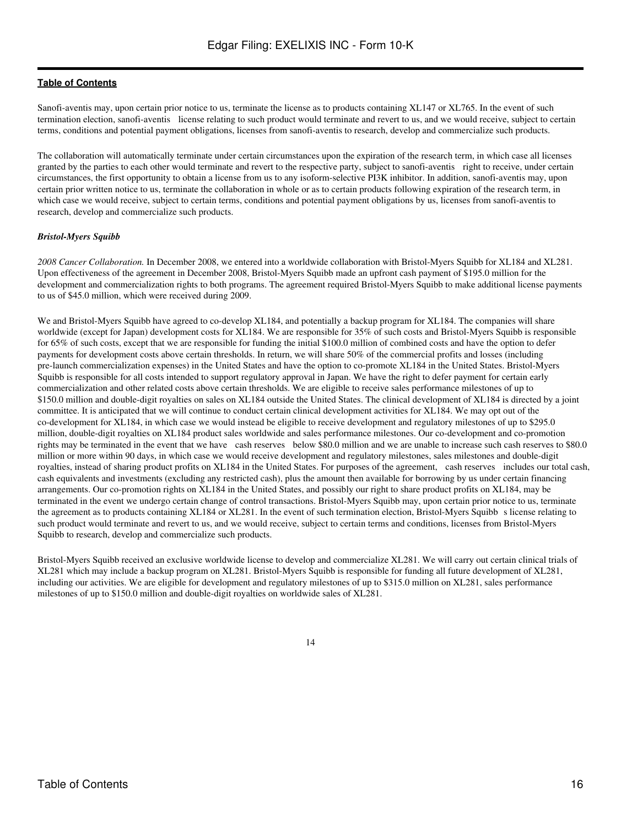Sanofi-aventis may, upon certain prior notice to us, terminate the license as to products containing XL147 or XL765. In the event of such termination election, sanofi-aventis license relating to such product would terminate and revert to us, and we would receive, subject to certain terms, conditions and potential payment obligations, licenses from sanofi-aventis to research, develop and commercialize such products.

The collaboration will automatically terminate under certain circumstances upon the expiration of the research term, in which case all licenses granted by the parties to each other would terminate and revert to the respective party, subject to sanofi-aventis right to receive, under certain circumstances, the first opportunity to obtain a license from us to any isoform-selective PI3K inhibitor. In addition, sanofi-aventis may, upon certain prior written notice to us, terminate the collaboration in whole or as to certain products following expiration of the research term, in which case we would receive, subject to certain terms, conditions and potential payment obligations by us, licenses from sanofi-aventis to research, develop and commercialize such products.

#### *Bristol-Myers Squibb*

*2008 Cancer Collaboration.* In December 2008, we entered into a worldwide collaboration with Bristol-Myers Squibb for XL184 and XL281. Upon effectiveness of the agreement in December 2008, Bristol-Myers Squibb made an upfront cash payment of \$195.0 million for the development and commercialization rights to both programs. The agreement required Bristol-Myers Squibb to make additional license payments to us of \$45.0 million, which were received during 2009.

We and Bristol-Myers Squibb have agreed to co-develop XL184, and potentially a backup program for XL184. The companies will share worldwide (except for Japan) development costs for XL184. We are responsible for 35% of such costs and Bristol-Myers Squibb is responsible for 65% of such costs, except that we are responsible for funding the initial \$100.0 million of combined costs and have the option to defer payments for development costs above certain thresholds. In return, we will share 50% of the commercial profits and losses (including pre-launch commercialization expenses) in the United States and have the option to co-promote XL184 in the United States. Bristol-Myers Squibb is responsible for all costs intended to support regulatory approval in Japan. We have the right to defer payment for certain early commercialization and other related costs above certain thresholds. We are eligible to receive sales performance milestones of up to \$150.0 million and double-digit royalties on sales on XL184 outside the United States. The clinical development of XL184 is directed by a joint committee. It is anticipated that we will continue to conduct certain clinical development activities for XL184. We may opt out of the co-development for XL184, in which case we would instead be eligible to receive development and regulatory milestones of up to \$295.0 million, double-digit royalties on XL184 product sales worldwide and sales performance milestones. Our co-development and co-promotion rights may be terminated in the event that we have cash reserves below \$80.0 million and we are unable to increase such cash reserves to \$80.0 million or more within 90 days, in which case we would receive development and regulatory milestones, sales milestones and double-digit royalties, instead of sharing product profits on XL184 in the United States. For purposes of the agreement, cash reserves includes our total cash, cash equivalents and investments (excluding any restricted cash), plus the amount then available for borrowing by us under certain financing arrangements. Our co-promotion rights on XL184 in the United States, and possibly our right to share product profits on XL184, may be terminated in the event we undergo certain change of control transactions. Bristol-Myers Squibb may, upon certain prior notice to us, terminate the agreement as to products containing XL184 or XL281. In the event of such termination election, Bristol-Myers Squibbs license relating to such product would terminate and revert to us, and we would receive, subject to certain terms and conditions, licenses from Bristol-Myers Squibb to research, develop and commercialize such products.

Bristol-Myers Squibb received an exclusive worldwide license to develop and commercialize XL281. We will carry out certain clinical trials of XL281 which may include a backup program on XL281. Bristol-Myers Squibb is responsible for funding all future development of XL281, including our activities. We are eligible for development and regulatory milestones of up to \$315.0 million on XL281, sales performance milestones of up to \$150.0 million and double-digit royalties on worldwide sales of XL281.

<sup>14</sup>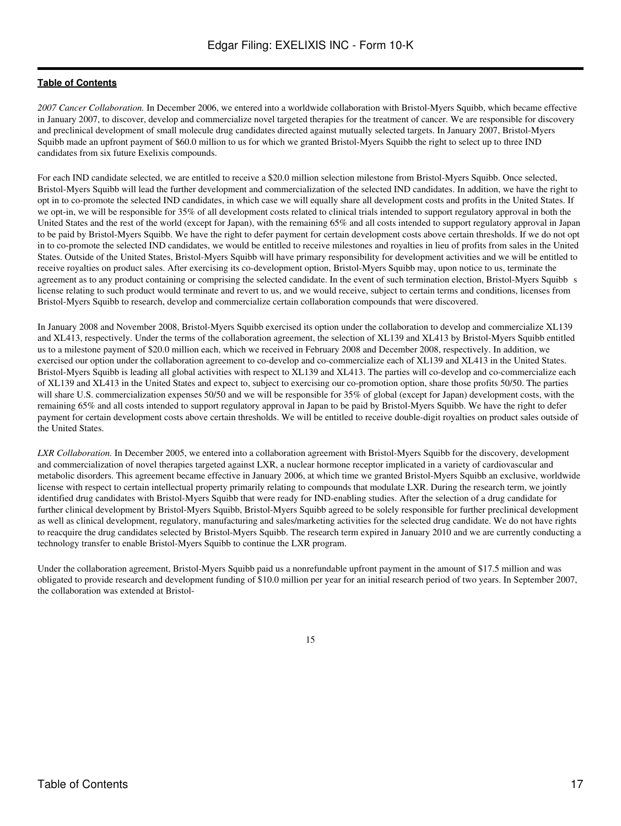*2007 Cancer Collaboration.* In December 2006, we entered into a worldwide collaboration with Bristol-Myers Squibb, which became effective in January 2007, to discover, develop and commercialize novel targeted therapies for the treatment of cancer. We are responsible for discovery and preclinical development of small molecule drug candidates directed against mutually selected targets. In January 2007, Bristol-Myers Squibb made an upfront payment of \$60.0 million to us for which we granted Bristol-Myers Squibb the right to select up to three IND candidates from six future Exelixis compounds.

For each IND candidate selected, we are entitled to receive a \$20.0 million selection milestone from Bristol-Myers Squibb. Once selected, Bristol-Myers Squibb will lead the further development and commercialization of the selected IND candidates. In addition, we have the right to opt in to co-promote the selected IND candidates, in which case we will equally share all development costs and profits in the United States. If we opt-in, we will be responsible for 35% of all development costs related to clinical trials intended to support regulatory approval in both the United States and the rest of the world (except for Japan), with the remaining 65% and all costs intended to support regulatory approval in Japan to be paid by Bristol-Myers Squibb. We have the right to defer payment for certain development costs above certain thresholds. If we do not opt in to co-promote the selected IND candidates, we would be entitled to receive milestones and royalties in lieu of profits from sales in the United States. Outside of the United States, Bristol-Myers Squibb will have primary responsibility for development activities and we will be entitled to receive royalties on product sales. After exercising its co-development option, Bristol-Myers Squibb may, upon notice to us, terminate the agreement as to any product containing or comprising the selected candidate. In the event of such termination election, Bristol-Myers Squibb s license relating to such product would terminate and revert to us, and we would receive, subject to certain terms and conditions, licenses from Bristol-Myers Squibb to research, develop and commercialize certain collaboration compounds that were discovered.

In January 2008 and November 2008, Bristol-Myers Squibb exercised its option under the collaboration to develop and commercialize XL139 and XL413, respectively. Under the terms of the collaboration agreement, the selection of XL139 and XL413 by Bristol-Myers Squibb entitled us to a milestone payment of \$20.0 million each, which we received in February 2008 and December 2008, respectively. In addition, we exercised our option under the collaboration agreement to co-develop and co-commercialize each of XL139 and XL413 in the United States. Bristol-Myers Squibb is leading all global activities with respect to XL139 and XL413. The parties will co-develop and co-commercialize each of XL139 and XL413 in the United States and expect to, subject to exercising our co-promotion option, share those profits 50/50. The parties will share U.S. commercialization expenses 50/50 and we will be responsible for 35% of global (except for Japan) development costs, with the remaining 65% and all costs intended to support regulatory approval in Japan to be paid by Bristol-Myers Squibb. We have the right to defer payment for certain development costs above certain thresholds. We will be entitled to receive double-digit royalties on product sales outside of the United States.

*LXR Collaboration.* In December 2005, we entered into a collaboration agreement with Bristol-Myers Squibb for the discovery, development and commercialization of novel therapies targeted against LXR, a nuclear hormone receptor implicated in a variety of cardiovascular and metabolic disorders. This agreement became effective in January 2006, at which time we granted Bristol-Myers Squibb an exclusive, worldwide license with respect to certain intellectual property primarily relating to compounds that modulate LXR. During the research term, we jointly identified drug candidates with Bristol-Myers Squibb that were ready for IND-enabling studies. After the selection of a drug candidate for further clinical development by Bristol-Myers Squibb, Bristol-Myers Squibb agreed to be solely responsible for further preclinical development as well as clinical development, regulatory, manufacturing and sales/marketing activities for the selected drug candidate. We do not have rights to reacquire the drug candidates selected by Bristol-Myers Squibb. The research term expired in January 2010 and we are currently conducting a technology transfer to enable Bristol-Myers Squibb to continue the LXR program.

Under the collaboration agreement, Bristol-Myers Squibb paid us a nonrefundable upfront payment in the amount of \$17.5 million and was obligated to provide research and development funding of \$10.0 million per year for an initial research period of two years. In September 2007, the collaboration was extended at Bristol-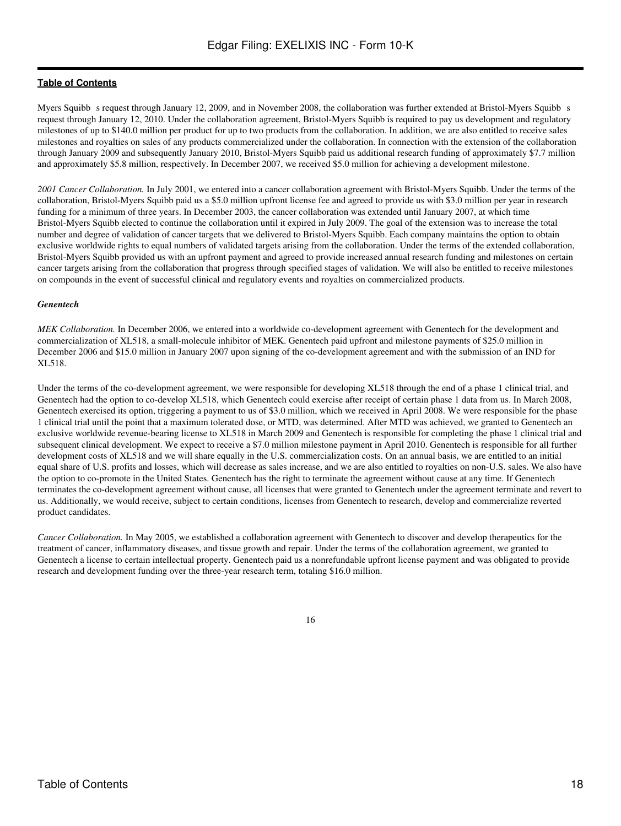Myers Squibb s request through January 12, 2009, and in November 2008, the collaboration was further extended at Bristol-Myers Squibb s request through January 12, 2010. Under the collaboration agreement, Bristol-Myers Squibb is required to pay us development and regulatory milestones of up to \$140.0 million per product for up to two products from the collaboration. In addition, we are also entitled to receive sales milestones and royalties on sales of any products commercialized under the collaboration. In connection with the extension of the collaboration through January 2009 and subsequently January 2010, Bristol-Myers Squibb paid us additional research funding of approximately \$7.7 million and approximately \$5.8 million, respectively. In December 2007, we received \$5.0 million for achieving a development milestone.

*2001 Cancer Collaboration.* In July 2001, we entered into a cancer collaboration agreement with Bristol-Myers Squibb. Under the terms of the collaboration, Bristol-Myers Squibb paid us a \$5.0 million upfront license fee and agreed to provide us with \$3.0 million per year in research funding for a minimum of three years. In December 2003, the cancer collaboration was extended until January 2007, at which time Bristol-Myers Squibb elected to continue the collaboration until it expired in July 2009. The goal of the extension was to increase the total number and degree of validation of cancer targets that we delivered to Bristol-Myers Squibb. Each company maintains the option to obtain exclusive worldwide rights to equal numbers of validated targets arising from the collaboration. Under the terms of the extended collaboration, Bristol-Myers Squibb provided us with an upfront payment and agreed to provide increased annual research funding and milestones on certain cancer targets arising from the collaboration that progress through specified stages of validation. We will also be entitled to receive milestones on compounds in the event of successful clinical and regulatory events and royalties on commercialized products.

#### *Genentech*

*MEK Collaboration.* In December 2006, we entered into a worldwide co-development agreement with Genentech for the development and commercialization of XL518, a small-molecule inhibitor of MEK. Genentech paid upfront and milestone payments of \$25.0 million in December 2006 and \$15.0 million in January 2007 upon signing of the co-development agreement and with the submission of an IND for XL518.

Under the terms of the co-development agreement, we were responsible for developing XL518 through the end of a phase 1 clinical trial, and Genentech had the option to co-develop XL518, which Genentech could exercise after receipt of certain phase 1 data from us. In March 2008, Genentech exercised its option, triggering a payment to us of \$3.0 million, which we received in April 2008. We were responsible for the phase 1 clinical trial until the point that a maximum tolerated dose, or MTD, was determined. After MTD was achieved, we granted to Genentech an exclusive worldwide revenue-bearing license to XL518 in March 2009 and Genentech is responsible for completing the phase 1 clinical trial and subsequent clinical development. We expect to receive a \$7.0 million milestone payment in April 2010. Genentech is responsible for all further development costs of XL518 and we will share equally in the U.S. commercialization costs. On an annual basis, we are entitled to an initial equal share of U.S. profits and losses, which will decrease as sales increase, and we are also entitled to royalties on non-U.S. sales. We also have the option to co-promote in the United States. Genentech has the right to terminate the agreement without cause at any time. If Genentech terminates the co-development agreement without cause, all licenses that were granted to Genentech under the agreement terminate and revert to us. Additionally, we would receive, subject to certain conditions, licenses from Genentech to research, develop and commercialize reverted product candidates.

*Cancer Collaboration.* In May 2005, we established a collaboration agreement with Genentech to discover and develop therapeutics for the treatment of cancer, inflammatory diseases, and tissue growth and repair. Under the terms of the collaboration agreement, we granted to Genentech a license to certain intellectual property. Genentech paid us a nonrefundable upfront license payment and was obligated to provide research and development funding over the three-year research term, totaling \$16.0 million.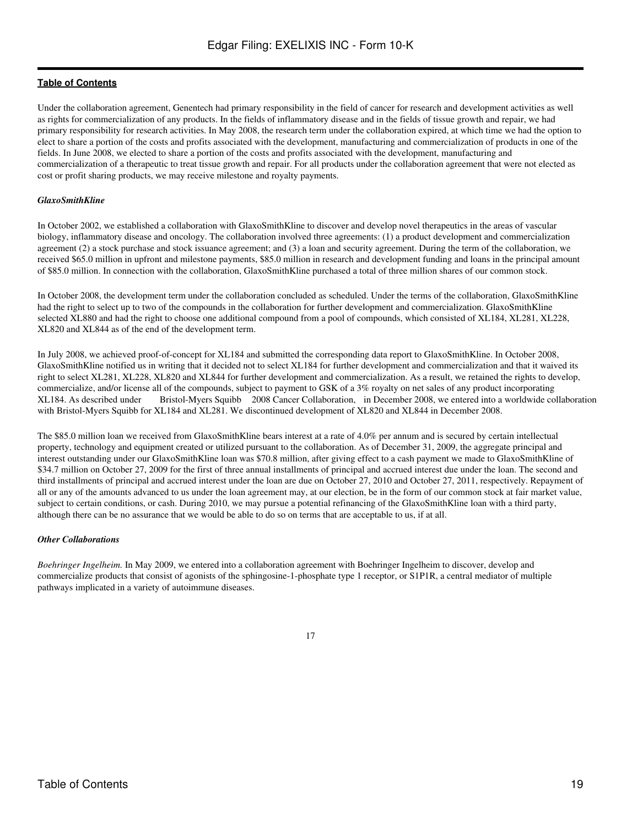Under the collaboration agreement, Genentech had primary responsibility in the field of cancer for research and development activities as well as rights for commercialization of any products. In the fields of inflammatory disease and in the fields of tissue growth and repair, we had primary responsibility for research activities. In May 2008, the research term under the collaboration expired, at which time we had the option to elect to share a portion of the costs and profits associated with the development, manufacturing and commercialization of products in one of the fields. In June 2008, we elected to share a portion of the costs and profits associated with the development, manufacturing and commercialization of a therapeutic to treat tissue growth and repair. For all products under the collaboration agreement that were not elected as cost or profit sharing products, we may receive milestone and royalty payments.

#### *GlaxoSmithKline*

In October 2002, we established a collaboration with GlaxoSmithKline to discover and develop novel therapeutics in the areas of vascular biology, inflammatory disease and oncology. The collaboration involved three agreements: (1) a product development and commercialization agreement (2) a stock purchase and stock issuance agreement; and (3) a loan and security agreement. During the term of the collaboration, we received \$65.0 million in upfront and milestone payments, \$85.0 million in research and development funding and loans in the principal amount of \$85.0 million. In connection with the collaboration, GlaxoSmithKline purchased a total of three million shares of our common stock.

In October 2008, the development term under the collaboration concluded as scheduled. Under the terms of the collaboration, GlaxoSmithKline had the right to select up to two of the compounds in the collaboration for further development and commercialization. GlaxoSmithKline selected XL880 and had the right to choose one additional compound from a pool of compounds, which consisted of XL184, XL281, XL228, XL820 and XL844 as of the end of the development term.

In July 2008, we achieved proof-of-concept for XL184 and submitted the corresponding data report to GlaxoSmithKline. In October 2008, GlaxoSmithKline notified us in writing that it decided not to select XL184 for further development and commercialization and that it waived its right to select XL281, XL228, XL820 and XL844 for further development and commercialization. As a result, we retained the rights to develop, commercialize, and/or license all of the compounds, subject to payment to GSK of a 3% royalty on net sales of any product incorporating XL184. As described under Bristol-Myers Squibb 2008 Cancer Collaboration, in December 2008, we entered into a worldwide collaboration with Bristol-Myers Squibb for XL184 and XL281. We discontinued development of XL820 and XL844 in December 2008.

The \$85.0 million loan we received from GlaxoSmithKline bears interest at a rate of 4.0% per annum and is secured by certain intellectual property, technology and equipment created or utilized pursuant to the collaboration. As of December 31, 2009, the aggregate principal and interest outstanding under our GlaxoSmithKline loan was \$70.8 million, after giving effect to a cash payment we made to GlaxoSmithKline of \$34.7 million on October 27, 2009 for the first of three annual installments of principal and accrued interest due under the loan. The second and third installments of principal and accrued interest under the loan are due on October 27, 2010 and October 27, 2011, respectively. Repayment of all or any of the amounts advanced to us under the loan agreement may, at our election, be in the form of our common stock at fair market value, subject to certain conditions, or cash. During 2010, we may pursue a potential refinancing of the GlaxoSmithKline loan with a third party, although there can be no assurance that we would be able to do so on terms that are acceptable to us, if at all.

#### *Other Collaborations*

*Boehringer Ingelheim.* In May 2009, we entered into a collaboration agreement with Boehringer Ingelheim to discover, develop and commercialize products that consist of agonists of the sphingosine-1-phosphate type 1 receptor, or S1P1R, a central mediator of multiple pathways implicated in a variety of autoimmune diseases.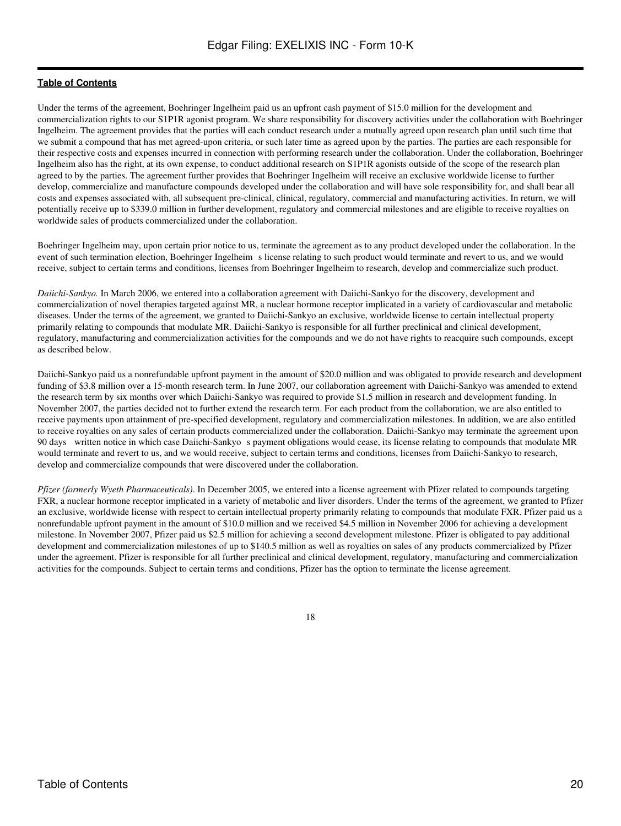Under the terms of the agreement, Boehringer Ingelheim paid us an upfront cash payment of \$15.0 million for the development and commercialization rights to our S1P1R agonist program. We share responsibility for discovery activities under the collaboration with Boehringer Ingelheim. The agreement provides that the parties will each conduct research under a mutually agreed upon research plan until such time that we submit a compound that has met agreed-upon criteria, or such later time as agreed upon by the parties. The parties are each responsible for their respective costs and expenses incurred in connection with performing research under the collaboration. Under the collaboration, Boehringer Ingelheim also has the right, at its own expense, to conduct additional research on S1P1R agonists outside of the scope of the research plan agreed to by the parties. The agreement further provides that Boehringer Ingelheim will receive an exclusive worldwide license to further develop, commercialize and manufacture compounds developed under the collaboration and will have sole responsibility for, and shall bear all costs and expenses associated with, all subsequent pre-clinical, clinical, regulatory, commercial and manufacturing activities. In return, we will potentially receive up to \$339.0 million in further development, regulatory and commercial milestones and are eligible to receive royalties on worldwide sales of products commercialized under the collaboration.

Boehringer Ingelheim may, upon certain prior notice to us, terminate the agreement as to any product developed under the collaboration. In the event of such termination election, Boehringer Ingelheim s license relating to such product would terminate and revert to us, and we would receive, subject to certain terms and conditions, licenses from Boehringer Ingelheim to research, develop and commercialize such product.

*Daiichi-Sankyo.* In March 2006, we entered into a collaboration agreement with Daiichi-Sankyo for the discovery, development and commercialization of novel therapies targeted against MR, a nuclear hormone receptor implicated in a variety of cardiovascular and metabolic diseases. Under the terms of the agreement, we granted to Daiichi-Sankyo an exclusive, worldwide license to certain intellectual property primarily relating to compounds that modulate MR. Daiichi-Sankyo is responsible for all further preclinical and clinical development, regulatory, manufacturing and commercialization activities for the compounds and we do not have rights to reacquire such compounds, except as described below.

Daiichi-Sankyo paid us a nonrefundable upfront payment in the amount of \$20.0 million and was obligated to provide research and development funding of \$3.8 million over a 15-month research term. In June 2007, our collaboration agreement with Daiichi-Sankyo was amended to extend the research term by six months over which Daiichi-Sankyo was required to provide \$1.5 million in research and development funding. In November 2007, the parties decided not to further extend the research term. For each product from the collaboration, we are also entitled to receive payments upon attainment of pre-specified development, regulatory and commercialization milestones. In addition, we are also entitled to receive royalties on any sales of certain products commercialized under the collaboration. Daiichi-Sankyo may terminate the agreement upon 90 days written notice in which case Daiichi-Sankyos payment obligations would cease, its license relating to compounds that modulate MR would terminate and revert to us, and we would receive, subject to certain terms and conditions, licenses from Daiichi-Sankyo to research, develop and commercialize compounds that were discovered under the collaboration.

*Pfizer (formerly Wyeth Pharmaceuticals)*. In December 2005, we entered into a license agreement with Pfizer related to compounds targeting FXR, a nuclear hormone receptor implicated in a variety of metabolic and liver disorders. Under the terms of the agreement, we granted to Pfizer an exclusive, worldwide license with respect to certain intellectual property primarily relating to compounds that modulate FXR. Pfizer paid us a nonrefundable upfront payment in the amount of \$10.0 million and we received \$4.5 million in November 2006 for achieving a development milestone. In November 2007, Pfizer paid us \$2.5 million for achieving a second development milestone. Pfizer is obligated to pay additional development and commercialization milestones of up to \$140.5 million as well as royalties on sales of any products commercialized by Pfizer under the agreement. Pfizer is responsible for all further preclinical and clinical development, regulatory, manufacturing and commercialization activities for the compounds. Subject to certain terms and conditions, Pfizer has the option to terminate the license agreement.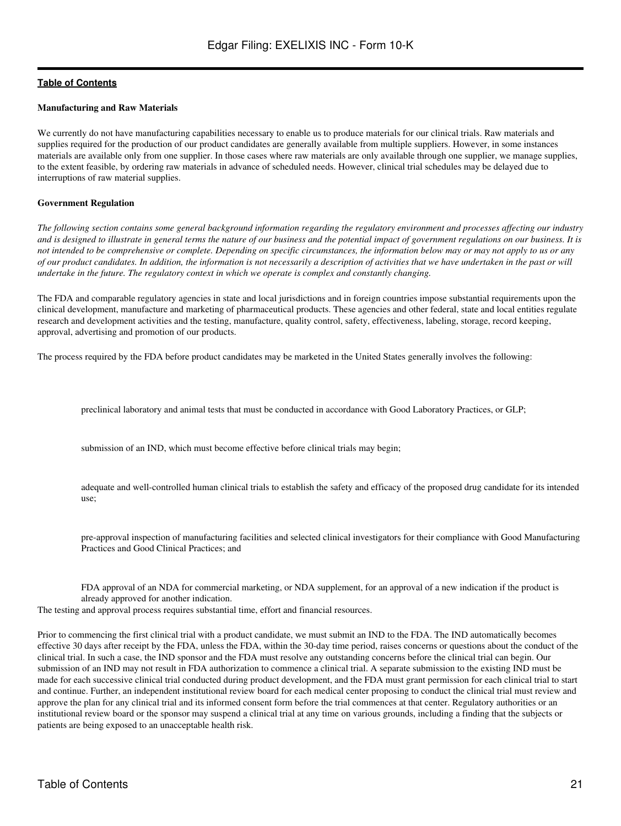#### **Manufacturing and Raw Materials**

We currently do not have manufacturing capabilities necessary to enable us to produce materials for our clinical trials. Raw materials and supplies required for the production of our product candidates are generally available from multiple suppliers. However, in some instances materials are available only from one supplier. In those cases where raw materials are only available through one supplier, we manage supplies, to the extent feasible, by ordering raw materials in advance of scheduled needs. However, clinical trial schedules may be delayed due to interruptions of raw material supplies.

#### **Government Regulation**

*The following section contains some general background information regarding the regulatory environment and processes affecting our industry and is designed to illustrate in general terms the nature of our business and the potential impact of government regulations on our business. It is not intended to be comprehensive or complete. Depending on specific circumstances, the information below may or may not apply to us or any of our product candidates. In addition, the information is not necessarily a description of activities that we have undertaken in the past or will undertake in the future. The regulatory context in which we operate is complex and constantly changing.*

The FDA and comparable regulatory agencies in state and local jurisdictions and in foreign countries impose substantial requirements upon the clinical development, manufacture and marketing of pharmaceutical products. These agencies and other federal, state and local entities regulate research and development activities and the testing, manufacture, quality control, safety, effectiveness, labeling, storage, record keeping, approval, advertising and promotion of our products.

The process required by the FDA before product candidates may be marketed in the United States generally involves the following:

preclinical laboratory and animal tests that must be conducted in accordance with Good Laboratory Practices, or GLP;

submission of an IND, which must become effective before clinical trials may begin;

adequate and well-controlled human clinical trials to establish the safety and efficacy of the proposed drug candidate for its intended use;

pre-approval inspection of manufacturing facilities and selected clinical investigators for their compliance with Good Manufacturing Practices and Good Clinical Practices; and

FDA approval of an NDA for commercial marketing, or NDA supplement, for an approval of a new indication if the product is already approved for another indication.

The testing and approval process requires substantial time, effort and financial resources.

Prior to commencing the first clinical trial with a product candidate, we must submit an IND to the FDA. The IND automatically becomes effective 30 days after receipt by the FDA, unless the FDA, within the 30-day time period, raises concerns or questions about the conduct of the clinical trial. In such a case, the IND sponsor and the FDA must resolve any outstanding concerns before the clinical trial can begin. Our submission of an IND may not result in FDA authorization to commence a clinical trial. A separate submission to the existing IND must be made for each successive clinical trial conducted during product development, and the FDA must grant permission for each clinical trial to start and continue. Further, an independent institutional review board for each medical center proposing to conduct the clinical trial must review and approve the plan for any clinical trial and its informed consent form before the trial commences at that center. Regulatory authorities or an institutional review board or the sponsor may suspend a clinical trial at any time on various grounds, including a finding that the subjects or patients are being exposed to an unacceptable health risk.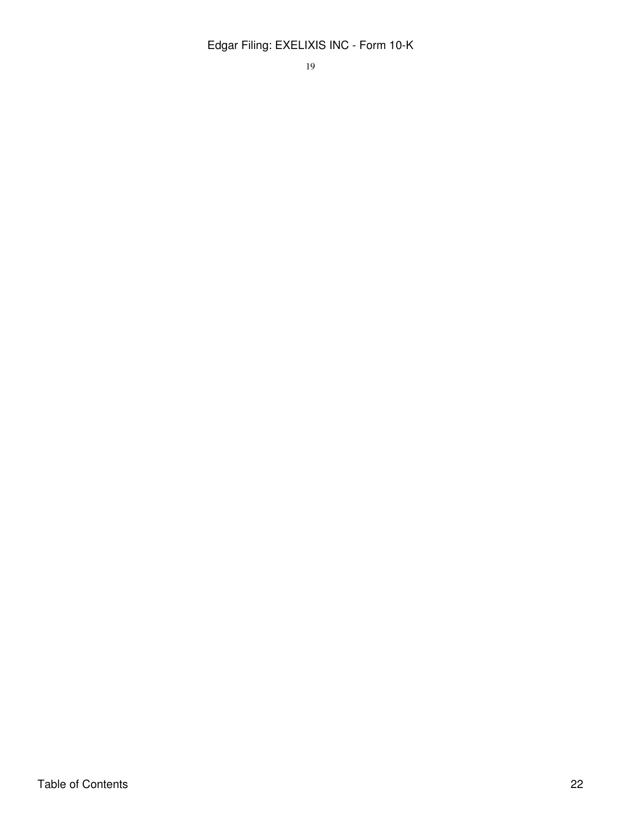## Edgar Filing: EXELIXIS INC - Form 10-K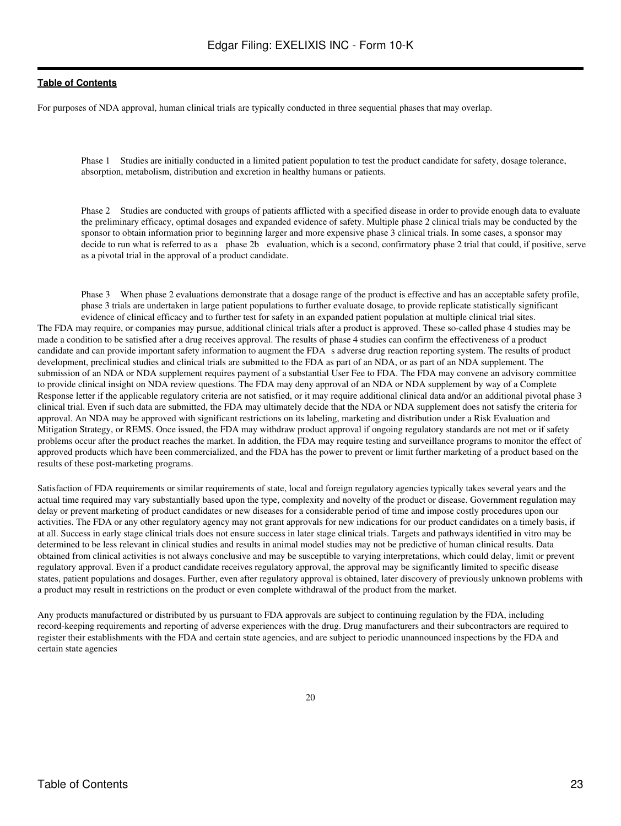For purposes of NDA approval, human clinical trials are typically conducted in three sequential phases that may overlap.

Phase 1 Studies are initially conducted in a limited patient population to test the product candidate for safety, dosage tolerance, absorption, metabolism, distribution and excretion in healthy humans or patients.

Phase 2 Studies are conducted with groups of patients afflicted with a specified disease in order to provide enough data to evaluate the preliminary efficacy, optimal dosages and expanded evidence of safety. Multiple phase 2 clinical trials may be conducted by the sponsor to obtain information prior to beginning larger and more expensive phase 3 clinical trials. In some cases, a sponsor may decide to run what is referred to as a phase 2b evaluation, which is a second, confirmatory phase 2 trial that could, if positive, serve as a pivotal trial in the approval of a product candidate.

Phase 3 When phase 2 evaluations demonstrate that a dosage range of the product is effective and has an acceptable safety profile, phase 3 trials are undertaken in large patient populations to further evaluate dosage, to provide replicate statistically significant evidence of clinical efficacy and to further test for safety in an expanded patient population at multiple clinical trial sites. The FDA may require, or companies may pursue, additional clinical trials after a product is approved. These so-called phase 4 studies may be made a condition to be satisfied after a drug receives approval. The results of phase 4 studies can confirm the effectiveness of a product candidate and can provide important safety information to augment the FDA s adverse drug reaction reporting system. The results of product development, preclinical studies and clinical trials are submitted to the FDA as part of an NDA, or as part of an NDA supplement. The submission of an NDA or NDA supplement requires payment of a substantial User Fee to FDA. The FDA may convene an advisory committee to provide clinical insight on NDA review questions. The FDA may deny approval of an NDA or NDA supplement by way of a Complete Response letter if the applicable regulatory criteria are not satisfied, or it may require additional clinical data and/or an additional pivotal phase 3 clinical trial. Even if such data are submitted, the FDA may ultimately decide that the NDA or NDA supplement does not satisfy the criteria for approval. An NDA may be approved with significant restrictions on its labeling, marketing and distribution under a Risk Evaluation and Mitigation Strategy, or REMS. Once issued, the FDA may withdraw product approval if ongoing regulatory standards are not met or if safety problems occur after the product reaches the market. In addition, the FDA may require testing and surveillance programs to monitor the effect of approved products which have been commercialized, and the FDA has the power to prevent or limit further marketing of a product based on the results of these post-marketing programs.

Satisfaction of FDA requirements or similar requirements of state, local and foreign regulatory agencies typically takes several years and the actual time required may vary substantially based upon the type, complexity and novelty of the product or disease. Government regulation may delay or prevent marketing of product candidates or new diseases for a considerable period of time and impose costly procedures upon our activities. The FDA or any other regulatory agency may not grant approvals for new indications for our product candidates on a timely basis, if at all. Success in early stage clinical trials does not ensure success in later stage clinical trials. Targets and pathways identified in vitro may be determined to be less relevant in clinical studies and results in animal model studies may not be predictive of human clinical results. Data obtained from clinical activities is not always conclusive and may be susceptible to varying interpretations, which could delay, limit or prevent regulatory approval. Even if a product candidate receives regulatory approval, the approval may be significantly limited to specific disease states, patient populations and dosages. Further, even after regulatory approval is obtained, later discovery of previously unknown problems with a product may result in restrictions on the product or even complete withdrawal of the product from the market.

Any products manufactured or distributed by us pursuant to FDA approvals are subject to continuing regulation by the FDA, including record-keeping requirements and reporting of adverse experiences with the drug. Drug manufacturers and their subcontractors are required to register their establishments with the FDA and certain state agencies, and are subject to periodic unannounced inspections by the FDA and certain state agencies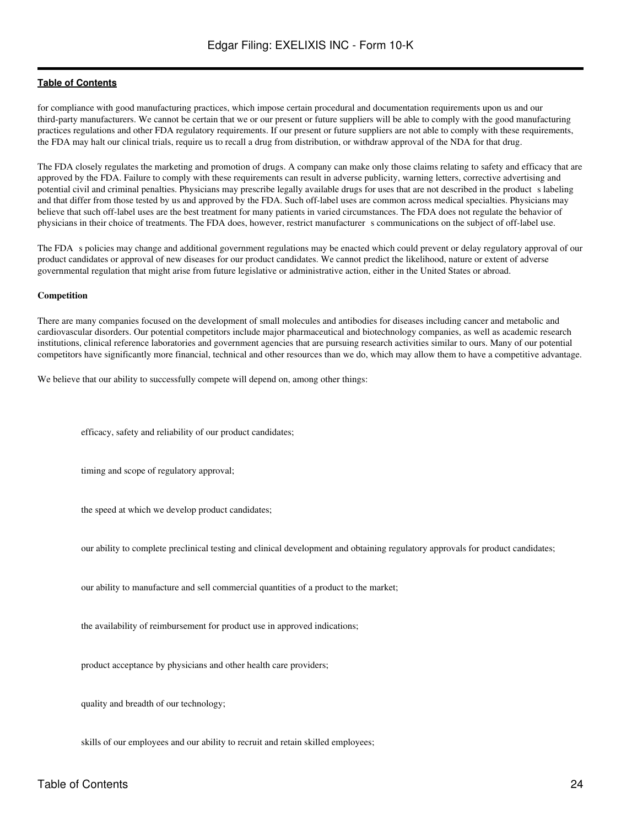for compliance with good manufacturing practices, which impose certain procedural and documentation requirements upon us and our third-party manufacturers. We cannot be certain that we or our present or future suppliers will be able to comply with the good manufacturing practices regulations and other FDA regulatory requirements. If our present or future suppliers are not able to comply with these requirements, the FDA may halt our clinical trials, require us to recall a drug from distribution, or withdraw approval of the NDA for that drug.

The FDA closely regulates the marketing and promotion of drugs. A company can make only those claims relating to safety and efficacy that are approved by the FDA. Failure to comply with these requirements can result in adverse publicity, warning letters, corrective advertising and potential civil and criminal penalties. Physicians may prescribe legally available drugs for uses that are not described in the product s labeling and that differ from those tested by us and approved by the FDA. Such off-label uses are common across medical specialties. Physicians may believe that such off-label uses are the best treatment for many patients in varied circumstances. The FDA does not regulate the behavior of physicians in their choice of treatments. The FDA does, however, restrict manufacturer s communications on the subject of off-label use.

The FDA s policies may change and additional government regulations may be enacted which could prevent or delay regulatory approval of our product candidates or approval of new diseases for our product candidates. We cannot predict the likelihood, nature or extent of adverse governmental regulation that might arise from future legislative or administrative action, either in the United States or abroad.

#### **Competition**

There are many companies focused on the development of small molecules and antibodies for diseases including cancer and metabolic and cardiovascular disorders. Our potential competitors include major pharmaceutical and biotechnology companies, as well as academic research institutions, clinical reference laboratories and government agencies that are pursuing research activities similar to ours. Many of our potential competitors have significantly more financial, technical and other resources than we do, which may allow them to have a competitive advantage.

We believe that our ability to successfully compete will depend on, among other things:

efficacy, safety and reliability of our product candidates;

timing and scope of regulatory approval;

the speed at which we develop product candidates;

our ability to complete preclinical testing and clinical development and obtaining regulatory approvals for product candidates;

our ability to manufacture and sell commercial quantities of a product to the market;

the availability of reimbursement for product use in approved indications;

product acceptance by physicians and other health care providers;

quality and breadth of our technology;

skills of our employees and our ability to recruit and retain skilled employees;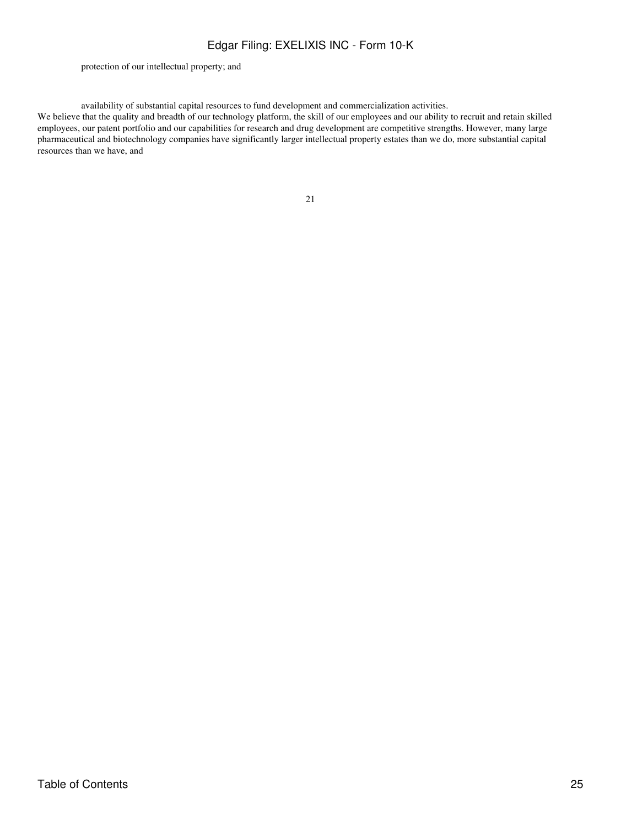## Edgar Filing: EXELIXIS INC - Form 10-K

#### protection of our intellectual property; and

availability of substantial capital resources to fund development and commercialization activities.

We believe that the quality and breadth of our technology platform, the skill of our employees and our ability to recruit and retain skilled employees, our patent portfolio and our capabilities for research and drug development are competitive strengths. However, many large pharmaceutical and biotechnology companies have significantly larger intellectual property estates than we do, more substantial capital resources than we have, and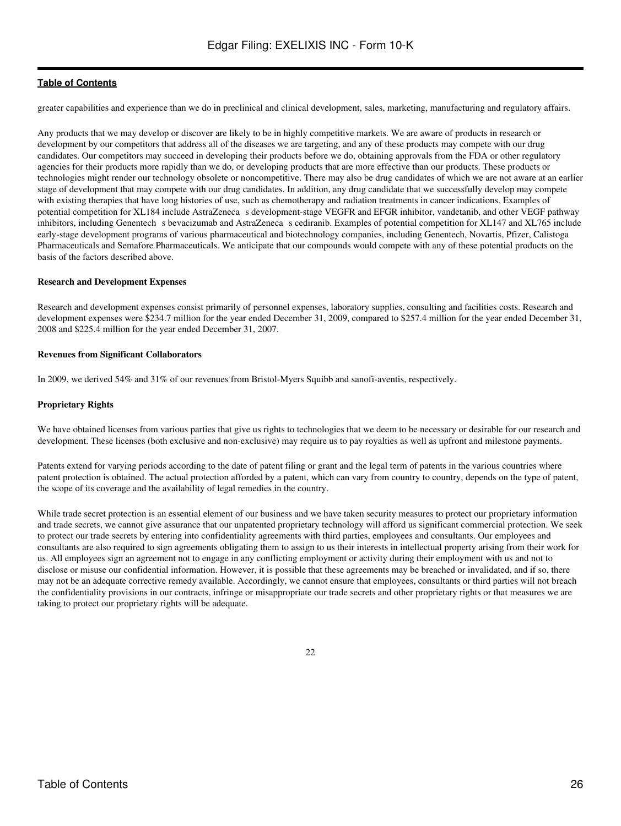greater capabilities and experience than we do in preclinical and clinical development, sales, marketing, manufacturing and regulatory affairs.

Any products that we may develop or discover are likely to be in highly competitive markets. We are aware of products in research or development by our competitors that address all of the diseases we are targeting, and any of these products may compete with our drug candidates. Our competitors may succeed in developing their products before we do, obtaining approvals from the FDA or other regulatory agencies for their products more rapidly than we do, or developing products that are more effective than our products. These products or technologies might render our technology obsolete or noncompetitive. There may also be drug candidates of which we are not aware at an earlier stage of development that may compete with our drug candidates. In addition, any drug candidate that we successfully develop may compete with existing therapies that have long histories of use, such as chemotherapy and radiation treatments in cancer indications. Examples of potential competition for XL184 include AstraZeneca s development-stage VEGFR and EFGR inhibitor, vandetanib, and other VEGF pathway inhibitors, including Genentech s bevacizumab and AstraZeneca s cediranib. Examples of potential competition for XL147 and XL765 include early-stage development programs of various pharmaceutical and biotechnology companies, including Genentech, Novartis, Pfizer, Calistoga Pharmaceuticals and Semafore Pharmaceuticals. We anticipate that our compounds would compete with any of these potential products on the basis of the factors described above.

#### **Research and Development Expenses**

Research and development expenses consist primarily of personnel expenses, laboratory supplies, consulting and facilities costs. Research and development expenses were \$234.7 million for the year ended December 31, 2009, compared to \$257.4 million for the year ended December 31, 2008 and \$225.4 million for the year ended December 31, 2007.

#### **Revenues from Significant Collaborators**

In 2009, we derived 54% and 31% of our revenues from Bristol-Myers Squibb and sanofi-aventis, respectively.

#### **Proprietary Rights**

We have obtained licenses from various parties that give us rights to technologies that we deem to be necessary or desirable for our research and development. These licenses (both exclusive and non-exclusive) may require us to pay royalties as well as upfront and milestone payments.

Patents extend for varying periods according to the date of patent filing or grant and the legal term of patents in the various countries where patent protection is obtained. The actual protection afforded by a patent, which can vary from country to country, depends on the type of patent, the scope of its coverage and the availability of legal remedies in the country.

While trade secret protection is an essential element of our business and we have taken security measures to protect our proprietary information and trade secrets, we cannot give assurance that our unpatented proprietary technology will afford us significant commercial protection. We seek to protect our trade secrets by entering into confidentiality agreements with third parties, employees and consultants. Our employees and consultants are also required to sign agreements obligating them to assign to us their interests in intellectual property arising from their work for us. All employees sign an agreement not to engage in any conflicting employment or activity during their employment with us and not to disclose or misuse our confidential information. However, it is possible that these agreements may be breached or invalidated, and if so, there may not be an adequate corrective remedy available. Accordingly, we cannot ensure that employees, consultants or third parties will not breach the confidentiality provisions in our contracts, infringe or misappropriate our trade secrets and other proprietary rights or that measures we are taking to protect our proprietary rights will be adequate.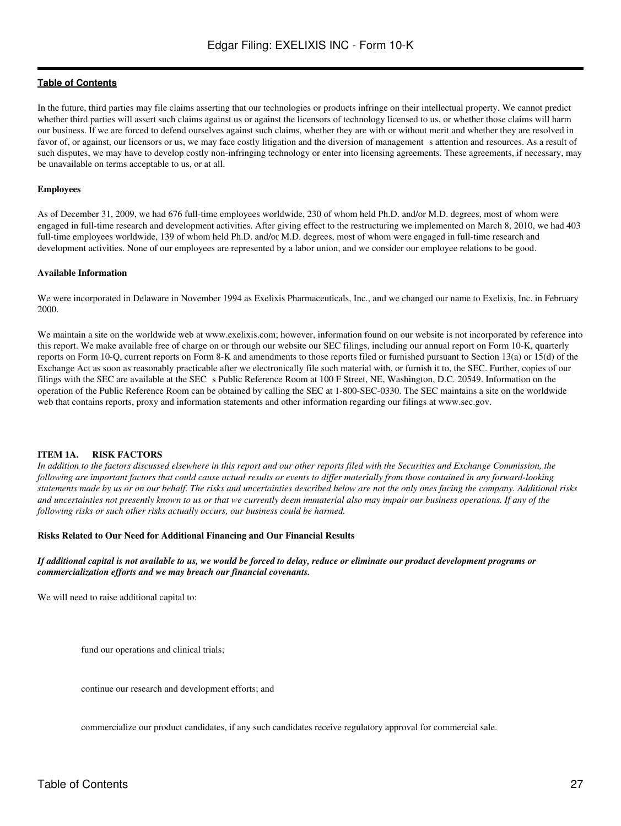In the future, third parties may file claims asserting that our technologies or products infringe on their intellectual property. We cannot predict whether third parties will assert such claims against us or against the licensors of technology licensed to us, or whether those claims will harm our business. If we are forced to defend ourselves against such claims, whether they are with or without merit and whether they are resolved in favor of, or against, our licensors or us, we may face costly litigation and the diversion of management s attention and resources. As a result of such disputes, we may have to develop costly non-infringing technology or enter into licensing agreements. These agreements, if necessary, may be unavailable on terms acceptable to us, or at all.

#### **Employees**

As of December 31, 2009, we had 676 full-time employees worldwide, 230 of whom held Ph.D. and/or M.D. degrees, most of whom were engaged in full-time research and development activities. After giving effect to the restructuring we implemented on March 8, 2010, we had 403 full-time employees worldwide, 139 of whom held Ph.D. and/or M.D. degrees, most of whom were engaged in full-time research and development activities. None of our employees are represented by a labor union, and we consider our employee relations to be good.

#### **Available Information**

We were incorporated in Delaware in November 1994 as Exelixis Pharmaceuticals, Inc., and we changed our name to Exelixis, Inc. in February 2000.

We maintain a site on the worldwide web at www.exelixis.com; however, information found on our website is not incorporated by reference into this report. We make available free of charge on or through our website our SEC filings, including our annual report on Form 10-K, quarterly reports on Form 10-Q, current reports on Form 8-K and amendments to those reports filed or furnished pursuant to Section 13(a) or 15(d) of the Exchange Act as soon as reasonably practicable after we electronically file such material with, or furnish it to, the SEC. Further, copies of our filings with the SEC are available at the SEC s Public Reference Room at 100 F Street, NE, Washington, D.C. 20549. Information on the operation of the Public Reference Room can be obtained by calling the SEC at 1-800-SEC-0330. The SEC maintains a site on the worldwide web that contains reports, proxy and information statements and other information regarding our filings at www.sec.gov.

#### <span id="page-26-0"></span>**ITEM 1A. RISK FACTORS**

*In addition to the factors discussed elsewhere in this report and our other reports filed with the Securities and Exchange Commission, the following are important factors that could cause actual results or events to differ materially from those contained in any forward-looking statements made by us or on our behalf. The risks and uncertainties described below are not the only ones facing the company. Additional risks and uncertainties not presently known to us or that we currently deem immaterial also may impair our business operations. If any of the following risks or such other risks actually occurs, our business could be harmed.*

#### **Risks Related to Our Need for Additional Financing and Our Financial Results**

*If additional capital is not available to us, we would be forced to delay, reduce or eliminate our product development programs or commercialization efforts and we may breach our financial covenants.*

We will need to raise additional capital to:

fund our operations and clinical trials;

continue our research and development efforts; and

commercialize our product candidates, if any such candidates receive regulatory approval for commercial sale.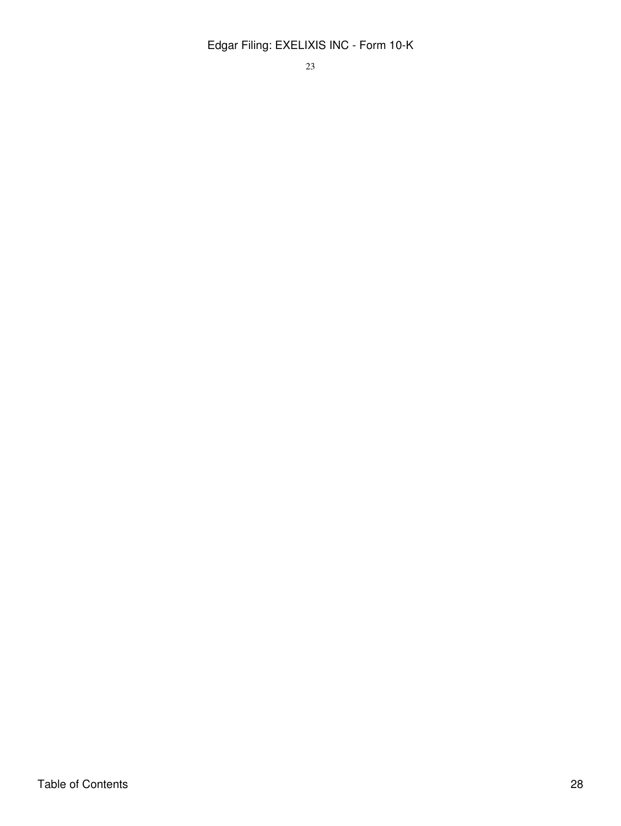## Edgar Filing: EXELIXIS INC - Form 10-K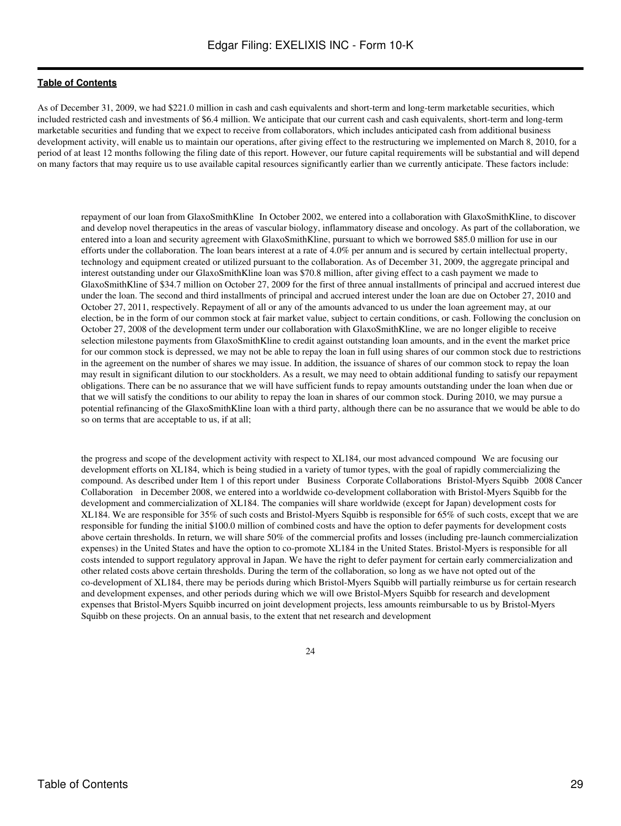As of December 31, 2009, we had \$221.0 million in cash and cash equivalents and short-term and long-term marketable securities, which included restricted cash and investments of \$6.4 million. We anticipate that our current cash and cash equivalents, short-term and long-term marketable securities and funding that we expect to receive from collaborators, which includes anticipated cash from additional business development activity, will enable us to maintain our operations, after giving effect to the restructuring we implemented on March 8, 2010, for a period of at least 12 months following the filing date of this report. However, our future capital requirements will be substantial and will depend on many factors that may require us to use available capital resources significantly earlier than we currently anticipate. These factors include:

repayment of our loan from GlaxoSmithKline In October 2002, we entered into a collaboration with GlaxoSmithKline, to discover and develop novel therapeutics in the areas of vascular biology, inflammatory disease and oncology. As part of the collaboration, we entered into a loan and security agreement with GlaxoSmithKline, pursuant to which we borrowed \$85.0 million for use in our efforts under the collaboration. The loan bears interest at a rate of 4.0% per annum and is secured by certain intellectual property, technology and equipment created or utilized pursuant to the collaboration. As of December 31, 2009, the aggregate principal and interest outstanding under our GlaxoSmithKline loan was \$70.8 million, after giving effect to a cash payment we made to GlaxoSmithKline of \$34.7 million on October 27, 2009 for the first of three annual installments of principal and accrued interest due under the loan. The second and third installments of principal and accrued interest under the loan are due on October 27, 2010 and October 27, 2011, respectively. Repayment of all or any of the amounts advanced to us under the loan agreement may, at our election, be in the form of our common stock at fair market value, subject to certain conditions, or cash. Following the conclusion on October 27, 2008 of the development term under our collaboration with GlaxoSmithKline, we are no longer eligible to receive selection milestone payments from GlaxoSmithKline to credit against outstanding loan amounts, and in the event the market price for our common stock is depressed, we may not be able to repay the loan in full using shares of our common stock due to restrictions in the agreement on the number of shares we may issue. In addition, the issuance of shares of our common stock to repay the loan may result in significant dilution to our stockholders. As a result, we may need to obtain additional funding to satisfy our repayment obligations. There can be no assurance that we will have sufficient funds to repay amounts outstanding under the loan when due or that we will satisfy the conditions to our ability to repay the loan in shares of our common stock. During 2010, we may pursue a potential refinancing of the GlaxoSmithKline loan with a third party, although there can be no assurance that we would be able to do so on terms that are acceptable to us, if at all;

the progress and scope of the development activity with respect to XL184, our most advanced compound We are focusing our development efforts on XL184, which is being studied in a variety of tumor types, with the goal of rapidly commercializing the compound. As described under Item 1 of this report under Business Corporate Collaborations Bristol-Myers Squibb 2008 Cancer Collaboration in December 2008, we entered into a worldwide co-development collaboration with Bristol-Myers Squibb for the development and commercialization of XL184. The companies will share worldwide (except for Japan) development costs for XL184. We are responsible for 35% of such costs and Bristol-Myers Squibb is responsible for 65% of such costs, except that we are responsible for funding the initial \$100.0 million of combined costs and have the option to defer payments for development costs above certain thresholds. In return, we will share 50% of the commercial profits and losses (including pre-launch commercialization expenses) in the United States and have the option to co-promote XL184 in the United States. Bristol-Myers is responsible for all costs intended to support regulatory approval in Japan. We have the right to defer payment for certain early commercialization and other related costs above certain thresholds. During the term of the collaboration, so long as we have not opted out of the co-development of XL184, there may be periods during which Bristol-Myers Squibb will partially reimburse us for certain research and development expenses, and other periods during which we will owe Bristol-Myers Squibb for research and development expenses that Bristol-Myers Squibb incurred on joint development projects, less amounts reimbursable to us by Bristol-Myers Squibb on these projects. On an annual basis, to the extent that net research and development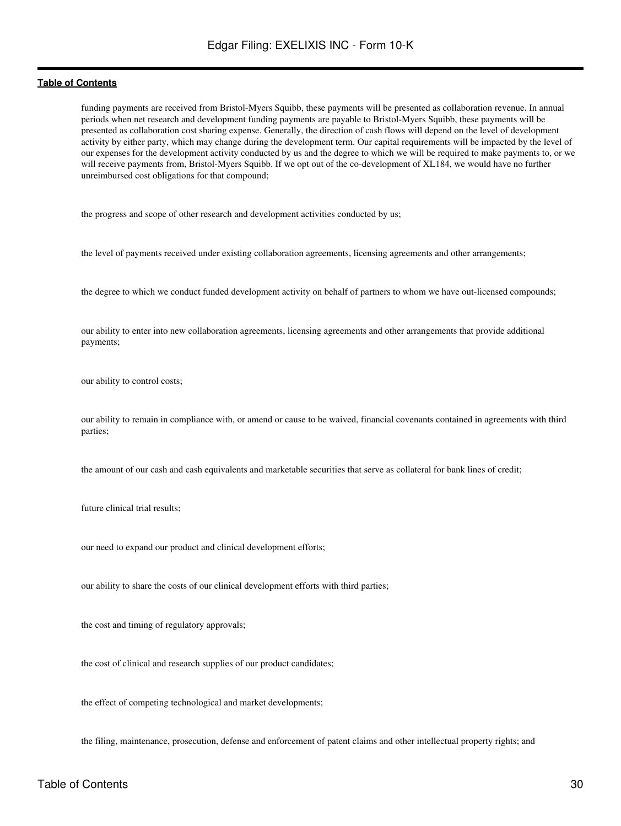funding payments are received from Bristol-Myers Squibb, these payments will be presented as collaboration revenue. In annual periods when net research and development funding payments are payable to Bristol-Myers Squibb, these payments will be presented as collaboration cost sharing expense. Generally, the direction of cash flows will depend on the level of development activity by either party, which may change during the development term. Our capital requirements will be impacted by the level of our expenses for the development activity conducted by us and the degree to which we will be required to make payments to, or we will receive payments from, Bristol-Myers Squibb. If we opt out of the co-development of XL184, we would have no further unreimbursed cost obligations for that compound;

the progress and scope of other research and development activities conducted by us;

the level of payments received under existing collaboration agreements, licensing agreements and other arrangements;

the degree to which we conduct funded development activity on behalf of partners to whom we have out-licensed compounds;

our ability to enter into new collaboration agreements, licensing agreements and other arrangements that provide additional payments;

our ability to control costs;

our ability to remain in compliance with, or amend or cause to be waived, financial covenants contained in agreements with third parties;

the amount of our cash and cash equivalents and marketable securities that serve as collateral for bank lines of credit;

future clinical trial results;

our need to expand our product and clinical development efforts;

our ability to share the costs of our clinical development efforts with third parties;

the cost and timing of regulatory approvals;

the cost of clinical and research supplies of our product candidates;

the effect of competing technological and market developments;

the filing, maintenance, prosecution, defense and enforcement of patent claims and other intellectual property rights; and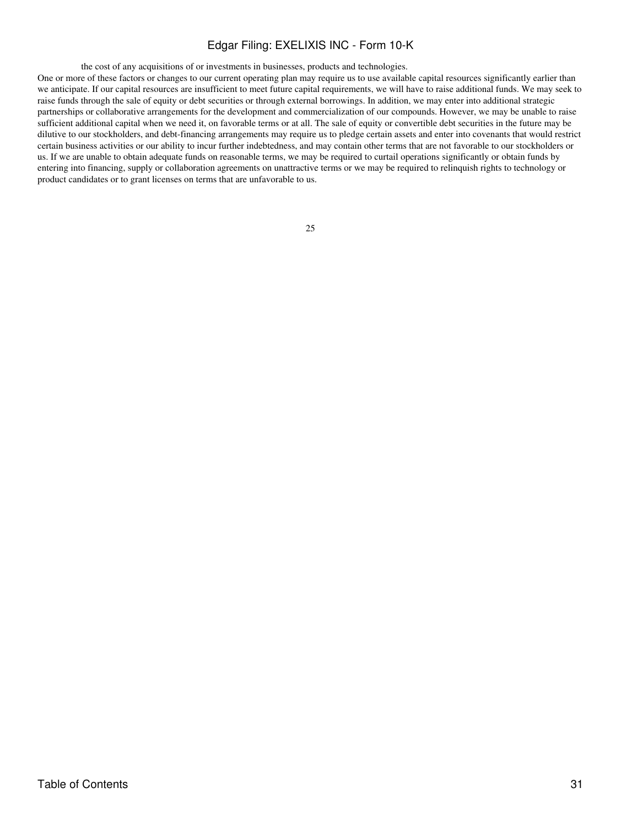## Edgar Filing: EXELIXIS INC - Form 10-K

the cost of any acquisitions of or investments in businesses, products and technologies.

One or more of these factors or changes to our current operating plan may require us to use available capital resources significantly earlier than we anticipate. If our capital resources are insufficient to meet future capital requirements, we will have to raise additional funds. We may seek to raise funds through the sale of equity or debt securities or through external borrowings. In addition, we may enter into additional strategic partnerships or collaborative arrangements for the development and commercialization of our compounds. However, we may be unable to raise sufficient additional capital when we need it, on favorable terms or at all. The sale of equity or convertible debt securities in the future may be dilutive to our stockholders, and debt-financing arrangements may require us to pledge certain assets and enter into covenants that would restrict certain business activities or our ability to incur further indebtedness, and may contain other terms that are not favorable to our stockholders or us. If we are unable to obtain adequate funds on reasonable terms, we may be required to curtail operations significantly or obtain funds by entering into financing, supply or collaboration agreements on unattractive terms or we may be required to relinquish rights to technology or product candidates or to grant licenses on terms that are unfavorable to us.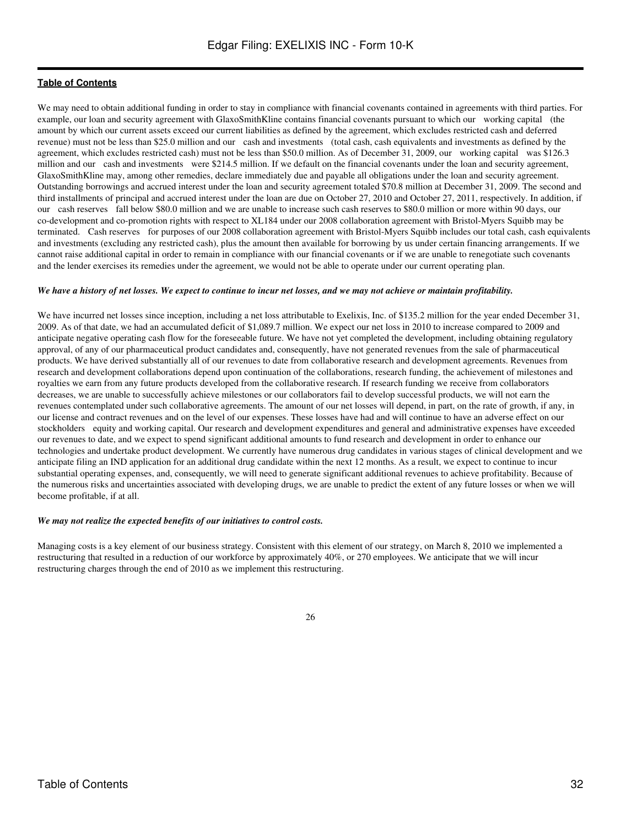We may need to obtain additional funding in order to stay in compliance with financial covenants contained in agreements with third parties. For example, our loan and security agreement with GlaxoSmithKline contains financial covenants pursuant to which our working capital (the amount by which our current assets exceed our current liabilities as defined by the agreement, which excludes restricted cash and deferred revenue) must not be less than \$25.0 million and our cash and investments (total cash, cash equivalents and investments as defined by the agreement, which excludes restricted cash) must not be less than \$50.0 million. As of December 31, 2009, our working capital was \$126.3 million and our cash and investments were \$214.5 million. If we default on the financial covenants under the loan and security agreement, GlaxoSmithKline may, among other remedies, declare immediately due and payable all obligations under the loan and security agreement. Outstanding borrowings and accrued interest under the loan and security agreement totaled \$70.8 million at December 31, 2009. The second and third installments of principal and accrued interest under the loan are due on October 27, 2010 and October 27, 2011, respectively. In addition, if our cash reserves fall below \$80.0 million and we are unable to increase such cash reserves to \$80.0 million or more within 90 days, our co-development and co-promotion rights with respect to XL184 under our 2008 collaboration agreement with Bristol-Myers Squibb may be terminated. Cash reserves for purposes of our 2008 collaboration agreement with Bristol-Myers Squibb includes our total cash, cash equivalents and investments (excluding any restricted cash), plus the amount then available for borrowing by us under certain financing arrangements. If we cannot raise additional capital in order to remain in compliance with our financial covenants or if we are unable to renegotiate such covenants and the lender exercises its remedies under the agreement, we would not be able to operate under our current operating plan.

#### *We have a history of net losses. We expect to continue to incur net losses, and we may not achieve or maintain profitability.*

We have incurred net losses since inception, including a net loss attributable to Exelixis, Inc. of \$135.2 million for the year ended December 31, 2009. As of that date, we had an accumulated deficit of \$1,089.7 million. We expect our net loss in 2010 to increase compared to 2009 and anticipate negative operating cash flow for the foreseeable future. We have not yet completed the development, including obtaining regulatory approval, of any of our pharmaceutical product candidates and, consequently, have not generated revenues from the sale of pharmaceutical products. We have derived substantially all of our revenues to date from collaborative research and development agreements. Revenues from research and development collaborations depend upon continuation of the collaborations, research funding, the achievement of milestones and royalties we earn from any future products developed from the collaborative research. If research funding we receive from collaborators decreases, we are unable to successfully achieve milestones or our collaborators fail to develop successful products, we will not earn the revenues contemplated under such collaborative agreements. The amount of our net losses will depend, in part, on the rate of growth, if any, in our license and contract revenues and on the level of our expenses. These losses have had and will continue to have an adverse effect on our stockholders equity and working capital. Our research and development expenditures and general and administrative expenses have exceeded our revenues to date, and we expect to spend significant additional amounts to fund research and development in order to enhance our technologies and undertake product development. We currently have numerous drug candidates in various stages of clinical development and we anticipate filing an IND application for an additional drug candidate within the next 12 months. As a result, we expect to continue to incur substantial operating expenses, and, consequently, we will need to generate significant additional revenues to achieve profitability. Because of the numerous risks and uncertainties associated with developing drugs, we are unable to predict the extent of any future losses or when we will become profitable, if at all.

#### *We may not realize the expected benefits of our initiatives to control costs.*

Managing costs is a key element of our business strategy. Consistent with this element of our strategy, on March 8, 2010 we implemented a restructuring that resulted in a reduction of our workforce by approximately 40%, or 270 employees. We anticipate that we will incur restructuring charges through the end of 2010 as we implement this restructuring.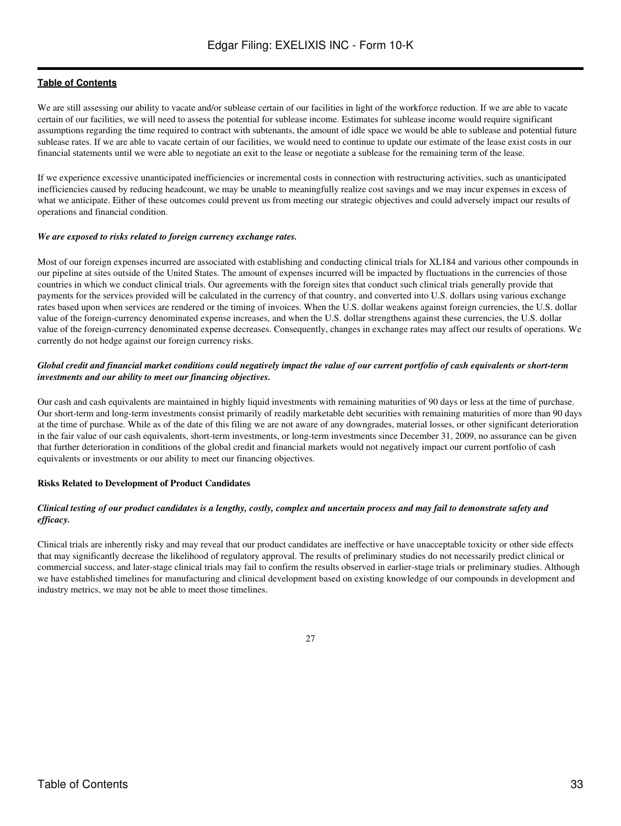We are still assessing our ability to vacate and/or sublease certain of our facilities in light of the workforce reduction. If we are able to vacate certain of our facilities, we will need to assess the potential for sublease income. Estimates for sublease income would require significant assumptions regarding the time required to contract with subtenants, the amount of idle space we would be able to sublease and potential future sublease rates. If we are able to vacate certain of our facilities, we would need to continue to update our estimate of the lease exist costs in our financial statements until we were able to negotiate an exit to the lease or negotiate a sublease for the remaining term of the lease.

If we experience excessive unanticipated inefficiencies or incremental costs in connection with restructuring activities, such as unanticipated inefficiencies caused by reducing headcount, we may be unable to meaningfully realize cost savings and we may incur expenses in excess of what we anticipate. Either of these outcomes could prevent us from meeting our strategic objectives and could adversely impact our results of operations and financial condition.

#### *We are exposed to risks related to foreign currency exchange rates.*

Most of our foreign expenses incurred are associated with establishing and conducting clinical trials for XL184 and various other compounds in our pipeline at sites outside of the United States. The amount of expenses incurred will be impacted by fluctuations in the currencies of those countries in which we conduct clinical trials. Our agreements with the foreign sites that conduct such clinical trials generally provide that payments for the services provided will be calculated in the currency of that country, and converted into U.S. dollars using various exchange rates based upon when services are rendered or the timing of invoices. When the U.S. dollar weakens against foreign currencies, the U.S. dollar value of the foreign-currency denominated expense increases, and when the U.S. dollar strengthens against these currencies, the U.S. dollar value of the foreign-currency denominated expense decreases. Consequently, changes in exchange rates may affect our results of operations. We currently do not hedge against our foreign currency risks.

#### *Global credit and financial market conditions could negatively impact the value of our current portfolio of cash equivalents or short-term investments and our ability to meet our financing objectives.*

Our cash and cash equivalents are maintained in highly liquid investments with remaining maturities of 90 days or less at the time of purchase. Our short-term and long-term investments consist primarily of readily marketable debt securities with remaining maturities of more than 90 days at the time of purchase. While as of the date of this filing we are not aware of any downgrades, material losses, or other significant deterioration in the fair value of our cash equivalents, short-term investments, or long-term investments since December 31, 2009, no assurance can be given that further deterioration in conditions of the global credit and financial markets would not negatively impact our current portfolio of cash equivalents or investments or our ability to meet our financing objectives.

#### **Risks Related to Development of Product Candidates**

#### *Clinical testing of our product candidates is a lengthy, costly, complex and uncertain process and may fail to demonstrate safety and efficacy.*

Clinical trials are inherently risky and may reveal that our product candidates are ineffective or have unacceptable toxicity or other side effects that may significantly decrease the likelihood of regulatory approval. The results of preliminary studies do not necessarily predict clinical or commercial success, and later-stage clinical trials may fail to confirm the results observed in earlier-stage trials or preliminary studies. Although we have established timelines for manufacturing and clinical development based on existing knowledge of our compounds in development and industry metrics, we may not be able to meet those timelines.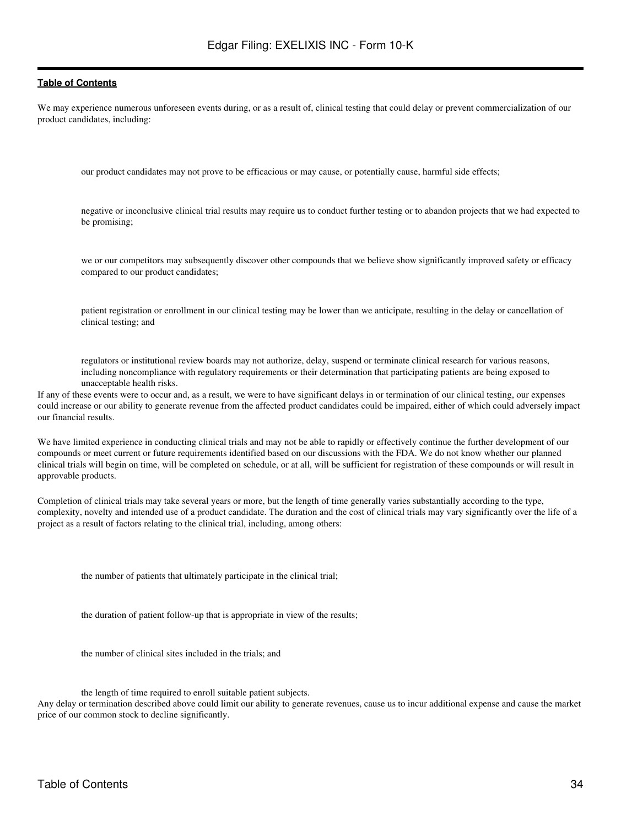We may experience numerous unforeseen events during, or as a result of, clinical testing that could delay or prevent commercialization of our product candidates, including:

our product candidates may not prove to be efficacious or may cause, or potentially cause, harmful side effects;

negative or inconclusive clinical trial results may require us to conduct further testing or to abandon projects that we had expected to be promising;

we or our competitors may subsequently discover other compounds that we believe show significantly improved safety or efficacy compared to our product candidates;

patient registration or enrollment in our clinical testing may be lower than we anticipate, resulting in the delay or cancellation of clinical testing; and

regulators or institutional review boards may not authorize, delay, suspend or terminate clinical research for various reasons, including noncompliance with regulatory requirements or their determination that participating patients are being exposed to unacceptable health risks.

If any of these events were to occur and, as a result, we were to have significant delays in or termination of our clinical testing, our expenses could increase or our ability to generate revenue from the affected product candidates could be impaired, either of which could adversely impact our financial results.

We have limited experience in conducting clinical trials and may not be able to rapidly or effectively continue the further development of our compounds or meet current or future requirements identified based on our discussions with the FDA. We do not know whether our planned clinical trials will begin on time, will be completed on schedule, or at all, will be sufficient for registration of these compounds or will result in approvable products.

Completion of clinical trials may take several years or more, but the length of time generally varies substantially according to the type, complexity, novelty and intended use of a product candidate. The duration and the cost of clinical trials may vary significantly over the life of a project as a result of factors relating to the clinical trial, including, among others:

the number of patients that ultimately participate in the clinical trial;

the duration of patient follow-up that is appropriate in view of the results;

the number of clinical sites included in the trials; and

the length of time required to enroll suitable patient subjects. Any delay or termination described above could limit our ability to generate revenues, cause us to incur additional expense and cause the market price of our common stock to decline significantly.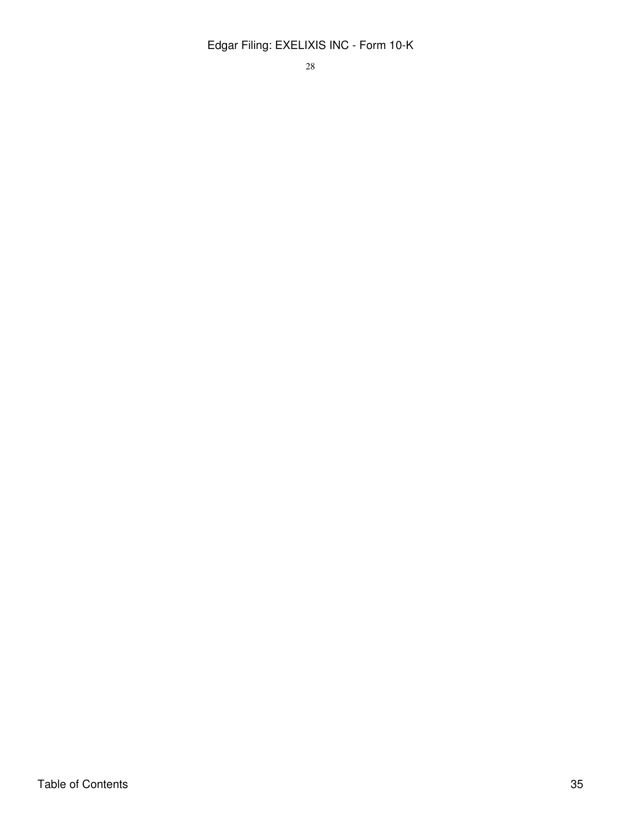## Edgar Filing: EXELIXIS INC - Form 10-K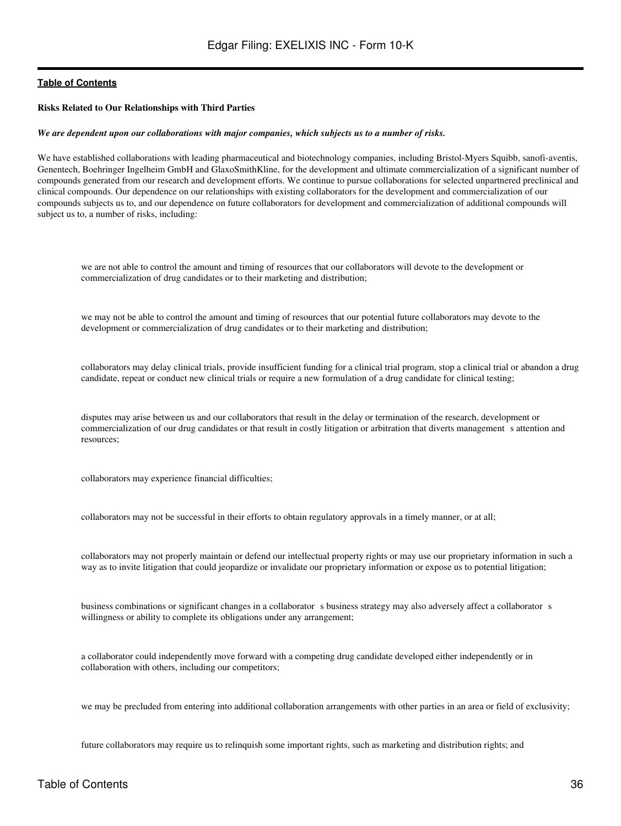#### **Risks Related to Our Relationships with Third Parties**

#### *We are dependent upon our collaborations with major companies, which subjects us to a number of risks.*

We have established collaborations with leading pharmaceutical and biotechnology companies, including Bristol-Myers Squibb, sanofi-aventis, Genentech, Boehringer Ingelheim GmbH and GlaxoSmithKline, for the development and ultimate commercialization of a significant number of compounds generated from our research and development efforts. We continue to pursue collaborations for selected unpartnered preclinical and clinical compounds. Our dependence on our relationships with existing collaborators for the development and commercialization of our compounds subjects us to, and our dependence on future collaborators for development and commercialization of additional compounds will subject us to, a number of risks, including:

we are not able to control the amount and timing of resources that our collaborators will devote to the development or commercialization of drug candidates or to their marketing and distribution;

we may not be able to control the amount and timing of resources that our potential future collaborators may devote to the development or commercialization of drug candidates or to their marketing and distribution;

collaborators may delay clinical trials, provide insufficient funding for a clinical trial program, stop a clinical trial or abandon a drug candidate, repeat or conduct new clinical trials or require a new formulation of a drug candidate for clinical testing;

disputes may arise between us and our collaborators that result in the delay or termination of the research, development or commercialization of our drug candidates or that result in costly litigation or arbitration that diverts management s attention and resources;

collaborators may experience financial difficulties;

collaborators may not be successful in their efforts to obtain regulatory approvals in a timely manner, or at all;

collaborators may not properly maintain or defend our intellectual property rights or may use our proprietary information in such a way as to invite litigation that could jeopardize or invalidate our proprietary information or expose us to potential litigation;

business combinations or significant changes in a collaborator s business strategy may also adversely affect a collaborator s willingness or ability to complete its obligations under any arrangement;

a collaborator could independently move forward with a competing drug candidate developed either independently or in collaboration with others, including our competitors;

we may be precluded from entering into additional collaboration arrangements with other parties in an area or field of exclusivity;

future collaborators may require us to relinquish some important rights, such as marketing and distribution rights; and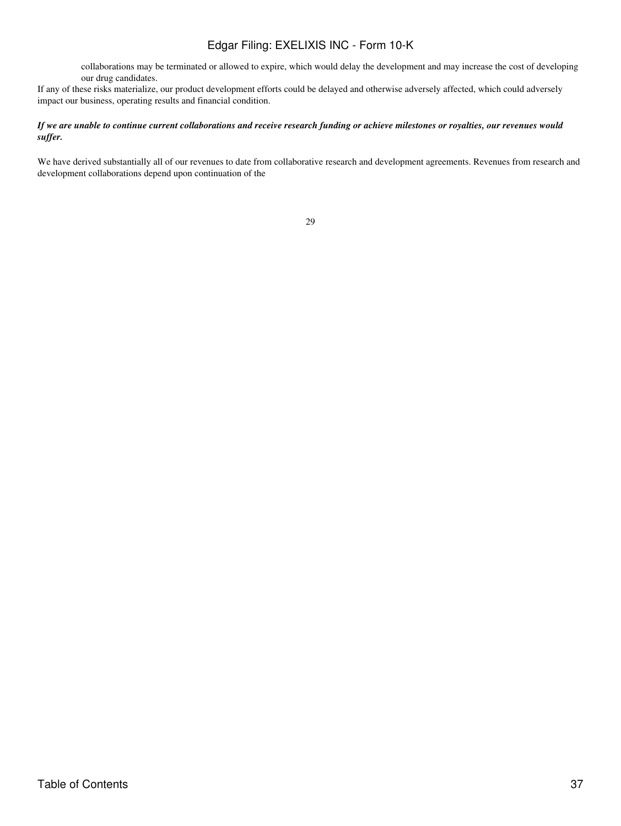# Edgar Filing: EXELIXIS INC - Form 10-K

collaborations may be terminated or allowed to expire, which would delay the development and may increase the cost of developing our drug candidates.

If any of these risks materialize, our product development efforts could be delayed and otherwise adversely affected, which could adversely impact our business, operating results and financial condition.

# *If we are unable to continue current collaborations and receive research funding or achieve milestones or royalties, our revenues would suffer.*

We have derived substantially all of our revenues to date from collaborative research and development agreements. Revenues from research and development collaborations depend upon continuation of the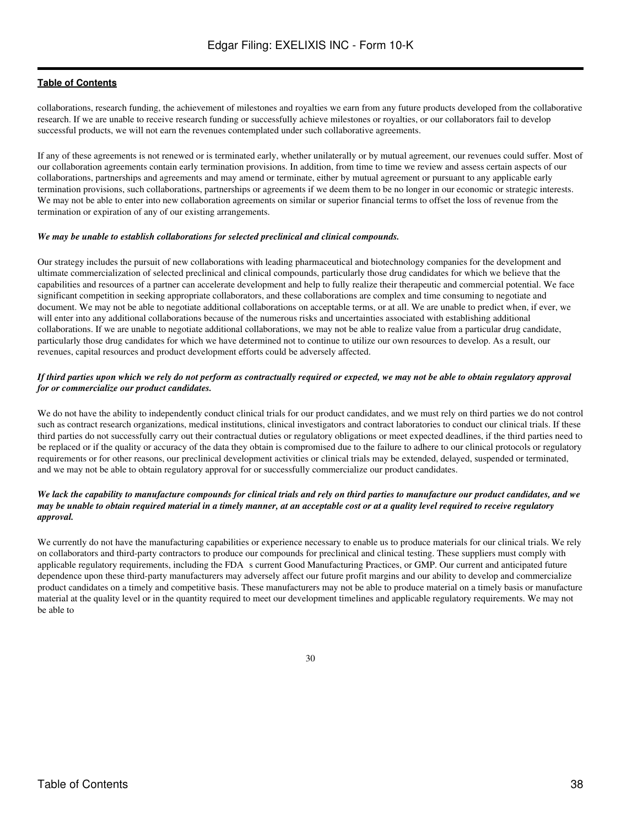collaborations, research funding, the achievement of milestones and royalties we earn from any future products developed from the collaborative research. If we are unable to receive research funding or successfully achieve milestones or royalties, or our collaborators fail to develop successful products, we will not earn the revenues contemplated under such collaborative agreements.

If any of these agreements is not renewed or is terminated early, whether unilaterally or by mutual agreement, our revenues could suffer. Most of our collaboration agreements contain early termination provisions. In addition, from time to time we review and assess certain aspects of our collaborations, partnerships and agreements and may amend or terminate, either by mutual agreement or pursuant to any applicable early termination provisions, such collaborations, partnerships or agreements if we deem them to be no longer in our economic or strategic interests. We may not be able to enter into new collaboration agreements on similar or superior financial terms to offset the loss of revenue from the termination or expiration of any of our existing arrangements.

#### *We may be unable to establish collaborations for selected preclinical and clinical compounds.*

Our strategy includes the pursuit of new collaborations with leading pharmaceutical and biotechnology companies for the development and ultimate commercialization of selected preclinical and clinical compounds, particularly those drug candidates for which we believe that the capabilities and resources of a partner can accelerate development and help to fully realize their therapeutic and commercial potential. We face significant competition in seeking appropriate collaborators, and these collaborations are complex and time consuming to negotiate and document. We may not be able to negotiate additional collaborations on acceptable terms, or at all. We are unable to predict when, if ever, we will enter into any additional collaborations because of the numerous risks and uncertainties associated with establishing additional collaborations. If we are unable to negotiate additional collaborations, we may not be able to realize value from a particular drug candidate, particularly those drug candidates for which we have determined not to continue to utilize our own resources to develop. As a result, our revenues, capital resources and product development efforts could be adversely affected.

## *If third parties upon which we rely do not perform as contractually required or expected, we may not be able to obtain regulatory approval for or commercialize our product candidates.*

We do not have the ability to independently conduct clinical trials for our product candidates, and we must rely on third parties we do not control such as contract research organizations, medical institutions, clinical investigators and contract laboratories to conduct our clinical trials. If these third parties do not successfully carry out their contractual duties or regulatory obligations or meet expected deadlines, if the third parties need to be replaced or if the quality or accuracy of the data they obtain is compromised due to the failure to adhere to our clinical protocols or regulatory requirements or for other reasons, our preclinical development activities or clinical trials may be extended, delayed, suspended or terminated, and we may not be able to obtain regulatory approval for or successfully commercialize our product candidates.

## *We lack the capability to manufacture compounds for clinical trials and rely on third parties to manufacture our product candidates, and we may be unable to obtain required material in a timely manner, at an acceptable cost or at a quality level required to receive regulatory approval.*

We currently do not have the manufacturing capabilities or experience necessary to enable us to produce materials for our clinical trials. We rely on collaborators and third-party contractors to produce our compounds for preclinical and clinical testing. These suppliers must comply with applicable regulatory requirements, including the FDA s current Good Manufacturing Practices, or GMP. Our current and anticipated future dependence upon these third-party manufacturers may adversely affect our future profit margins and our ability to develop and commercialize product candidates on a timely and competitive basis. These manufacturers may not be able to produce material on a timely basis or manufacture material at the quality level or in the quantity required to meet our development timelines and applicable regulatory requirements. We may not be able to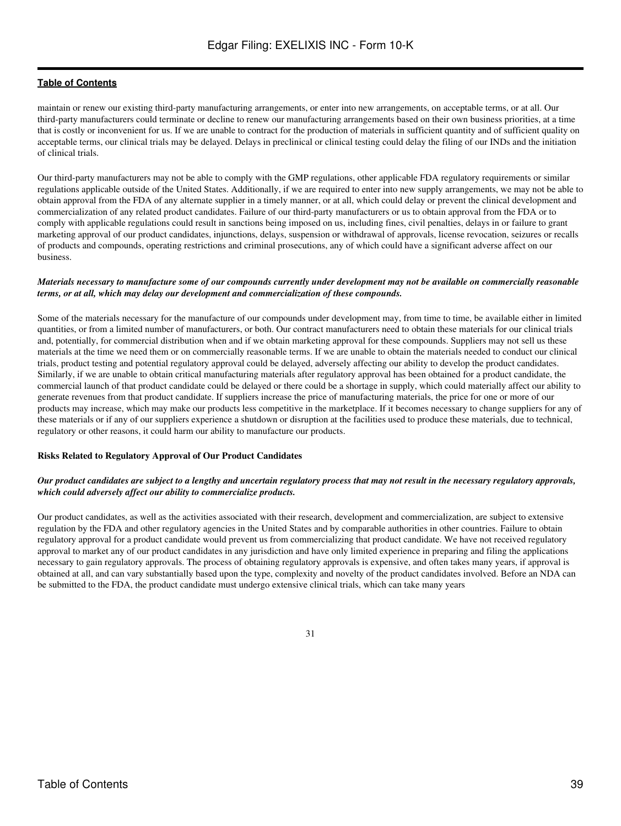maintain or renew our existing third-party manufacturing arrangements, or enter into new arrangements, on acceptable terms, or at all. Our third-party manufacturers could terminate or decline to renew our manufacturing arrangements based on their own business priorities, at a time that is costly or inconvenient for us. If we are unable to contract for the production of materials in sufficient quantity and of sufficient quality on acceptable terms, our clinical trials may be delayed. Delays in preclinical or clinical testing could delay the filing of our INDs and the initiation of clinical trials.

Our third-party manufacturers may not be able to comply with the GMP regulations, other applicable FDA regulatory requirements or similar regulations applicable outside of the United States. Additionally, if we are required to enter into new supply arrangements, we may not be able to obtain approval from the FDA of any alternate supplier in a timely manner, or at all, which could delay or prevent the clinical development and commercialization of any related product candidates. Failure of our third-party manufacturers or us to obtain approval from the FDA or to comply with applicable regulations could result in sanctions being imposed on us, including fines, civil penalties, delays in or failure to grant marketing approval of our product candidates, injunctions, delays, suspension or withdrawal of approvals, license revocation, seizures or recalls of products and compounds, operating restrictions and criminal prosecutions, any of which could have a significant adverse affect on our business.

### *Materials necessary to manufacture some of our compounds currently under development may not be available on commercially reasonable terms, or at all, which may delay our development and commercialization of these compounds.*

Some of the materials necessary for the manufacture of our compounds under development may, from time to time, be available either in limited quantities, or from a limited number of manufacturers, or both. Our contract manufacturers need to obtain these materials for our clinical trials and, potentially, for commercial distribution when and if we obtain marketing approval for these compounds. Suppliers may not sell us these materials at the time we need them or on commercially reasonable terms. If we are unable to obtain the materials needed to conduct our clinical trials, product testing and potential regulatory approval could be delayed, adversely affecting our ability to develop the product candidates. Similarly, if we are unable to obtain critical manufacturing materials after regulatory approval has been obtained for a product candidate, the commercial launch of that product candidate could be delayed or there could be a shortage in supply, which could materially affect our ability to generate revenues from that product candidate. If suppliers increase the price of manufacturing materials, the price for one or more of our products may increase, which may make our products less competitive in the marketplace. If it becomes necessary to change suppliers for any of these materials or if any of our suppliers experience a shutdown or disruption at the facilities used to produce these materials, due to technical, regulatory or other reasons, it could harm our ability to manufacture our products.

#### **Risks Related to Regulatory Approval of Our Product Candidates**

#### *Our product candidates are subject to a lengthy and uncertain regulatory process that may not result in the necessary regulatory approvals, which could adversely affect our ability to commercialize products.*

Our product candidates, as well as the activities associated with their research, development and commercialization, are subject to extensive regulation by the FDA and other regulatory agencies in the United States and by comparable authorities in other countries. Failure to obtain regulatory approval for a product candidate would prevent us from commercializing that product candidate. We have not received regulatory approval to market any of our product candidates in any jurisdiction and have only limited experience in preparing and filing the applications necessary to gain regulatory approvals. The process of obtaining regulatory approvals is expensive, and often takes many years, if approval is obtained at all, and can vary substantially based upon the type, complexity and novelty of the product candidates involved. Before an NDA can be submitted to the FDA, the product candidate must undergo extensive clinical trials, which can take many years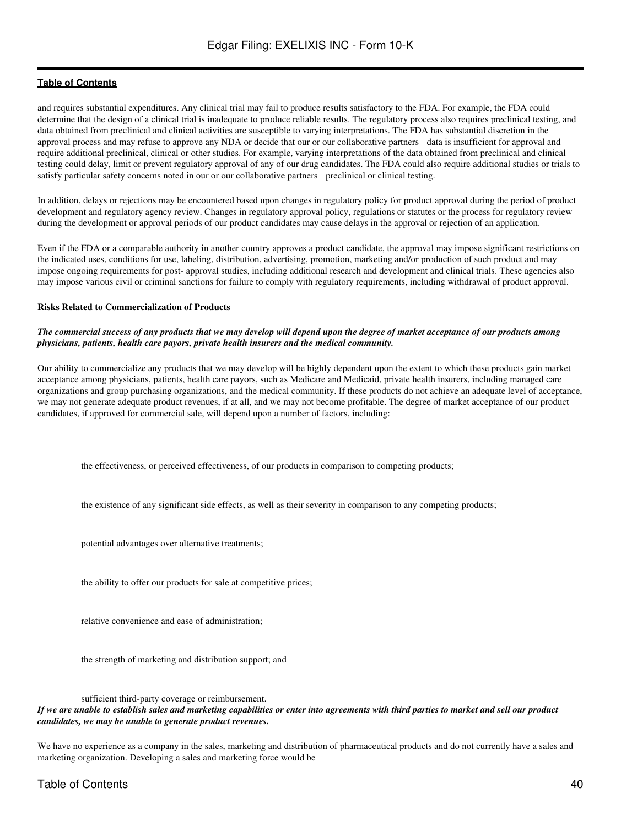and requires substantial expenditures. Any clinical trial may fail to produce results satisfactory to the FDA. For example, the FDA could determine that the design of a clinical trial is inadequate to produce reliable results. The regulatory process also requires preclinical testing, and data obtained from preclinical and clinical activities are susceptible to varying interpretations. The FDA has substantial discretion in the approval process and may refuse to approve any NDA or decide that our or our collaborative partners data is insufficient for approval and require additional preclinical, clinical or other studies. For example, varying interpretations of the data obtained from preclinical and clinical testing could delay, limit or prevent regulatory approval of any of our drug candidates. The FDA could also require additional studies or trials to satisfy particular safety concerns noted in our or our collaborative partners preclinical or clinical testing.

In addition, delays or rejections may be encountered based upon changes in regulatory policy for product approval during the period of product development and regulatory agency review. Changes in regulatory approval policy, regulations or statutes or the process for regulatory review during the development or approval periods of our product candidates may cause delays in the approval or rejection of an application.

Even if the FDA or a comparable authority in another country approves a product candidate, the approval may impose significant restrictions on the indicated uses, conditions for use, labeling, distribution, advertising, promotion, marketing and/or production of such product and may impose ongoing requirements for post- approval studies, including additional research and development and clinical trials. These agencies also may impose various civil or criminal sanctions for failure to comply with regulatory requirements, including withdrawal of product approval.

#### **Risks Related to Commercialization of Products**

## *The commercial success of any products that we may develop will depend upon the degree of market acceptance of our products among physicians, patients, health care payors, private health insurers and the medical community.*

Our ability to commercialize any products that we may develop will be highly dependent upon the extent to which these products gain market acceptance among physicians, patients, health care payors, such as Medicare and Medicaid, private health insurers, including managed care organizations and group purchasing organizations, and the medical community. If these products do not achieve an adequate level of acceptance, we may not generate adequate product revenues, if at all, and we may not become profitable. The degree of market acceptance of our product candidates, if approved for commercial sale, will depend upon a number of factors, including:

the effectiveness, or perceived effectiveness, of our products in comparison to competing products;

the existence of any significant side effects, as well as their severity in comparison to any competing products;

potential advantages over alternative treatments;

the ability to offer our products for sale at competitive prices;

relative convenience and ease of administration;

the strength of marketing and distribution support; and

sufficient third-party coverage or reimbursement.

*If we are unable to establish sales and marketing capabilities or enter into agreements with third parties to market and sell our product candidates, we may be unable to generate product revenues.*

We have no experience as a company in the sales, marketing and distribution of pharmaceutical products and do not currently have a sales and marketing organization. Developing a sales and marketing force would be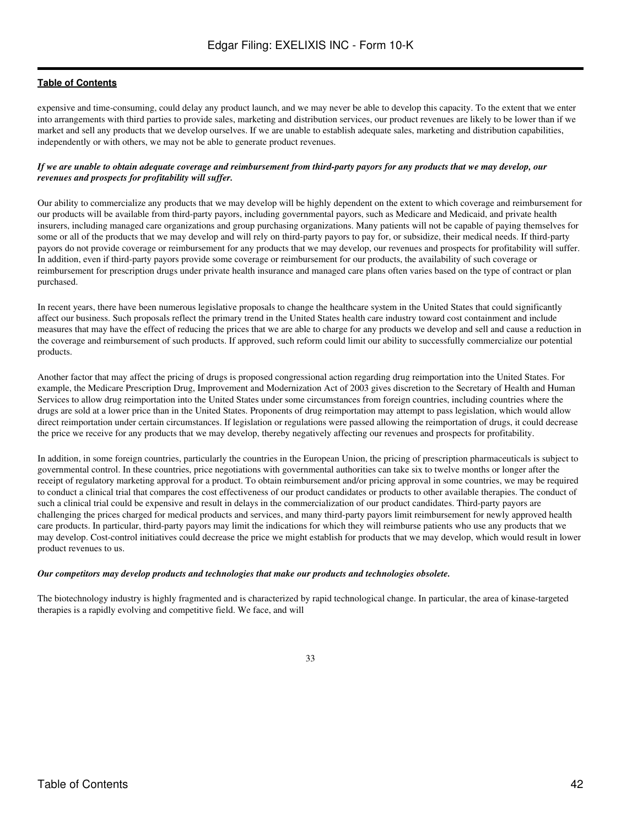expensive and time-consuming, could delay any product launch, and we may never be able to develop this capacity. To the extent that we enter into arrangements with third parties to provide sales, marketing and distribution services, our product revenues are likely to be lower than if we market and sell any products that we develop ourselves. If we are unable to establish adequate sales, marketing and distribution capabilities, independently or with others, we may not be able to generate product revenues.

## *If we are unable to obtain adequate coverage and reimbursement from third-party payors for any products that we may develop, our revenues and prospects for profitability will suffer.*

Our ability to commercialize any products that we may develop will be highly dependent on the extent to which coverage and reimbursement for our products will be available from third-party payors, including governmental payors, such as Medicare and Medicaid, and private health insurers, including managed care organizations and group purchasing organizations. Many patients will not be capable of paying themselves for some or all of the products that we may develop and will rely on third-party payors to pay for, or subsidize, their medical needs. If third-party payors do not provide coverage or reimbursement for any products that we may develop, our revenues and prospects for profitability will suffer. In addition, even if third-party payors provide some coverage or reimbursement for our products, the availability of such coverage or reimbursement for prescription drugs under private health insurance and managed care plans often varies based on the type of contract or plan purchased.

In recent years, there have been numerous legislative proposals to change the healthcare system in the United States that could significantly affect our business. Such proposals reflect the primary trend in the United States health care industry toward cost containment and include measures that may have the effect of reducing the prices that we are able to charge for any products we develop and sell and cause a reduction in the coverage and reimbursement of such products. If approved, such reform could limit our ability to successfully commercialize our potential products.

Another factor that may affect the pricing of drugs is proposed congressional action regarding drug reimportation into the United States. For example, the Medicare Prescription Drug, Improvement and Modernization Act of 2003 gives discretion to the Secretary of Health and Human Services to allow drug reimportation into the United States under some circumstances from foreign countries, including countries where the drugs are sold at a lower price than in the United States. Proponents of drug reimportation may attempt to pass legislation, which would allow direct reimportation under certain circumstances. If legislation or regulations were passed allowing the reimportation of drugs, it could decrease the price we receive for any products that we may develop, thereby negatively affecting our revenues and prospects for profitability.

In addition, in some foreign countries, particularly the countries in the European Union, the pricing of prescription pharmaceuticals is subject to governmental control. In these countries, price negotiations with governmental authorities can take six to twelve months or longer after the receipt of regulatory marketing approval for a product. To obtain reimbursement and/or pricing approval in some countries, we may be required to conduct a clinical trial that compares the cost effectiveness of our product candidates or products to other available therapies. The conduct of such a clinical trial could be expensive and result in delays in the commercialization of our product candidates. Third-party payors are challenging the prices charged for medical products and services, and many third-party payors limit reimbursement for newly approved health care products. In particular, third-party payors may limit the indications for which they will reimburse patients who use any products that we may develop. Cost-control initiatives could decrease the price we might establish for products that we may develop, which would result in lower product revenues to us.

#### *Our competitors may develop products and technologies that make our products and technologies obsolete.*

The biotechnology industry is highly fragmented and is characterized by rapid technological change. In particular, the area of kinase-targeted therapies is a rapidly evolving and competitive field. We face, and will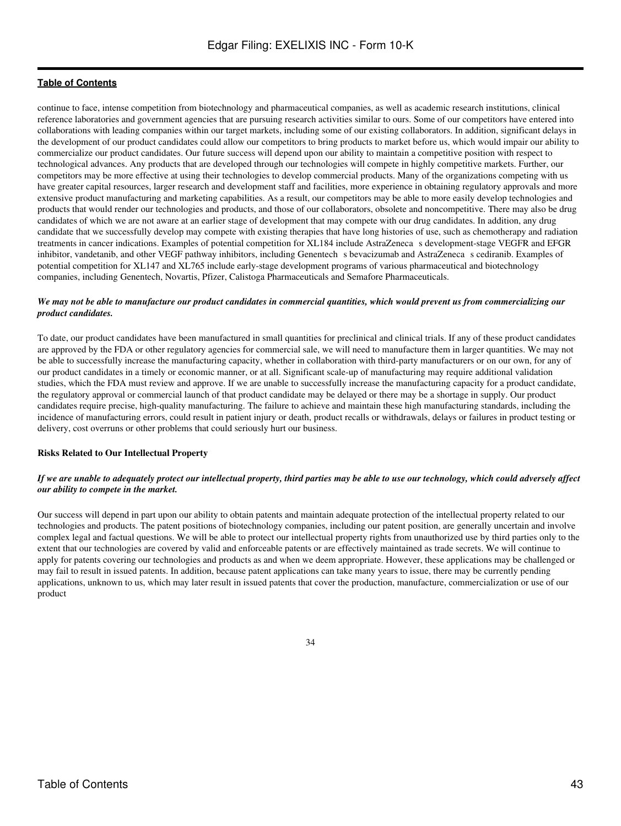continue to face, intense competition from biotechnology and pharmaceutical companies, as well as academic research institutions, clinical reference laboratories and government agencies that are pursuing research activities similar to ours. Some of our competitors have entered into collaborations with leading companies within our target markets, including some of our existing collaborators. In addition, significant delays in the development of our product candidates could allow our competitors to bring products to market before us, which would impair our ability to commercialize our product candidates. Our future success will depend upon our ability to maintain a competitive position with respect to technological advances. Any products that are developed through our technologies will compete in highly competitive markets. Further, our competitors may be more effective at using their technologies to develop commercial products. Many of the organizations competing with us have greater capital resources, larger research and development staff and facilities, more experience in obtaining regulatory approvals and more extensive product manufacturing and marketing capabilities. As a result, our competitors may be able to more easily develop technologies and products that would render our technologies and products, and those of our collaborators, obsolete and noncompetitive. There may also be drug candidates of which we are not aware at an earlier stage of development that may compete with our drug candidates. In addition, any drug candidate that we successfully develop may compete with existing therapies that have long histories of use, such as chemotherapy and radiation treatments in cancer indications. Examples of potential competition for XL184 include AstraZenecas development-stage VEGFR and EFGR inhibitor, vandetanib, and other VEGF pathway inhibitors, including Genentech s bevacizumab and AstraZeneca s cediranib. Examples of potential competition for XL147 and XL765 include early-stage development programs of various pharmaceutical and biotechnology companies, including Genentech, Novartis, Pfizer, Calistoga Pharmaceuticals and Semafore Pharmaceuticals.

#### *We may not be able to manufacture our product candidates in commercial quantities, which would prevent us from commercializing our product candidates.*

To date, our product candidates have been manufactured in small quantities for preclinical and clinical trials. If any of these product candidates are approved by the FDA or other regulatory agencies for commercial sale, we will need to manufacture them in larger quantities. We may not be able to successfully increase the manufacturing capacity, whether in collaboration with third-party manufacturers or on our own, for any of our product candidates in a timely or economic manner, or at all. Significant scale-up of manufacturing may require additional validation studies, which the FDA must review and approve. If we are unable to successfully increase the manufacturing capacity for a product candidate, the regulatory approval or commercial launch of that product candidate may be delayed or there may be a shortage in supply. Our product candidates require precise, high-quality manufacturing. The failure to achieve and maintain these high manufacturing standards, including the incidence of manufacturing errors, could result in patient injury or death, product recalls or withdrawals, delays or failures in product testing or delivery, cost overruns or other problems that could seriously hurt our business.

## **Risks Related to Our Intellectual Property**

#### *If we are unable to adequately protect our intellectual property, third parties may be able to use our technology, which could adversely affect our ability to compete in the market.*

Our success will depend in part upon our ability to obtain patents and maintain adequate protection of the intellectual property related to our technologies and products. The patent positions of biotechnology companies, including our patent position, are generally uncertain and involve complex legal and factual questions. We will be able to protect our intellectual property rights from unauthorized use by third parties only to the extent that our technologies are covered by valid and enforceable patents or are effectively maintained as trade secrets. We will continue to apply for patents covering our technologies and products as and when we deem appropriate. However, these applications may be challenged or may fail to result in issued patents. In addition, because patent applications can take many years to issue, there may be currently pending applications, unknown to us, which may later result in issued patents that cover the production, manufacture, commercialization or use of our product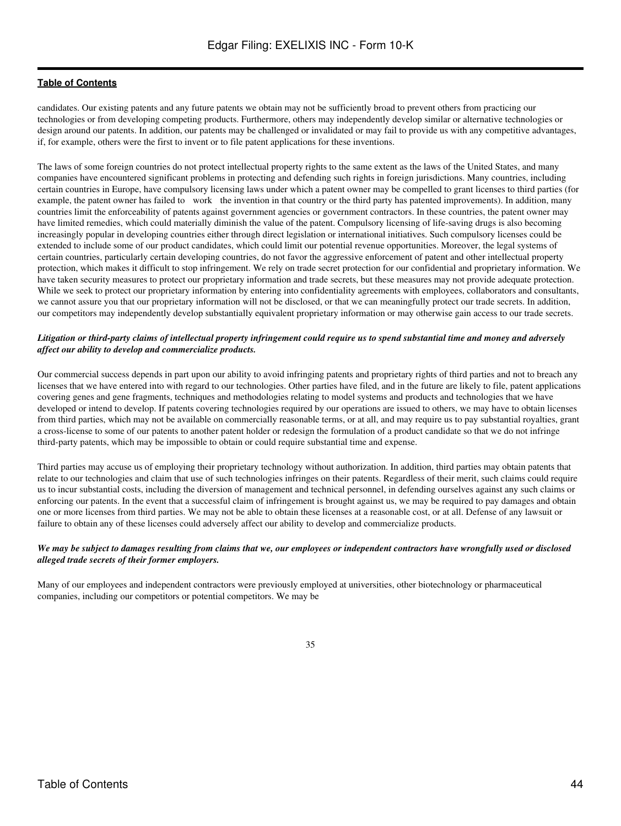candidates. Our existing patents and any future patents we obtain may not be sufficiently broad to prevent others from practicing our technologies or from developing competing products. Furthermore, others may independently develop similar or alternative technologies or design around our patents. In addition, our patents may be challenged or invalidated or may fail to provide us with any competitive advantages, if, for example, others were the first to invent or to file patent applications for these inventions.

The laws of some foreign countries do not protect intellectual property rights to the same extent as the laws of the United States, and many companies have encountered significant problems in protecting and defending such rights in foreign jurisdictions. Many countries, including certain countries in Europe, have compulsory licensing laws under which a patent owner may be compelled to grant licenses to third parties (for example, the patent owner has failed to work the invention in that country or the third party has patented improvements). In addition, many countries limit the enforceability of patents against government agencies or government contractors. In these countries, the patent owner may have limited remedies, which could materially diminish the value of the patent. Compulsory licensing of life-saving drugs is also becoming increasingly popular in developing countries either through direct legislation or international initiatives. Such compulsory licenses could be extended to include some of our product candidates, which could limit our potential revenue opportunities. Moreover, the legal systems of certain countries, particularly certain developing countries, do not favor the aggressive enforcement of patent and other intellectual property protection, which makes it difficult to stop infringement. We rely on trade secret protection for our confidential and proprietary information. We have taken security measures to protect our proprietary information and trade secrets, but these measures may not provide adequate protection. While we seek to protect our proprietary information by entering into confidentiality agreements with employees, collaborators and consultants, we cannot assure you that our proprietary information will not be disclosed, or that we can meaningfully protect our trade secrets. In addition, our competitors may independently develop substantially equivalent proprietary information or may otherwise gain access to our trade secrets.

#### *Litigation or third-party claims of intellectual property infringement could require us to spend substantial time and money and adversely affect our ability to develop and commercialize products.*

Our commercial success depends in part upon our ability to avoid infringing patents and proprietary rights of third parties and not to breach any licenses that we have entered into with regard to our technologies. Other parties have filed, and in the future are likely to file, patent applications covering genes and gene fragments, techniques and methodologies relating to model systems and products and technologies that we have developed or intend to develop. If patents covering technologies required by our operations are issued to others, we may have to obtain licenses from third parties, which may not be available on commercially reasonable terms, or at all, and may require us to pay substantial royalties, grant a cross-license to some of our patents to another patent holder or redesign the formulation of a product candidate so that we do not infringe third-party patents, which may be impossible to obtain or could require substantial time and expense.

Third parties may accuse us of employing their proprietary technology without authorization. In addition, third parties may obtain patents that relate to our technologies and claim that use of such technologies infringes on their patents. Regardless of their merit, such claims could require us to incur substantial costs, including the diversion of management and technical personnel, in defending ourselves against any such claims or enforcing our patents. In the event that a successful claim of infringement is brought against us, we may be required to pay damages and obtain one or more licenses from third parties. We may not be able to obtain these licenses at a reasonable cost, or at all. Defense of any lawsuit or failure to obtain any of these licenses could adversely affect our ability to develop and commercialize products.

## *We may be subject to damages resulting from claims that we, our employees or independent contractors have wrongfully used or disclosed alleged trade secrets of their former employers.*

Many of our employees and independent contractors were previously employed at universities, other biotechnology or pharmaceutical companies, including our competitors or potential competitors. We may be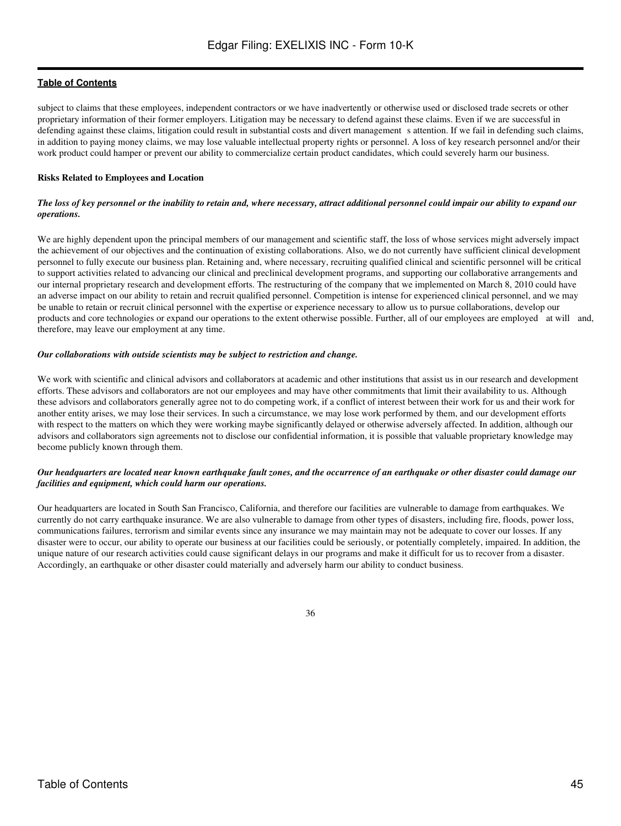subject to claims that these employees, independent contractors or we have inadvertently or otherwise used or disclosed trade secrets or other proprietary information of their former employers. Litigation may be necessary to defend against these claims. Even if we are successful in defending against these claims, litigation could result in substantial costs and divert management s attention. If we fail in defending such claims, in addition to paying money claims, we may lose valuable intellectual property rights or personnel. A loss of key research personnel and/or their work product could hamper or prevent our ability to commercialize certain product candidates, which could severely harm our business.

## **Risks Related to Employees and Location**

#### *The loss of key personnel or the inability to retain and, where necessary, attract additional personnel could impair our ability to expand our operations.*

We are highly dependent upon the principal members of our management and scientific staff, the loss of whose services might adversely impact the achievement of our objectives and the continuation of existing collaborations. Also, we do not currently have sufficient clinical development personnel to fully execute our business plan. Retaining and, where necessary, recruiting qualified clinical and scientific personnel will be critical to support activities related to advancing our clinical and preclinical development programs, and supporting our collaborative arrangements and our internal proprietary research and development efforts. The restructuring of the company that we implemented on March 8, 2010 could have an adverse impact on our ability to retain and recruit qualified personnel. Competition is intense for experienced clinical personnel, and we may be unable to retain or recruit clinical personnel with the expertise or experience necessary to allow us to pursue collaborations, develop our products and core technologies or expand our operations to the extent otherwise possible. Further, all of our employees are employed at will and, therefore, may leave our employment at any time.

#### *Our collaborations with outside scientists may be subject to restriction and change.*

We work with scientific and clinical advisors and collaborators at academic and other institutions that assist us in our research and development efforts. These advisors and collaborators are not our employees and may have other commitments that limit their availability to us. Although these advisors and collaborators generally agree not to do competing work, if a conflict of interest between their work for us and their work for another entity arises, we may lose their services. In such a circumstance, we may lose work performed by them, and our development efforts with respect to the matters on which they were working maybe significantly delayed or otherwise adversely affected. In addition, although our advisors and collaborators sign agreements not to disclose our confidential information, it is possible that valuable proprietary knowledge may become publicly known through them.

#### *Our headquarters are located near known earthquake fault zones, and the occurrence of an earthquake or other disaster could damage our facilities and equipment, which could harm our operations.*

Our headquarters are located in South San Francisco, California, and therefore our facilities are vulnerable to damage from earthquakes. We currently do not carry earthquake insurance. We are also vulnerable to damage from other types of disasters, including fire, floods, power loss, communications failures, terrorism and similar events since any insurance we may maintain may not be adequate to cover our losses. If any disaster were to occur, our ability to operate our business at our facilities could be seriously, or potentially completely, impaired. In addition, the unique nature of our research activities could cause significant delays in our programs and make it difficult for us to recover from a disaster. Accordingly, an earthquake or other disaster could materially and adversely harm our ability to conduct business.

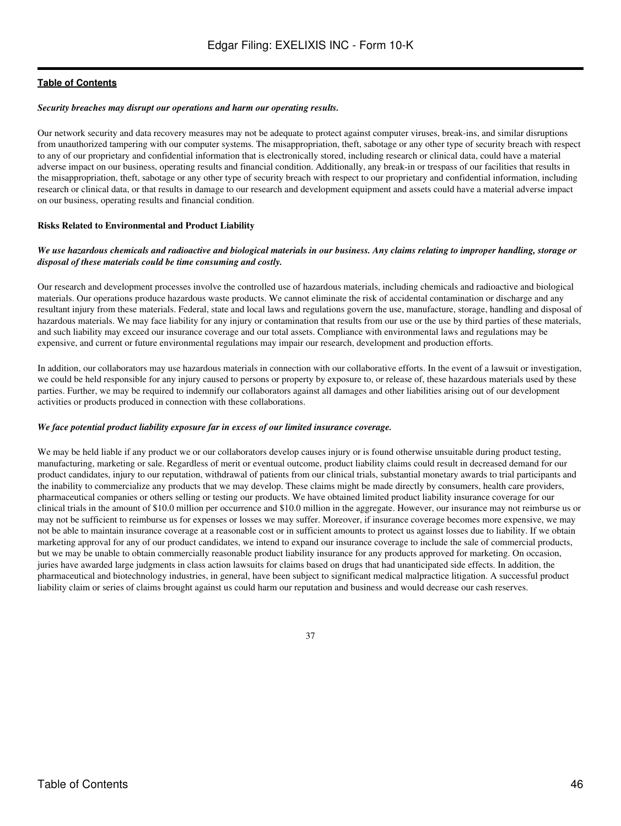#### *Security breaches may disrupt our operations and harm our operating results.*

Our network security and data recovery measures may not be adequate to protect against computer viruses, break-ins, and similar disruptions from unauthorized tampering with our computer systems. The misappropriation, theft, sabotage or any other type of security breach with respect to any of our proprietary and confidential information that is electronically stored, including research or clinical data, could have a material adverse impact on our business, operating results and financial condition. Additionally, any break-in or trespass of our facilities that results in the misappropriation, theft, sabotage or any other type of security breach with respect to our proprietary and confidential information, including research or clinical data, or that results in damage to our research and development equipment and assets could have a material adverse impact on our business, operating results and financial condition.

#### **Risks Related to Environmental and Product Liability**

#### *We use hazardous chemicals and radioactive and biological materials in our business. Any claims relating to improper handling, storage or disposal of these materials could be time consuming and costly.*

Our research and development processes involve the controlled use of hazardous materials, including chemicals and radioactive and biological materials. Our operations produce hazardous waste products. We cannot eliminate the risk of accidental contamination or discharge and any resultant injury from these materials. Federal, state and local laws and regulations govern the use, manufacture, storage, handling and disposal of hazardous materials. We may face liability for any injury or contamination that results from our use or the use by third parties of these materials, and such liability may exceed our insurance coverage and our total assets. Compliance with environmental laws and regulations may be expensive, and current or future environmental regulations may impair our research, development and production efforts.

In addition, our collaborators may use hazardous materials in connection with our collaborative efforts. In the event of a lawsuit or investigation, we could be held responsible for any injury caused to persons or property by exposure to, or release of, these hazardous materials used by these parties. Further, we may be required to indemnify our collaborators against all damages and other liabilities arising out of our development activities or products produced in connection with these collaborations.

#### *We face potential product liability exposure far in excess of our limited insurance coverage.*

We may be held liable if any product we or our collaborators develop causes injury or is found otherwise unsuitable during product testing, manufacturing, marketing or sale. Regardless of merit or eventual outcome, product liability claims could result in decreased demand for our product candidates, injury to our reputation, withdrawal of patients from our clinical trials, substantial monetary awards to trial participants and the inability to commercialize any products that we may develop. These claims might be made directly by consumers, health care providers, pharmaceutical companies or others selling or testing our products. We have obtained limited product liability insurance coverage for our clinical trials in the amount of \$10.0 million per occurrence and \$10.0 million in the aggregate. However, our insurance may not reimburse us or may not be sufficient to reimburse us for expenses or losses we may suffer. Moreover, if insurance coverage becomes more expensive, we may not be able to maintain insurance coverage at a reasonable cost or in sufficient amounts to protect us against losses due to liability. If we obtain marketing approval for any of our product candidates, we intend to expand our insurance coverage to include the sale of commercial products, but we may be unable to obtain commercially reasonable product liability insurance for any products approved for marketing. On occasion, juries have awarded large judgments in class action lawsuits for claims based on drugs that had unanticipated side effects. In addition, the pharmaceutical and biotechnology industries, in general, have been subject to significant medical malpractice litigation. A successful product liability claim or series of claims brought against us could harm our reputation and business and would decrease our cash reserves.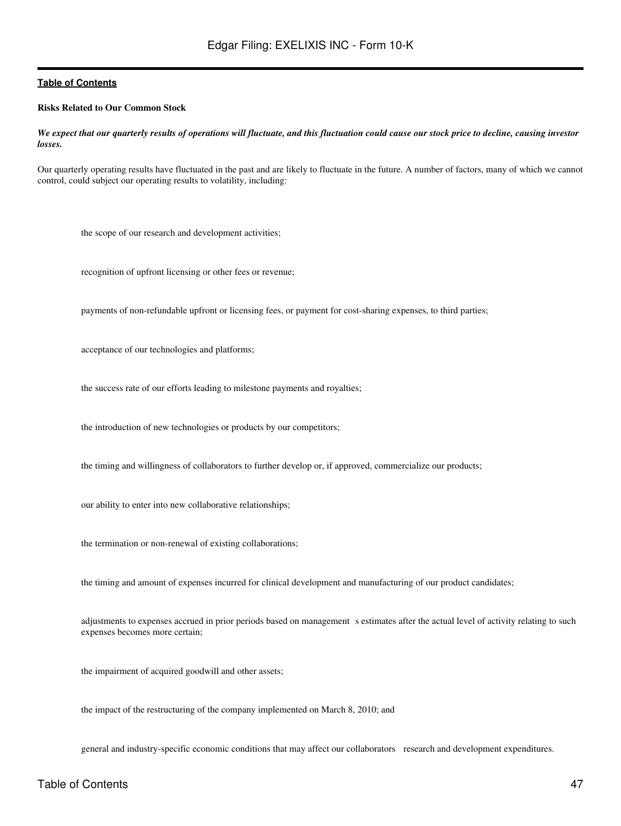#### **Risks Related to Our Common Stock**

*We expect that our quarterly results of operations will fluctuate, and this fluctuation could cause our stock price to decline, causing investor losses.*

Our quarterly operating results have fluctuated in the past and are likely to fluctuate in the future. A number of factors, many of which we cannot control, could subject our operating results to volatility, including:

the scope of our research and development activities;

recognition of upfront licensing or other fees or revenue;

payments of non-refundable upfront or licensing fees, or payment for cost-sharing expenses, to third parties;

acceptance of our technologies and platforms;

the success rate of our efforts leading to milestone payments and royalties;

the introduction of new technologies or products by our competitors;

the timing and willingness of collaborators to further develop or, if approved, commercialize our products;

our ability to enter into new collaborative relationships;

the termination or non-renewal of existing collaborations;

the timing and amount of expenses incurred for clinical development and manufacturing of our product candidates;

adjustments to expenses accrued in prior periods based on management s estimates after the actual level of activity relating to such expenses becomes more certain;

the impairment of acquired goodwill and other assets;

the impact of the restructuring of the company implemented on March 8, 2010; and

general and industry-specific economic conditions that may affect our collaborators research and development expenditures.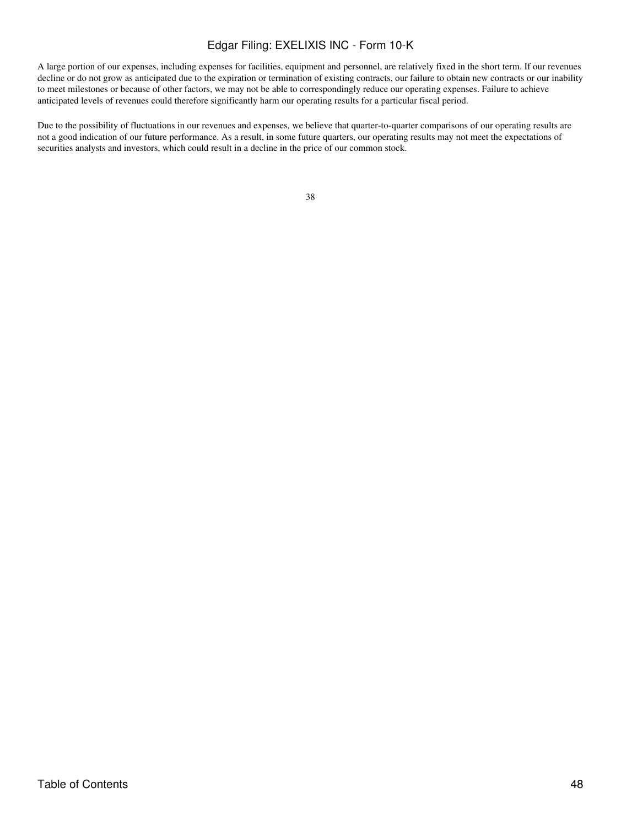# Edgar Filing: EXELIXIS INC - Form 10-K

A large portion of our expenses, including expenses for facilities, equipment and personnel, are relatively fixed in the short term. If our revenues decline or do not grow as anticipated due to the expiration or termination of existing contracts, our failure to obtain new contracts or our inability to meet milestones or because of other factors, we may not be able to correspondingly reduce our operating expenses. Failure to achieve anticipated levels of revenues could therefore significantly harm our operating results for a particular fiscal period.

Due to the possibility of fluctuations in our revenues and expenses, we believe that quarter-to-quarter comparisons of our operating results are not a good indication of our future performance. As a result, in some future quarters, our operating results may not meet the expectations of securities analysts and investors, which could result in a decline in the price of our common stock.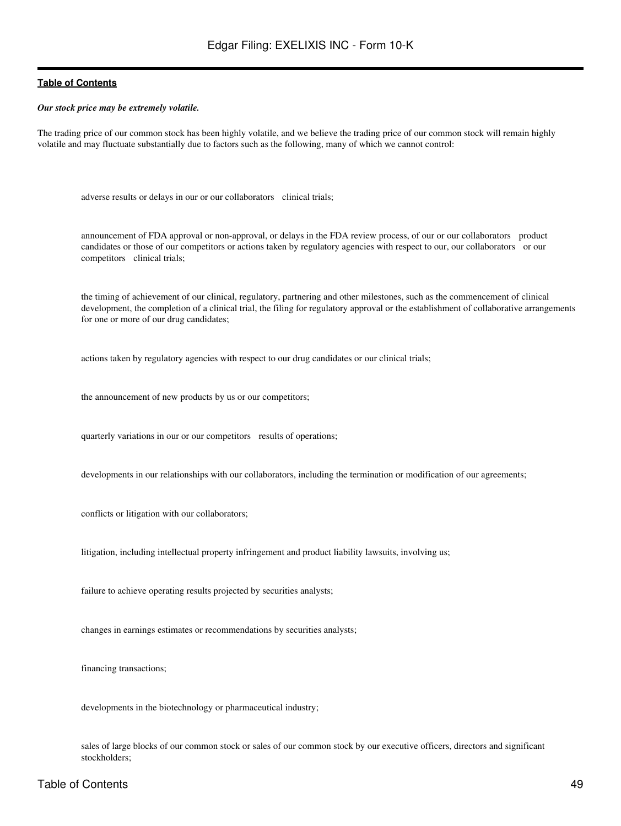#### *Our stock price may be extremely volatile.*

The trading price of our common stock has been highly volatile, and we believe the trading price of our common stock will remain highly volatile and may fluctuate substantially due to factors such as the following, many of which we cannot control:

adverse results or delays in our or our collaborators clinical trials;

announcement of FDA approval or non-approval, or delays in the FDA review process, of our or our collaborators product candidates or those of our competitors or actions taken by regulatory agencies with respect to our, our collaborators or our competitors clinical trials;

the timing of achievement of our clinical, regulatory, partnering and other milestones, such as the commencement of clinical development, the completion of a clinical trial, the filing for regulatory approval or the establishment of collaborative arrangements for one or more of our drug candidates;

actions taken by regulatory agencies with respect to our drug candidates or our clinical trials;

the announcement of new products by us or our competitors;

quarterly variations in our or our competitors results of operations;

developments in our relationships with our collaborators, including the termination or modification of our agreements;

conflicts or litigation with our collaborators;

litigation, including intellectual property infringement and product liability lawsuits, involving us;

failure to achieve operating results projected by securities analysts;

changes in earnings estimates or recommendations by securities analysts;

financing transactions;

developments in the biotechnology or pharmaceutical industry;

sales of large blocks of our common stock or sales of our common stock by our executive officers, directors and significant stockholders;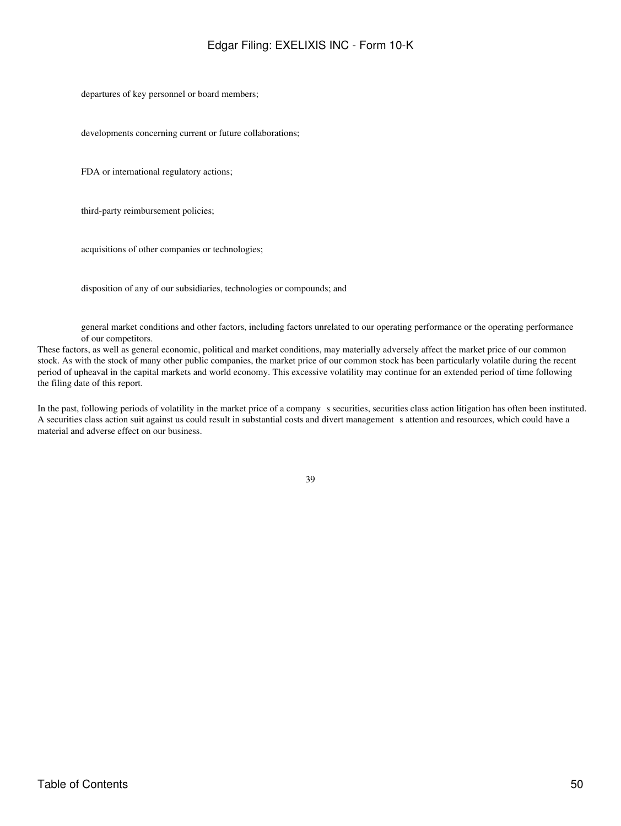# Edgar Filing: EXELIXIS INC - Form 10-K

departures of key personnel or board members;

developments concerning current or future collaborations;

FDA or international regulatory actions;

third-party reimbursement policies;

acquisitions of other companies or technologies;

disposition of any of our subsidiaries, technologies or compounds; and

general market conditions and other factors, including factors unrelated to our operating performance or the operating performance of our competitors.

These factors, as well as general economic, political and market conditions, may materially adversely affect the market price of our common stock. As with the stock of many other public companies, the market price of our common stock has been particularly volatile during the recent period of upheaval in the capital markets and world economy. This excessive volatility may continue for an extended period of time following the filing date of this report.

In the past, following periods of volatility in the market price of a company s securities, securities class action litigation has often been instituted. A securities class action suit against us could result in substantial costs and divert management s attention and resources, which could have a material and adverse effect on our business.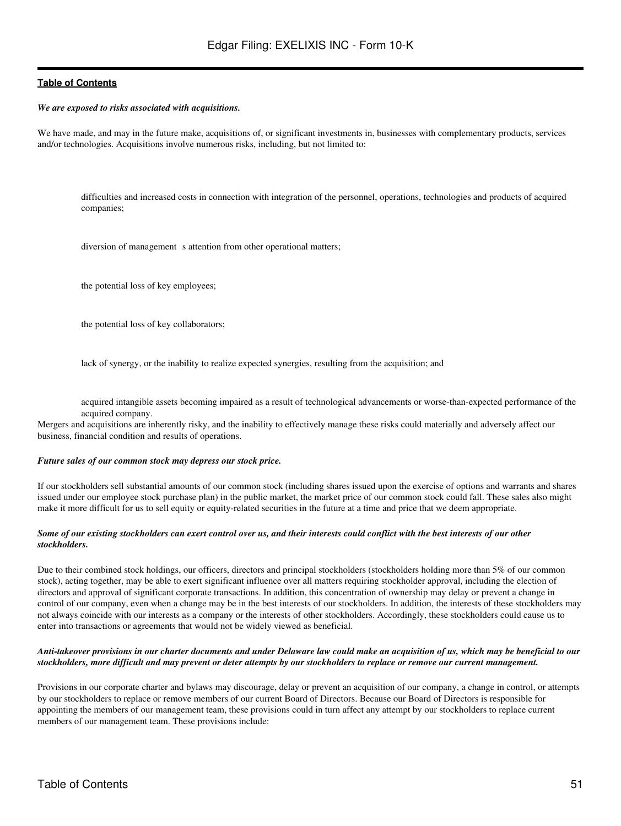#### *We are exposed to risks associated with acquisitions.*

We have made, and may in the future make, acquisitions of, or significant investments in, businesses with complementary products, services and/or technologies. Acquisitions involve numerous risks, including, but not limited to:

difficulties and increased costs in connection with integration of the personnel, operations, technologies and products of acquired companies;

diversion of management s attention from other operational matters;

the potential loss of key employees;

the potential loss of key collaborators;

lack of synergy, or the inability to realize expected synergies, resulting from the acquisition; and

acquired intangible assets becoming impaired as a result of technological advancements or worse-than-expected performance of the acquired company.

Mergers and acquisitions are inherently risky, and the inability to effectively manage these risks could materially and adversely affect our business, financial condition and results of operations.

#### *Future sales of our common stock may depress our stock price.*

If our stockholders sell substantial amounts of our common stock (including shares issued upon the exercise of options and warrants and shares issued under our employee stock purchase plan) in the public market, the market price of our common stock could fall. These sales also might make it more difficult for us to sell equity or equity-related securities in the future at a time and price that we deem appropriate.

#### *Some of our existing stockholders can exert control over us, and their interests could conflict with the best interests of our other stockholders.*

Due to their combined stock holdings, our officers, directors and principal stockholders (stockholders holding more than 5% of our common stock), acting together, may be able to exert significant influence over all matters requiring stockholder approval, including the election of directors and approval of significant corporate transactions. In addition, this concentration of ownership may delay or prevent a change in control of our company, even when a change may be in the best interests of our stockholders. In addition, the interests of these stockholders may not always coincide with our interests as a company or the interests of other stockholders. Accordingly, these stockholders could cause us to enter into transactions or agreements that would not be widely viewed as beneficial.

#### *Anti-takeover provisions in our charter documents and under Delaware law could make an acquisition of us, which may be beneficial to our stockholders, more difficult and may prevent or deter attempts by our stockholders to replace or remove our current management.*

Provisions in our corporate charter and bylaws may discourage, delay or prevent an acquisition of our company, a change in control, or attempts by our stockholders to replace or remove members of our current Board of Directors. Because our Board of Directors is responsible for appointing the members of our management team, these provisions could in turn affect any attempt by our stockholders to replace current members of our management team. These provisions include: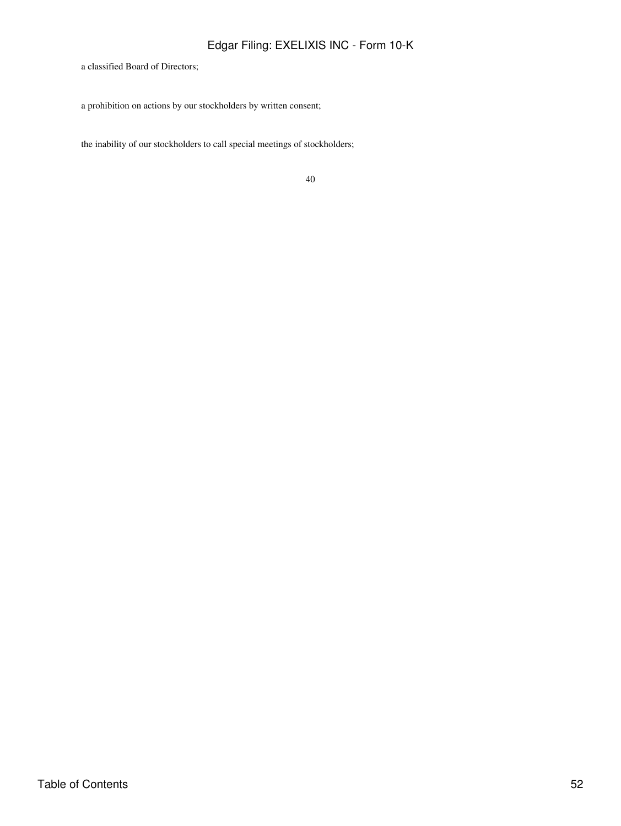# Edgar Filing: EXELIXIS INC - Form 10-K

a classified Board of Directors;

a prohibition on actions by our stockholders by written consent;

the inability of our stockholders to call special meetings of stockholders;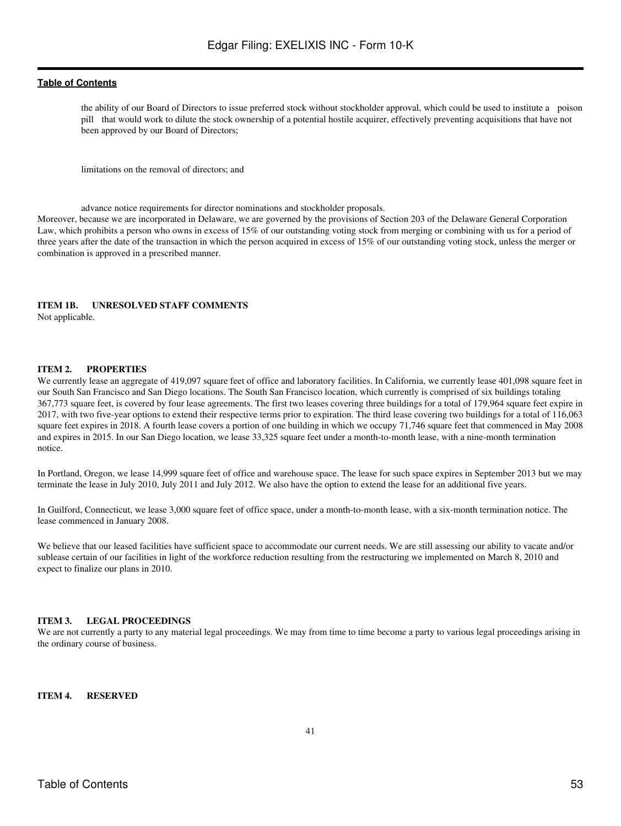the ability of our Board of Directors to issue preferred stock without stockholder approval, which could be used to institute a poison pill that would work to dilute the stock ownership of a potential hostile acquirer, effectively preventing acquisitions that have not been approved by our Board of Directors;

limitations on the removal of directors; and

advance notice requirements for director nominations and stockholder proposals.

Moreover, because we are incorporated in Delaware, we are governed by the provisions of Section 203 of the Delaware General Corporation Law, which prohibits a person who owns in excess of 15% of our outstanding voting stock from merging or combining with us for a period of three years after the date of the transaction in which the person acquired in excess of 15% of our outstanding voting stock, unless the merger or combination is approved in a prescribed manner.

#### **ITEM 1B. UNRESOLVED STAFF COMMENTS**

Not applicable.

#### **ITEM 2. PROPERTIES**

We currently lease an aggregate of 419,097 square feet of office and laboratory facilities. In California, we currently lease 401,098 square feet in our South San Francisco and San Diego locations. The South San Francisco location, which currently is comprised of six buildings totaling 367,773 square feet, is covered by four lease agreements. The first two leases covering three buildings for a total of 179,964 square feet expire in 2017, with two five-year options to extend their respective terms prior to expiration. The third lease covering two buildings for a total of 116,063 square feet expires in 2018. A fourth lease covers a portion of one building in which we occupy 71,746 square feet that commenced in May 2008 and expires in 2015. In our San Diego location, we lease 33,325 square feet under a month-to-month lease, with a nine-month termination notice.

In Portland, Oregon, we lease 14,999 square feet of office and warehouse space. The lease for such space expires in September 2013 but we may terminate the lease in July 2010, July 2011 and July 2012. We also have the option to extend the lease for an additional five years.

In Guilford, Connecticut, we lease 3,000 square feet of office space, under a month-to-month lease, with a six-month termination notice. The lease commenced in January 2008.

We believe that our leased facilities have sufficient space to accommodate our current needs. We are still assessing our ability to vacate and/or sublease certain of our facilities in light of the workforce reduction resulting from the restructuring we implemented on March 8, 2010 and expect to finalize our plans in 2010.

## **ITEM 3. LEGAL PROCEEDINGS**

We are not currently a party to any material legal proceedings. We may from time to time become a party to various legal proceedings arising in the ordinary course of business.

**ITEM 4. RESERVED**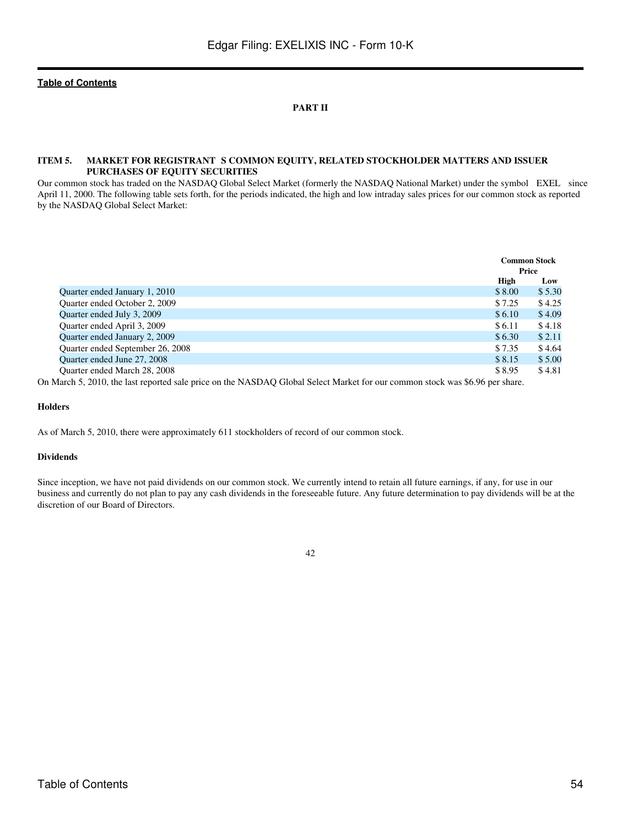## **PART II**

# ITEM 5. MARKET FOR REGISTRANT S COMMON EQUITY, RELATED STOCKHOLDER MATTERS AND ISSUER **PURCHASES OF EQUITY SECURITIES**

Our common stock has traded on the NASDAQ Global Select Market (formerly the NASDAQ National Market) under the symbol EXEL since April 11, 2000. The following table sets forth, for the periods indicated, the high and low intraday sales prices for our common stock as reported by the NASDAQ Global Select Market:

|                                  |        | <b>Common Stock</b> |
|----------------------------------|--------|---------------------|
|                                  |        | Price               |
|                                  | High   | Low                 |
| Quarter ended January 1, 2010    | \$8.00 | \$5.30              |
| Ouarter ended October 2, 2009    | \$7.25 | \$4.25              |
| Quarter ended July 3, 2009       | \$6.10 | \$4.09              |
| Quarter ended April 3, 2009      | \$6.11 | \$4.18              |
| Ouarter ended January 2, 2009    | \$6.30 | \$2.11              |
| Quarter ended September 26, 2008 | \$7.35 | \$4.64              |
| Ouarter ended June 27, 2008      | \$8.15 | \$5.00              |
| Ouarter ended March 28, 2008     | \$8.95 | \$4.81              |
|                                  |        |                     |

On March 5, 2010, the last reported sale price on the NASDAQ Global Select Market for our common stock was \$6.96 per share.

#### **Holders**

As of March 5, 2010, there were approximately 611 stockholders of record of our common stock.

#### **Dividends**

Since inception, we have not paid dividends on our common stock. We currently intend to retain all future earnings, if any, for use in our business and currently do not plan to pay any cash dividends in the foreseeable future. Any future determination to pay dividends will be at the discretion of our Board of Directors.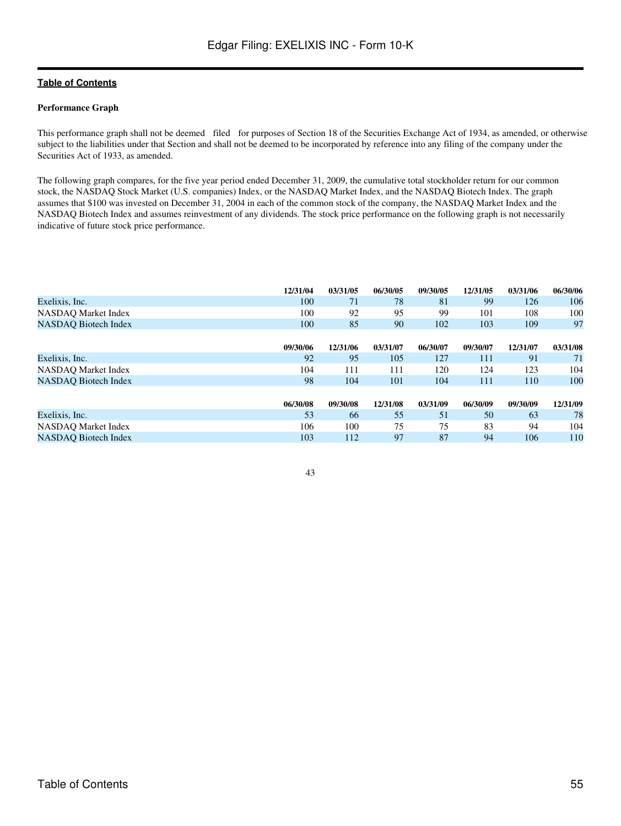## **Performance Graph**

This performance graph shall not be deemed filed for purposes of Section 18 of the Securities Exchange Act of 1934, as amended, or otherwise subject to the liabilities under that Section and shall not be deemed to be incorporated by reference into any filing of the company under the Securities Act of 1933, as amended.

The following graph compares, for the five year period ended December 31, 2009, the cumulative total stockholder return for our common stock, the NASDAQ Stock Market (U.S. companies) Index, or the NASDAQ Market Index, and the NASDAQ Biotech Index. The graph assumes that \$100 was invested on December 31, 2004 in each of the common stock of the company, the NASDAQ Market Index and the NASDAQ Biotech Index and assumes reinvestment of any dividends. The stock price performance on the following graph is not necessarily indicative of future stock price performance.

|                             | 12/31/04 | 03/31/05 | 06/30/05 | 09/30/05 | 12/31/05 | 03/31/06 | 06/30/06 |
|-----------------------------|----------|----------|----------|----------|----------|----------|----------|
| Exelixis, Inc.              | 100      | 71       | 78       | 81       | 99       | 126      | 106      |
| <b>NASDAQ Market Index</b>  | 100      | 92       | 95       | 99       | 101      | 108      | 100      |
| <b>NASDAQ Biotech Index</b> | 100      | 85       | 90       | 102      | 103      | 109      | 97       |
|                             |          |          |          |          |          |          |          |
|                             | 09/30/06 | 12/31/06 | 03/31/07 | 06/30/07 | 09/30/07 | 12/31/07 | 03/31/08 |
| Exelixis, Inc.              | 92       | 95       | 105      | 127      | 111      | 91       | 71       |
| NASDAQ Market Index         | 104      | 111      | 111      | 120      | 124      | 123      | 104      |
| <b>NASDAQ Biotech Index</b> | 98       | 104      | 101      | 104      | 111      | 110      | 100      |
|                             |          |          |          |          |          |          |          |
|                             | 06/30/08 | 09/30/08 | 12/31/08 | 03/31/09 | 06/30/09 | 09/30/09 | 12/31/09 |
| Exelixis, Inc.              | 53       | 66       | 55       | 51       | 50       | 63       | 78       |
| <b>NASDAQ Market Index</b>  | 106      | 100      | 75       | 75       | 83       | 94       | 104      |
| <b>NASDAO</b> Biotech Index | 103      | 112      | 97       | 87       | 94       | 106      | 110      |

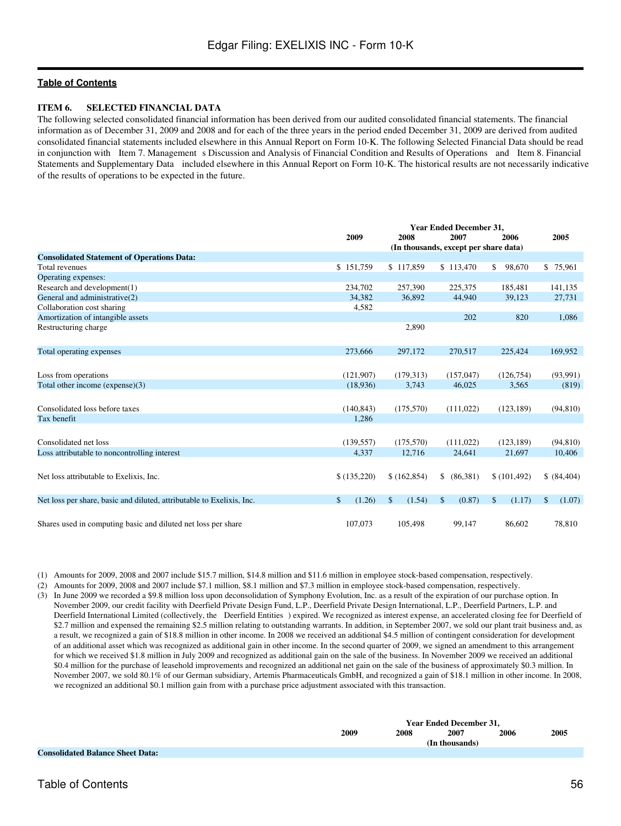## **ITEM 6. SELECTED FINANCIAL DATA**

The following selected consolidated financial information has been derived from our audited consolidated financial statements. The financial information as of December 31, 2009 and 2008 and for each of the three years in the period ended December 31, 2009 are derived from audited consolidated financial statements included elsewhere in this Annual Report on Form 10-K. The following Selected Financial Data should be read in conjunction with Item 7. Management s Discussion and Analysis of Financial Condition and Results of Operations and Item 8. Financial Statements and Supplementary Data included elsewhere in this Annual Report on Form 10-K. The historical results are not necessarily indicative of the results of operations to be expected in the future.

|                                                                       | 2009                                  | <b>Year Ended December 31,</b><br>2008 | 2005            |                        |              |
|-----------------------------------------------------------------------|---------------------------------------|----------------------------------------|-----------------|------------------------|--------------|
|                                                                       | (In thousands, except per share data) |                                        |                 |                        |              |
| <b>Consolidated Statement of Operations Data:</b>                     |                                       |                                        |                 |                        |              |
| Total revenues                                                        | \$151,759                             | \$117,859                              | \$113,470       | 98,670<br>$\mathbb{S}$ | \$75,961     |
| Operating expenses:                                                   |                                       |                                        |                 |                        |              |
| Research and development(1)                                           | 234,702                               | 257,390                                | 225,375         | 185,481                | 141,135      |
| General and administrative(2)                                         | 34.382                                | 36,892                                 | 44,940          | 39,123                 | 27,731       |
| Collaboration cost sharing                                            | 4,582                                 |                                        |                 |                        |              |
| Amortization of intangible assets                                     |                                       |                                        | 202             | 820                    | 1,086        |
| Restructuring charge                                                  |                                       | 2,890                                  |                 |                        |              |
| Total operating expenses                                              | 273,666                               | 297,172                                | 270,517         | 225,424                | 169,952      |
| Loss from operations                                                  | (121,907)                             | (179,313)                              | (157, 047)      | (126, 754)             | (93,991)     |
| Total other income (expense)(3)                                       | (18,936)                              | 3,743                                  | 46,025          | 3,565                  | (819)        |
| Consolidated loss before taxes                                        | (140, 843)                            | (175,570)                              | (111, 022)      | (123, 189)             | (94, 810)    |
| Tax benefit                                                           | 1,286                                 |                                        |                 |                        |              |
|                                                                       |                                       |                                        |                 |                        |              |
| Consolidated net loss                                                 | (139, 557)                            | (175,570)                              | (111, 022)      | (123, 189)             | (94, 810)    |
| Loss attributable to noncontrolling interest                          | 4,337                                 | 12,716                                 | 24,641          | 21,697                 | 10,406       |
| Net loss attributable to Exelixis, Inc.                               | \$(135,220)                           | \$(162, 854)                           | (86, 381)<br>\$ | \$(101, 492)           | \$ (84,404)  |
| Net loss per share, basic and diluted, attributable to Exelixis, Inc. | (1.26)<br>\$                          | $\mathbb{S}$<br>(1.54)                 | (0.87)<br>\$    | \$<br>(1.17)           | \$<br>(1.07) |
| Shares used in computing basic and diluted net loss per share         | 107,073                               | 105,498                                | 99,147          | 86,602                 | 78,810       |

(1) Amounts for 2009, 2008 and 2007 include \$15.7 million, \$14.8 million and \$11.6 million in employee stock-based compensation, respectively.

(2) Amounts for 2009, 2008 and 2007 include \$7.1 million, \$8.1 million and \$7.3 million in employee stock-based compensation, respectively.

(3) In June 2009 we recorded a \$9.8 million loss upon deconsolidation of Symphony Evolution, Inc. as a result of the expiration of our purchase option. In November 2009, our credit facility with Deerfield Private Design Fund, L.P., Deerfield Private Design International, L.P., Deerfield Partners, L.P. and Deerfield International Limited (collectively, the Deerfield Entities) expired. We recognized as interest expense, an accelerated closing fee for Deerfield of \$2.7 million and expensed the remaining \$2.5 million relating to outstanding warrants. In addition, in September 2007, we sold our plant trait business and, as a result, we recognized a gain of \$18.8 million in other income. In 2008 we received an additional \$4.5 million of contingent consideration for development of an additional asset which was recognized as additional gain in other income. In the second quarter of 2009, we signed an amendment to this arrangement for which we received \$1.8 million in July 2009 and recognized as additional gain on the sale of the business. In November 2009 we received an additional \$0.4 million for the purchase of leasehold improvements and recognized an additional net gain on the sale of the business of approximately \$0.3 million. In November 2007, we sold 80.1% of our German subsidiary, Artemis Pharmaceuticals GmbH, and recognized a gain of \$18.1 million in other income. In 2008, we recognized an additional \$0.1 million gain from with a purchase price adjustment associated with this transaction.

|                                         |      | <b>Year Ended December 31,</b> |  |  |  |  |  |
|-----------------------------------------|------|--------------------------------|--|--|--|--|--|
|                                         | 2009 | 2006<br>2008<br>2007           |  |  |  |  |  |
|                                         |      | (In thousands)                 |  |  |  |  |  |
| <b>Consolidated Balance Sheet Data:</b> |      |                                |  |  |  |  |  |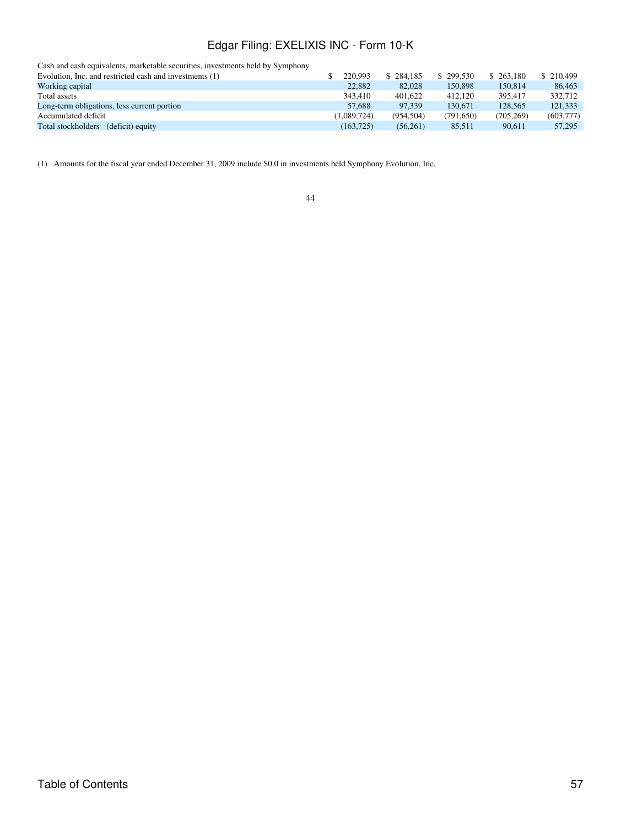# Edgar Filing: EXELIXIS INC - Form 10-K

Cash and cash equivalents, marketable securities, investments held by Symphony

| Evolution, Inc. and restricted cash and investments (1) | 220.993     | \$284,185 | \$299,530 | \$263.180 | \$210,499  |
|---------------------------------------------------------|-------------|-----------|-----------|-----------|------------|
| Working capital                                         | 22,882      | 82,028    | 150,898   | 150.814   | 86.463     |
| Total assets                                            | 343.410     | 401,622   | 412,120   | 395.417   | 332.712    |
| Long-term obligations, less current portion             | 57.688      | 97.339    | 130.671   | 128,565   | 121.333    |
| Accumulated deficit                                     | (1.089.724) | (954.504) | (791.650) | (705.269) | (603, 777) |
| Total stockholders<br>(deficit) equity                  | (163, 725)  | (56.261)  | 85.511    | 90.611    | 57,295     |
|                                                         |             |           |           |           |            |

(1) Amounts for the fiscal year ended December 31, 2009 include \$0.0 in investments held Symphony Evolution, Inc.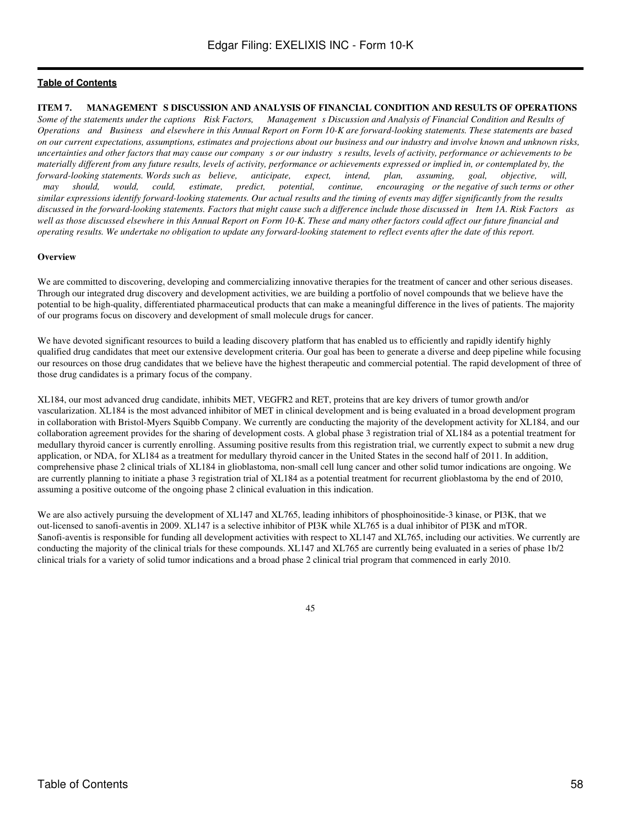ITEM 7. MANAGEMENT S DISCUSSION AND ANALYSIS OF FINANCIAL CONDITION AND RESULTS OF OPERATIONS Some of the statements under the captions Risk Factors, Management s Discussion and Analysis of Financial Condition and Results of *Operations and Business and elsewhere in this Annual Report on Form 10-K are forward-looking statements. These statements are based on our current expectations, assumptions, estimates and projections about our business and our industry and involve known and unknown risks, uncertainties and other factors that may cause our company s or our industry s results, levels of activity, performance or achievements to be materially different from any future results, levels of activity, performance or achievements expressed or implied in, or contemplated by, the forward-looking statements. Words such as believe, anticipate, expect, intend, plan, assuming, goal, objective, will, may should, would, could, estimate, predict, potential, continue, encouraging or the negative of such terms or other similar expressions identify forward-looking statements. Our actual results and the timing of events may differ significantly from the results discussed in the forward-looking statements. Factors that might cause such a difference include those discussed in Item 1A. Risk Factors as well as those discussed elsewhere in this Annual Report on Form 10-K. These and many other factors could affect our future financial and operating results. We undertake no obligation to update any forward-looking statement to reflect events after the date of this report.*

#### **Overview**

We are committed to discovering, developing and commercializing innovative therapies for the treatment of cancer and other serious diseases. Through our integrated drug discovery and development activities, we are building a portfolio of novel compounds that we believe have the potential to be high-quality, differentiated pharmaceutical products that can make a meaningful difference in the lives of patients. The majority of our programs focus on discovery and development of small molecule drugs for cancer.

We have devoted significant resources to build a leading discovery platform that has enabled us to efficiently and rapidly identify highly qualified drug candidates that meet our extensive development criteria. Our goal has been to generate a diverse and deep pipeline while focusing our resources on those drug candidates that we believe have the highest therapeutic and commercial potential. The rapid development of three of those drug candidates is a primary focus of the company.

XL184, our most advanced drug candidate, inhibits MET, VEGFR2 and RET, proteins that are key drivers of tumor growth and/or vascularization. XL184 is the most advanced inhibitor of MET in clinical development and is being evaluated in a broad development program in collaboration with Bristol-Myers Squibb Company. We currently are conducting the majority of the development activity for XL184, and our collaboration agreement provides for the sharing of development costs. A global phase 3 registration trial of XL184 as a potential treatment for medullary thyroid cancer is currently enrolling. Assuming positive results from this registration trial, we currently expect to submit a new drug application, or NDA, for XL184 as a treatment for medullary thyroid cancer in the United States in the second half of 2011. In addition, comprehensive phase 2 clinical trials of XL184 in glioblastoma, non-small cell lung cancer and other solid tumor indications are ongoing. We are currently planning to initiate a phase 3 registration trial of XL184 as a potential treatment for recurrent glioblastoma by the end of 2010, assuming a positive outcome of the ongoing phase 2 clinical evaluation in this indication.

We are also actively pursuing the development of XL147 and XL765, leading inhibitors of phosphoinositide-3 kinase, or PI3K, that we out-licensed to sanofi-aventis in 2009. XL147 is a selective inhibitor of PI3K while XL765 is a dual inhibitor of PI3K and mTOR. Sanofi-aventis is responsible for funding all development activities with respect to XL147 and XL765, including our activities. We currently are conducting the majority of the clinical trials for these compounds. XL147 and XL765 are currently being evaluated in a series of phase 1b/2 clinical trials for a variety of solid tumor indications and a broad phase 2 clinical trial program that commenced in early 2010.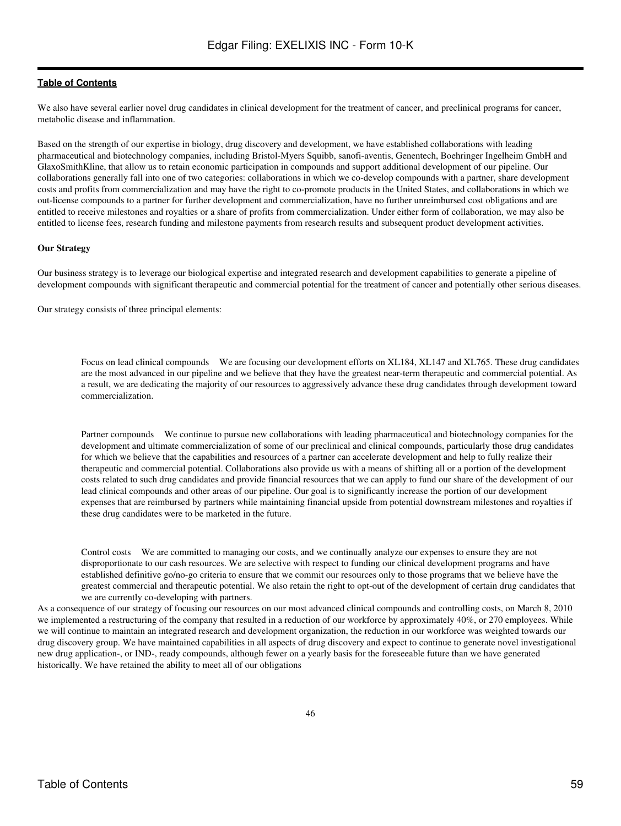We also have several earlier novel drug candidates in clinical development for the treatment of cancer, and preclinical programs for cancer, metabolic disease and inflammation.

Based on the strength of our expertise in biology, drug discovery and development, we have established collaborations with leading pharmaceutical and biotechnology companies, including Bristol-Myers Squibb, sanofi-aventis, Genentech, Boehringer Ingelheim GmbH and GlaxoSmithKline, that allow us to retain economic participation in compounds and support additional development of our pipeline. Our collaborations generally fall into one of two categories: collaborations in which we co-develop compounds with a partner, share development costs and profits from commercialization and may have the right to co-promote products in the United States, and collaborations in which we out-license compounds to a partner for further development and commercialization, have no further unreimbursed cost obligations and are entitled to receive milestones and royalties or a share of profits from commercialization. Under either form of collaboration, we may also be entitled to license fees, research funding and milestone payments from research results and subsequent product development activities.

#### **Our Strategy**

Our business strategy is to leverage our biological expertise and integrated research and development capabilities to generate a pipeline of development compounds with significant therapeutic and commercial potential for the treatment of cancer and potentially other serious diseases.

Our strategy consists of three principal elements:

Focus on lead clinical compounds We are focusing our development efforts on XL184, XL147 and XL765. These drug candidates are the most advanced in our pipeline and we believe that they have the greatest near-term therapeutic and commercial potential. As a result, we are dedicating the majority of our resources to aggressively advance these drug candidates through development toward commercialization.

Partner compounds We continue to pursue new collaborations with leading pharmaceutical and biotechnology companies for the development and ultimate commercialization of some of our preclinical and clinical compounds, particularly those drug candidates for which we believe that the capabilities and resources of a partner can accelerate development and help to fully realize their therapeutic and commercial potential. Collaborations also provide us with a means of shifting all or a portion of the development costs related to such drug candidates and provide financial resources that we can apply to fund our share of the development of our lead clinical compounds and other areas of our pipeline. Our goal is to significantly increase the portion of our development expenses that are reimbursed by partners while maintaining financial upside from potential downstream milestones and royalties if these drug candidates were to be marketed in the future.

Control costs We are committed to managing our costs, and we continually analyze our expenses to ensure they are not disproportionate to our cash resources. We are selective with respect to funding our clinical development programs and have established definitive go/no-go criteria to ensure that we commit our resources only to those programs that we believe have the greatest commercial and therapeutic potential. We also retain the right to opt-out of the development of certain drug candidates that we are currently co-developing with partners.

As a consequence of our strategy of focusing our resources on our most advanced clinical compounds and controlling costs, on March 8, 2010 we implemented a restructuring of the company that resulted in a reduction of our workforce by approximately 40%, or 270 employees. While we will continue to maintain an integrated research and development organization, the reduction in our workforce was weighted towards our drug discovery group. We have maintained capabilities in all aspects of drug discovery and expect to continue to generate novel investigational new drug application-, or IND-, ready compounds, although fewer on a yearly basis for the foreseeable future than we have generated historically. We have retained the ability to meet all of our obligations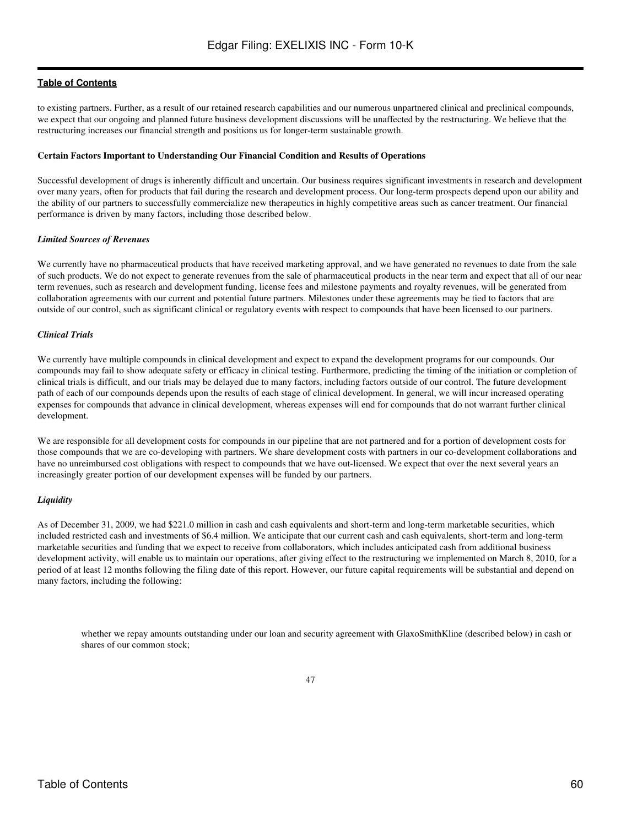to existing partners. Further, as a result of our retained research capabilities and our numerous unpartnered clinical and preclinical compounds, we expect that our ongoing and planned future business development discussions will be unaffected by the restructuring. We believe that the restructuring increases our financial strength and positions us for longer-term sustainable growth.

#### **Certain Factors Important to Understanding Our Financial Condition and Results of Operations**

Successful development of drugs is inherently difficult and uncertain. Our business requires significant investments in research and development over many years, often for products that fail during the research and development process. Our long-term prospects depend upon our ability and the ability of our partners to successfully commercialize new therapeutics in highly competitive areas such as cancer treatment. Our financial performance is driven by many factors, including those described below.

#### *Limited Sources of Revenues*

We currently have no pharmaceutical products that have received marketing approval, and we have generated no revenues to date from the sale of such products. We do not expect to generate revenues from the sale of pharmaceutical products in the near term and expect that all of our near term revenues, such as research and development funding, license fees and milestone payments and royalty revenues, will be generated from collaboration agreements with our current and potential future partners. Milestones under these agreements may be tied to factors that are outside of our control, such as significant clinical or regulatory events with respect to compounds that have been licensed to our partners.

## *Clinical Trials*

We currently have multiple compounds in clinical development and expect to expand the development programs for our compounds. Our compounds may fail to show adequate safety or efficacy in clinical testing. Furthermore, predicting the timing of the initiation or completion of clinical trials is difficult, and our trials may be delayed due to many factors, including factors outside of our control. The future development path of each of our compounds depends upon the results of each stage of clinical development. In general, we will incur increased operating expenses for compounds that advance in clinical development, whereas expenses will end for compounds that do not warrant further clinical development.

We are responsible for all development costs for compounds in our pipeline that are not partnered and for a portion of development costs for those compounds that we are co-developing with partners. We share development costs with partners in our co-development collaborations and have no unreimbursed cost obligations with respect to compounds that we have out-licensed. We expect that over the next several years an increasingly greater portion of our development expenses will be funded by our partners.

## *Liquidity*

As of December 31, 2009, we had \$221.0 million in cash and cash equivalents and short-term and long-term marketable securities, which included restricted cash and investments of \$6.4 million. We anticipate that our current cash and cash equivalents, short-term and long-term marketable securities and funding that we expect to receive from collaborators, which includes anticipated cash from additional business development activity, will enable us to maintain our operations, after giving effect to the restructuring we implemented on March 8, 2010, for a period of at least 12 months following the filing date of this report. However, our future capital requirements will be substantial and depend on many factors, including the following:

whether we repay amounts outstanding under our loan and security agreement with GlaxoSmithKline (described below) in cash or shares of our common stock;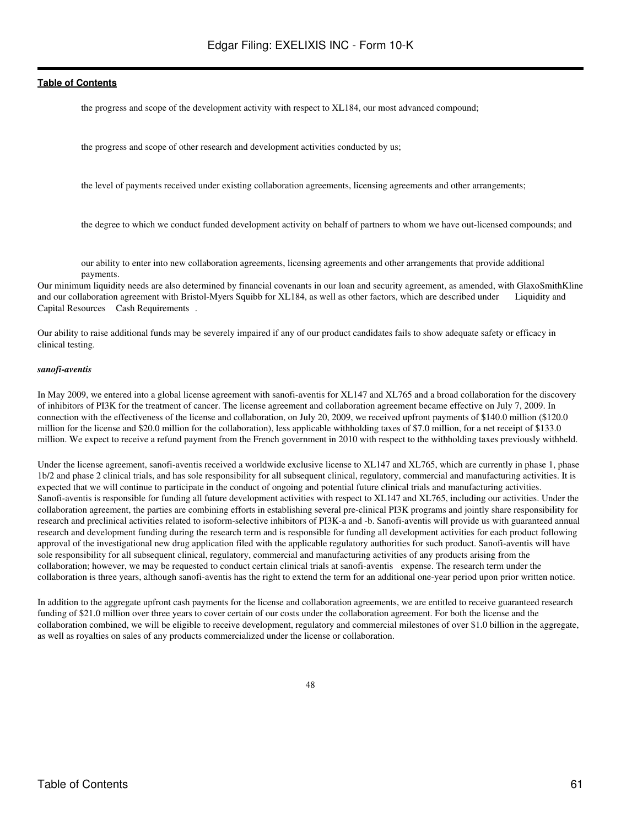the progress and scope of the development activity with respect to XL184, our most advanced compound;

the progress and scope of other research and development activities conducted by us;

the level of payments received under existing collaboration agreements, licensing agreements and other arrangements;

the degree to which we conduct funded development activity on behalf of partners to whom we have out-licensed compounds; and

our ability to enter into new collaboration agreements, licensing agreements and other arrangements that provide additional payments.

Our minimum liquidity needs are also determined by financial covenants in our loan and security agreement, as amended, with GlaxoSmithKline and our collaboration agreement with Bristol-Myers Squibb for XL184, as well as other factors, which are described under Liquidity and Capital Resources Cash Requirements.

Our ability to raise additional funds may be severely impaired if any of our product candidates fails to show adequate safety or efficacy in clinical testing.

#### *sanofi-aventis*

In May 2009, we entered into a global license agreement with sanofi-aventis for XL147 and XL765 and a broad collaboration for the discovery of inhibitors of PI3K for the treatment of cancer. The license agreement and collaboration agreement became effective on July 7, 2009. In connection with the effectiveness of the license and collaboration, on July 20, 2009, we received upfront payments of \$140.0 million (\$120.0 million for the license and \$20.0 million for the collaboration), less applicable withholding taxes of \$7.0 million, for a net receipt of \$133.0 million. We expect to receive a refund payment from the French government in 2010 with respect to the withholding taxes previously withheld.

Under the license agreement, sanofi-aventis received a worldwide exclusive license to XL147 and XL765, which are currently in phase 1, phase 1b/2 and phase 2 clinical trials, and has sole responsibility for all subsequent clinical, regulatory, commercial and manufacturing activities. It is expected that we will continue to participate in the conduct of ongoing and potential future clinical trials and manufacturing activities. Sanofi-aventis is responsible for funding all future development activities with respect to XL147 and XL765, including our activities. Under the collaboration agreement, the parties are combining efforts in establishing several pre-clinical PI3K programs and jointly share responsibility for research and preclinical activities related to isoform-selective inhibitors of PI3K-a and -b. Sanofi-aventis will provide us with guaranteed annual research and development funding during the research term and is responsible for funding all development activities for each product following approval of the investigational new drug application filed with the applicable regulatory authorities for such product. Sanofi-aventis will have sole responsibility for all subsequent clinical, regulatory, commercial and manufacturing activities of any products arising from the collaboration; however, we may be requested to conduct certain clinical trials at sanofi-aventis expense. The research term under the collaboration is three years, although sanofi-aventis has the right to extend the term for an additional one-year period upon prior written notice.

In addition to the aggregate upfront cash payments for the license and collaboration agreements, we are entitled to receive guaranteed research funding of \$21.0 million over three years to cover certain of our costs under the collaboration agreement. For both the license and the collaboration combined, we will be eligible to receive development, regulatory and commercial milestones of over \$1.0 billion in the aggregate, as well as royalties on sales of any products commercialized under the license or collaboration.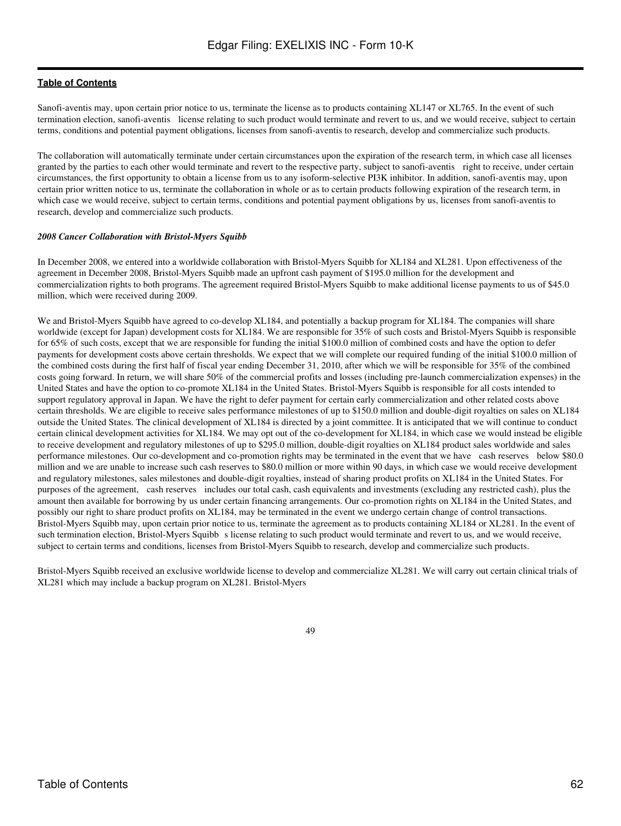Sanofi-aventis may, upon certain prior notice to us, terminate the license as to products containing XL147 or XL765. In the event of such termination election, sanofi-aventis license relating to such product would terminate and revert to us, and we would receive, subject to certain terms, conditions and potential payment obligations, licenses from sanofi-aventis to research, develop and commercialize such products.

The collaboration will automatically terminate under certain circumstances upon the expiration of the research term, in which case all licenses granted by the parties to each other would terminate and revert to the respective party, subject to sanofi-aventis right to receive, under certain circumstances, the first opportunity to obtain a license from us to any isoform-selective PI3K inhibitor. In addition, sanofi-aventis may, upon certain prior written notice to us, terminate the collaboration in whole or as to certain products following expiration of the research term, in which case we would receive, subject to certain terms, conditions and potential payment obligations by us, licenses from sanofi-aventis to research, develop and commercialize such products.

#### *2008 Cancer Collaboration with Bristol-Myers Squibb*

In December 2008, we entered into a worldwide collaboration with Bristol-Myers Squibb for XL184 and XL281. Upon effectiveness of the agreement in December 2008, Bristol-Myers Squibb made an upfront cash payment of \$195.0 million for the development and commercialization rights to both programs. The agreement required Bristol-Myers Squibb to make additional license payments to us of \$45.0 million, which were received during 2009.

We and Bristol-Myers Squibb have agreed to co-develop XL184, and potentially a backup program for XL184. The companies will share worldwide (except for Japan) development costs for XL184. We are responsible for 35% of such costs and Bristol-Myers Squibb is responsible for 65% of such costs, except that we are responsible for funding the initial \$100.0 million of combined costs and have the option to defer payments for development costs above certain thresholds. We expect that we will complete our required funding of the initial \$100.0 million of the combined costs during the first half of fiscal year ending December 31, 2010, after which we will be responsible for 35% of the combined costs going forward. In return, we will share 50% of the commercial profits and losses (including pre-launch commercialization expenses) in the United States and have the option to co-promote XL184 in the United States. Bristol-Myers Squibb is responsible for all costs intended to support regulatory approval in Japan. We have the right to defer payment for certain early commercialization and other related costs above certain thresholds. We are eligible to receive sales performance milestones of up to \$150.0 million and double-digit royalties on sales on XL184 outside the United States. The clinical development of XL184 is directed by a joint committee. It is anticipated that we will continue to conduct certain clinical development activities for XL184. We may opt out of the co-development for XL184, in which case we would instead be eligible to receive development and regulatory milestones of up to \$295.0 million, double-digit royalties on XL184 product sales worldwide and sales performance milestones. Our co-development and co-promotion rights may be terminated in the event that we have cash reserves below \$80.0 million and we are unable to increase such cash reserves to \$80.0 million or more within 90 days, in which case we would receive development and regulatory milestones, sales milestones and double-digit royalties, instead of sharing product profits on XL184 in the United States. For purposes of the agreement, cash reserves includes our total cash, cash equivalents and investments (excluding any restricted cash), plus the amount then available for borrowing by us under certain financing arrangements. Our co-promotion rights on XL184 in the United States, and possibly our right to share product profits on XL184, may be terminated in the event we undergo certain change of control transactions. Bristol-Myers Squibb may, upon certain prior notice to us, terminate the agreement as to products containing XL184 or XL281. In the event of such termination election, Bristol-Myers Squibb s license relating to such product would terminate and revert to us, and we would receive, subject to certain terms and conditions, licenses from Bristol-Myers Squibb to research, develop and commercialize such products.

Bristol-Myers Squibb received an exclusive worldwide license to develop and commercialize XL281. We will carry out certain clinical trials of XL281 which may include a backup program on XL281. Bristol-Myers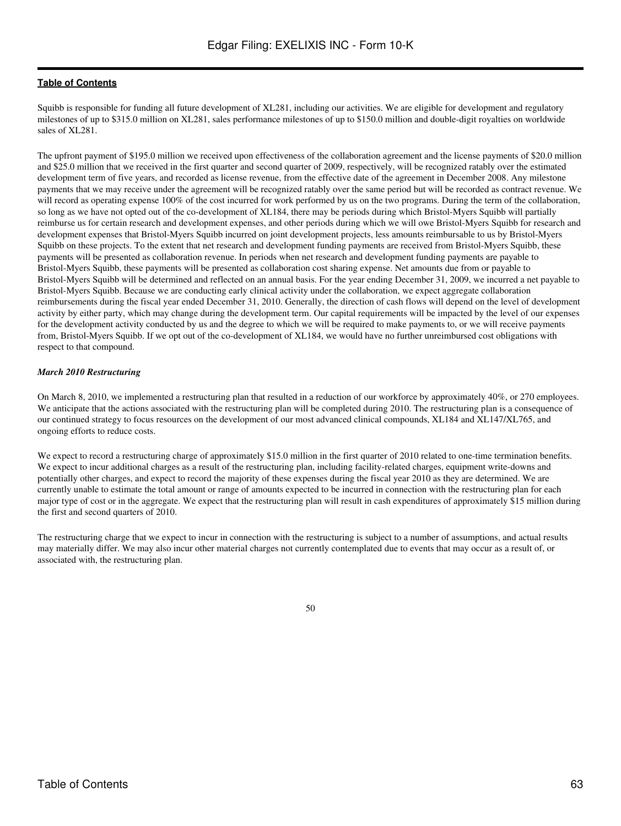Squibb is responsible for funding all future development of XL281, including our activities. We are eligible for development and regulatory milestones of up to \$315.0 million on XL281, sales performance milestones of up to \$150.0 million and double-digit royalties on worldwide sales of XL281.

The upfront payment of \$195.0 million we received upon effectiveness of the collaboration agreement and the license payments of \$20.0 million and \$25.0 million that we received in the first quarter and second quarter of 2009, respectively, will be recognized ratably over the estimated development term of five years, and recorded as license revenue, from the effective date of the agreement in December 2008. Any milestone payments that we may receive under the agreement will be recognized ratably over the same period but will be recorded as contract revenue. We will record as operating expense 100% of the cost incurred for work performed by us on the two programs. During the term of the collaboration, so long as we have not opted out of the co-development of XL184, there may be periods during which Bristol-Myers Squibb will partially reimburse us for certain research and development expenses, and other periods during which we will owe Bristol-Myers Squibb for research and development expenses that Bristol-Myers Squibb incurred on joint development projects, less amounts reimbursable to us by Bristol-Myers Squibb on these projects. To the extent that net research and development funding payments are received from Bristol-Myers Squibb, these payments will be presented as collaboration revenue. In periods when net research and development funding payments are payable to Bristol-Myers Squibb, these payments will be presented as collaboration cost sharing expense. Net amounts due from or payable to Bristol-Myers Squibb will be determined and reflected on an annual basis. For the year ending December 31, 2009, we incurred a net payable to Bristol-Myers Squibb. Because we are conducting early clinical activity under the collaboration, we expect aggregate collaboration reimbursements during the fiscal year ended December 31, 2010. Generally, the direction of cash flows will depend on the level of development activity by either party, which may change during the development term. Our capital requirements will be impacted by the level of our expenses for the development activity conducted by us and the degree to which we will be required to make payments to, or we will receive payments from, Bristol-Myers Squibb. If we opt out of the co-development of XL184, we would have no further unreimbursed cost obligations with respect to that compound.

## *March 2010 Restructuring*

On March 8, 2010, we implemented a restructuring plan that resulted in a reduction of our workforce by approximately 40%, or 270 employees. We anticipate that the actions associated with the restructuring plan will be completed during 2010. The restructuring plan is a consequence of our continued strategy to focus resources on the development of our most advanced clinical compounds, XL184 and XL147/XL765, and ongoing efforts to reduce costs.

We expect to record a restructuring charge of approximately \$15.0 million in the first quarter of 2010 related to one-time termination benefits. We expect to incur additional charges as a result of the restructuring plan, including facility-related charges, equipment write-downs and potentially other charges, and expect to record the majority of these expenses during the fiscal year 2010 as they are determined. We are currently unable to estimate the total amount or range of amounts expected to be incurred in connection with the restructuring plan for each major type of cost or in the aggregate. We expect that the restructuring plan will result in cash expenditures of approximately \$15 million during the first and second quarters of 2010.

The restructuring charge that we expect to incur in connection with the restructuring is subject to a number of assumptions, and actual results may materially differ. We may also incur other material charges not currently contemplated due to events that may occur as a result of, or associated with, the restructuring plan.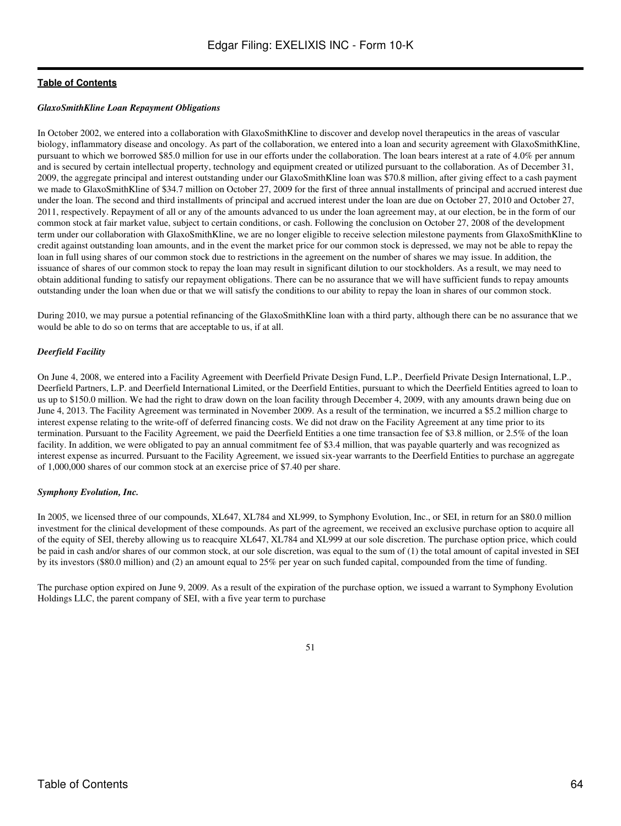### *GlaxoSmithKline Loan Repayment Obligations*

In October 2002, we entered into a collaboration with GlaxoSmithKline to discover and develop novel therapeutics in the areas of vascular biology, inflammatory disease and oncology. As part of the collaboration, we entered into a loan and security agreement with GlaxoSmithKline, pursuant to which we borrowed \$85.0 million for use in our efforts under the collaboration. The loan bears interest at a rate of 4.0% per annum and is secured by certain intellectual property, technology and equipment created or utilized pursuant to the collaboration. As of December 31, 2009, the aggregate principal and interest outstanding under our GlaxoSmithKline loan was \$70.8 million, after giving effect to a cash payment we made to GlaxoSmithKline of \$34.7 million on October 27, 2009 for the first of three annual installments of principal and accrued interest due under the loan. The second and third installments of principal and accrued interest under the loan are due on October 27, 2010 and October 27, 2011, respectively. Repayment of all or any of the amounts advanced to us under the loan agreement may, at our election, be in the form of our common stock at fair market value, subject to certain conditions, or cash. Following the conclusion on October 27, 2008 of the development term under our collaboration with GlaxoSmithKline, we are no longer eligible to receive selection milestone payments from GlaxoSmithKline to credit against outstanding loan amounts, and in the event the market price for our common stock is depressed, we may not be able to repay the loan in full using shares of our common stock due to restrictions in the agreement on the number of shares we may issue. In addition, the issuance of shares of our common stock to repay the loan may result in significant dilution to our stockholders. As a result, we may need to obtain additional funding to satisfy our repayment obligations. There can be no assurance that we will have sufficient funds to repay amounts outstanding under the loan when due or that we will satisfy the conditions to our ability to repay the loan in shares of our common stock.

During 2010, we may pursue a potential refinancing of the GlaxoSmithKline loan with a third party, although there can be no assurance that we would be able to do so on terms that are acceptable to us, if at all.

## *Deerfield Facility*

On June 4, 2008, we entered into a Facility Agreement with Deerfield Private Design Fund, L.P., Deerfield Private Design International, L.P., Deerfield Partners, L.P. and Deerfield International Limited, or the Deerfield Entities, pursuant to which the Deerfield Entities agreed to loan to us up to \$150.0 million. We had the right to draw down on the loan facility through December 4, 2009, with any amounts drawn being due on June 4, 2013. The Facility Agreement was terminated in November 2009. As a result of the termination, we incurred a \$5.2 million charge to interest expense relating to the write-off of deferred financing costs. We did not draw on the Facility Agreement at any time prior to its termination. Pursuant to the Facility Agreement, we paid the Deerfield Entities a one time transaction fee of \$3.8 million, or 2.5% of the loan facility. In addition, we were obligated to pay an annual commitment fee of \$3.4 million, that was payable quarterly and was recognized as interest expense as incurred. Pursuant to the Facility Agreement, we issued six-year warrants to the Deerfield Entities to purchase an aggregate of 1,000,000 shares of our common stock at an exercise price of \$7.40 per share.

#### *Symphony Evolution, Inc.*

In 2005, we licensed three of our compounds, XL647, XL784 and XL999, to Symphony Evolution, Inc., or SEI, in return for an \$80.0 million investment for the clinical development of these compounds. As part of the agreement, we received an exclusive purchase option to acquire all of the equity of SEI, thereby allowing us to reacquire XL647, XL784 and XL999 at our sole discretion. The purchase option price, which could be paid in cash and/or shares of our common stock, at our sole discretion, was equal to the sum of (1) the total amount of capital invested in SEI by its investors (\$80.0 million) and (2) an amount equal to 25% per year on such funded capital, compounded from the time of funding.

The purchase option expired on June 9, 2009. As a result of the expiration of the purchase option, we issued a warrant to Symphony Evolution Holdings LLC, the parent company of SEI, with a five year term to purchase

<sup>51</sup>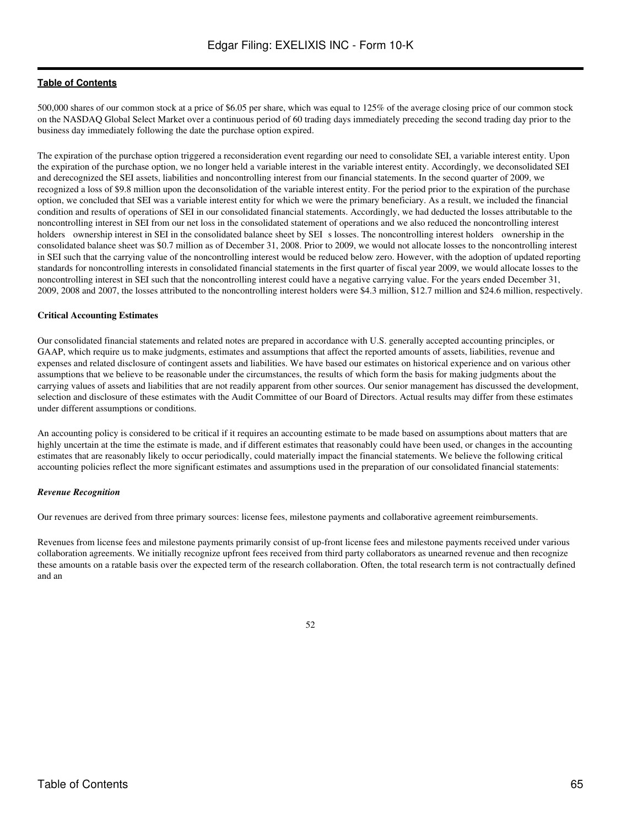500,000 shares of our common stock at a price of \$6.05 per share, which was equal to 125% of the average closing price of our common stock on the NASDAQ Global Select Market over a continuous period of 60 trading days immediately preceding the second trading day prior to the business day immediately following the date the purchase option expired.

The expiration of the purchase option triggered a reconsideration event regarding our need to consolidate SEI, a variable interest entity. Upon the expiration of the purchase option, we no longer held a variable interest in the variable interest entity. Accordingly, we deconsolidated SEI and derecognized the SEI assets, liabilities and noncontrolling interest from our financial statements. In the second quarter of 2009, we recognized a loss of \$9.8 million upon the deconsolidation of the variable interest entity. For the period prior to the expiration of the purchase option, we concluded that SEI was a variable interest entity for which we were the primary beneficiary. As a result, we included the financial condition and results of operations of SEI in our consolidated financial statements. Accordingly, we had deducted the losses attributable to the noncontrolling interest in SEI from our net loss in the consolidated statement of operations and we also reduced the noncontrolling interest holders ownership interest in SEI in the consolidated balance sheet by SEI s losses. The noncontrolling interest holders ownership in the consolidated balance sheet was \$0.7 million as of December 31, 2008. Prior to 2009, we would not allocate losses to the noncontrolling interest in SEI such that the carrying value of the noncontrolling interest would be reduced below zero. However, with the adoption of updated reporting standards for noncontrolling interests in consolidated financial statements in the first quarter of fiscal year 2009, we would allocate losses to the noncontrolling interest in SEI such that the noncontrolling interest could have a negative carrying value. For the years ended December 31, 2009, 2008 and 2007, the losses attributed to the noncontrolling interest holders were \$4.3 million, \$12.7 million and \$24.6 million, respectively.

#### **Critical Accounting Estimates**

Our consolidated financial statements and related notes are prepared in accordance with U.S. generally accepted accounting principles, or GAAP, which require us to make judgments, estimates and assumptions that affect the reported amounts of assets, liabilities, revenue and expenses and related disclosure of contingent assets and liabilities. We have based our estimates on historical experience and on various other assumptions that we believe to be reasonable under the circumstances, the results of which form the basis for making judgments about the carrying values of assets and liabilities that are not readily apparent from other sources. Our senior management has discussed the development, selection and disclosure of these estimates with the Audit Committee of our Board of Directors. Actual results may differ from these estimates under different assumptions or conditions.

An accounting policy is considered to be critical if it requires an accounting estimate to be made based on assumptions about matters that are highly uncertain at the time the estimate is made, and if different estimates that reasonably could have been used, or changes in the accounting estimates that are reasonably likely to occur periodically, could materially impact the financial statements. We believe the following critical accounting policies reflect the more significant estimates and assumptions used in the preparation of our consolidated financial statements:

## *Revenue Recognition*

Our revenues are derived from three primary sources: license fees, milestone payments and collaborative agreement reimbursements.

Revenues from license fees and milestone payments primarily consist of up-front license fees and milestone payments received under various collaboration agreements. We initially recognize upfront fees received from third party collaborators as unearned revenue and then recognize these amounts on a ratable basis over the expected term of the research collaboration. Often, the total research term is not contractually defined and an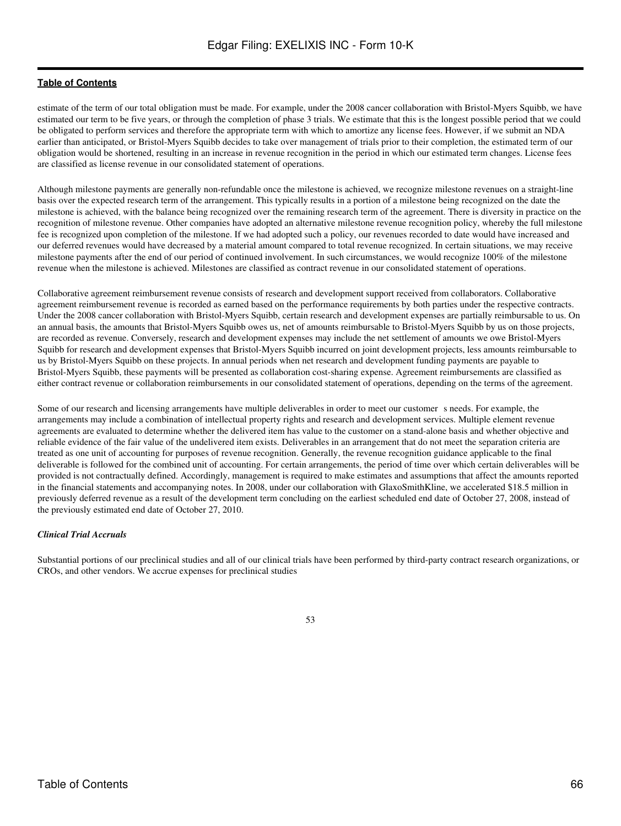estimate of the term of our total obligation must be made. For example, under the 2008 cancer collaboration with Bristol-Myers Squibb, we have estimated our term to be five years, or through the completion of phase 3 trials. We estimate that this is the longest possible period that we could be obligated to perform services and therefore the appropriate term with which to amortize any license fees. However, if we submit an NDA earlier than anticipated, or Bristol-Myers Squibb decides to take over management of trials prior to their completion, the estimated term of our obligation would be shortened, resulting in an increase in revenue recognition in the period in which our estimated term changes. License fees are classified as license revenue in our consolidated statement of operations.

Although milestone payments are generally non-refundable once the milestone is achieved, we recognize milestone revenues on a straight-line basis over the expected research term of the arrangement. This typically results in a portion of a milestone being recognized on the date the milestone is achieved, with the balance being recognized over the remaining research term of the agreement. There is diversity in practice on the recognition of milestone revenue. Other companies have adopted an alternative milestone revenue recognition policy, whereby the full milestone fee is recognized upon completion of the milestone. If we had adopted such a policy, our revenues recorded to date would have increased and our deferred revenues would have decreased by a material amount compared to total revenue recognized. In certain situations, we may receive milestone payments after the end of our period of continued involvement. In such circumstances, we would recognize 100% of the milestone revenue when the milestone is achieved. Milestones are classified as contract revenue in our consolidated statement of operations.

Collaborative agreement reimbursement revenue consists of research and development support received from collaborators. Collaborative agreement reimbursement revenue is recorded as earned based on the performance requirements by both parties under the respective contracts. Under the 2008 cancer collaboration with Bristol-Myers Squibb, certain research and development expenses are partially reimbursable to us. On an annual basis, the amounts that Bristol-Myers Squibb owes us, net of amounts reimbursable to Bristol-Myers Squibb by us on those projects, are recorded as revenue. Conversely, research and development expenses may include the net settlement of amounts we owe Bristol-Myers Squibb for research and development expenses that Bristol-Myers Squibb incurred on joint development projects, less amounts reimbursable to us by Bristol-Myers Squibb on these projects. In annual periods when net research and development funding payments are payable to Bristol-Myers Squibb, these payments will be presented as collaboration cost-sharing expense. Agreement reimbursements are classified as either contract revenue or collaboration reimbursements in our consolidated statement of operations, depending on the terms of the agreement.

Some of our research and licensing arrangements have multiple deliverables in order to meet our customer s needs. For example, the arrangements may include a combination of intellectual property rights and research and development services. Multiple element revenue agreements are evaluated to determine whether the delivered item has value to the customer on a stand-alone basis and whether objective and reliable evidence of the fair value of the undelivered item exists. Deliverables in an arrangement that do not meet the separation criteria are treated as one unit of accounting for purposes of revenue recognition. Generally, the revenue recognition guidance applicable to the final deliverable is followed for the combined unit of accounting. For certain arrangements, the period of time over which certain deliverables will be provided is not contractually defined. Accordingly, management is required to make estimates and assumptions that affect the amounts reported in the financial statements and accompanying notes. In 2008, under our collaboration with GlaxoSmithKline, we accelerated \$18.5 million in previously deferred revenue as a result of the development term concluding on the earliest scheduled end date of October 27, 2008, instead of the previously estimated end date of October 27, 2010.

## *Clinical Trial Accruals*

Substantial portions of our preclinical studies and all of our clinical trials have been performed by third-party contract research organizations, or CROs, and other vendors. We accrue expenses for preclinical studies

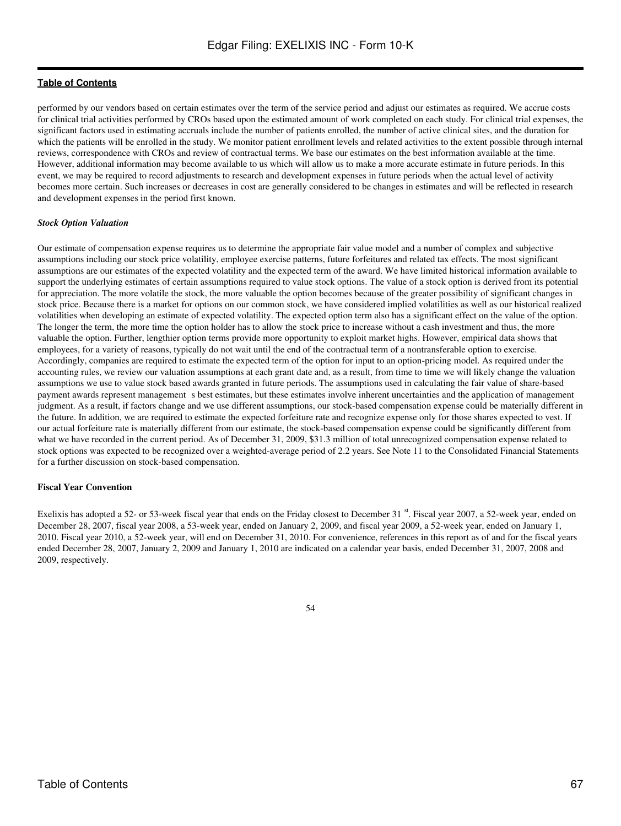performed by our vendors based on certain estimates over the term of the service period and adjust our estimates as required. We accrue costs for clinical trial activities performed by CROs based upon the estimated amount of work completed on each study. For clinical trial expenses, the significant factors used in estimating accruals include the number of patients enrolled, the number of active clinical sites, and the duration for which the patients will be enrolled in the study. We monitor patient enrollment levels and related activities to the extent possible through internal reviews, correspondence with CROs and review of contractual terms. We base our estimates on the best information available at the time. However, additional information may become available to us which will allow us to make a more accurate estimate in future periods. In this event, we may be required to record adjustments to research and development expenses in future periods when the actual level of activity becomes more certain. Such increases or decreases in cost are generally considered to be changes in estimates and will be reflected in research and development expenses in the period first known.

#### *Stock Option Valuation*

Our estimate of compensation expense requires us to determine the appropriate fair value model and a number of complex and subjective assumptions including our stock price volatility, employee exercise patterns, future forfeitures and related tax effects. The most significant assumptions are our estimates of the expected volatility and the expected term of the award. We have limited historical information available to support the underlying estimates of certain assumptions required to value stock options. The value of a stock option is derived from its potential for appreciation. The more volatile the stock, the more valuable the option becomes because of the greater possibility of significant changes in stock price. Because there is a market for options on our common stock, we have considered implied volatilities as well as our historical realized volatilities when developing an estimate of expected volatility. The expected option term also has a significant effect on the value of the option. The longer the term, the more time the option holder has to allow the stock price to increase without a cash investment and thus, the more valuable the option. Further, lengthier option terms provide more opportunity to exploit market highs. However, empirical data shows that employees, for a variety of reasons, typically do not wait until the end of the contractual term of a nontransferable option to exercise. Accordingly, companies are required to estimate the expected term of the option for input to an option-pricing model. As required under the accounting rules, we review our valuation assumptions at each grant date and, as a result, from time to time we will likely change the valuation assumptions we use to value stock based awards granted in future periods. The assumptions used in calculating the fair value of share-based payment awards represent management s best estimates, but these estimates involve inherent uncertainties and the application of management judgment. As a result, if factors change and we use different assumptions, our stock-based compensation expense could be materially different in the future. In addition, we are required to estimate the expected forfeiture rate and recognize expense only for those shares expected to vest. If our actual forfeiture rate is materially different from our estimate, the stock-based compensation expense could be significantly different from what we have recorded in the current period. As of December 31, 2009, \$31.3 million of total unrecognized compensation expense related to stock options was expected to be recognized over a weighted-average period of 2.2 years. See Note 11 to the Consolidated Financial Statements for a further discussion on stock-based compensation.

#### **Fiscal Year Convention**

Exelixis has adopted a 52- or 53-week fiscal year that ends on the Friday closest to December 31<sup>st</sup>. Fiscal year 2007, a 52-week year, ended on December 28, 2007, fiscal year 2008, a 53-week year, ended on January 2, 2009, and fiscal year 2009, a 52-week year, ended on January 1, 2010. Fiscal year 2010, a 52-week year, will end on December 31, 2010. For convenience, references in this report as of and for the fiscal years ended December 28, 2007, January 2, 2009 and January 1, 2010 are indicated on a calendar year basis, ended December 31, 2007, 2008 and 2009, respectively.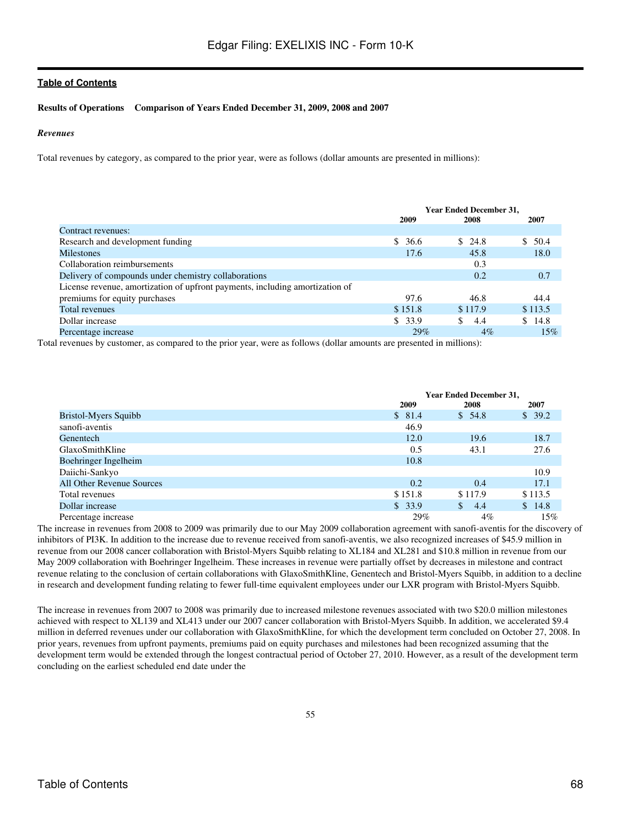## **Results of Operations Comparison of Years Ended December 31, 2009, 2008 and 2007**

### *Revenues*

Total revenues by category, as compared to the prior year, were as follows (dollar amounts are presented in millions):

|                                                                              | <b>Year Ended December 31,</b> |           |             |  |
|------------------------------------------------------------------------------|--------------------------------|-----------|-------------|--|
|                                                                              | 2009                           | 2008      | 2007        |  |
| Contract revenues:                                                           |                                |           |             |  |
| Research and development funding                                             | \$36.6                         | \$24.8    | \$.<br>50.4 |  |
| <b>Milestones</b>                                                            | 17.6                           | 45.8      | 18.0        |  |
| Collaboration reimbursements                                                 |                                | 0.3       |             |  |
| Delivery of compounds under chemistry collaborations                         |                                | 0.2       | 0.7         |  |
| License revenue, amortization of upfront payments, including amortization of |                                |           |             |  |
| premiums for equity purchases                                                | 97.6                           | 46.8      | 44.4        |  |
| Total revenues                                                               | \$151.8                        | \$117.9   | \$113.5     |  |
| Dollar increase                                                              | \$33.9                         | \$<br>4.4 | \$.<br>14.8 |  |
| Percentage increase                                                          | 29%                            | $4\%$     | 15%         |  |

Total revenues by customer, as compared to the prior year, were as follows (dollar amounts are presented in millions):

|                                  |         | <b>Year Ended December 31,</b> |         |  |  |
|----------------------------------|---------|--------------------------------|---------|--|--|
|                                  | 2009    | 2008                           | 2007    |  |  |
| <b>Bristol-Myers Squibb</b>      | \$81.4  | \$54.8                         | \$39.2  |  |  |
| sanofi-aventis                   | 46.9    |                                |         |  |  |
| Genentech                        | 12.0    | 19.6                           | 18.7    |  |  |
| GlaxoSmithKline                  | 0.5     | 43.1                           | 27.6    |  |  |
| Boehringer Ingelheim             | 10.8    |                                |         |  |  |
| Daiichi-Sankyo                   |         |                                | 10.9    |  |  |
| <b>All Other Revenue Sources</b> | 0.2     | 0.4                            | 17.1    |  |  |
| Total revenues                   | \$151.8 | \$117.9                        | \$113.5 |  |  |
| Dollar increase                  | \$33.9  | $\mathbb{S}^-$<br>4.4          | \$14.8  |  |  |
| Percentage increase              | 29%     | $4\%$                          | 15%     |  |  |

The increase in revenues from 2008 to 2009 was primarily due to our May 2009 collaboration agreement with sanofi-aventis for the discovery of inhibitors of PI3K. In addition to the increase due to revenue received from sanofi-aventis, we also recognized increases of \$45.9 million in revenue from our 2008 cancer collaboration with Bristol-Myers Squibb relating to XL184 and XL281 and \$10.8 million in revenue from our May 2009 collaboration with Boehringer Ingelheim. These increases in revenue were partially offset by decreases in milestone and contract revenue relating to the conclusion of certain collaborations with GlaxoSmithKline, Genentech and Bristol-Myers Squibb, in addition to a decline in research and development funding relating to fewer full-time equivalent employees under our LXR program with Bristol-Myers Squibb.

The increase in revenues from 2007 to 2008 was primarily due to increased milestone revenues associated with two \$20.0 million milestones achieved with respect to XL139 and XL413 under our 2007 cancer collaboration with Bristol-Myers Squibb. In addition, we accelerated \$9.4 million in deferred revenues under our collaboration with GlaxoSmithKline, for which the development term concluded on October 27, 2008. In prior years, revenues from upfront payments, premiums paid on equity purchases and milestones had been recognized assuming that the development term would be extended through the longest contractual period of October 27, 2010. However, as a result of the development term concluding on the earliest scheduled end date under the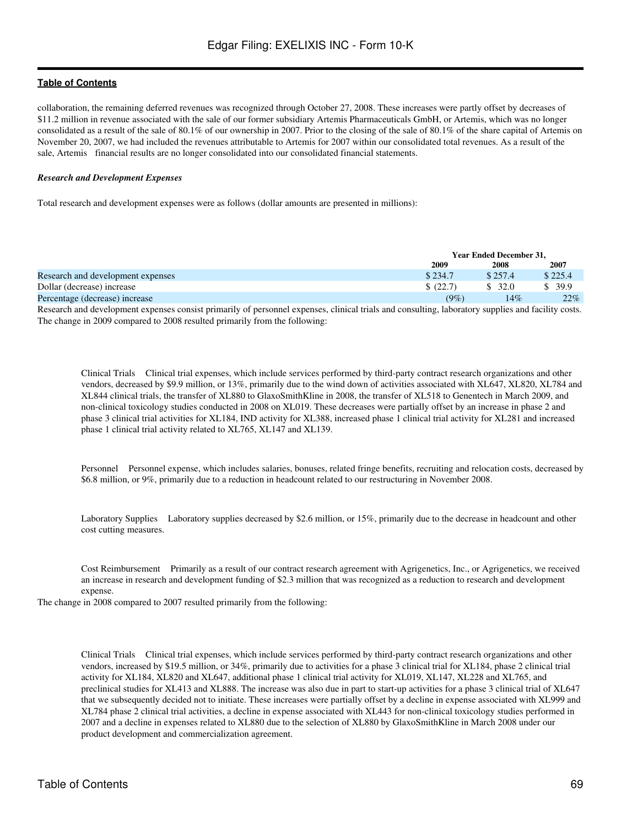collaboration, the remaining deferred revenues was recognized through October 27, 2008. These increases were partly offset by decreases of \$11.2 million in revenue associated with the sale of our former subsidiary Artemis Pharmaceuticals GmbH, or Artemis, which was no longer consolidated as a result of the sale of 80.1% of our ownership in 2007. Prior to the closing of the sale of 80.1% of the share capital of Artemis on November 20, 2007, we had included the revenues attributable to Artemis for 2007 within our consolidated total revenues. As a result of the sale, Artemis financial results are no longer consolidated into our consolidated financial statements.

## *Research and Development Expenses*

Total research and development expenses were as follows (dollar amounts are presented in millions):

|                                   |           | <b>Year Ended December 31,</b> |         |  |  |
|-----------------------------------|-----------|--------------------------------|---------|--|--|
|                                   | 2009      | 2008                           | 2007    |  |  |
| Research and development expenses | \$234.7   | \$257.4                        | \$225.4 |  |  |
| Dollar (decrease) increase        | \$ (22.7) | \$32.0                         | \$39.9  |  |  |
| Percentage (decrease) increase    | $(9\%)$   | 14%                            | $22\%$  |  |  |

Research and development expenses consist primarily of personnel expenses, clinical trials and consulting, laboratory supplies and facility costs. The change in 2009 compared to 2008 resulted primarily from the following:

Clinical Trials Clinical trial expenses, which include services performed by third-party contract research organizations and other vendors, decreased by \$9.9 million, or 13%, primarily due to the wind down of activities associated with XL647, XL820, XL784 and XL844 clinical trials, the transfer of XL880 to GlaxoSmithKline in 2008, the transfer of XL518 to Genentech in March 2009, and non-clinical toxicology studies conducted in 2008 on XL019. These decreases were partially offset by an increase in phase 2 and phase 3 clinical trial activities for XL184, IND activity for XL388, increased phase 1 clinical trial activity for XL281 and increased phase 1 clinical trial activity related to XL765, XL147 and XL139.

Personnel Personnel expense, which includes salaries, bonuses, related fringe benefits, recruiting and relocation costs, decreased by \$6.8 million, or 9%, primarily due to a reduction in headcount related to our restructuring in November 2008.

Laboratory Supplies Laboratory supplies decreased by \$2.6 million, or 15%, primarily due to the decrease in headcount and other cost cutting measures.

Cost Reimbursement Primarily as a result of our contract research agreement with Agrigenetics, Inc., or Agrigenetics, we received an increase in research and development funding of \$2.3 million that was recognized as a reduction to research and development expense.

The change in 2008 compared to 2007 resulted primarily from the following:

Clinical Trials Clinical trial expenses, which include services performed by third-party contract research organizations and other vendors, increased by \$19.5 million, or 34%, primarily due to activities for a phase 3 clinical trial for XL184, phase 2 clinical trial activity for XL184, XL820 and XL647, additional phase 1 clinical trial activity for XL019, XL147, XL228 and XL765, and preclinical studies for XL413 and XL888. The increase was also due in part to start-up activities for a phase 3 clinical trial of XL647 that we subsequently decided not to initiate. These increases were partially offset by a decline in expense associated with XL999 and XL784 phase 2 clinical trial activities, a decline in expense associated with XL443 for non-clinical toxicology studies performed in 2007 and a decline in expenses related to XL880 due to the selection of XL880 by GlaxoSmithKline in March 2008 under our product development and commercialization agreement.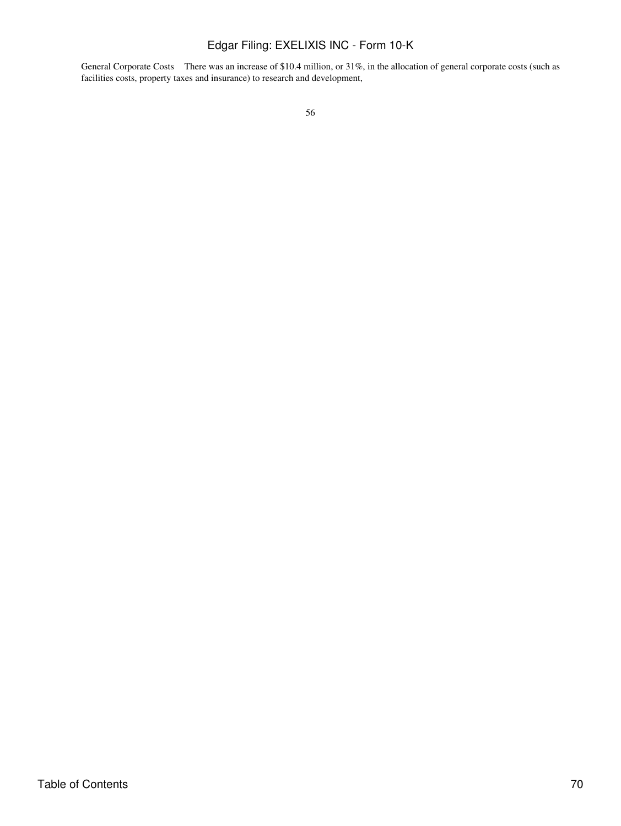# Edgar Filing: EXELIXIS INC - Form 10-K

General Corporate Costs There was an increase of \$10.4 million, or 31%, in the allocation of general corporate costs (such as facilities costs, property taxes and insurance) to research and development,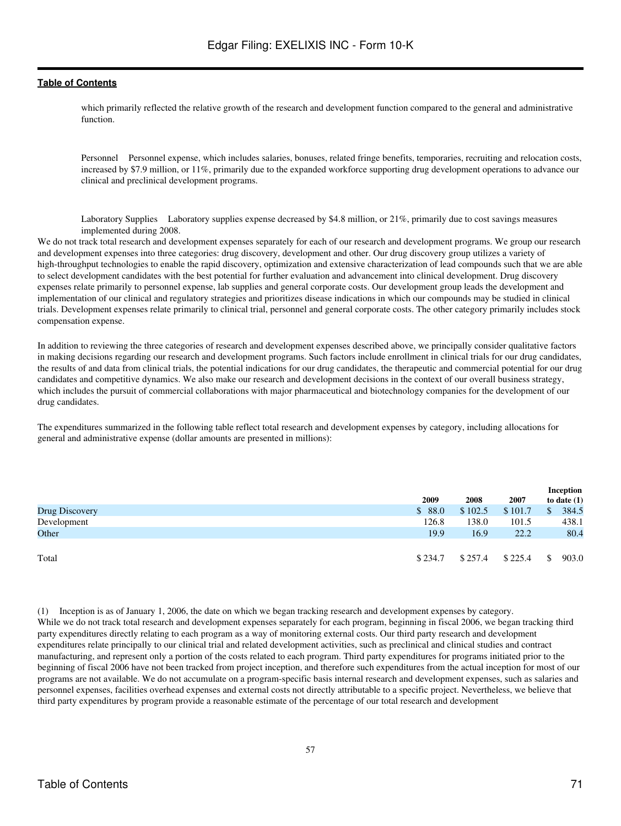which primarily reflected the relative growth of the research and development function compared to the general and administrative function.

Personnel Personnel expense, which includes salaries, bonuses, related fringe benefits, temporaries, recruiting and relocation costs, increased by \$7.9 million, or 11%, primarily due to the expanded workforce supporting drug development operations to advance our clinical and preclinical development programs.

Laboratory Supplies Laboratory supplies expense decreased by \$4.8 million, or 21%, primarily due to cost savings measures implemented during 2008.

We do not track total research and development expenses separately for each of our research and development programs. We group our research and development expenses into three categories: drug discovery, development and other. Our drug discovery group utilizes a variety of high-throughput technologies to enable the rapid discovery, optimization and extensive characterization of lead compounds such that we are able to select development candidates with the best potential for further evaluation and advancement into clinical development. Drug discovery expenses relate primarily to personnel expense, lab supplies and general corporate costs. Our development group leads the development and implementation of our clinical and regulatory strategies and prioritizes disease indications in which our compounds may be studied in clinical trials. Development expenses relate primarily to clinical trial, personnel and general corporate costs. The other category primarily includes stock compensation expense.

In addition to reviewing the three categories of research and development expenses described above, we principally consider qualitative factors in making decisions regarding our research and development programs. Such factors include enrollment in clinical trials for our drug candidates, the results of and data from clinical trials, the potential indications for our drug candidates, the therapeutic and commercial potential for our drug candidates and competitive dynamics. We also make our research and development decisions in the context of our overall business strategy, which includes the pursuit of commercial collaborations with major pharmaceutical and biotechnology companies for the development of our drug candidates.

The expenditures summarized in the following table reflect total research and development expenses by category, including allocations for general and administrative expense (dollar amounts are presented in millions):

|                |         |         |         |                | Inception     |
|----------------|---------|---------|---------|----------------|---------------|
|                | 2009    | 2008    | 2007    |                | to date $(1)$ |
| Drug Discovery | \$88.0  | \$102.5 | \$101.7 | $\mathbb{S}^-$ | 384.5         |
| Development    | 126.8   | 138.0   | 101.5   |                | 438.1         |
| Other          | 19.9    | 16.9    | 22.2    |                | 80.4          |
|                |         |         |         |                |               |
| Total          | \$234.7 | \$257.4 | \$225.4 | \$             | 903.0         |

(1) Inception is as of January 1, 2006, the date on which we began tracking research and development expenses by category. While we do not track total research and development expenses separately for each program, beginning in fiscal 2006, we began tracking third party expenditures directly relating to each program as a way of monitoring external costs. Our third party research and development expenditures relate principally to our clinical trial and related development activities, such as preclinical and clinical studies and contract manufacturing, and represent only a portion of the costs related to each program. Third party expenditures for programs initiated prior to the beginning of fiscal 2006 have not been tracked from project inception, and therefore such expenditures from the actual inception for most of our programs are not available. We do not accumulate on a program-specific basis internal research and development expenses, such as salaries and personnel expenses, facilities overhead expenses and external costs not directly attributable to a specific project. Nevertheless, we believe that third party expenditures by program provide a reasonable estimate of the percentage of our total research and development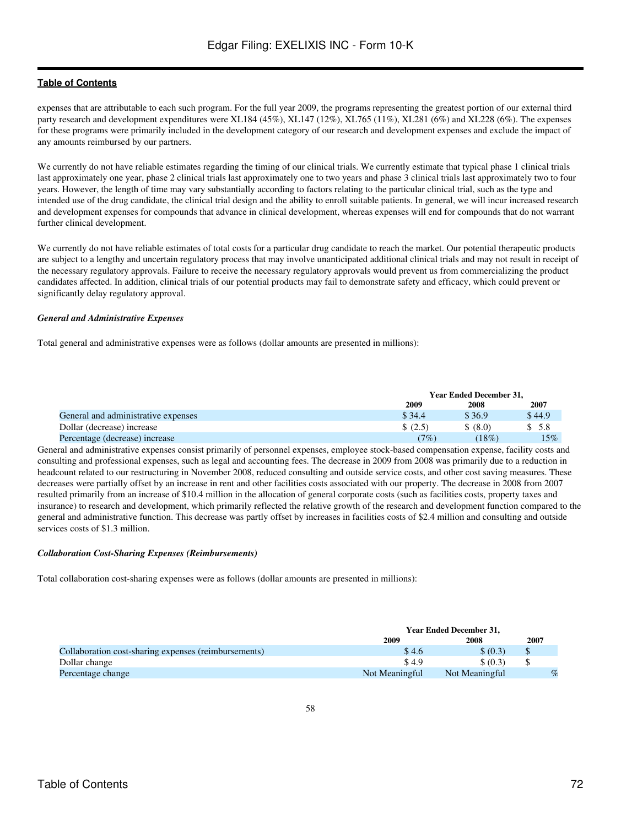expenses that are attributable to each such program. For the full year 2009, the programs representing the greatest portion of our external third party research and development expenditures were XL184 (45%), XL147 (12%), XL765 (11%), XL281 (6%) and XL228 (6%). The expenses for these programs were primarily included in the development category of our research and development expenses and exclude the impact of any amounts reimbursed by our partners.

We currently do not have reliable estimates regarding the timing of our clinical trials. We currently estimate that typical phase 1 clinical trials last approximately one year, phase 2 clinical trials last approximately one to two years and phase 3 clinical trials last approximately two to four years. However, the length of time may vary substantially according to factors relating to the particular clinical trial, such as the type and intended use of the drug candidate, the clinical trial design and the ability to enroll suitable patients. In general, we will incur increased research and development expenses for compounds that advance in clinical development, whereas expenses will end for compounds that do not warrant further clinical development.

We currently do not have reliable estimates of total costs for a particular drug candidate to reach the market. Our potential therapeutic products are subject to a lengthy and uncertain regulatory process that may involve unanticipated additional clinical trials and may not result in receipt of the necessary regulatory approvals. Failure to receive the necessary regulatory approvals would prevent us from commercializing the product candidates affected. In addition, clinical trials of our potential products may fail to demonstrate safety and efficacy, which could prevent or significantly delay regulatory approval.

## *General and Administrative Expenses*

Total general and administrative expenses were as follows (dollar amounts are presented in millions):

|                                     |         | <b>Year Ended December 31,</b> |        |  |  |
|-------------------------------------|---------|--------------------------------|--------|--|--|
|                                     | 2009    | 2008                           | 2007   |  |  |
| General and administrative expenses | \$34.4  | \$36.9                         | \$44.9 |  |  |
| Dollar (decrease) increase          | \$(2.5) | \$ (8.0)                       | \$ 5.8 |  |  |
| Percentage (decrease) increase      | (7%)    | $18\%)$                        | $15\%$ |  |  |

General and administrative expenses consist primarily of personnel expenses, employee stock-based compensation expense, facility costs and consulting and professional expenses, such as legal and accounting fees. The decrease in 2009 from 2008 was primarily due to a reduction in headcount related to our restructuring in November 2008, reduced consulting and outside service costs, and other cost saving measures. These decreases were partially offset by an increase in rent and other facilities costs associated with our property. The decrease in 2008 from 2007 resulted primarily from an increase of \$10.4 million in the allocation of general corporate costs (such as facilities costs, property taxes and insurance) to research and development, which primarily reflected the relative growth of the research and development function compared to the general and administrative function. This decrease was partly offset by increases in facilities costs of \$2.4 million and consulting and outside services costs of \$1.3 million.

## *Collaboration Cost-Sharing Expenses (Reimbursements)*

Total collaboration cost-sharing expenses were as follows (dollar amounts are presented in millions):

|                                                      | <b>Year Ended December 31,</b> |                |      |  |  |
|------------------------------------------------------|--------------------------------|----------------|------|--|--|
|                                                      | 2009                           | 2008           | 2007 |  |  |
| Collaboration cost-sharing expenses (reimbursements) | \$4.6                          | \$ (0.3)       | \$   |  |  |
| Dollar change                                        | \$4.9                          | \$ (0.3)       |      |  |  |
| Percentage change                                    | Not Meaningful                 | Not Meaningful | $\%$ |  |  |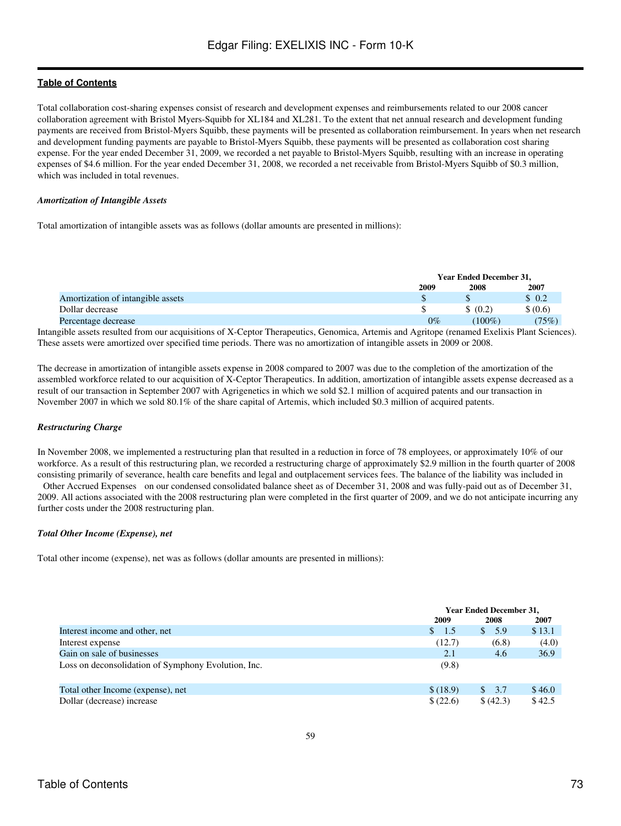Total collaboration cost-sharing expenses consist of research and development expenses and reimbursements related to our 2008 cancer collaboration agreement with Bristol Myers-Squibb for XL184 and XL281. To the extent that net annual research and development funding payments are received from Bristol-Myers Squibb, these payments will be presented as collaboration reimbursement. In years when net research and development funding payments are payable to Bristol-Myers Squibb, these payments will be presented as collaboration cost sharing expense. For the year ended December 31, 2009, we recorded a net payable to Bristol-Myers Squibb, resulting with an increase in operating expenses of \$4.6 million. For the year ended December 31, 2008, we recorded a net receivable from Bristol-Myers Squibb of \$0.3 million, which was included in total revenues.

#### *Amortization of Intangible Assets*

Total amortization of intangible assets was as follows (dollar amounts are presented in millions):

|                                   |       | <b>Year Ended December 31,</b> |          |
|-----------------------------------|-------|--------------------------------|----------|
|                                   | 2009  | 2008                           | 2007     |
| Amortization of intangible assets |       |                                | \$0.2    |
| Dollar decrease                   |       | \$ (0.2)                       | \$ (0.6) |
| Percentage decrease               | $0\%$ | $(100\%)$                      | (75%)    |

Intangible assets resulted from our acquisitions of X-Ceptor Therapeutics, Genomica, Artemis and Agritope (renamed Exelixis Plant Sciences). These assets were amortized over specified time periods. There was no amortization of intangible assets in 2009 or 2008.

The decrease in amortization of intangible assets expense in 2008 compared to 2007 was due to the completion of the amortization of the assembled workforce related to our acquisition of X-Ceptor Therapeutics. In addition, amortization of intangible assets expense decreased as a result of our transaction in September 2007 with Agrigenetics in which we sold \$2.1 million of acquired patents and our transaction in November 2007 in which we sold 80.1% of the share capital of Artemis, which included \$0.3 million of acquired patents.

## *Restructuring Charge*

In November 2008, we implemented a restructuring plan that resulted in a reduction in force of 78 employees, or approximately 10% of our workforce. As a result of this restructuring plan, we recorded a restructuring charge of approximately \$2.9 million in the fourth quarter of 2008 consisting primarily of severance, health care benefits and legal and outplacement services fees. The balance of the liability was included in Other Accrued Expenses on our condensed consolidated balance sheet as of December 31, 2008 and was fully-paid out as of December 31, 2009. All actions associated with the 2008 restructuring plan were completed in the first quarter of 2009, and we do not anticipate incurring any further costs under the 2008 restructuring plan.

#### *Total Other Income (Expense), net*

Total other income (expense), net was as follows (dollar amounts are presented in millions):

|                                                     | <b>Year Ended December 31,</b> |                   |        |  |
|-----------------------------------------------------|--------------------------------|-------------------|--------|--|
|                                                     | 2009                           | 2008              | 2007   |  |
| Interest income and other, net                      | $\frac{1.5}{1.5}$              | S.<br>5.9         | \$13.1 |  |
| Interest expense                                    | (12.7)                         | (6.8)             | (4.0)  |  |
| Gain on sale of businesses                          | 2.1                            | 4.6               | 36.9   |  |
| Loss on deconsolidation of Symphony Evolution, Inc. | (9.8)                          |                   |        |  |
| Total other Income (expense), net                   | \$(18.9)                       | $\frac{1}{2}$ 3.7 | \$46.0 |  |
| Dollar (decrease) increase                          | \$ (22.6)                      | \$ (42.3)         | \$42.5 |  |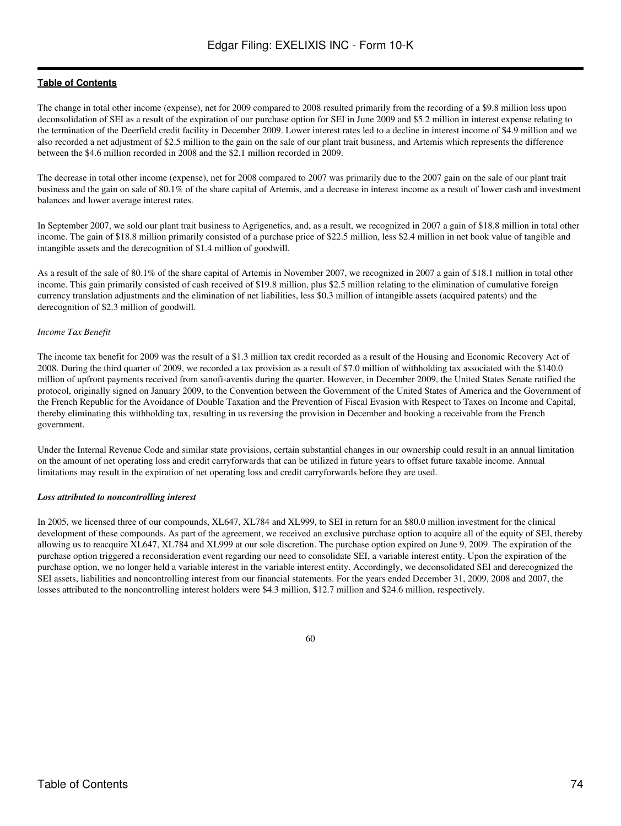The change in total other income (expense), net for 2009 compared to 2008 resulted primarily from the recording of a \$9.8 million loss upon deconsolidation of SEI as a result of the expiration of our purchase option for SEI in June 2009 and \$5.2 million in interest expense relating to the termination of the Deerfield credit facility in December 2009. Lower interest rates led to a decline in interest income of \$4.9 million and we also recorded a net adjustment of \$2.5 million to the gain on the sale of our plant trait business, and Artemis which represents the difference between the \$4.6 million recorded in 2008 and the \$2.1 million recorded in 2009.

The decrease in total other income (expense), net for 2008 compared to 2007 was primarily due to the 2007 gain on the sale of our plant trait business and the gain on sale of 80.1% of the share capital of Artemis, and a decrease in interest income as a result of lower cash and investment balances and lower average interest rates.

In September 2007, we sold our plant trait business to Agrigenetics, and, as a result, we recognized in 2007 a gain of \$18.8 million in total other income. The gain of \$18.8 million primarily consisted of a purchase price of \$22.5 million, less \$2.4 million in net book value of tangible and intangible assets and the derecognition of \$1.4 million of goodwill.

As a result of the sale of 80.1% of the share capital of Artemis in November 2007, we recognized in 2007 a gain of \$18.1 million in total other income. This gain primarily consisted of cash received of \$19.8 million, plus \$2.5 million relating to the elimination of cumulative foreign currency translation adjustments and the elimination of net liabilities, less \$0.3 million of intangible assets (acquired patents) and the derecognition of \$2.3 million of goodwill.

#### *Income Tax Benefit*

The income tax benefit for 2009 was the result of a \$1.3 million tax credit recorded as a result of the Housing and Economic Recovery Act of 2008. During the third quarter of 2009, we recorded a tax provision as a result of \$7.0 million of withholding tax associated with the \$140.0 million of upfront payments received from sanofi-aventis during the quarter. However, in December 2009, the United States Senate ratified the protocol, originally signed on January 2009, to the Convention between the Government of the United States of America and the Government of the French Republic for the Avoidance of Double Taxation and the Prevention of Fiscal Evasion with Respect to Taxes on Income and Capital, thereby eliminating this withholding tax, resulting in us reversing the provision in December and booking a receivable from the French government.

Under the Internal Revenue Code and similar state provisions, certain substantial changes in our ownership could result in an annual limitation on the amount of net operating loss and credit carryforwards that can be utilized in future years to offset future taxable income. Annual limitations may result in the expiration of net operating loss and credit carryforwards before they are used.

## *Loss attributed to noncontrolling interest*

In 2005, we licensed three of our compounds, XL647, XL784 and XL999, to SEI in return for an \$80.0 million investment for the clinical development of these compounds. As part of the agreement, we received an exclusive purchase option to acquire all of the equity of SEI, thereby allowing us to reacquire XL647, XL784 and XL999 at our sole discretion. The purchase option expired on June 9, 2009. The expiration of the purchase option triggered a reconsideration event regarding our need to consolidate SEI, a variable interest entity. Upon the expiration of the purchase option, we no longer held a variable interest in the variable interest entity. Accordingly, we deconsolidated SEI and derecognized the SEI assets, liabilities and noncontrolling interest from our financial statements. For the years ended December 31, 2009, 2008 and 2007, the losses attributed to the noncontrolling interest holders were \$4.3 million, \$12.7 million and \$24.6 million, respectively.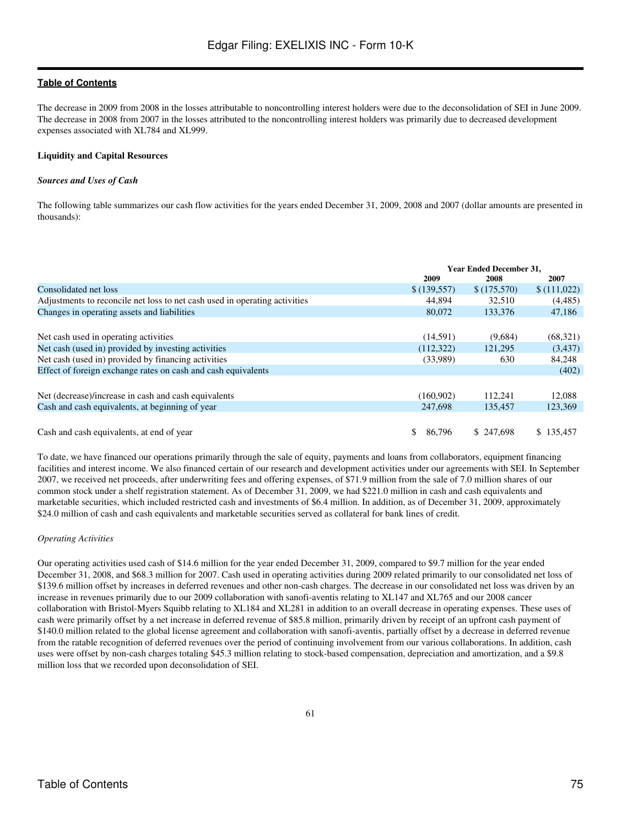The decrease in 2009 from 2008 in the losses attributable to noncontrolling interest holders were due to the deconsolidation of SEI in June 2009. The decrease in 2008 from 2007 in the losses attributed to the noncontrolling interest holders was primarily due to decreased development expenses associated with XL784 and XL999.

### **Liquidity and Capital Resources**

### *Sources and Uses of Cash*

The following table summarizes our cash flow activities for the years ended December 31, 2009, 2008 and 2007 (dollar amounts are presented in thousands):

|                                                                            | <b>Year Ended December 31,</b> |             |             |  |  |  |
|----------------------------------------------------------------------------|--------------------------------|-------------|-------------|--|--|--|
|                                                                            | 2009                           | 2008        | 2007        |  |  |  |
| Consolidated net loss                                                      | \$(139,557)                    | \$(175,570) | \$(111,022) |  |  |  |
| Adjustments to reconcile net loss to net cash used in operating activities | 44,894                         | 32,510      | (4, 485)    |  |  |  |
| Changes in operating assets and liabilities                                | 80,072                         | 133,376     | 47,186      |  |  |  |
|                                                                            |                                |             |             |  |  |  |
| Net cash used in operating activities                                      | (14,591)                       | (9,684)     | (68,321)    |  |  |  |
| Net cash (used in) provided by investing activities                        | (112,322)                      | 121,295     | (3,437)     |  |  |  |
| Net cash (used in) provided by financing activities                        | (33,989)                       | 630         | 84,248      |  |  |  |
| Effect of foreign exchange rates on cash and cash equivalents              |                                |             | (402)       |  |  |  |
|                                                                            |                                |             |             |  |  |  |
| Net (decrease)/increase in cash and cash equivalents                       | (160, 902)                     | 112.241     | 12,088      |  |  |  |
| Cash and cash equivalents, at beginning of year                            | 247,698                        | 135,457     | 123,369     |  |  |  |
|                                                                            |                                |             |             |  |  |  |
| Cash and cash equivalents, at end of year                                  | \$.<br>86.796                  | \$247,698   | \$135,457   |  |  |  |

To date, we have financed our operations primarily through the sale of equity, payments and loans from collaborators, equipment financing facilities and interest income. We also financed certain of our research and development activities under our agreements with SEI. In September 2007, we received net proceeds, after underwriting fees and offering expenses, of \$71.9 million from the sale of 7.0 million shares of our common stock under a shelf registration statement. As of December 31, 2009, we had \$221.0 million in cash and cash equivalents and marketable securities, which included restricted cash and investments of \$6.4 million. In addition, as of December 31, 2009, approximately \$24.0 million of cash and cash equivalents and marketable securities served as collateral for bank lines of credit.

#### *Operating Activities*

Our operating activities used cash of \$14.6 million for the year ended December 31, 2009, compared to \$9.7 million for the year ended December 31, 2008, and \$68.3 million for 2007. Cash used in operating activities during 2009 related primarily to our consolidated net loss of \$139.6 million offset by increases in deferred revenues and other non-cash charges. The decrease in our consolidated net loss was driven by an increase in revenues primarily due to our 2009 collaboration with sanofi-aventis relating to XL147 and XL765 and our 2008 cancer collaboration with Bristol-Myers Squibb relating to XL184 and XL281 in addition to an overall decrease in operating expenses. These uses of cash were primarily offset by a net increase in deferred revenue of \$85.8 million, primarily driven by receipt of an upfront cash payment of \$140.0 million related to the global license agreement and collaboration with sanofi-aventis, partially offset by a decrease in deferred revenue from the ratable recognition of deferred revenues over the period of continuing involvement from our various collaborations. In addition, cash uses were offset by non-cash charges totaling \$45.3 million relating to stock-based compensation, depreciation and amortization, and a \$9.8 million loss that we recorded upon deconsolidation of SEI.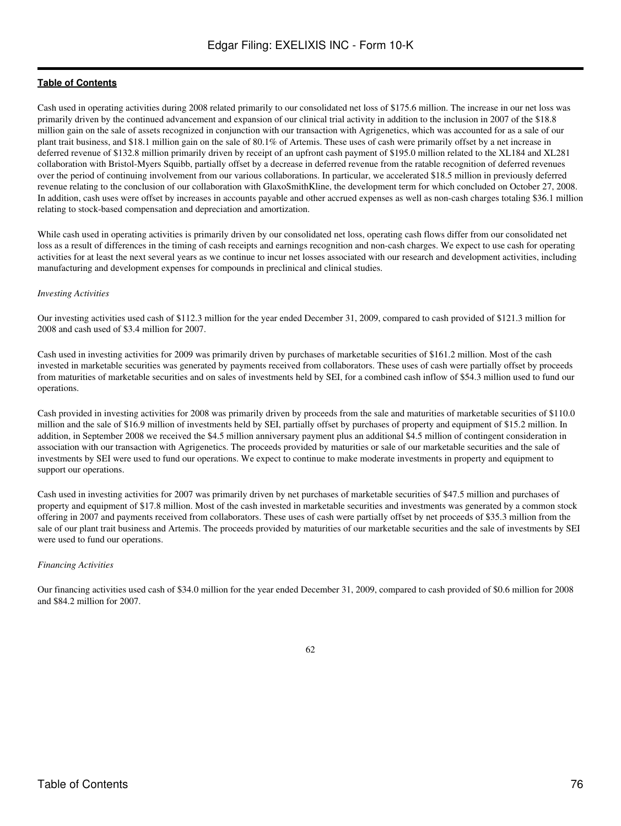Cash used in operating activities during 2008 related primarily to our consolidated net loss of \$175.6 million. The increase in our net loss was primarily driven by the continued advancement and expansion of our clinical trial activity in addition to the inclusion in 2007 of the \$18.8 million gain on the sale of assets recognized in conjunction with our transaction with Agrigenetics, which was accounted for as a sale of our plant trait business, and \$18.1 million gain on the sale of 80.1% of Artemis. These uses of cash were primarily offset by a net increase in deferred revenue of \$132.8 million primarily driven by receipt of an upfront cash payment of \$195.0 million related to the XL184 and XL281 collaboration with Bristol-Myers Squibb, partially offset by a decrease in deferred revenue from the ratable recognition of deferred revenues over the period of continuing involvement from our various collaborations. In particular, we accelerated \$18.5 million in previously deferred revenue relating to the conclusion of our collaboration with GlaxoSmithKline, the development term for which concluded on October 27, 2008. In addition, cash uses were offset by increases in accounts payable and other accrued expenses as well as non-cash charges totaling \$36.1 million relating to stock-based compensation and depreciation and amortization.

While cash used in operating activities is primarily driven by our consolidated net loss, operating cash flows differ from our consolidated net loss as a result of differences in the timing of cash receipts and earnings recognition and non-cash charges. We expect to use cash for operating activities for at least the next several years as we continue to incur net losses associated with our research and development activities, including manufacturing and development expenses for compounds in preclinical and clinical studies.

#### *Investing Activities*

Our investing activities used cash of \$112.3 million for the year ended December 31, 2009, compared to cash provided of \$121.3 million for 2008 and cash used of \$3.4 million for 2007.

Cash used in investing activities for 2009 was primarily driven by purchases of marketable securities of \$161.2 million. Most of the cash invested in marketable securities was generated by payments received from collaborators. These uses of cash were partially offset by proceeds from maturities of marketable securities and on sales of investments held by SEI, for a combined cash inflow of \$54.3 million used to fund our operations.

Cash provided in investing activities for 2008 was primarily driven by proceeds from the sale and maturities of marketable securities of \$110.0 million and the sale of \$16.9 million of investments held by SEI, partially offset by purchases of property and equipment of \$15.2 million. In addition, in September 2008 we received the \$4.5 million anniversary payment plus an additional \$4.5 million of contingent consideration in association with our transaction with Agrigenetics. The proceeds provided by maturities or sale of our marketable securities and the sale of investments by SEI were used to fund our operations. We expect to continue to make moderate investments in property and equipment to support our operations.

Cash used in investing activities for 2007 was primarily driven by net purchases of marketable securities of \$47.5 million and purchases of property and equipment of \$17.8 million. Most of the cash invested in marketable securities and investments was generated by a common stock offering in 2007 and payments received from collaborators. These uses of cash were partially offset by net proceeds of \$35.3 million from the sale of our plant trait business and Artemis. The proceeds provided by maturities of our marketable securities and the sale of investments by SEI were used to fund our operations.

## *Financing Activities*

Our financing activities used cash of \$34.0 million for the year ended December 31, 2009, compared to cash provided of \$0.6 million for 2008 and \$84.2 million for 2007.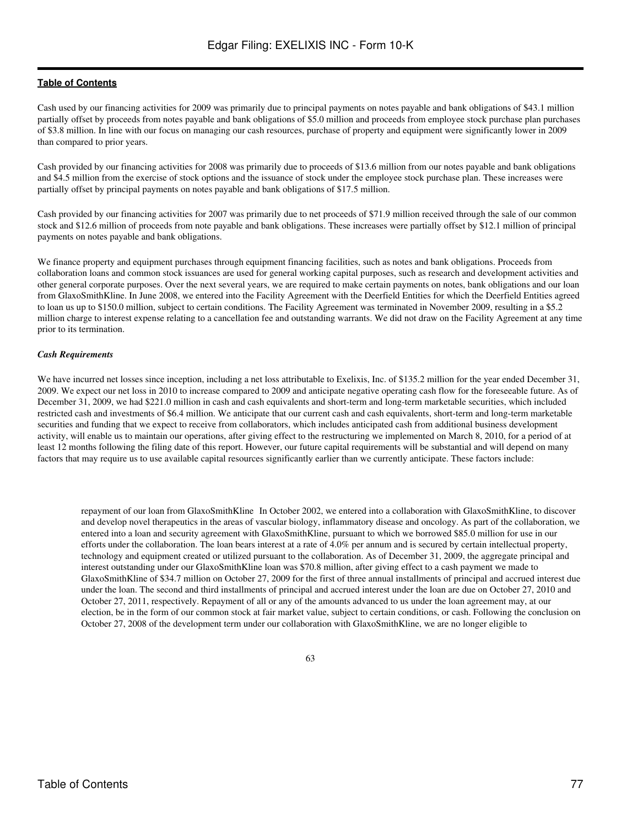Cash used by our financing activities for 2009 was primarily due to principal payments on notes payable and bank obligations of \$43.1 million partially offset by proceeds from notes payable and bank obligations of \$5.0 million and proceeds from employee stock purchase plan purchases of \$3.8 million. In line with our focus on managing our cash resources, purchase of property and equipment were significantly lower in 2009 than compared to prior years.

Cash provided by our financing activities for 2008 was primarily due to proceeds of \$13.6 million from our notes payable and bank obligations and \$4.5 million from the exercise of stock options and the issuance of stock under the employee stock purchase plan. These increases were partially offset by principal payments on notes payable and bank obligations of \$17.5 million.

Cash provided by our financing activities for 2007 was primarily due to net proceeds of \$71.9 million received through the sale of our common stock and \$12.6 million of proceeds from note payable and bank obligations. These increases were partially offset by \$12.1 million of principal payments on notes payable and bank obligations.

We finance property and equipment purchases through equipment financing facilities, such as notes and bank obligations. Proceeds from collaboration loans and common stock issuances are used for general working capital purposes, such as research and development activities and other general corporate purposes. Over the next several years, we are required to make certain payments on notes, bank obligations and our loan from GlaxoSmithKline. In June 2008, we entered into the Facility Agreement with the Deerfield Entities for which the Deerfield Entities agreed to loan us up to \$150.0 million, subject to certain conditions. The Facility Agreement was terminated in November 2009, resulting in a \$5.2 million charge to interest expense relating to a cancellation fee and outstanding warrants. We did not draw on the Facility Agreement at any time prior to its termination.

## *Cash Requirements*

We have incurred net losses since inception, including a net loss attributable to Exelixis, Inc. of \$135.2 million for the year ended December 31, 2009. We expect our net loss in 2010 to increase compared to 2009 and anticipate negative operating cash flow for the foreseeable future. As of December 31, 2009, we had \$221.0 million in cash and cash equivalents and short-term and long-term marketable securities, which included restricted cash and investments of \$6.4 million. We anticipate that our current cash and cash equivalents, short-term and long-term marketable securities and funding that we expect to receive from collaborators, which includes anticipated cash from additional business development activity, will enable us to maintain our operations, after giving effect to the restructuring we implemented on March 8, 2010, for a period of at least 12 months following the filing date of this report. However, our future capital requirements will be substantial and will depend on many factors that may require us to use available capital resources significantly earlier than we currently anticipate. These factors include:

repayment of our loan from GlaxoSmithKline In October 2002, we entered into a collaboration with GlaxoSmithKline, to discover and develop novel therapeutics in the areas of vascular biology, inflammatory disease and oncology. As part of the collaboration, we entered into a loan and security agreement with GlaxoSmithKline, pursuant to which we borrowed \$85.0 million for use in our efforts under the collaboration. The loan bears interest at a rate of 4.0% per annum and is secured by certain intellectual property, technology and equipment created or utilized pursuant to the collaboration. As of December 31, 2009, the aggregate principal and interest outstanding under our GlaxoSmithKline loan was \$70.8 million, after giving effect to a cash payment we made to GlaxoSmithKline of \$34.7 million on October 27, 2009 for the first of three annual installments of principal and accrued interest due under the loan. The second and third installments of principal and accrued interest under the loan are due on October 27, 2010 and October 27, 2011, respectively. Repayment of all or any of the amounts advanced to us under the loan agreement may, at our election, be in the form of our common stock at fair market value, subject to certain conditions, or cash. Following the conclusion on October 27, 2008 of the development term under our collaboration with GlaxoSmithKline, we are no longer eligible to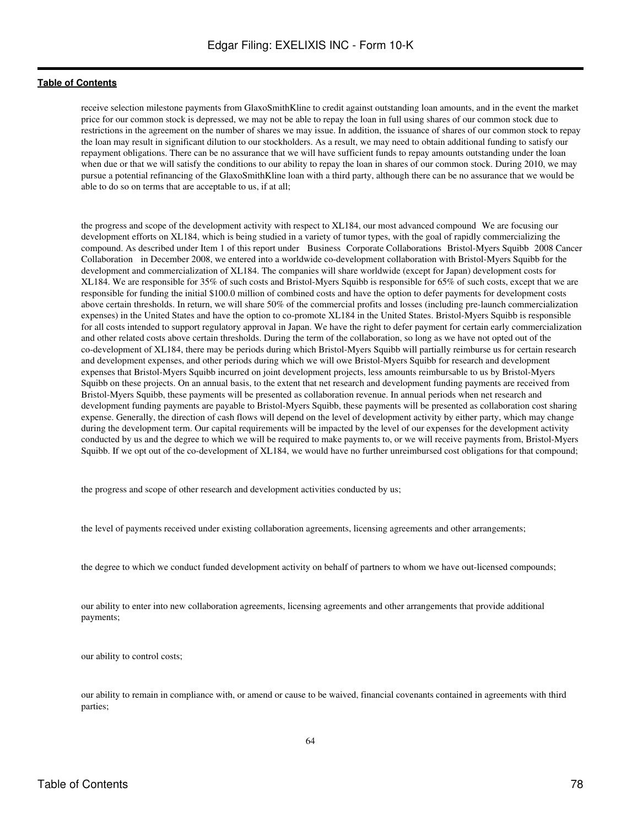receive selection milestone payments from GlaxoSmithKline to credit against outstanding loan amounts, and in the event the market price for our common stock is depressed, we may not be able to repay the loan in full using shares of our common stock due to restrictions in the agreement on the number of shares we may issue. In addition, the issuance of shares of our common stock to repay the loan may result in significant dilution to our stockholders. As a result, we may need to obtain additional funding to satisfy our repayment obligations. There can be no assurance that we will have sufficient funds to repay amounts outstanding under the loan when due or that we will satisfy the conditions to our ability to repay the loan in shares of our common stock. During 2010, we may pursue a potential refinancing of the GlaxoSmithKline loan with a third party, although there can be no assurance that we would be able to do so on terms that are acceptable to us, if at all;

the progress and scope of the development activity with respect to XL184, our most advanced compound We are focusing our development efforts on XL184, which is being studied in a variety of tumor types, with the goal of rapidly commercializing the compound. As described under Item 1 of this report under Business Corporate Collaborations Bristol-Myers Squibb 2008 Cancer Collaboration in December 2008, we entered into a worldwide co-development collaboration with Bristol-Myers Squibb for the development and commercialization of XL184. The companies will share worldwide (except for Japan) development costs for XL184. We are responsible for 35% of such costs and Bristol-Myers Squibb is responsible for 65% of such costs, except that we are responsible for funding the initial \$100.0 million of combined costs and have the option to defer payments for development costs above certain thresholds. In return, we will share 50% of the commercial profits and losses (including pre-launch commercialization expenses) in the United States and have the option to co-promote XL184 in the United States. Bristol-Myers Squibb is responsible for all costs intended to support regulatory approval in Japan. We have the right to defer payment for certain early commercialization and other related costs above certain thresholds. During the term of the collaboration, so long as we have not opted out of the co-development of XL184, there may be periods during which Bristol-Myers Squibb will partially reimburse us for certain research and development expenses, and other periods during which we will owe Bristol-Myers Squibb for research and development expenses that Bristol-Myers Squibb incurred on joint development projects, less amounts reimbursable to us by Bristol-Myers Squibb on these projects. On an annual basis, to the extent that net research and development funding payments are received from Bristol-Myers Squibb, these payments will be presented as collaboration revenue. In annual periods when net research and development funding payments are payable to Bristol-Myers Squibb, these payments will be presented as collaboration cost sharing expense. Generally, the direction of cash flows will depend on the level of development activity by either party, which may change during the development term. Our capital requirements will be impacted by the level of our expenses for the development activity conducted by us and the degree to which we will be required to make payments to, or we will receive payments from, Bristol-Myers Squibb. If we opt out of the co-development of XL184, we would have no further unreimbursed cost obligations for that compound;

the progress and scope of other research and development activities conducted by us;

the level of payments received under existing collaboration agreements, licensing agreements and other arrangements;

the degree to which we conduct funded development activity on behalf of partners to whom we have out-licensed compounds;

our ability to enter into new collaboration agreements, licensing agreements and other arrangements that provide additional payments;

our ability to control costs;

our ability to remain in compliance with, or amend or cause to be waived, financial covenants contained in agreements with third parties;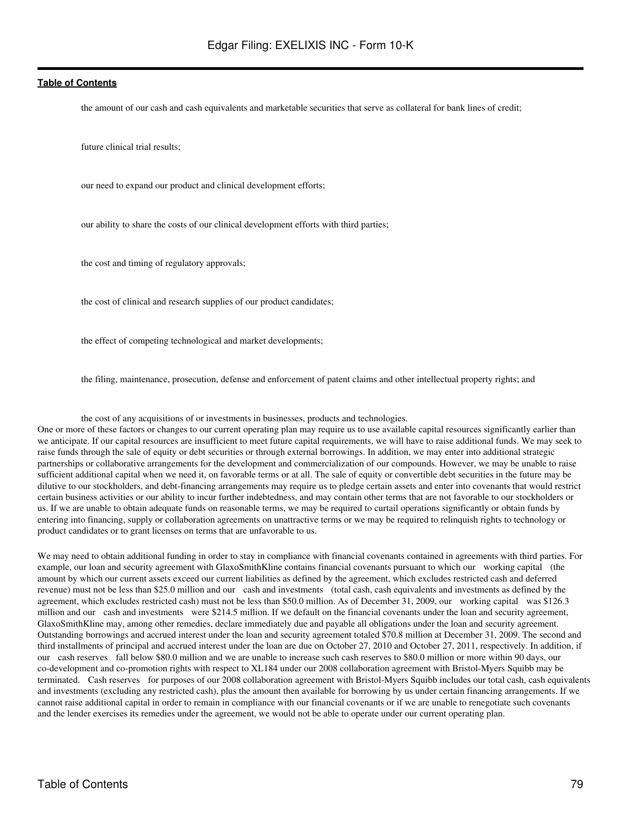the amount of our cash and cash equivalents and marketable securities that serve as collateral for bank lines of credit;

future clinical trial results;

our need to expand our product and clinical development efforts;

our ability to share the costs of our clinical development efforts with third parties;

the cost and timing of regulatory approvals;

the cost of clinical and research supplies of our product candidates;

the effect of competing technological and market developments;

the filing, maintenance, prosecution, defense and enforcement of patent claims and other intellectual property rights; and

the cost of any acquisitions of or investments in businesses, products and technologies. One or more of these factors or changes to our current operating plan may require us to use available capital resources significantly earlier than we anticipate. If our capital resources are insufficient to meet future capital requirements, we will have to raise additional funds. We may seek to raise funds through the sale of equity or debt securities or through external borrowings. In addition, we may enter into additional strategic partnerships or collaborative arrangements for the development and commercialization of our compounds. However, we may be unable to raise sufficient additional capital when we need it, on favorable terms or at all. The sale of equity or convertible debt securities in the future may be dilutive to our stockholders, and debt-financing arrangements may require us to pledge certain assets and enter into covenants that would restrict certain business activities or our ability to incur further indebtedness, and may contain other terms that are not favorable to our stockholders or us. If we are unable to obtain adequate funds on reasonable terms, we may be required to curtail operations significantly or obtain funds by entering into financing, supply or collaboration agreements on unattractive terms or we may be required to relinquish rights to technology or product candidates or to grant licenses on terms that are unfavorable to us.

We may need to obtain additional funding in order to stay in compliance with financial covenants contained in agreements with third parties. For example, our loan and security agreement with GlaxoSmithKline contains financial covenants pursuant to which our working capital (the amount by which our current assets exceed our current liabilities as defined by the agreement, which excludes restricted cash and deferred revenue) must not be less than \$25.0 million and our cash and investments (total cash, cash equivalents and investments as defined by the agreement, which excludes restricted cash) must not be less than \$50.0 million. As of December 31, 2009, our working capital was \$126.3 million and our cash and investments were \$214.5 million. If we default on the financial covenants under the loan and security agreement, GlaxoSmithKline may, among other remedies, declare immediately due and payable all obligations under the loan and security agreement. Outstanding borrowings and accrued interest under the loan and security agreement totaled \$70.8 million at December 31, 2009. The second and third installments of principal and accrued interest under the loan are due on October 27, 2010 and October 27, 2011, respectively. In addition, if our cash reserves fall below \$80.0 million and we are unable to increase such cash reserves to \$80.0 million or more within 90 days, our co-development and co-promotion rights with respect to XL184 under our 2008 collaboration agreement with Bristol-Myers Squibb may be terminated. Cash reserves for purposes of our 2008 collaboration agreement with Bristol-Myers Squibb includes our total cash, cash equivalents and investments (excluding any restricted cash), plus the amount then available for borrowing by us under certain financing arrangements. If we cannot raise additional capital in order to remain in compliance with our financial covenants or if we are unable to renegotiate such covenants and the lender exercises its remedies under the agreement, we would not be able to operate under our current operating plan.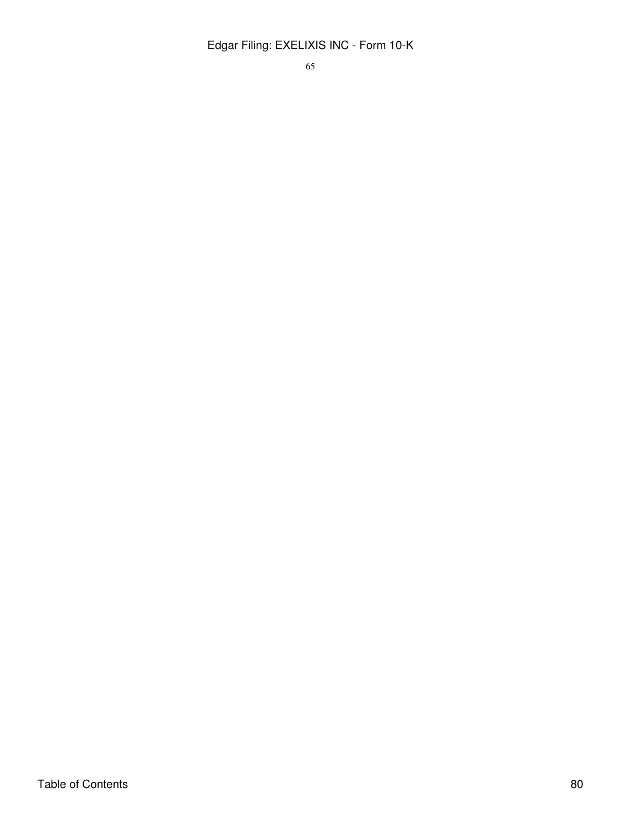# Edgar Filing: EXELIXIS INC - Form 10-K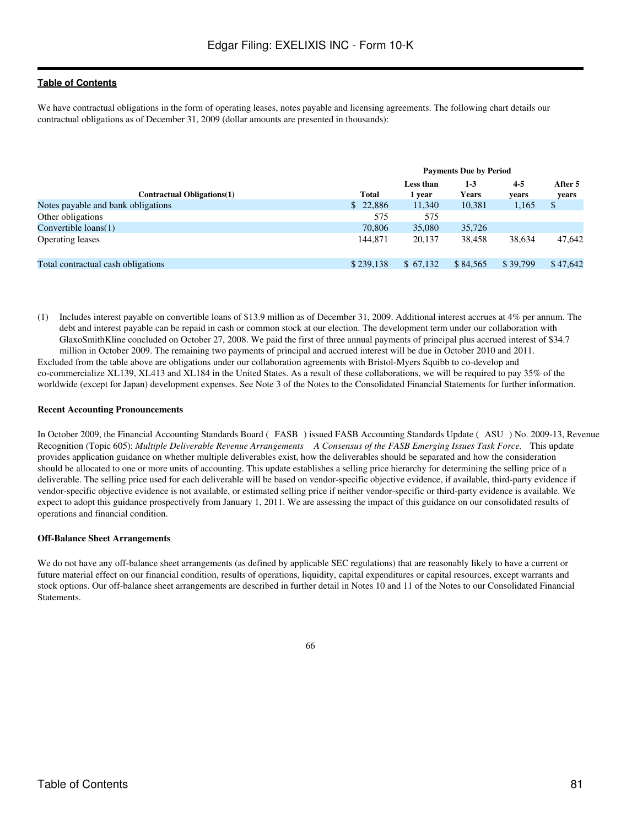We have contractual obligations in the form of operating leases, notes payable and licensing agreements. The following chart details our contractual obligations as of December 31, 2009 (dollar amounts are presented in thousands):

|                                    | <b>Payments Due by Period</b> |                  |          |          |          |  |  |  |
|------------------------------------|-------------------------------|------------------|----------|----------|----------|--|--|--|
|                                    |                               | <b>Less than</b> | 1-3      | $4 - 5$  | After 5  |  |  |  |
| <b>Contractual Obligations(1)</b>  | <b>Total</b>                  | 1 year           | Years    | vears    | years    |  |  |  |
| Notes payable and bank obligations | \$22.886                      | 11,340           | 10,381   | 1,165    | \$       |  |  |  |
| Other obligations                  | 575                           | 575              |          |          |          |  |  |  |
| Convertible $loans(1)$             | 70,806                        | 35,080           | 35,726   |          |          |  |  |  |
| <b>Operating leases</b>            | 144,871                       | 20,137           | 38.458   | 38.634   | 47,642   |  |  |  |
|                                    |                               |                  |          |          |          |  |  |  |
| Total contractual cash obligations | \$239,138                     | \$67.132         | \$84.565 | \$39,799 | \$47,642 |  |  |  |

(1) Includes interest payable on convertible loans of \$13.9 million as of December 31, 2009. Additional interest accrues at 4% per annum. The debt and interest payable can be repaid in cash or common stock at our election. The development term under our collaboration with GlaxoSmithKline concluded on October 27, 2008. We paid the first of three annual payments of principal plus accrued interest of \$34.7 million in October 2009. The remaining two payments of principal and accrued interest will be due in October 2010 and 2011.

Excluded from the table above are obligations under our collaboration agreements with Bristol-Myers Squibb to co-develop and co-commercialize XL139, XL413 and XL184 in the United States. As a result of these collaborations, we will be required to pay 35% of the worldwide (except for Japan) development expenses. See Note 3 of the Notes to the Consolidated Financial Statements for further information.

#### **Recent Accounting Pronouncements**

In October 2009, the Financial Accounting Standards Board (FASB) issued FASB Accounting Standards Update (ASU) No. 2009-13, Revenue Recognition (Topic 605): *Multiple Deliverable Revenue Arrangements A Consensus of the FASB Emerging Issues Task Force.* This update provides application guidance on whether multiple deliverables exist, how the deliverables should be separated and how the consideration should be allocated to one or more units of accounting. This update establishes a selling price hierarchy for determining the selling price of a deliverable. The selling price used for each deliverable will be based on vendor-specific objective evidence, if available, third-party evidence if vendor-specific objective evidence is not available, or estimated selling price if neither vendor-specific or third-party evidence is available. We expect to adopt this guidance prospectively from January 1, 2011. We are assessing the impact of this guidance on our consolidated results of operations and financial condition.

## **Off-Balance Sheet Arrangements**

We do not have any off-balance sheet arrangements (as defined by applicable SEC regulations) that are reasonably likely to have a current or future material effect on our financial condition, results of operations, liquidity, capital expenditures or capital resources, except warrants and stock options. Our off-balance sheet arrangements are described in further detail in Notes 10 and 11 of the Notes to our Consolidated Financial Statements.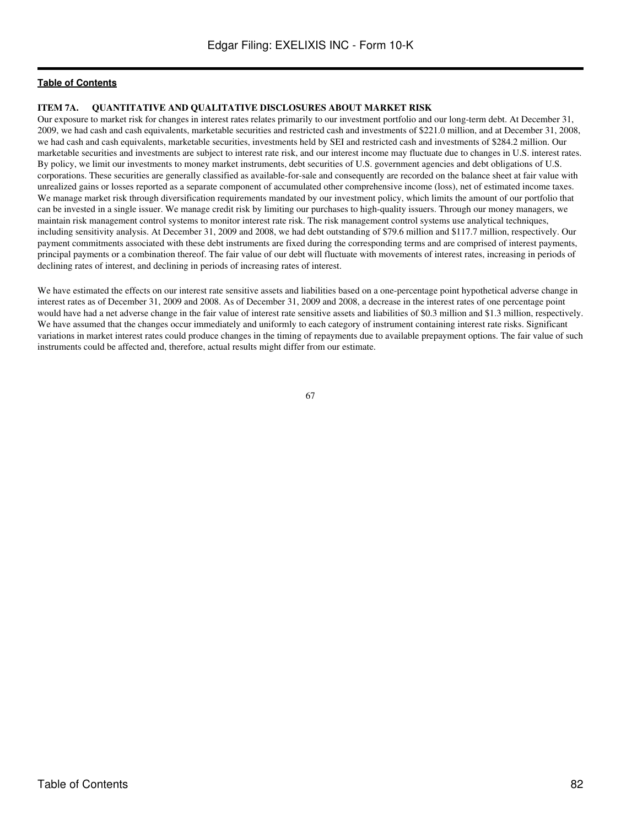### **ITEM 7A. QUANTITATIVE AND QUALITATIVE DISCLOSURES ABOUT MARKET RISK**

Our exposure to market risk for changes in interest rates relates primarily to our investment portfolio and our long-term debt. At December 31, 2009, we had cash and cash equivalents, marketable securities and restricted cash and investments of \$221.0 million, and at December 31, 2008, we had cash and cash equivalents, marketable securities, investments held by SEI and restricted cash and investments of \$284.2 million. Our marketable securities and investments are subject to interest rate risk, and our interest income may fluctuate due to changes in U.S. interest rates. By policy, we limit our investments to money market instruments, debt securities of U.S. government agencies and debt obligations of U.S. corporations. These securities are generally classified as available-for-sale and consequently are recorded on the balance sheet at fair value with unrealized gains or losses reported as a separate component of accumulated other comprehensive income (loss), net of estimated income taxes. We manage market risk through diversification requirements mandated by our investment policy, which limits the amount of our portfolio that can be invested in a single issuer. We manage credit risk by limiting our purchases to high-quality issuers. Through our money managers, we maintain risk management control systems to monitor interest rate risk. The risk management control systems use analytical techniques, including sensitivity analysis. At December 31, 2009 and 2008, we had debt outstanding of \$79.6 million and \$117.7 million, respectively. Our payment commitments associated with these debt instruments are fixed during the corresponding terms and are comprised of interest payments, principal payments or a combination thereof. The fair value of our debt will fluctuate with movements of interest rates, increasing in periods of declining rates of interest, and declining in periods of increasing rates of interest.

We have estimated the effects on our interest rate sensitive assets and liabilities based on a one-percentage point hypothetical adverse change in interest rates as of December 31, 2009 and 2008. As of December 31, 2009 and 2008, a decrease in the interest rates of one percentage point would have had a net adverse change in the fair value of interest rate sensitive assets and liabilities of \$0.3 million and \$1.3 million, respectively. We have assumed that the changes occur immediately and uniformly to each category of instrument containing interest rate risks. Significant variations in market interest rates could produce changes in the timing of repayments due to available prepayment options. The fair value of such instruments could be affected and, therefore, actual results might differ from our estimate.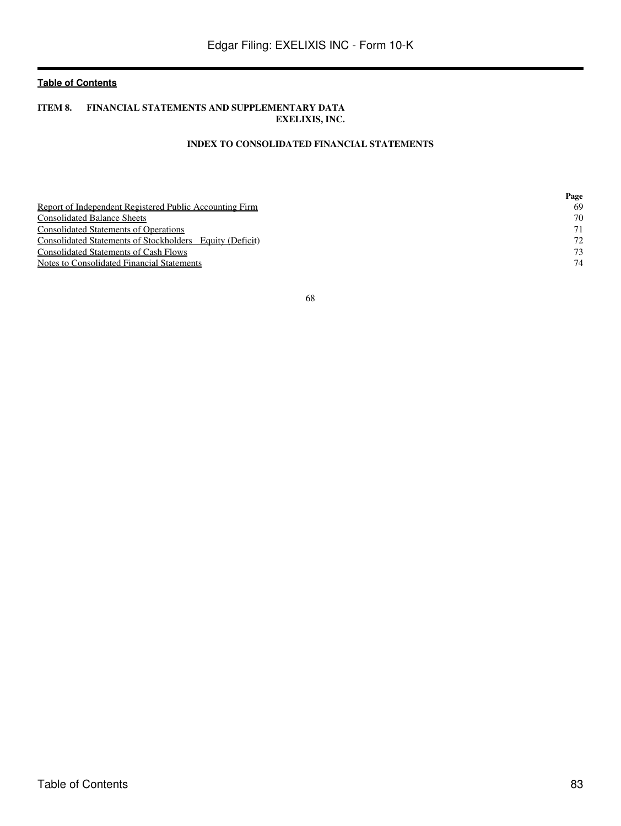### **ITEM 8. FINANCIAL STATEMENTS AND SUPPLEMENTARY DATA EXELIXIS, INC.**

# **INDEX TO CONSOLIDATED FINANCIAL STATEMENTS**

| Page |
|------|
| 69   |
| 70   |
| 71   |
| 72   |
| 73   |
| 74   |
|      |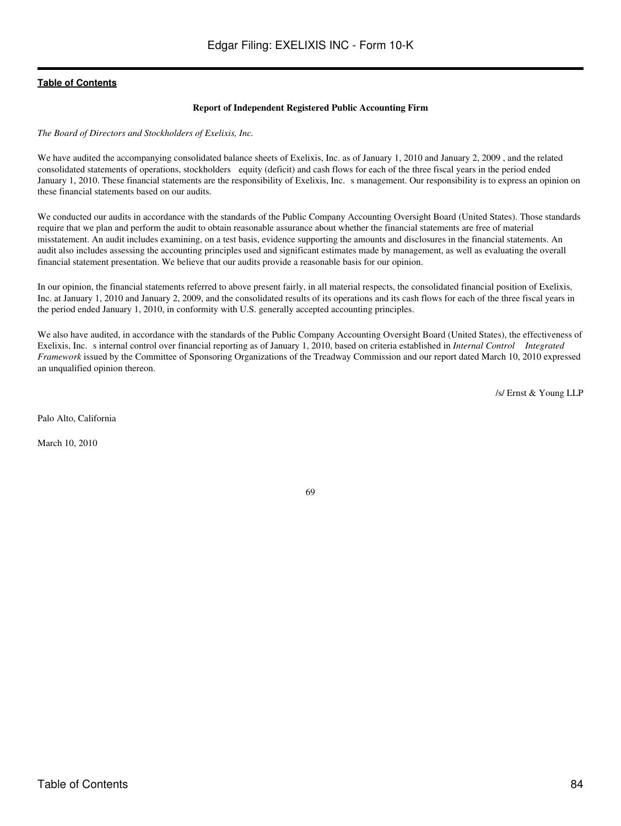### **Report of Independent Registered Public Accounting Firm**

<span id="page-83-0"></span>*The Board of Directors and Stockholders of Exelixis, Inc.*

We have audited the accompanying consolidated balance sheets of Exelixis, Inc. as of January 1, 2010 and January 2, 2009 , and the related consolidated statements of operations, stockholders equity (deficit) and cash flows for each of the three fiscal years in the period ended January 1, 2010. These financial statements are the responsibility of Exelixis, Inc. s management. Our responsibility is to express an opinion on these financial statements based on our audits.

We conducted our audits in accordance with the standards of the Public Company Accounting Oversight Board (United States). Those standards require that we plan and perform the audit to obtain reasonable assurance about whether the financial statements are free of material misstatement. An audit includes examining, on a test basis, evidence supporting the amounts and disclosures in the financial statements. An audit also includes assessing the accounting principles used and significant estimates made by management, as well as evaluating the overall financial statement presentation. We believe that our audits provide a reasonable basis for our opinion.

In our opinion, the financial statements referred to above present fairly, in all material respects, the consolidated financial position of Exelixis, Inc. at January 1, 2010 and January 2, 2009, and the consolidated results of its operations and its cash flows for each of the three fiscal years in the period ended January 1, 2010, in conformity with U.S. generally accepted accounting principles.

We also have audited, in accordance with the standards of the Public Company Accounting Oversight Board (United States), the effectiveness of Exelixis, Inc. s internal control over financial reporting as of January 1, 2010, based on criteria established in *Internal Control Integrated Framework* issued by the Committee of Sponsoring Organizations of the Treadway Commission and our report dated March 10, 2010 expressed an unqualified opinion thereon.

/s/ Ernst & Young LLP

Palo Alto, California

March 10, 2010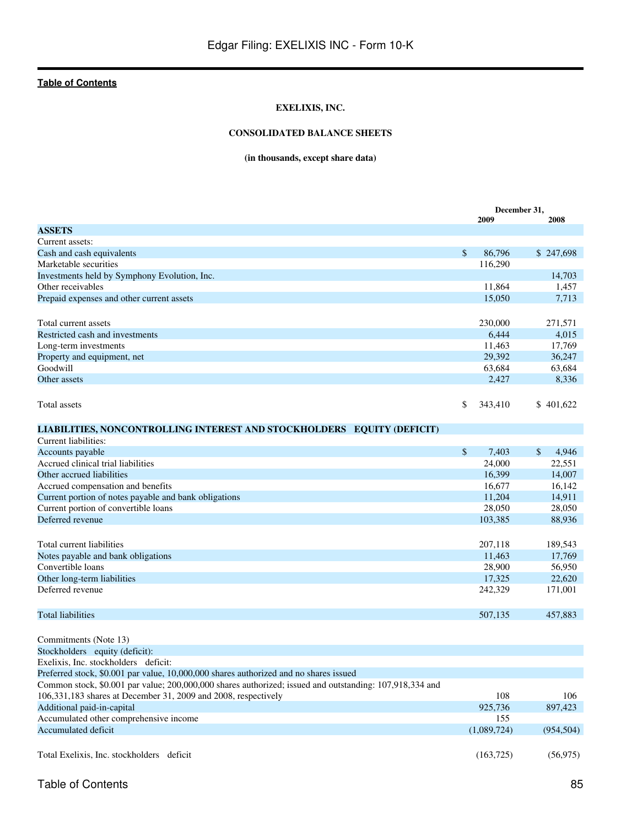# **EXELIXIS, INC.**

# **CONSOLIDATED BALANCE SHEETS**

## **(in thousands, except share data)**

<span id="page-84-0"></span>

|                                                                                                         | December 31, |             |    |            |
|---------------------------------------------------------------------------------------------------------|--------------|-------------|----|------------|
|                                                                                                         |              | 2009        |    | 2008       |
| <b>ASSETS</b>                                                                                           |              |             |    |            |
| Current assets:                                                                                         |              |             |    |            |
| Cash and cash equivalents                                                                               | \$           | 86,796      |    | \$247,698  |
| Marketable securities                                                                                   |              | 116,290     |    |            |
| Investments held by Symphony Evolution, Inc.                                                            |              |             |    | 14,703     |
| Other receivables                                                                                       |              | 11,864      |    | 1,457      |
| Prepaid expenses and other current assets                                                               |              | 15,050      |    | 7,713      |
|                                                                                                         |              |             |    |            |
| Total current assets                                                                                    |              | 230,000     |    | 271,571    |
| Restricted cash and investments                                                                         |              | 6,444       |    | 4.015      |
|                                                                                                         |              |             |    |            |
| Long-term investments                                                                                   |              | 11,463      |    | 17,769     |
| Property and equipment, net                                                                             |              | 29,392      |    | 36,247     |
| Goodwill                                                                                                |              | 63,684      |    | 63,684     |
| Other assets                                                                                            |              | 2,427       |    | 8,336      |
|                                                                                                         |              |             |    |            |
| Total assets                                                                                            | \$           | 343,410     |    | \$401,622  |
|                                                                                                         |              |             |    |            |
| LIABILITIES, NONCONTROLLING INTEREST AND STOCKHOLDERS EQUITY (DEFICIT)                                  |              |             |    |            |
| Current liabilities:                                                                                    |              |             |    |            |
| Accounts payable                                                                                        | \$           | 7,403       | \$ | 4,946      |
| Accrued clinical trial liabilities                                                                      |              | 24,000      |    | 22,551     |
| Other accrued liabilities                                                                               |              | 16,399      |    | 14,007     |
| Accrued compensation and benefits                                                                       |              | 16,677      |    | 16,142     |
| Current portion of notes payable and bank obligations                                                   |              | 11,204      |    | 14,911     |
| Current portion of convertible loans                                                                    |              | 28,050      |    | 28,050     |
| Deferred revenue                                                                                        |              |             |    |            |
|                                                                                                         |              | 103,385     |    | 88,936     |
|                                                                                                         |              |             |    |            |
| Total current liabilities                                                                               |              | 207,118     |    | 189,543    |
| Notes payable and bank obligations                                                                      |              | 11,463      |    | 17,769     |
| Convertible loans                                                                                       |              | 28,900      |    | 56,950     |
| Other long-term liabilities                                                                             |              | 17,325      |    | 22,620     |
| Deferred revenue                                                                                        |              | 242,329     |    | 171,001    |
|                                                                                                         |              |             |    |            |
| <b>Total liabilities</b>                                                                                |              | 507,135     |    | 457,883    |
|                                                                                                         |              |             |    |            |
|                                                                                                         |              |             |    |            |
| Commitments (Note 13)<br>Stockholders equity (deficit):                                                 |              |             |    |            |
| Exelixis, Inc. stockholders deficit:                                                                    |              |             |    |            |
|                                                                                                         |              |             |    |            |
| Preferred stock, \$0.001 par value, 10,000,000 shares authorized and no shares issued                   |              |             |    |            |
| Common stock, \$0.001 par value; 200,000,000 shares authorized; issued and outstanding: 107,918,334 and |              |             |    |            |
| 106,331,183 shares at December 31, 2009 and 2008, respectively                                          |              | 108         |    | 106        |
| Additional paid-in-capital                                                                              |              | 925,736     |    | 897,423    |
| Accumulated other comprehensive income                                                                  |              | 155         |    |            |
| Accumulated deficit                                                                                     |              | (1,089,724) |    | (954, 504) |
|                                                                                                         |              |             |    |            |
| Total Exelixis, Inc. stockholders deficit                                                               |              | (163, 725)  |    | (56, 975)  |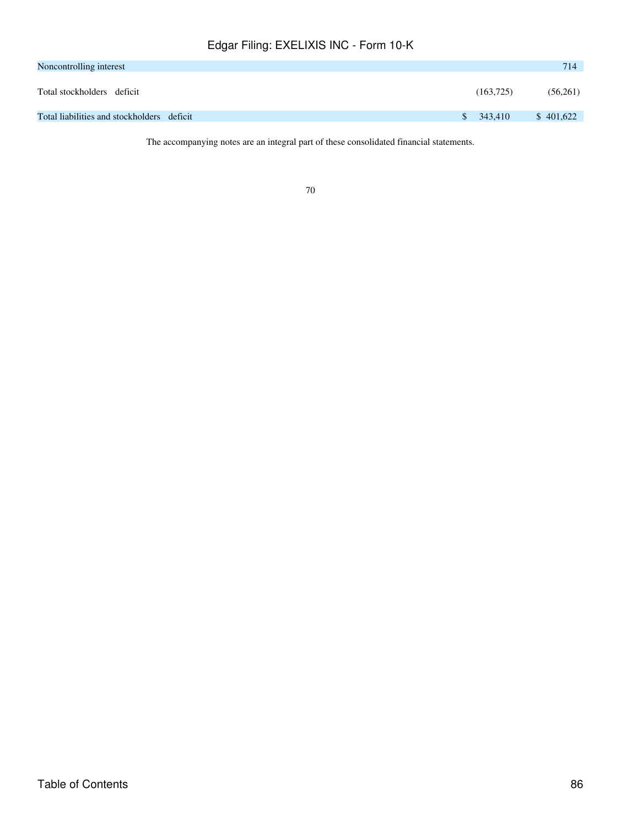# Edgar Filing: EXELIXIS INC - Form 10-K

| Noncontrolling interest                    |                | 714       |
|--------------------------------------------|----------------|-----------|
| Total stockholders deficit                 | (163.725)      | (56,261)  |
| Total liabilities and stockholders deficit | 343,410<br>\$. | \$401,622 |

The accompanying notes are an integral part of these consolidated financial statements.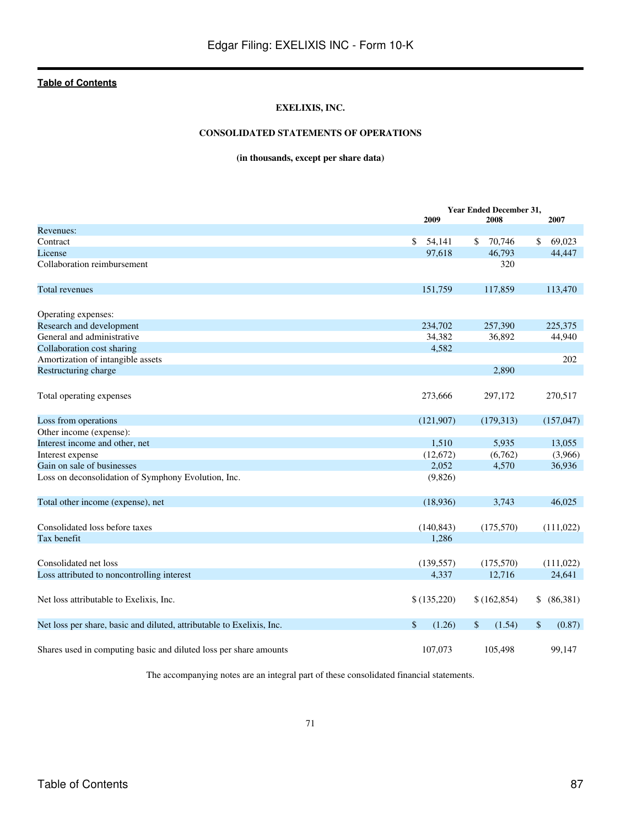# **EXELIXIS, INC.**

# **CONSOLIDATED STATEMENTS OF OPERATIONS**

## **(in thousands, except per share data)**

<span id="page-86-0"></span>

|                                                                       | <b>Year Ended December 31,</b><br>2009<br>2008 |             |    |              | 2007           |
|-----------------------------------------------------------------------|------------------------------------------------|-------------|----|--------------|----------------|
| Revenues:                                                             |                                                |             |    |              |                |
| Contract                                                              | \$                                             | 54,141      | \$ | 70,746       | \$<br>69.023   |
| License                                                               |                                                | 97,618      |    | 46.793       | 44,447         |
| Collaboration reimbursement                                           |                                                |             |    | 320          |                |
| Total revenues                                                        |                                                | 151,759     |    | 117,859      | 113,470        |
| Operating expenses:                                                   |                                                |             |    |              |                |
| Research and development                                              |                                                | 234,702     |    | 257,390      | 225,375        |
| General and administrative                                            |                                                | 34,382      |    | 36,892       | 44,940         |
| Collaboration cost sharing                                            |                                                | 4,582       |    |              |                |
| Amortization of intangible assets                                     |                                                |             |    |              | 202            |
| Restructuring charge                                                  |                                                |             |    | 2,890        |                |
| Total operating expenses                                              |                                                | 273,666     |    | 297,172      | 270,517        |
| Loss from operations                                                  |                                                | (121,907)   |    | (179, 313)   | (157, 047)     |
| Other income (expense):                                               |                                                |             |    |              |                |
| Interest income and other, net                                        |                                                | 1,510       |    | 5,935        | 13,055         |
| Interest expense                                                      |                                                | (12,672)    |    | (6,762)      | (3,966)        |
| Gain on sale of businesses                                            |                                                | 2,052       |    | 4,570        | 36,936         |
| Loss on deconsolidation of Symphony Evolution, Inc.                   |                                                | (9,826)     |    |              |                |
| Total other income (expense), net                                     |                                                | (18,936)    |    | 3,743        | 46,025         |
| Consolidated loss before taxes                                        |                                                | (140, 843)  |    | (175,570)    | (111,022)      |
| Tax benefit                                                           |                                                | 1,286       |    |              |                |
| Consolidated net loss                                                 |                                                | (139, 557)  |    | (175,570)    | (111, 022)     |
| Loss attributed to noncontrolling interest                            |                                                | 4,337       |    | 12,716       | 24,641         |
| Net loss attributable to Exelixis, Inc.                               |                                                | \$(135,220) |    | \$(162, 854) | \$<br>(86,381) |
| Net loss per share, basic and diluted, attributable to Exelixis, Inc. | \$                                             | (1.26)      | \$ | (1.54)       | \$<br>(0.87)   |
| Shares used in computing basic and diluted loss per share amounts     |                                                | 107,073     |    | 105,498      | 99,147         |

The accompanying notes are an integral part of these consolidated financial statements.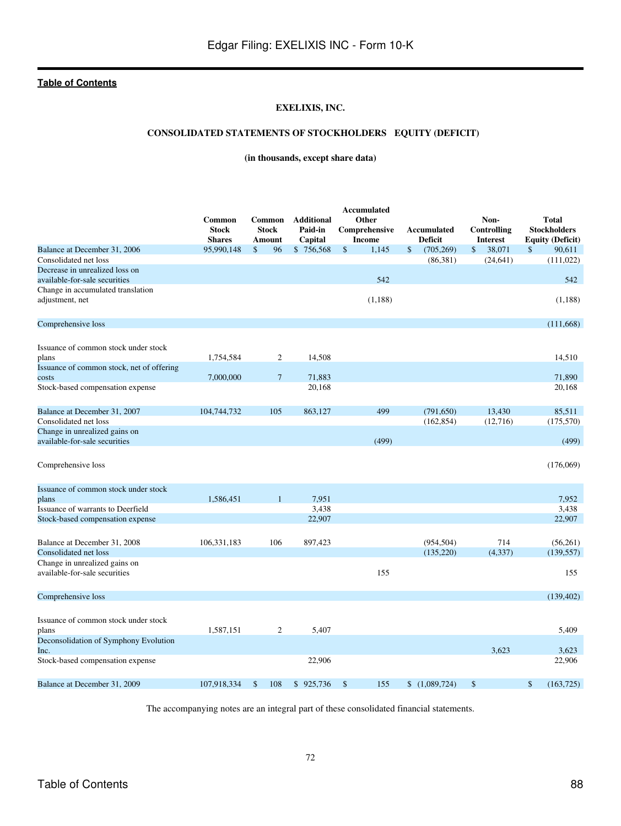## **EXELIXIS, INC.**

# **CONSOLIDATED STATEMENTS OF STOCKHOLDERS EQUITY (DEFICIT)**

## **(in thousands, except share data)**

<span id="page-87-0"></span>

|                                               | Common<br><b>Stock</b><br><b>Shares</b> | Common<br><b>Stock</b><br>Amount | <b>Additional</b><br>Paid-in<br>Capital | <b>Accumulated</b><br>Other<br>Comprehensive<br><b>Income</b> | <b>Accumulated</b><br><b>Deficit</b> | Non-<br>Controlling<br><b>Interest</b> | <b>Total</b><br><b>Stockholders</b><br><b>Equity (Deficit)</b> |
|-----------------------------------------------|-----------------------------------------|----------------------------------|-----------------------------------------|---------------------------------------------------------------|--------------------------------------|----------------------------------------|----------------------------------------------------------------|
| Balance at December 31, 2006                  | 95,990,148                              | \$<br>96                         | \$756,568                               | \$<br>1,145                                                   | \$<br>(705, 269)                     | 38,071<br>\$                           | \$<br>90,611                                                   |
| Consolidated net loss                         |                                         |                                  |                                         |                                                               | (86, 381)                            | (24, 641)                              | (111, 022)                                                     |
| Decrease in unrealized loss on                |                                         |                                  |                                         |                                                               |                                      |                                        |                                                                |
| available-for-sale securities                 |                                         |                                  |                                         | 542                                                           |                                      |                                        | 542                                                            |
| Change in accumulated translation             |                                         |                                  |                                         |                                                               |                                      |                                        |                                                                |
| adjustment, net                               |                                         |                                  |                                         | (1,188)                                                       |                                      |                                        | (1,188)                                                        |
| Comprehensive loss                            |                                         |                                  |                                         |                                                               |                                      |                                        | (111, 668)                                                     |
| Issuance of common stock under stock<br>plans | 1,754,584                               | $\overline{c}$                   | 14,508                                  |                                                               |                                      |                                        | 14,510                                                         |
| Issuance of common stock, net of offering     |                                         |                                  |                                         |                                                               |                                      |                                        |                                                                |
| costs                                         | 7,000,000                               | $\overline{7}$                   | 71,883                                  |                                                               |                                      |                                        | 71,890                                                         |
| Stock-based compensation expense              |                                         |                                  | 20,168                                  |                                                               |                                      |                                        | 20,168                                                         |
| Balance at December 31, 2007                  | 104,744,732                             | 105                              | 863,127                                 | 499                                                           | (791, 650)                           | 13,430                                 | 85,511                                                         |
| Consolidated net loss                         |                                         |                                  |                                         |                                                               | (162, 854)                           | (12,716)                               | (175, 570)                                                     |
| Change in unrealized gains on                 |                                         |                                  |                                         |                                                               |                                      |                                        |                                                                |
| available-for-sale securities                 |                                         |                                  |                                         | (499)                                                         |                                      |                                        | (499)                                                          |
| Comprehensive loss                            |                                         |                                  |                                         |                                                               |                                      |                                        | (176,069)                                                      |
| Issuance of common stock under stock          |                                         |                                  |                                         |                                                               |                                      |                                        |                                                                |
| plans                                         | 1,586,451                               | $\mathbf{1}$                     | 7,951                                   |                                                               |                                      |                                        | 7,952                                                          |
| Issuance of warrants to Deerfield             |                                         |                                  | 3,438                                   |                                                               |                                      |                                        | 3,438                                                          |
| Stock-based compensation expense              |                                         |                                  | 22,907                                  |                                                               |                                      |                                        | 22,907                                                         |
| Balance at December 31, 2008                  | 106,331,183                             | 106                              | 897,423                                 |                                                               | (954, 504)                           | 714                                    | (56,261)                                                       |
| Consolidated net loss                         |                                         |                                  |                                         |                                                               | (135, 220)                           | (4, 337)                               | (139, 557)                                                     |
| Change in unrealized gains on                 |                                         |                                  |                                         |                                                               |                                      |                                        |                                                                |
| available-for-sale securities                 |                                         |                                  |                                         | 155                                                           |                                      |                                        | 155                                                            |
| Comprehensive loss                            |                                         |                                  |                                         |                                                               |                                      |                                        | (139, 402)                                                     |
| Issuance of common stock under stock<br>plans | 1,587,151                               | $\overline{c}$                   | 5,407                                   |                                                               |                                      |                                        | 5,409                                                          |
| Deconsolidation of Symphony Evolution<br>Inc. |                                         |                                  |                                         |                                                               |                                      | 3,623                                  | 3,623                                                          |
| Stock-based compensation expense              |                                         |                                  | 22,906                                  |                                                               |                                      |                                        | 22,906                                                         |
| Balance at December 31, 2009                  | 107.918.334                             | \$<br>108                        | \$<br>925,736                           | \$<br>155                                                     | (1,089,724)<br>\$                    | \$                                     | \$<br>(163, 725)                                               |

The accompanying notes are an integral part of these consolidated financial statements.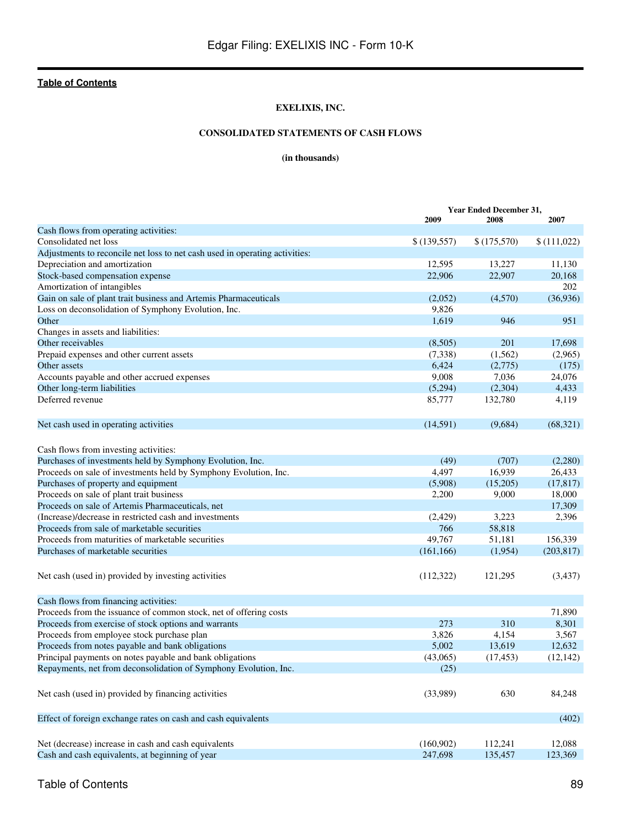# **EXELIXIS, INC.**

# **CONSOLIDATED STATEMENTS OF CASH FLOWS**

## **(in thousands)**

<span id="page-88-0"></span>

|                                                                             | <b>Year Ended December 31,</b> |             |             |  |  |
|-----------------------------------------------------------------------------|--------------------------------|-------------|-------------|--|--|
|                                                                             | 2009                           | 2008        | 2007        |  |  |
| Cash flows from operating activities:                                       |                                |             |             |  |  |
| Consolidated net loss                                                       | \$(139,557)                    | \$(175,570) | \$(111,022) |  |  |
| Adjustments to reconcile net loss to net cash used in operating activities: |                                |             |             |  |  |
| Depreciation and amortization                                               | 12,595                         | 13,227      | 11,130      |  |  |
| Stock-based compensation expense                                            | 22,906                         | 22,907      | 20,168      |  |  |
| Amortization of intangibles                                                 |                                |             | 202         |  |  |
| Gain on sale of plant trait business and Artemis Pharmaceuticals            | (2,052)                        | (4,570)     | (36,936)    |  |  |
| Loss on deconsolidation of Symphony Evolution, Inc.                         | 9,826                          |             |             |  |  |
| Other                                                                       | 1,619                          | 946         | 951         |  |  |
| Changes in assets and liabilities:                                          |                                |             |             |  |  |
| Other receivables                                                           | (8,505)                        | 201         | 17,698      |  |  |
| Prepaid expenses and other current assets                                   | (7, 338)                       | (1, 562)    | (2,965)     |  |  |
| Other assets                                                                | 6,424                          | (2,775)     | (175)       |  |  |
| Accounts payable and other accrued expenses                                 | 9,008                          | 7,036       | 24,076      |  |  |
| Other long-term liabilities                                                 | (5,294)                        | (2,304)     | 4,433       |  |  |
| Deferred revenue                                                            | 85,777                         | 132,780     | 4,119       |  |  |
| Net cash used in operating activities                                       | (14,591)                       | (9,684)     | (68, 321)   |  |  |
|                                                                             |                                |             |             |  |  |
| Cash flows from investing activities:                                       |                                |             |             |  |  |
| Purchases of investments held by Symphony Evolution, Inc.                   | (49)                           | (707)       | (2,280)     |  |  |
| Proceeds on sale of investments held by Symphony Evolution, Inc.            | 4,497                          | 16,939      | 26,433      |  |  |
| Purchases of property and equipment                                         | (5,908)                        | (15,205)    | (17, 817)   |  |  |
| Proceeds on sale of plant trait business                                    | 2,200                          | 9,000       | 18,000      |  |  |
| Proceeds on sale of Artemis Pharmaceuticals, net                            |                                |             | 17,309      |  |  |
| (Increase)/decrease in restricted cash and investments                      | (2,429)                        | 3,223       | 2,396       |  |  |
| Proceeds from sale of marketable securities                                 | 766                            | 58,818      |             |  |  |
| Proceeds from maturities of marketable securities                           | 49,767                         | 51,181      | 156,339     |  |  |
| Purchases of marketable securities                                          | (161, 166)                     | (1,954)     | (203, 817)  |  |  |
| Net cash (used in) provided by investing activities                         | (112,322)                      | 121,295     | (3,437)     |  |  |
| Cash flows from financing activities:                                       |                                |             |             |  |  |
| Proceeds from the issuance of common stock, net of offering costs           |                                |             | 71,890      |  |  |
| Proceeds from exercise of stock options and warrants                        | 273                            | 310         | 8,301       |  |  |
| Proceeds from employee stock purchase plan                                  | 3,826                          | 4,154       | 3,567       |  |  |
| Proceeds from notes payable and bank obligations                            | 5,002                          | 13,619      | 12,632      |  |  |
| Principal payments on notes payable and bank obligations                    | (43,065)                       | (17, 453)   | (12, 142)   |  |  |
| Repayments, net from deconsolidation of Symphony Evolution, Inc.            | (25)                           |             |             |  |  |
| Net cash (used in) provided by financing activities                         | (33,989)                       | 630         | 84,248      |  |  |
| Effect of foreign exchange rates on cash and cash equivalents               |                                |             | (402)       |  |  |
| Net (decrease) increase in cash and cash equivalents                        | (160, 902)                     | 112,241     | 12,088      |  |  |
| Cash and cash equivalents, at beginning of year                             | 247,698                        | 135,457     | 123,369     |  |  |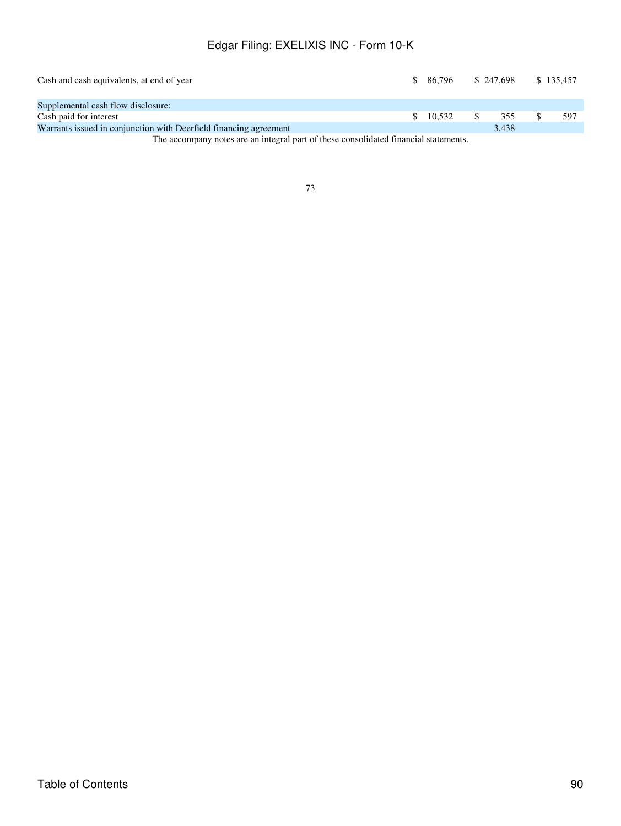# Edgar Filing: EXELIXIS INC - Form 10-K

| Cash and cash equivalents, at end of year                         |  | $$86,796$ $$247,698$ |       | \$135.457 |
|-------------------------------------------------------------------|--|----------------------|-------|-----------|
| Supplemental cash flow disclosure:                                |  |                      |       |           |
| Cash paid for interest                                            |  | \$10.532             | 355   | 597       |
| Warrants issued in conjunction with Deerfield financing agreement |  |                      | 3.438 |           |
|                                                                   |  |                      |       |           |

The accompany notes are an integral part of these consolidated financial statements.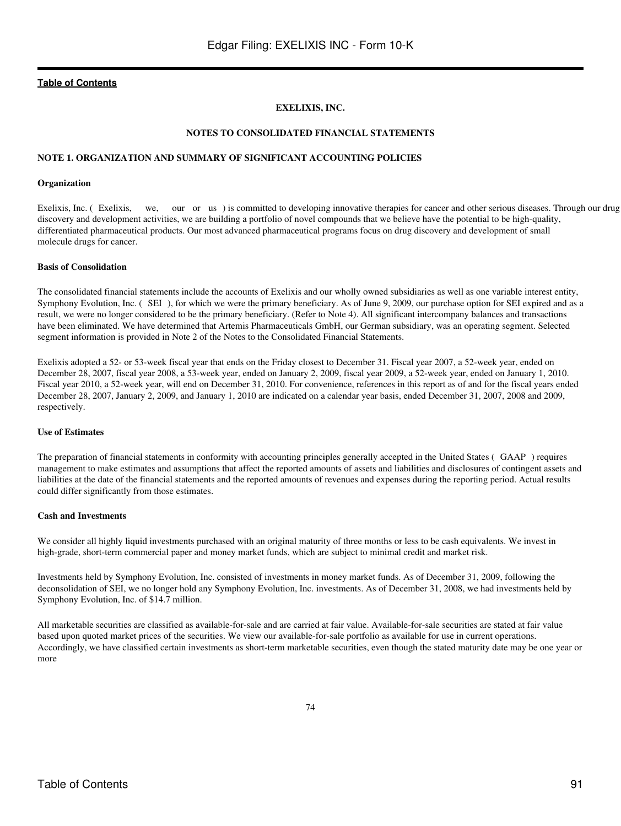## **EXELIXIS, INC.**

#### **NOTES TO CONSOLIDATED FINANCIAL STATEMENTS**

## <span id="page-90-0"></span>**NOTE 1. ORGANIZATION AND SUMMARY OF SIGNIFICANT ACCOUNTING POLICIES**

#### **Organization**

Exelixis, Inc. (Exelixis, we, our or us) is committed to developing innovative therapies for cancer and other serious diseases. Through our drug discovery and development activities, we are building a portfolio of novel compounds that we believe have the potential to be high-quality, differentiated pharmaceutical products. Our most advanced pharmaceutical programs focus on drug discovery and development of small molecule drugs for cancer.

#### **Basis of Consolidation**

The consolidated financial statements include the accounts of Exelixis and our wholly owned subsidiaries as well as one variable interest entity, Symphony Evolution, Inc. (SEI), for which we were the primary beneficiary. As of June 9, 2009, our purchase option for SEI expired and as a result, we were no longer considered to be the primary beneficiary. (Refer to Note 4). All significant intercompany balances and transactions have been eliminated. We have determined that Artemis Pharmaceuticals GmbH, our German subsidiary, was an operating segment. Selected segment information is provided in Note 2 of the Notes to the Consolidated Financial Statements.

Exelixis adopted a 52- or 53-week fiscal year that ends on the Friday closest to December 31. Fiscal year 2007, a 52-week year, ended on December 28, 2007, fiscal year 2008, a 53-week year, ended on January 2, 2009, fiscal year 2009, a 52-week year, ended on January 1, 2010. Fiscal year 2010, a 52-week year, will end on December 31, 2010. For convenience, references in this report as of and for the fiscal years ended December 28, 2007, January 2, 2009, and January 1, 2010 are indicated on a calendar year basis, ended December 31, 2007, 2008 and 2009, respectively.

#### **Use of Estimates**

The preparation of financial statements in conformity with accounting principles generally accepted in the United States (GAAP) requires management to make estimates and assumptions that affect the reported amounts of assets and liabilities and disclosures of contingent assets and liabilities at the date of the financial statements and the reported amounts of revenues and expenses during the reporting period. Actual results could differ significantly from those estimates.

#### **Cash and Investments**

We consider all highly liquid investments purchased with an original maturity of three months or less to be cash equivalents. We invest in high-grade, short-term commercial paper and money market funds, which are subject to minimal credit and market risk.

Investments held by Symphony Evolution, Inc. consisted of investments in money market funds. As of December 31, 2009, following the deconsolidation of SEI, we no longer hold any Symphony Evolution, Inc. investments. As of December 31, 2008, we had investments held by Symphony Evolution, Inc. of \$14.7 million.

All marketable securities are classified as available-for-sale and are carried at fair value. Available-for-sale securities are stated at fair value based upon quoted market prices of the securities. We view our available-for-sale portfolio as available for use in current operations. Accordingly, we have classified certain investments as short-term marketable securities, even though the stated maturity date may be one year or more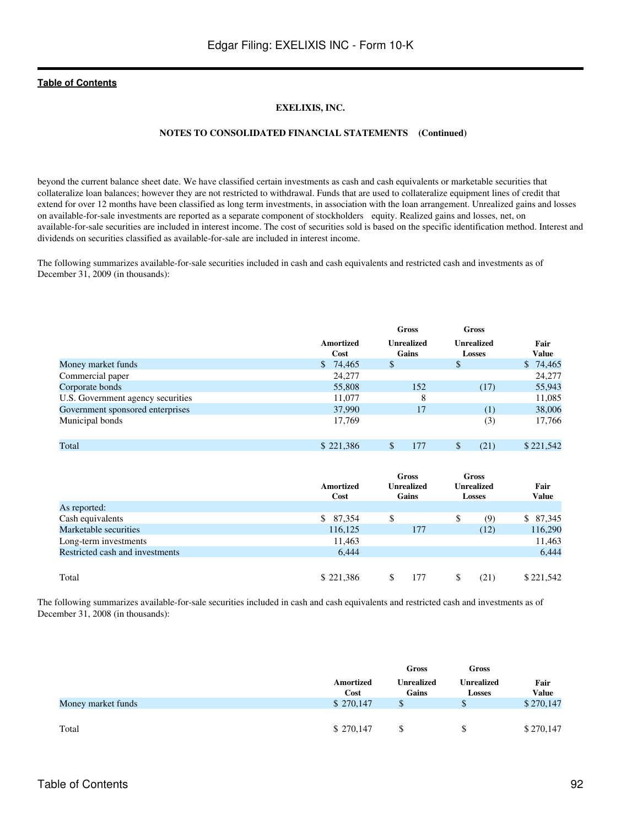## **EXELIXIS, INC.**

## **NOTES TO CONSOLIDATED FINANCIAL STATEMENTS (Continued)**

beyond the current balance sheet date. We have classified certain investments as cash and cash equivalents or marketable securities that collateralize loan balances; however they are not restricted to withdrawal. Funds that are used to collateralize equipment lines of credit that extend for over 12 months have been classified as long term investments, in association with the loan arrangement. Unrealized gains and losses on available-for-sale investments are reported as a separate component of stockholders equity. Realized gains and losses, net, on available-for-sale securities are included in interest income. The cost of securities sold is based on the specific identification method. Interest and dividends on securities classified as available-for-sale are included in interest income.

The following summarizes available-for-sale securities included in cash and cash equivalents and restricted cash and investments as of December 31, 2009 (in thousands):

|                                   |                        | Gross                      | Gross                              |               |
|-----------------------------------|------------------------|----------------------------|------------------------------------|---------------|
|                                   | Amortized<br>Cost      | <b>Unrealized</b><br>Gains | <b>Unrealized</b><br><b>Losses</b> | Fair<br>Value |
| Money market funds                | 74,465<br>$\mathbb{S}$ | \$                         | \$                                 | \$74,465      |
| Commercial paper                  | 24,277                 |                            |                                    | 24,277        |
| Corporate bonds                   | 55,808                 | 152                        | (17)                               | 55,943        |
| U.S. Government agency securities | 11,077                 | 8                          |                                    | 11,085        |
| Government sponsored enterprises  | 37,990                 | 17                         | (1)                                | 38,006        |
| Municipal bonds                   | 17,769                 |                            | (3)                                | 17,766        |
| Total                             | \$221,386              | \$<br>177                  | (21)                               | \$221,542     |

|                                 | Amortized<br>Cost | Gross<br><b>Unrealized</b><br>Gains | Gross<br><b>Unrealized</b><br><b>Losses</b> | Fair<br><b>Value</b> |
|---------------------------------|-------------------|-------------------------------------|---------------------------------------------|----------------------|
| As reported:                    |                   |                                     |                                             |                      |
| Cash equivalents                | \$87,354          | \$                                  | \$<br>(9)                                   | 87,345<br>S.         |
| Marketable securities           | 116,125           | 177                                 | (12)                                        | 116,290              |
| Long-term investments           | 11,463            |                                     |                                             | 11,463               |
| Restricted cash and investments | 6.444             |                                     |                                             | 6,444                |
|                                 |                   |                                     |                                             |                      |
| Total                           | \$221,386         | 177                                 | (21)                                        | \$221,542            |

The following summarizes available-for-sale securities included in cash and cash equivalents and restricted cash and investments as of December 31, 2008 (in thousands):

|                    |                   | Gross               | Gross                              |               |
|--------------------|-------------------|---------------------|------------------------------------|---------------|
|                    | Amortized<br>Cost | Unrealized<br>Gains | <b>Unrealized</b><br><b>Losses</b> | Fair<br>Value |
| Money market funds | \$270,147         |                     | \$                                 | \$270,147     |
| Total              | \$270,147         |                     | S                                  | \$270,147     |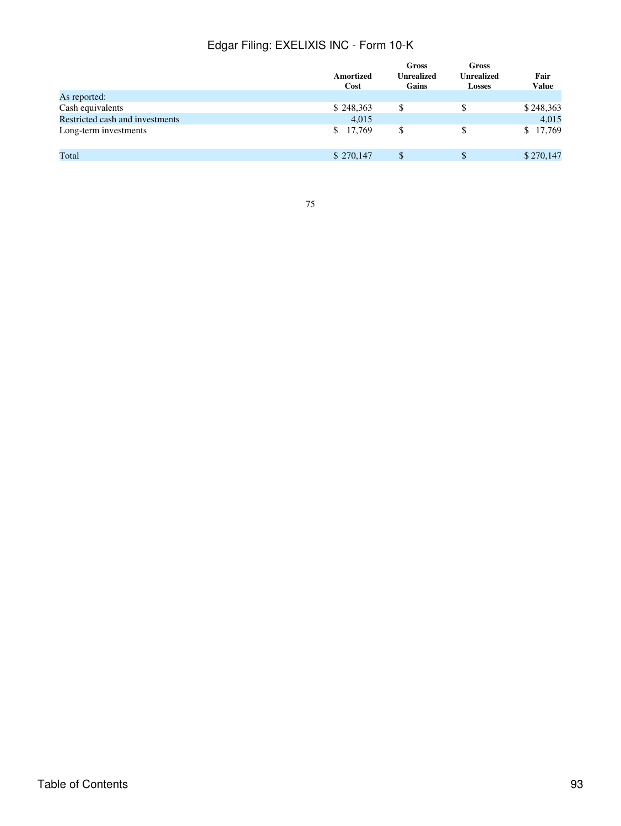# Edgar Filing: EXELIXIS INC - Form 10-K

|                                 | Amortized<br>Cost | <b>Gross</b><br><b>Unrealized</b><br>Gains | Gross<br><b>Unrealized</b><br><b>Losses</b> | Fair<br>Value |
|---------------------------------|-------------------|--------------------------------------------|---------------------------------------------|---------------|
| As reported:                    |                   |                                            |                                             |               |
| Cash equivalents                | \$248,363         |                                            | \$                                          | \$248,363     |
| Restricted cash and investments | 4,015             |                                            |                                             | 4,015         |
| Long-term investments           | \$17,769          | \$                                         | \$                                          | \$17,769      |
| Total                           | \$270,147         |                                            | \$                                          | \$270,147     |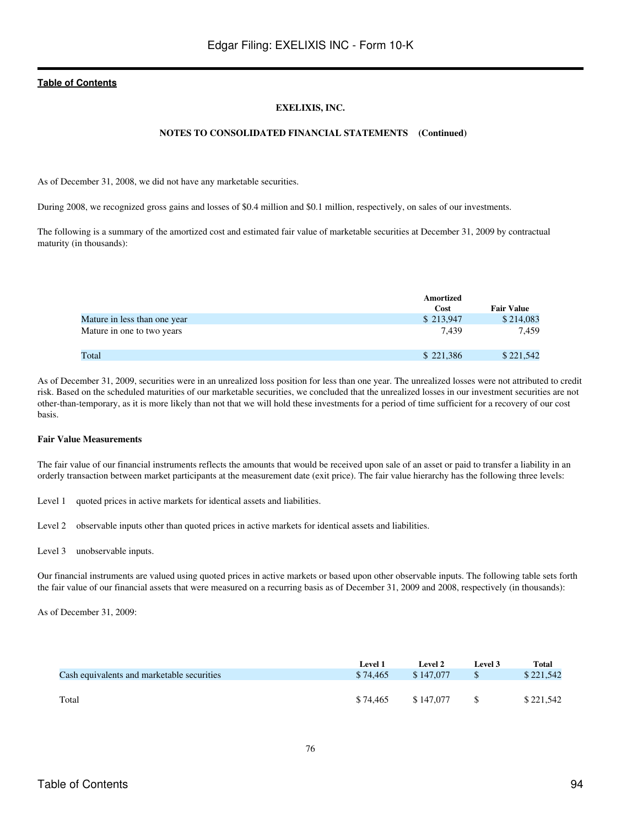## **EXELIXIS, INC.**

#### **NOTES TO CONSOLIDATED FINANCIAL STATEMENTS (Continued)**

As of December 31, 2008, we did not have any marketable securities.

During 2008, we recognized gross gains and losses of \$0.4 million and \$0.1 million, respectively, on sales of our investments.

The following is a summary of the amortized cost and estimated fair value of marketable securities at December 31, 2009 by contractual maturity (in thousands):

|                              | Amortized |                   |
|------------------------------|-----------|-------------------|
|                              | Cost      | <b>Fair Value</b> |
| Mature in less than one year | \$213,947 | \$214,083         |
| Mature in one to two years   | 7.439     | 7.459             |
| Total                        | \$221,386 | \$221,542         |

As of December 31, 2009, securities were in an unrealized loss position for less than one year. The unrealized losses were not attributed to credit risk. Based on the scheduled maturities of our marketable securities, we concluded that the unrealized losses in our investment securities are not other-than-temporary, as it is more likely than not that we will hold these investments for a period of time sufficient for a recovery of our cost basis.

#### **Fair Value Measurements**

The fair value of our financial instruments reflects the amounts that would be received upon sale of an asset or paid to transfer a liability in an orderly transaction between market participants at the measurement date (exit price). The fair value hierarchy has the following three levels:

- Level 1 quoted prices in active markets for identical assets and liabilities.
- Level 2 observable inputs other than quoted prices in active markets for identical assets and liabilities.
- Level 3 unobservable inputs.

Our financial instruments are valued using quoted prices in active markets or based upon other observable inputs. The following table sets forth the fair value of our financial assets that were measured on a recurring basis as of December 31, 2009 and 2008, respectively (in thousands):

As of December 31, 2009:

| Level 2<br>Level 1 | Level 3              | <b>Total</b>           |
|--------------------|----------------------|------------------------|
|                    |                      | \$221,542              |
|                    |                      |                        |
|                    |                      | \$221,542              |
|                    | \$74,465<br>\$74,465 | \$147,077<br>\$147,077 |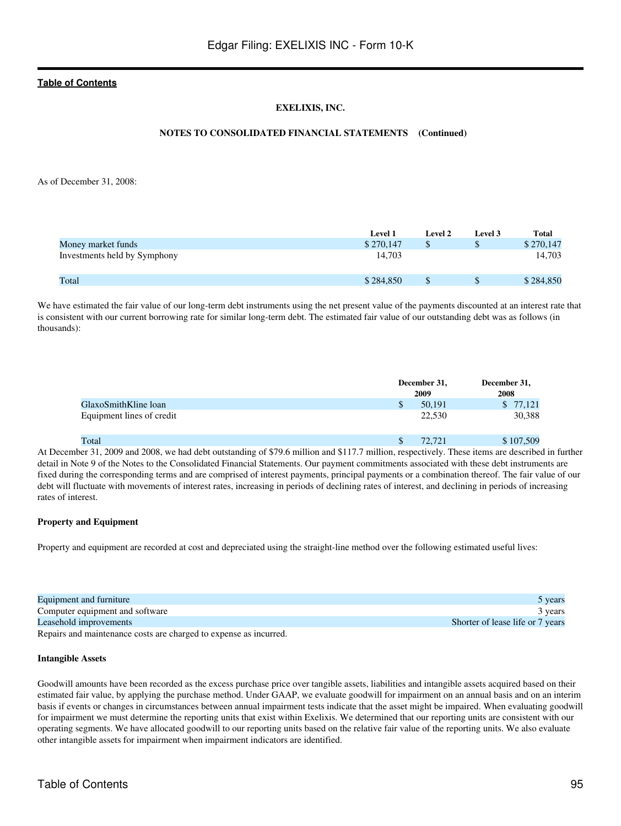## **EXELIXIS, INC.**

### **NOTES TO CONSOLIDATED FINANCIAL STATEMENTS (Continued)**

As of December 31, 2008:

|                              | <b>Level 1</b> | Level 2 | Level 3 | Total     |
|------------------------------|----------------|---------|---------|-----------|
| Money market funds           | \$270,147      |         |         | \$270,147 |
| Investments held by Symphony | 14.703         |         |         | 14.703    |
| Total                        | \$284,850      |         |         | \$284,850 |

We have estimated the fair value of our long-term debt instruments using the net present value of the payments discounted at an interest rate that is consistent with our current borrowing rate for similar long-term debt. The estimated fair value of our outstanding debt was as follows (in thousands):

| 2009   | December 31,<br>2008 |  |  |
|--------|----------------------|--|--|
| 50.191 | \$77,121             |  |  |
| 22.530 | 30,388               |  |  |
|        | December 31,         |  |  |

Total  $\frac{1}{2}$   $\frac{1}{2}$   $\frac{1}{2}$   $\frac{1}{2}$   $\frac{1}{2}$   $\frac{1}{2}$   $\frac{1}{2}$   $\frac{1}{2}$   $\frac{1}{2}$   $\frac{1}{2}$   $\frac{1}{2}$   $\frac{1}{2}$   $\frac{1}{2}$   $\frac{1}{2}$   $\frac{1}{2}$   $\frac{1}{2}$   $\frac{1}{2}$   $\frac{1}{2}$   $\frac{1}{2}$   $\frac{1}{2}$   $\frac{1}{2}$   $\frac{1$ At December 31, 2009 and 2008, we had debt outstanding of \$79.6 million and \$117.7 million, respectively. These items are described in further detail in Note 9 of the Notes to the Consolidated Financial Statements. Our payment commitments associated with these debt instruments are fixed during the corresponding terms and are comprised of interest payments, principal payments or a combination thereof. The fair value of our debt will fluctuate with movements of interest rates, increasing in periods of declining rates of interest, and declining in periods of increasing rates of interest.

#### **Property and Equipment**

Property and equipment are recorded at cost and depreciated using the straight-line method over the following estimated useful lives:

| Equipment and furniture                                            | 5 years                          |
|--------------------------------------------------------------------|----------------------------------|
| Computer equipment and software                                    | 3 years                          |
| Leasehold improvements                                             | Shorter of lease life or 7 years |
| $\mathbf{n}$ . The state $\mathbf{n}$ is the state of $\mathbf{n}$ |                                  |

Repairs and maintenance costs are charged to expense as incurred.

#### **Intangible Assets**

Goodwill amounts have been recorded as the excess purchase price over tangible assets, liabilities and intangible assets acquired based on their estimated fair value, by applying the purchase method. Under GAAP, we evaluate goodwill for impairment on an annual basis and on an interim basis if events or changes in circumstances between annual impairment tests indicate that the asset might be impaired. When evaluating goodwill for impairment we must determine the reporting units that exist within Exelixis. We determined that our reporting units are consistent with our operating segments. We have allocated goodwill to our reporting units based on the relative fair value of the reporting units. We also evaluate other intangible assets for impairment when impairment indicators are identified.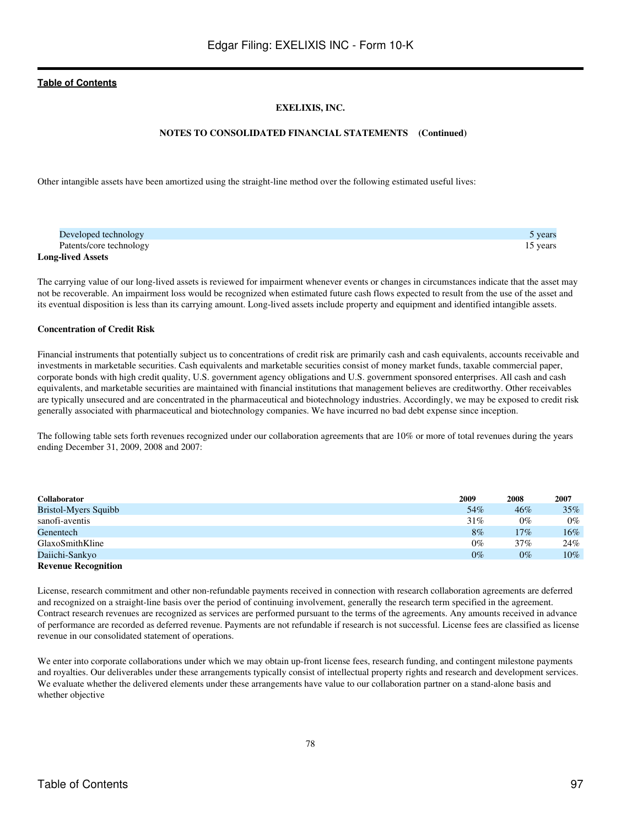## **EXELIXIS, INC.**

### **NOTES TO CONSOLIDATED FINANCIAL STATEMENTS (Continued)**

Other intangible assets have been amortized using the straight-line method over the following estimated useful lives:

| Developed technology                                                 | vears    |
|----------------------------------------------------------------------|----------|
| Patents/core technology                                              | 15 years |
| $\sim$ $\sim$ 19 $\sim$ $\sim$ 10 $\sim$ $\sim$ $\sim$ $\sim$ $\sim$ |          |

**Long-lived Assets**

The carrying value of our long-lived assets is reviewed for impairment whenever events or changes in circumstances indicate that the asset may not be recoverable. An impairment loss would be recognized when estimated future cash flows expected to result from the use of the asset and its eventual disposition is less than its carrying amount. Long-lived assets include property and equipment and identified intangible assets.

#### **Concentration of Credit Risk**

Financial instruments that potentially subject us to concentrations of credit risk are primarily cash and cash equivalents, accounts receivable and investments in marketable securities. Cash equivalents and marketable securities consist of money market funds, taxable commercial paper, corporate bonds with high credit quality, U.S. government agency obligations and U.S. government sponsored enterprises. All cash and cash equivalents, and marketable securities are maintained with financial institutions that management believes are creditworthy. Other receivables are typically unsecured and are concentrated in the pharmaceutical and biotechnology industries. Accordingly, we may be exposed to credit risk generally associated with pharmaceutical and biotechnology companies. We have incurred no bad debt expense since inception.

The following table sets forth revenues recognized under our collaboration agreements that are 10% or more of total revenues during the years ending December 31, 2009, 2008 and 2007:

| <b>Collaborator</b>         | 2009  | 2008  | 2007   |
|-----------------------------|-------|-------|--------|
| <b>Bristol-Myers Squibb</b> | 54%   | 46%   | $35\%$ |
| sanofi-aventis              | 31%   | $0\%$ | $0\%$  |
| Genentech                   | $8\%$ | 17%   | $16\%$ |
| GlaxoSmithKline             | $0\%$ | 37%   | 24%    |
| Daiichi-Sankyo              | $0\%$ | $0\%$ | $10\%$ |
| <b>Revenue Recognition</b>  |       |       |        |

License, research commitment and other non-refundable payments received in connection with research collaboration agreements are deferred and recognized on a straight-line basis over the period of continuing involvement, generally the research term specified in the agreement. Contract research revenues are recognized as services are performed pursuant to the terms of the agreements. Any amounts received in advance of performance are recorded as deferred revenue. Payments are not refundable if research is not successful. License fees are classified as license revenue in our consolidated statement of operations.

We enter into corporate collaborations under which we may obtain up-front license fees, research funding, and contingent milestone payments and royalties. Our deliverables under these arrangements typically consist of intellectual property rights and research and development services. We evaluate whether the delivered elements under these arrangements have value to our collaboration partner on a stand-alone basis and whether objective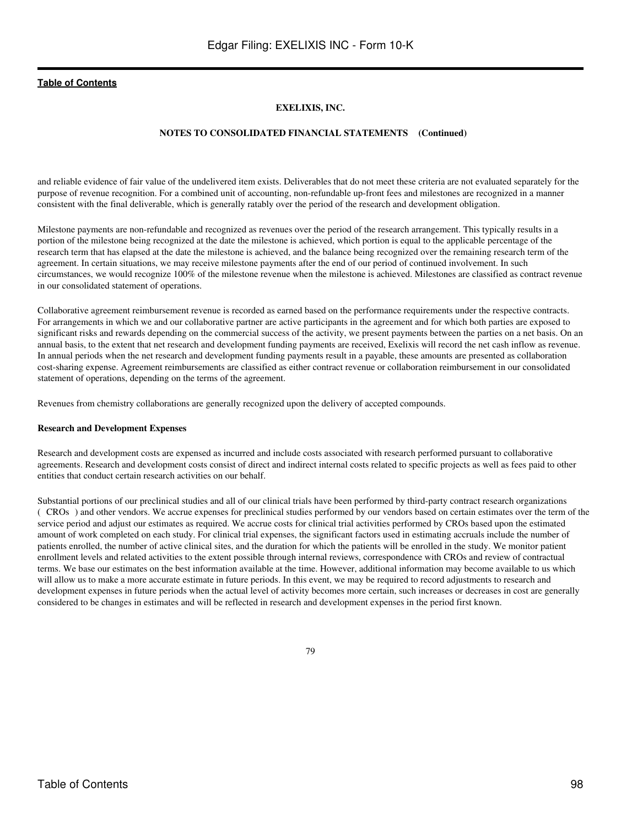## **EXELIXIS, INC.**

### **NOTES TO CONSOLIDATED FINANCIAL STATEMENTS (Continued)**

and reliable evidence of fair value of the undelivered item exists. Deliverables that do not meet these criteria are not evaluated separately for the purpose of revenue recognition. For a combined unit of accounting, non-refundable up-front fees and milestones are recognized in a manner consistent with the final deliverable, which is generally ratably over the period of the research and development obligation.

Milestone payments are non-refundable and recognized as revenues over the period of the research arrangement. This typically results in a portion of the milestone being recognized at the date the milestone is achieved, which portion is equal to the applicable percentage of the research term that has elapsed at the date the milestone is achieved, and the balance being recognized over the remaining research term of the agreement. In certain situations, we may receive milestone payments after the end of our period of continued involvement. In such circumstances, we would recognize 100% of the milestone revenue when the milestone is achieved. Milestones are classified as contract revenue in our consolidated statement of operations.

Collaborative agreement reimbursement revenue is recorded as earned based on the performance requirements under the respective contracts. For arrangements in which we and our collaborative partner are active participants in the agreement and for which both parties are exposed to significant risks and rewards depending on the commercial success of the activity, we present payments between the parties on a net basis. On an annual basis, to the extent that net research and development funding payments are received, Exelixis will record the net cash inflow as revenue. In annual periods when the net research and development funding payments result in a payable, these amounts are presented as collaboration cost-sharing expense. Agreement reimbursements are classified as either contract revenue or collaboration reimbursement in our consolidated statement of operations, depending on the terms of the agreement.

Revenues from chemistry collaborations are generally recognized upon the delivery of accepted compounds.

#### **Research and Development Expenses**

Research and development costs are expensed as incurred and include costs associated with research performed pursuant to collaborative agreements. Research and development costs consist of direct and indirect internal costs related to specific projects as well as fees paid to other entities that conduct certain research activities on our behalf.

Substantial portions of our preclinical studies and all of our clinical trials have been performed by third-party contract research organizations (CROs) and other vendors. We accrue expenses for preclinical studies performed by our vendors based on certain estimates over the term of the service period and adjust our estimates as required. We accrue costs for clinical trial activities performed by CROs based upon the estimated amount of work completed on each study. For clinical trial expenses, the significant factors used in estimating accruals include the number of patients enrolled, the number of active clinical sites, and the duration for which the patients will be enrolled in the study. We monitor patient enrollment levels and related activities to the extent possible through internal reviews, correspondence with CROs and review of contractual terms. We base our estimates on the best information available at the time. However, additional information may become available to us which will allow us to make a more accurate estimate in future periods. In this event, we may be required to record adjustments to research and development expenses in future periods when the actual level of activity becomes more certain, such increases or decreases in cost are generally considered to be changes in estimates and will be reflected in research and development expenses in the period first known.

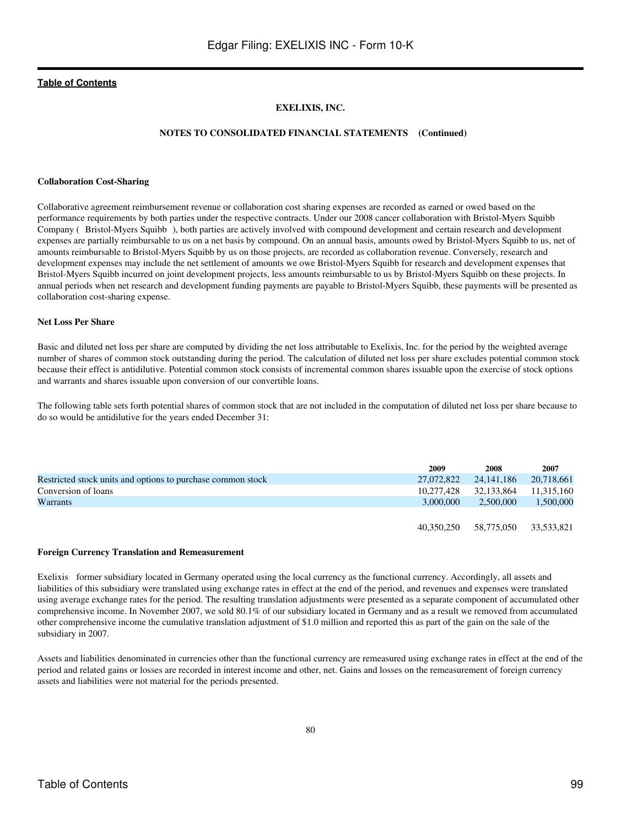## **EXELIXIS, INC.**

### **NOTES TO CONSOLIDATED FINANCIAL STATEMENTS (Continued)**

#### **Collaboration Cost-Sharing**

Collaborative agreement reimbursement revenue or collaboration cost sharing expenses are recorded as earned or owed based on the performance requirements by both parties under the respective contracts. Under our 2008 cancer collaboration with Bristol-Myers Squibb Company (Bristol-Myers Squibb), both parties are actively involved with compound development and certain research and development expenses are partially reimbursable to us on a net basis by compound. On an annual basis, amounts owed by Bristol-Myers Squibb to us, net of amounts reimbursable to Bristol-Myers Squibb by us on those projects, are recorded as collaboration revenue. Conversely, research and development expenses may include the net settlement of amounts we owe Bristol-Myers Squibb for research and development expenses that Bristol-Myers Squibb incurred on joint development projects, less amounts reimbursable to us by Bristol-Myers Squibb on these projects. In annual periods when net research and development funding payments are payable to Bristol-Myers Squibb, these payments will be presented as collaboration cost-sharing expense.

#### **Net Loss Per Share**

Basic and diluted net loss per share are computed by dividing the net loss attributable to Exelixis, Inc. for the period by the weighted average number of shares of common stock outstanding during the period. The calculation of diluted net loss per share excludes potential common stock because their effect is antidilutive. Potential common stock consists of incremental common shares issuable upon the exercise of stock options and warrants and shares issuable upon conversion of our convertible loans.

The following table sets forth potential shares of common stock that are not included in the computation of diluted net loss per share because to do so would be antidilutive for the years ended December 31:

|                                                             | 2009       | 2008         | 2007       |
|-------------------------------------------------------------|------------|--------------|------------|
| Restricted stock units and options to purchase common stock | 27,072,822 | 24, 141, 186 | 20,718,661 |
| Conversion of loans                                         | 10.277.428 | 32,133,864   | 11.315.160 |
| Warrants                                                    | 3,000,000  | 2.500,000    | 1.500,000  |
|                                                             |            |              |            |
|                                                             | 40.350.250 | 58,775,050   | 33.533.821 |

#### **Foreign Currency Translation and Remeasurement**

Exelixis former subsidiary located in Germany operated using the local currency as the functional currency. Accordingly, all assets and liabilities of this subsidiary were translated using exchange rates in effect at the end of the period, and revenues and expenses were translated using average exchange rates for the period. The resulting translation adjustments were presented as a separate component of accumulated other comprehensive income. In November 2007, we sold 80.1% of our subsidiary located in Germany and as a result we removed from accumulated other comprehensive income the cumulative translation adjustment of \$1.0 million and reported this as part of the gain on the sale of the subsidiary in 2007.

Assets and liabilities denominated in currencies other than the functional currency are remeasured using exchange rates in effect at the end of the period and related gains or losses are recorded in interest income and other, net. Gains and losses on the remeasurement of foreign currency assets and liabilities were not material for the periods presented.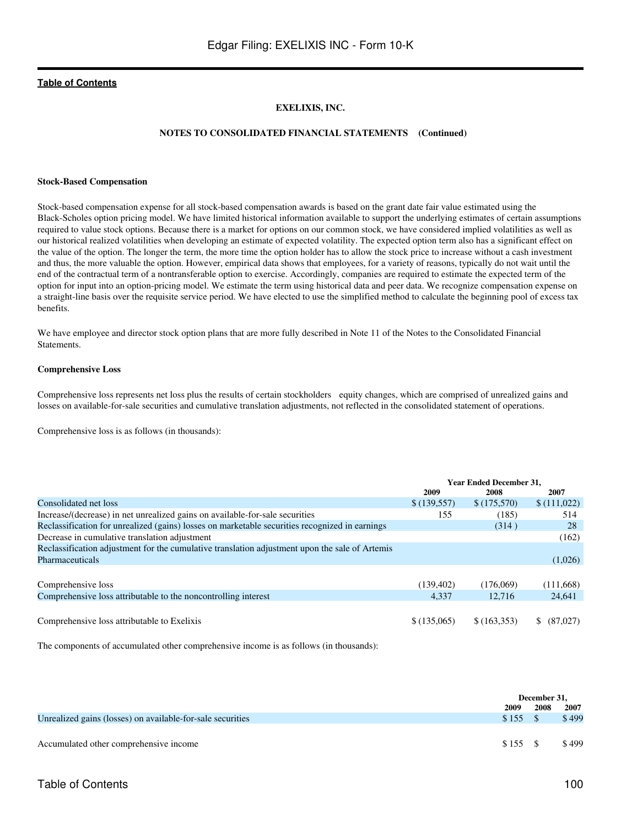## **EXELIXIS, INC.**

### **NOTES TO CONSOLIDATED FINANCIAL STATEMENTS (Continued)**

#### **Stock-Based Compensation**

Stock-based compensation expense for all stock-based compensation awards is based on the grant date fair value estimated using the Black-Scholes option pricing model. We have limited historical information available to support the underlying estimates of certain assumptions required to value stock options. Because there is a market for options on our common stock, we have considered implied volatilities as well as our historical realized volatilities when developing an estimate of expected volatility. The expected option term also has a significant effect on the value of the option. The longer the term, the more time the option holder has to allow the stock price to increase without a cash investment and thus, the more valuable the option. However, empirical data shows that employees, for a variety of reasons, typically do not wait until the end of the contractual term of a nontransferable option to exercise. Accordingly, companies are required to estimate the expected term of the option for input into an option-pricing model. We estimate the term using historical data and peer data. We recognize compensation expense on a straight-line basis over the requisite service period. We have elected to use the simplified method to calculate the beginning pool of excess tax benefits.

We have employee and director stock option plans that are more fully described in Note 11 of the Notes to the Consolidated Financial **Statements** 

#### **Comprehensive Loss**

Comprehensive loss represents net loss plus the results of certain stockholders equity changes, which are comprised of unrealized gains and losses on available-for-sale securities and cumulative translation adjustments, not reflected in the consolidated statement of operations.

Comprehensive loss is as follows (in thousands):

|                                                                                                | <b>Year Ended December 31,</b> |             |             |
|------------------------------------------------------------------------------------------------|--------------------------------|-------------|-------------|
|                                                                                                | 2009                           | 2008        | 2007        |
| Consolidated net loss                                                                          | \$(139,557)                    | \$(175,570) | \$(111,022) |
| Increase/(decrease) in net unrealized gains on available-for-sale securities                   | 155                            | (185)       | 514         |
| Reclassification for unrealized (gains) losses on marketable securities recognized in earnings |                                | (314)       | 28          |
| Decrease in cumulative translation adjustment                                                  |                                |             | (162)       |
| Reclassification adjustment for the cumulative translation adjustment upon the sale of Artemis |                                |             |             |
| <b>Pharmaceuticals</b>                                                                         |                                |             | (1,026)     |
|                                                                                                |                                |             |             |
| Comprehensive loss                                                                             | (139, 402)                     | (176,069)   | (111,668)   |
| Comprehensive loss attributable to the noncontrolling interest                                 | 4.337                          | 12.716      | 24,641      |
|                                                                                                |                                |             |             |
| Comprehensive loss attributable to Exelixis                                                    | \$(135,065)                    | \$(163,353) | \$ (87,027) |

The components of accumulated other comprehensive income is as follows (in thousands):

|                                                            | December 31, |      |       |
|------------------------------------------------------------|--------------|------|-------|
|                                                            | 2009         | 2008 | 2007  |
| Unrealized gains (losses) on available-for-sale securities | \$155S       |      | \$499 |
| Accumulated other comprehensive income                     | \$155S       |      | \$499 |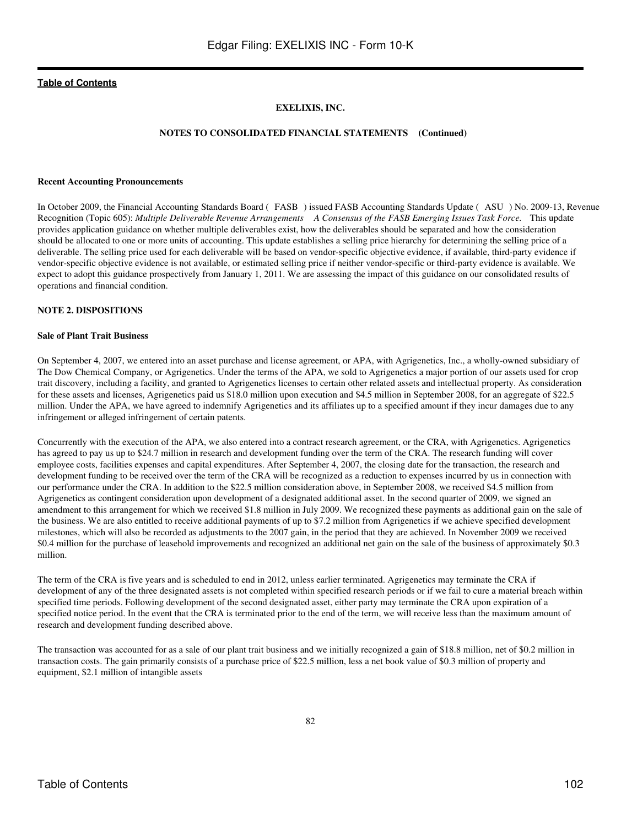## **EXELIXIS, INC.**

### **NOTES TO CONSOLIDATED FINANCIAL STATEMENTS (Continued)**

#### **Recent Accounting Pronouncements**

In October 2009, the Financial Accounting Standards Board (FASB) issued FASB Accounting Standards Update (ASU) No. 2009-13, Revenue Recognition (Topic 605): *Multiple Deliverable Revenue Arrangements A Consensus of the FASB Emerging Issues Task Force.* This update provides application guidance on whether multiple deliverables exist, how the deliverables should be separated and how the consideration should be allocated to one or more units of accounting. This update establishes a selling price hierarchy for determining the selling price of a deliverable. The selling price used for each deliverable will be based on vendor-specific objective evidence, if available, third-party evidence if vendor-specific objective evidence is not available, or estimated selling price if neither vendor-specific or third-party evidence is available. We expect to adopt this guidance prospectively from January 1, 2011. We are assessing the impact of this guidance on our consolidated results of operations and financial condition.

#### **NOTE 2. DISPOSITIONS**

#### **Sale of Plant Trait Business**

On September 4, 2007, we entered into an asset purchase and license agreement, or APA, with Agrigenetics, Inc., a wholly-owned subsidiary of The Dow Chemical Company, or Agrigenetics. Under the terms of the APA, we sold to Agrigenetics a major portion of our assets used for crop trait discovery, including a facility, and granted to Agrigenetics licenses to certain other related assets and intellectual property. As consideration for these assets and licenses, Agrigenetics paid us \$18.0 million upon execution and \$4.5 million in September 2008, for an aggregate of \$22.5 million. Under the APA, we have agreed to indemnify Agrigenetics and its affiliates up to a specified amount if they incur damages due to any infringement or alleged infringement of certain patents.

Concurrently with the execution of the APA, we also entered into a contract research agreement, or the CRA, with Agrigenetics. Agrigenetics has agreed to pay us up to \$24.7 million in research and development funding over the term of the CRA. The research funding will cover employee costs, facilities expenses and capital expenditures. After September 4, 2007, the closing date for the transaction, the research and development funding to be received over the term of the CRA will be recognized as a reduction to expenses incurred by us in connection with our performance under the CRA. In addition to the \$22.5 million consideration above, in September 2008, we received \$4.5 million from Agrigenetics as contingent consideration upon development of a designated additional asset. In the second quarter of 2009, we signed an amendment to this arrangement for which we received \$1.8 million in July 2009. We recognized these payments as additional gain on the sale of the business. We are also entitled to receive additional payments of up to \$7.2 million from Agrigenetics if we achieve specified development milestones, which will also be recorded as adjustments to the 2007 gain, in the period that they are achieved. In November 2009 we received \$0.4 million for the purchase of leasehold improvements and recognized an additional net gain on the sale of the business of approximately \$0.3 million.

The term of the CRA is five years and is scheduled to end in 2012, unless earlier terminated. Agrigenetics may terminate the CRA if development of any of the three designated assets is not completed within specified research periods or if we fail to cure a material breach within specified time periods. Following development of the second designated asset, either party may terminate the CRA upon expiration of a specified notice period. In the event that the CRA is terminated prior to the end of the term, we will receive less than the maximum amount of research and development funding described above.

The transaction was accounted for as a sale of our plant trait business and we initially recognized a gain of \$18.8 million, net of \$0.2 million in transaction costs. The gain primarily consists of a purchase price of \$22.5 million, less a net book value of \$0.3 million of property and equipment, \$2.1 million of intangible assets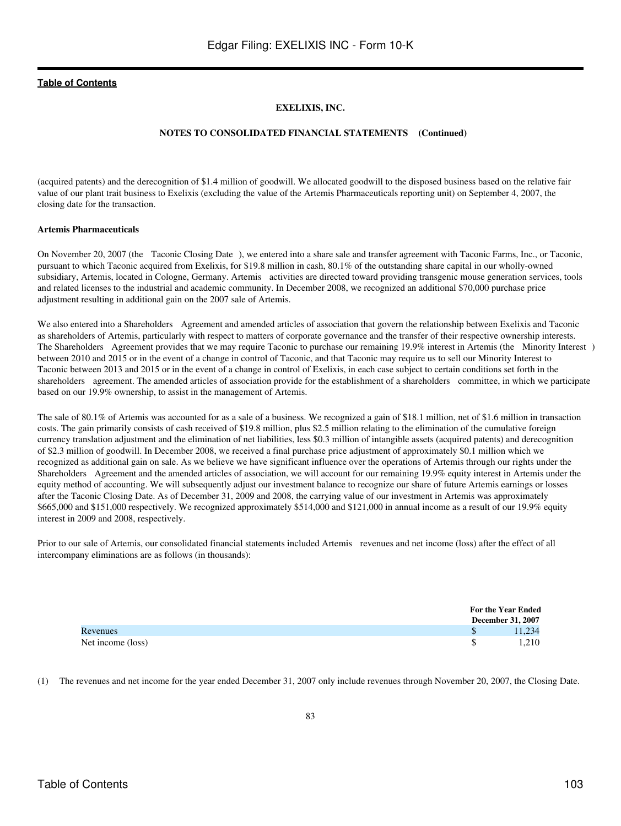## **EXELIXIS, INC.**

### **NOTES TO CONSOLIDATED FINANCIAL STATEMENTS (Continued)**

(acquired patents) and the derecognition of \$1.4 million of goodwill. We allocated goodwill to the disposed business based on the relative fair value of our plant trait business to Exelixis (excluding the value of the Artemis Pharmaceuticals reporting unit) on September 4, 2007, the closing date for the transaction.

#### **Artemis Pharmaceuticals**

On November 20, 2007 (the Taconic Closing Date), we entered into a share sale and transfer agreement with Taconic Farms, Inc., or Taconic, pursuant to which Taconic acquired from Exelixis, for \$19.8 million in cash, 80.1% of the outstanding share capital in our wholly-owned subsidiary, Artemis, located in Cologne, Germany. Artemis activities are directed toward providing transgenic mouse generation services, tools and related licenses to the industrial and academic community. In December 2008, we recognized an additional \$70,000 purchase price adjustment resulting in additional gain on the 2007 sale of Artemis.

We also entered into a Shareholders Agreement and amended articles of association that govern the relationship between Exelixis and Taconic as shareholders of Artemis, particularly with respect to matters of corporate governance and the transfer of their respective ownership interests. The Shareholders Agreement provides that we may require Taconic to purchase our remaining 19.9% interest in Artemis (the Minority Interest) between 2010 and 2015 or in the event of a change in control of Taconic, and that Taconic may require us to sell our Minority Interest to Taconic between 2013 and 2015 or in the event of a change in control of Exelixis, in each case subject to certain conditions set forth in the shareholders agreement. The amended articles of association provide for the establishment of a shareholders committee, in which we participate based on our 19.9% ownership, to assist in the management of Artemis.

The sale of 80.1% of Artemis was accounted for as a sale of a business. We recognized a gain of \$18.1 million, net of \$1.6 million in transaction costs. The gain primarily consists of cash received of \$19.8 million, plus \$2.5 million relating to the elimination of the cumulative foreign currency translation adjustment and the elimination of net liabilities, less \$0.3 million of intangible assets (acquired patents) and derecognition of \$2.3 million of goodwill. In December 2008, we received a final purchase price adjustment of approximately \$0.1 million which we recognized as additional gain on sale. As we believe we have significant influence over the operations of Artemis through our rights under the Shareholders Agreement and the amended articles of association, we will account for our remaining 19.9% equity interest in Artemis under the equity method of accounting. We will subsequently adjust our investment balance to recognize our share of future Artemis earnings or losses after the Taconic Closing Date. As of December 31, 2009 and 2008, the carrying value of our investment in Artemis was approximately \$665,000 and \$151,000 respectively. We recognized approximately \$514,000 and \$121,000 in annual income as a result of our 19.9% equity interest in 2009 and 2008, respectively.

Prior to our sale of Artemis, our consolidated financial statements included Artemis revenues and net income (loss) after the effect of all intercompany eliminations are as follows (in thousands):

|                   | <b>For the Year Ended</b> |  |  |
|-------------------|---------------------------|--|--|
|                   | <b>December 31, 2007</b>  |  |  |
| Revenues          | 11.234                    |  |  |
| Net income (loss) | 1.210                     |  |  |

(1) The revenues and net income for the year ended December 31, 2007 only include revenues through November 20, 2007, the Closing Date.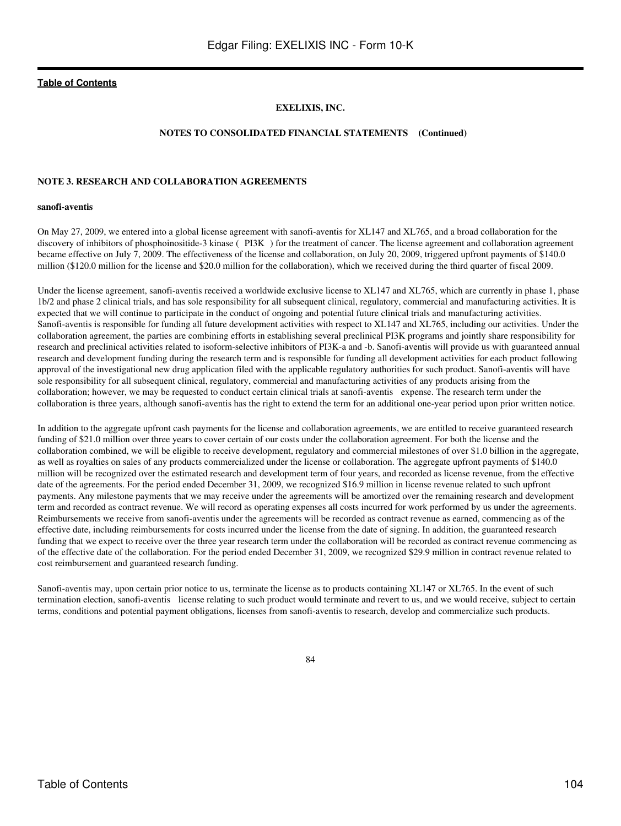## **EXELIXIS, INC.**

### **NOTES TO CONSOLIDATED FINANCIAL STATEMENTS (Continued)**

### **NOTE 3. RESEARCH AND COLLABORATION AGREEMENTS**

#### **sanofi-aventis**

On May 27, 2009, we entered into a global license agreement with sanofi-aventis for XL147 and XL765, and a broad collaboration for the discovery of inhibitors of phosphoinositide-3 kinase (PI3K) for the treatment of cancer. The license agreement and collaboration agreement became effective on July 7, 2009. The effectiveness of the license and collaboration, on July 20, 2009, triggered upfront payments of \$140.0 million (\$120.0 million for the license and \$20.0 million for the collaboration), which we received during the third quarter of fiscal 2009.

Under the license agreement, sanofi-aventis received a worldwide exclusive license to XL147 and XL765, which are currently in phase 1, phase 1b/2 and phase 2 clinical trials, and has sole responsibility for all subsequent clinical, regulatory, commercial and manufacturing activities. It is expected that we will continue to participate in the conduct of ongoing and potential future clinical trials and manufacturing activities. Sanofi-aventis is responsible for funding all future development activities with respect to XL147 and XL765, including our activities. Under the collaboration agreement, the parties are combining efforts in establishing several preclinical PI3K programs and jointly share responsibility for research and preclinical activities related to isoform-selective inhibitors of PI3K-a and -b. Sanofi-aventis will provide us with guaranteed annual research and development funding during the research term and is responsible for funding all development activities for each product following approval of the investigational new drug application filed with the applicable regulatory authorities for such product. Sanofi-aventis will have sole responsibility for all subsequent clinical, regulatory, commercial and manufacturing activities of any products arising from the collaboration; however, we may be requested to conduct certain clinical trials at sanofi-aventis expense. The research term under the collaboration is three years, although sanofi-aventis has the right to extend the term for an additional one-year period upon prior written notice.

In addition to the aggregate upfront cash payments for the license and collaboration agreements, we are entitled to receive guaranteed research funding of \$21.0 million over three years to cover certain of our costs under the collaboration agreement. For both the license and the collaboration combined, we will be eligible to receive development, regulatory and commercial milestones of over \$1.0 billion in the aggregate, as well as royalties on sales of any products commercialized under the license or collaboration. The aggregate upfront payments of \$140.0 million will be recognized over the estimated research and development term of four years, and recorded as license revenue, from the effective date of the agreements. For the period ended December 31, 2009, we recognized \$16.9 million in license revenue related to such upfront payments. Any milestone payments that we may receive under the agreements will be amortized over the remaining research and development term and recorded as contract revenue. We will record as operating expenses all costs incurred for work performed by us under the agreements. Reimbursements we receive from sanofi-aventis under the agreements will be recorded as contract revenue as earned, commencing as of the effective date, including reimbursements for costs incurred under the license from the date of signing. In addition, the guaranteed research funding that we expect to receive over the three year research term under the collaboration will be recorded as contract revenue commencing as of the effective date of the collaboration. For the period ended December 31, 2009, we recognized \$29.9 million in contract revenue related to cost reimbursement and guaranteed research funding.

Sanofi-aventis may, upon certain prior notice to us, terminate the license as to products containing XL147 or XL765. In the event of such termination election, sanofi-aventis license relating to such product would terminate and revert to us, and we would receive, subject to certain terms, conditions and potential payment obligations, licenses from sanofi-aventis to research, develop and commercialize such products.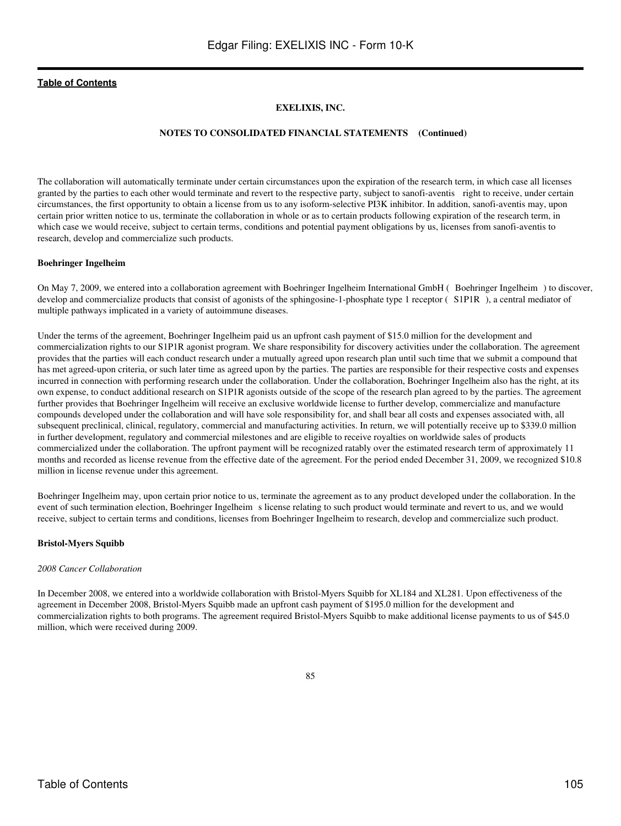## **EXELIXIS, INC.**

## **NOTES TO CONSOLIDATED FINANCIAL STATEMENTS (Continued)**

The collaboration will automatically terminate under certain circumstances upon the expiration of the research term, in which case all licenses granted by the parties to each other would terminate and revert to the respective party, subject to sanofi-aventis right to receive, under certain circumstances, the first opportunity to obtain a license from us to any isoform-selective PI3K inhibitor. In addition, sanofi-aventis may, upon certain prior written notice to us, terminate the collaboration in whole or as to certain products following expiration of the research term, in which case we would receive, subject to certain terms, conditions and potential payment obligations by us, licenses from sanofi-aventis to research, develop and commercialize such products.

#### **Boehringer Ingelheim**

On May 7, 2009, we entered into a collaboration agreement with Boehringer Ingelheim International GmbH (Boehringer Ingelheim) to discover, develop and commercialize products that consist of agonists of the sphingosine-1-phosphate type 1 receptor (S1P1R), a central mediator of multiple pathways implicated in a variety of autoimmune diseases.

Under the terms of the agreement, Boehringer Ingelheim paid us an upfront cash payment of \$15.0 million for the development and commercialization rights to our S1P1R agonist program. We share responsibility for discovery activities under the collaboration. The agreement provides that the parties will each conduct research under a mutually agreed upon research plan until such time that we submit a compound that has met agreed-upon criteria, or such later time as agreed upon by the parties. The parties are responsible for their respective costs and expenses incurred in connection with performing research under the collaboration. Under the collaboration, Boehringer Ingelheim also has the right, at its own expense, to conduct additional research on S1P1R agonists outside of the scope of the research plan agreed to by the parties. The agreement further provides that Boehringer Ingelheim will receive an exclusive worldwide license to further develop, commercialize and manufacture compounds developed under the collaboration and will have sole responsibility for, and shall bear all costs and expenses associated with, all subsequent preclinical, clinical, regulatory, commercial and manufacturing activities. In return, we will potentially receive up to \$339.0 million in further development, regulatory and commercial milestones and are eligible to receive royalties on worldwide sales of products commercialized under the collaboration. The upfront payment will be recognized ratably over the estimated research term of approximately 11 months and recorded as license revenue from the effective date of the agreement. For the period ended December 31, 2009, we recognized \$10.8 million in license revenue under this agreement.

Boehringer Ingelheim may, upon certain prior notice to us, terminate the agreement as to any product developed under the collaboration. In the event of such termination election, Boehringer Ingelheim s license relating to such product would terminate and revert to us, and we would receive, subject to certain terms and conditions, licenses from Boehringer Ingelheim to research, develop and commercialize such product.

#### **Bristol-Myers Squibb**

#### *2008 Cancer Collaboration*

In December 2008, we entered into a worldwide collaboration with Bristol-Myers Squibb for XL184 and XL281. Upon effectiveness of the agreement in December 2008, Bristol-Myers Squibb made an upfront cash payment of \$195.0 million for the development and commercialization rights to both programs. The agreement required Bristol-Myers Squibb to make additional license payments to us of \$45.0 million, which were received during 2009.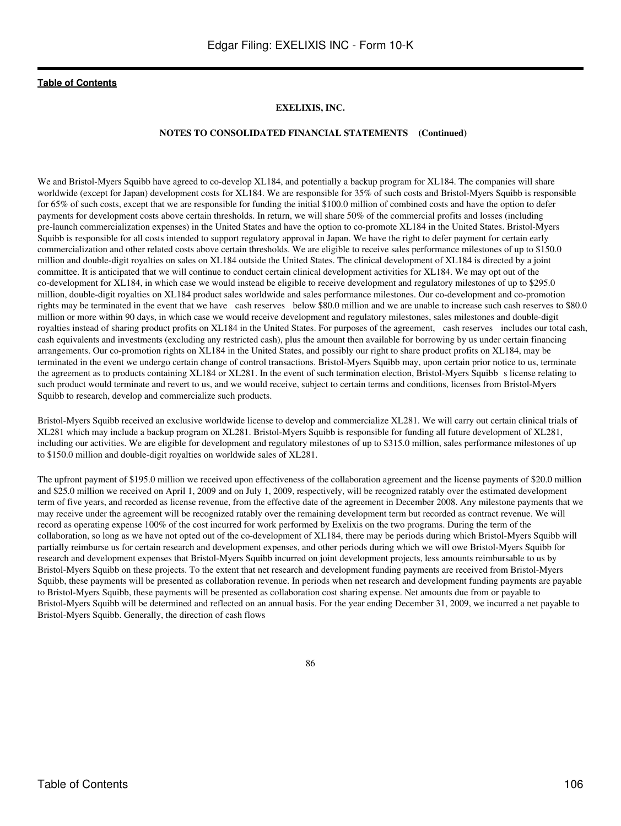### **EXELIXIS, INC.**

### **NOTES TO CONSOLIDATED FINANCIAL STATEMENTS (Continued)**

We and Bristol-Myers Squibb have agreed to co-develop XL184, and potentially a backup program for XL184. The companies will share worldwide (except for Japan) development costs for XL184. We are responsible for 35% of such costs and Bristol-Myers Squibb is responsible for 65% of such costs, except that we are responsible for funding the initial \$100.0 million of combined costs and have the option to defer payments for development costs above certain thresholds. In return, we will share 50% of the commercial profits and losses (including pre-launch commercialization expenses) in the United States and have the option to co-promote XL184 in the United States. Bristol-Myers Squibb is responsible for all costs intended to support regulatory approval in Japan. We have the right to defer payment for certain early commercialization and other related costs above certain thresholds. We are eligible to receive sales performance milestones of up to \$150.0 million and double-digit royalties on sales on XL184 outside the United States. The clinical development of XL184 is directed by a joint committee. It is anticipated that we will continue to conduct certain clinical development activities for XL184. We may opt out of the co-development for XL184, in which case we would instead be eligible to receive development and regulatory milestones of up to \$295.0 million, double-digit royalties on XL184 product sales worldwide and sales performance milestones. Our co-development and co-promotion rights may be terminated in the event that we have cash reserves below \$80.0 million and we are unable to increase such cash reserves to \$80.0 million or more within 90 days, in which case we would receive development and regulatory milestones, sales milestones and double-digit royalties instead of sharing product profits on XL184 in the United States. For purposes of the agreement, cash reserves includes our total cash, cash equivalents and investments (excluding any restricted cash), plus the amount then available for borrowing by us under certain financing arrangements. Our co-promotion rights on XL184 in the United States, and possibly our right to share product profits on XL184, may be terminated in the event we undergo certain change of control transactions. Bristol-Myers Squibb may, upon certain prior notice to us, terminate the agreement as to products containing XL184 or XL281. In the event of such termination election, Bristol-Myers Squibb s license relating to such product would terminate and revert to us, and we would receive, subject to certain terms and conditions, licenses from Bristol-Myers Squibb to research, develop and commercialize such products.

Bristol-Myers Squibb received an exclusive worldwide license to develop and commercialize XL281. We will carry out certain clinical trials of XL281 which may include a backup program on XL281. Bristol-Myers Squibb is responsible for funding all future development of XL281, including our activities. We are eligible for development and regulatory milestones of up to \$315.0 million, sales performance milestones of up to \$150.0 million and double-digit royalties on worldwide sales of XL281.

The upfront payment of \$195.0 million we received upon effectiveness of the collaboration agreement and the license payments of \$20.0 million and \$25.0 million we received on April 1, 2009 and on July 1, 2009, respectively, will be recognized ratably over the estimated development term of five years, and recorded as license revenue, from the effective date of the agreement in December 2008. Any milestone payments that we may receive under the agreement will be recognized ratably over the remaining development term but recorded as contract revenue. We will record as operating expense 100% of the cost incurred for work performed by Exelixis on the two programs. During the term of the collaboration, so long as we have not opted out of the co-development of XL184, there may be periods during which Bristol-Myers Squibb will partially reimburse us for certain research and development expenses, and other periods during which we will owe Bristol-Myers Squibb for research and development expenses that Bristol-Myers Squibb incurred on joint development projects, less amounts reimbursable to us by Bristol-Myers Squibb on these projects. To the extent that net research and development funding payments are received from Bristol-Myers Squibb, these payments will be presented as collaboration revenue. In periods when net research and development funding payments are payable to Bristol-Myers Squibb, these payments will be presented as collaboration cost sharing expense. Net amounts due from or payable to Bristol-Myers Squibb will be determined and reflected on an annual basis. For the year ending December 31, 2009, we incurred a net payable to Bristol-Myers Squibb. Generally, the direction of cash flows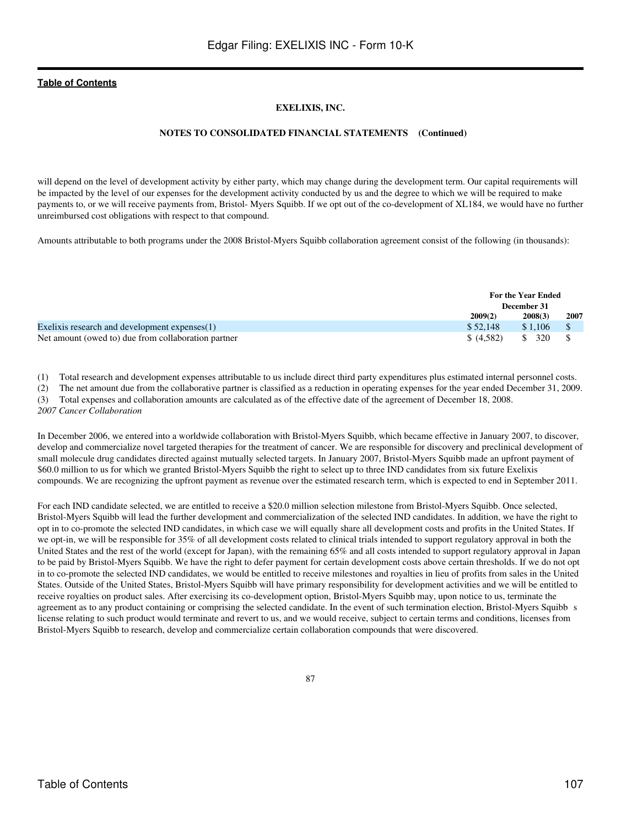## **EXELIXIS, INC.**

### **NOTES TO CONSOLIDATED FINANCIAL STATEMENTS (Continued)**

will depend on the level of development activity by either party, which may change during the development term. Our capital requirements will be impacted by the level of our expenses for the development activity conducted by us and the degree to which we will be required to make payments to, or we will receive payments from, Bristol- Myers Squibb. If we opt out of the co-development of XL184, we would have no further unreimbursed cost obligations with respect to that compound.

Amounts attributable to both programs under the 2008 Bristol-Myers Squibb collaboration agreement consist of the following (in thousands):

|                                                     | <b>For the Year Ended</b> |         |            |  |
|-----------------------------------------------------|---------------------------|---------|------------|--|
|                                                     | December 31               |         |            |  |
|                                                     | 2009(2)                   | 2008(3) | 2007       |  |
| Exelixis research and development expenses $(1)$    | \$52,148                  | \$1.106 | $^{\circ}$ |  |
| Net amount (owed to) due from collaboration partner | (4.582)                   | \$ 320  |            |  |

(1) Total research and development expenses attributable to us include direct third party expenditures plus estimated internal personnel costs.

(2) The net amount due from the collaborative partner is classified as a reduction in operating expenses for the year ended December 31, 2009.

(3) Total expenses and collaboration amounts are calculated as of the effective date of the agreement of December 18, 2008.

*2007 Cancer Collaboration*

In December 2006, we entered into a worldwide collaboration with Bristol-Myers Squibb, which became effective in January 2007, to discover, develop and commercialize novel targeted therapies for the treatment of cancer. We are responsible for discovery and preclinical development of small molecule drug candidates directed against mutually selected targets. In January 2007, Bristol-Myers Squibb made an upfront payment of \$60.0 million to us for which we granted Bristol-Myers Squibb the right to select up to three IND candidates from six future Exelixis compounds. We are recognizing the upfront payment as revenue over the estimated research term, which is expected to end in September 2011.

For each IND candidate selected, we are entitled to receive a \$20.0 million selection milestone from Bristol-Myers Squibb. Once selected, Bristol-Myers Squibb will lead the further development and commercialization of the selected IND candidates. In addition, we have the right to opt in to co-promote the selected IND candidates, in which case we will equally share all development costs and profits in the United States. If we opt-in, we will be responsible for 35% of all development costs related to clinical trials intended to support regulatory approval in both the United States and the rest of the world (except for Japan), with the remaining 65% and all costs intended to support regulatory approval in Japan to be paid by Bristol-Myers Squibb. We have the right to defer payment for certain development costs above certain thresholds. If we do not opt in to co-promote the selected IND candidates, we would be entitled to receive milestones and royalties in lieu of profits from sales in the United States. Outside of the United States, Bristol-Myers Squibb will have primary responsibility for development activities and we will be entitled to receive royalties on product sales. After exercising its co-development option, Bristol-Myers Squibb may, upon notice to us, terminate the agreement as to any product containing or comprising the selected candidate. In the event of such termination election, Bristol-Myers Squibb s license relating to such product would terminate and revert to us, and we would receive, subject to certain terms and conditions, licenses from Bristol-Myers Squibb to research, develop and commercialize certain collaboration compounds that were discovered.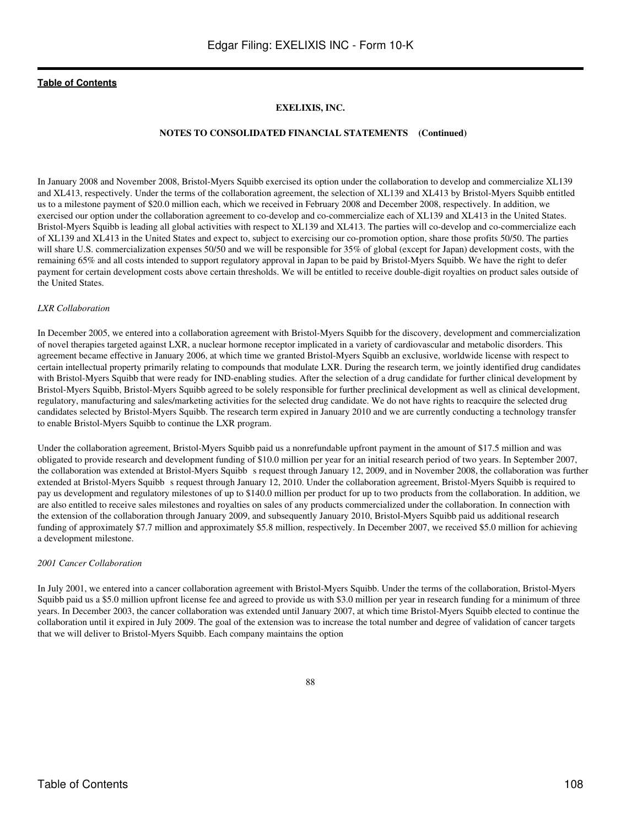## **EXELIXIS, INC.**

### **NOTES TO CONSOLIDATED FINANCIAL STATEMENTS (Continued)**

In January 2008 and November 2008, Bristol-Myers Squibb exercised its option under the collaboration to develop and commercialize XL139 and XL413, respectively. Under the terms of the collaboration agreement, the selection of XL139 and XL413 by Bristol-Myers Squibb entitled us to a milestone payment of \$20.0 million each, which we received in February 2008 and December 2008, respectively. In addition, we exercised our option under the collaboration agreement to co-develop and co-commercialize each of XL139 and XL413 in the United States. Bristol-Myers Squibb is leading all global activities with respect to XL139 and XL413. The parties will co-develop and co-commercialize each of XL139 and XL413 in the United States and expect to, subject to exercising our co-promotion option, share those profits 50/50. The parties will share U.S. commercialization expenses 50/50 and we will be responsible for 35% of global (except for Japan) development costs, with the remaining 65% and all costs intended to support regulatory approval in Japan to be paid by Bristol-Myers Squibb. We have the right to defer payment for certain development costs above certain thresholds. We will be entitled to receive double-digit royalties on product sales outside of the United States.

#### *LXR Collaboration*

In December 2005, we entered into a collaboration agreement with Bristol-Myers Squibb for the discovery, development and commercialization of novel therapies targeted against LXR, a nuclear hormone receptor implicated in a variety of cardiovascular and metabolic disorders. This agreement became effective in January 2006, at which time we granted Bristol-Myers Squibb an exclusive, worldwide license with respect to certain intellectual property primarily relating to compounds that modulate LXR. During the research term, we jointly identified drug candidates with Bristol-Myers Squibb that were ready for IND-enabling studies. After the selection of a drug candidate for further clinical development by Bristol-Myers Squibb, Bristol-Myers Squibb agreed to be solely responsible for further preclinical development as well as clinical development, regulatory, manufacturing and sales/marketing activities for the selected drug candidate. We do not have rights to reacquire the selected drug candidates selected by Bristol-Myers Squibb. The research term expired in January 2010 and we are currently conducting a technology transfer to enable Bristol-Myers Squibb to continue the LXR program.

Under the collaboration agreement, Bristol-Myers Squibb paid us a nonrefundable upfront payment in the amount of \$17.5 million and was obligated to provide research and development funding of \$10.0 million per year for an initial research period of two years. In September 2007, the collaboration was extended at Bristol-Myers Squibb s request through January 12, 2009, and in November 2008, the collaboration was further extended at Bristol-Myers Squibb s request through January 12, 2010. Under the collaboration agreement, Bristol-Myers Squibb is required to pay us development and regulatory milestones of up to \$140.0 million per product for up to two products from the collaboration. In addition, we are also entitled to receive sales milestones and royalties on sales of any products commercialized under the collaboration. In connection with the extension of the collaboration through January 2009, and subsequently January 2010, Bristol-Myers Squibb paid us additional research funding of approximately \$7.7 million and approximately \$5.8 million, respectively. In December 2007, we received \$5.0 million for achieving a development milestone.

#### *2001 Cancer Collaboration*

In July 2001, we entered into a cancer collaboration agreement with Bristol-Myers Squibb. Under the terms of the collaboration, Bristol-Myers Squibb paid us a \$5.0 million upfront license fee and agreed to provide us with \$3.0 million per year in research funding for a minimum of three years. In December 2003, the cancer collaboration was extended until January 2007, at which time Bristol-Myers Squibb elected to continue the collaboration until it expired in July 2009. The goal of the extension was to increase the total number and degree of validation of cancer targets that we will deliver to Bristol-Myers Squibb. Each company maintains the option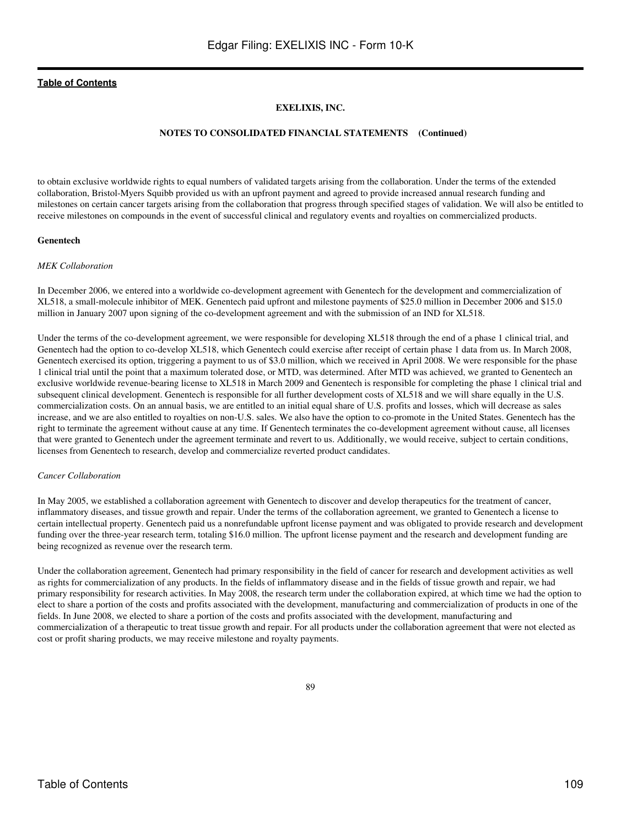# **EXELIXIS, INC.**

### **NOTES TO CONSOLIDATED FINANCIAL STATEMENTS (Continued)**

to obtain exclusive worldwide rights to equal numbers of validated targets arising from the collaboration. Under the terms of the extended collaboration, Bristol-Myers Squibb provided us with an upfront payment and agreed to provide increased annual research funding and milestones on certain cancer targets arising from the collaboration that progress through specified stages of validation. We will also be entitled to receive milestones on compounds in the event of successful clinical and regulatory events and royalties on commercialized products.

#### **Genentech**

#### *MEK Collaboration*

In December 2006, we entered into a worldwide co-development agreement with Genentech for the development and commercialization of XL518, a small-molecule inhibitor of MEK. Genentech paid upfront and milestone payments of \$25.0 million in December 2006 and \$15.0 million in January 2007 upon signing of the co-development agreement and with the submission of an IND for XL518.

Under the terms of the co-development agreement, we were responsible for developing XL518 through the end of a phase 1 clinical trial, and Genentech had the option to co-develop XL518, which Genentech could exercise after receipt of certain phase 1 data from us. In March 2008, Genentech exercised its option, triggering a payment to us of \$3.0 million, which we received in April 2008. We were responsible for the phase 1 clinical trial until the point that a maximum tolerated dose, or MTD, was determined. After MTD was achieved, we granted to Genentech an exclusive worldwide revenue-bearing license to XL518 in March 2009 and Genentech is responsible for completing the phase 1 clinical trial and subsequent clinical development. Genentech is responsible for all further development costs of XL518 and we will share equally in the U.S. commercialization costs. On an annual basis, we are entitled to an initial equal share of U.S. profits and losses, which will decrease as sales increase, and we are also entitled to royalties on non-U.S. sales. We also have the option to co-promote in the United States. Genentech has the right to terminate the agreement without cause at any time. If Genentech terminates the co-development agreement without cause, all licenses that were granted to Genentech under the agreement terminate and revert to us. Additionally, we would receive, subject to certain conditions, licenses from Genentech to research, develop and commercialize reverted product candidates.

#### *Cancer Collaboration*

In May 2005, we established a collaboration agreement with Genentech to discover and develop therapeutics for the treatment of cancer, inflammatory diseases, and tissue growth and repair. Under the terms of the collaboration agreement, we granted to Genentech a license to certain intellectual property. Genentech paid us a nonrefundable upfront license payment and was obligated to provide research and development funding over the three-year research term, totaling \$16.0 million. The upfront license payment and the research and development funding are being recognized as revenue over the research term.

Under the collaboration agreement, Genentech had primary responsibility in the field of cancer for research and development activities as well as rights for commercialization of any products. In the fields of inflammatory disease and in the fields of tissue growth and repair, we had primary responsibility for research activities. In May 2008, the research term under the collaboration expired, at which time we had the option to elect to share a portion of the costs and profits associated with the development, manufacturing and commercialization of products in one of the fields. In June 2008, we elected to share a portion of the costs and profits associated with the development, manufacturing and commercialization of a therapeutic to treat tissue growth and repair. For all products under the collaboration agreement that were not elected as cost or profit sharing products, we may receive milestone and royalty payments.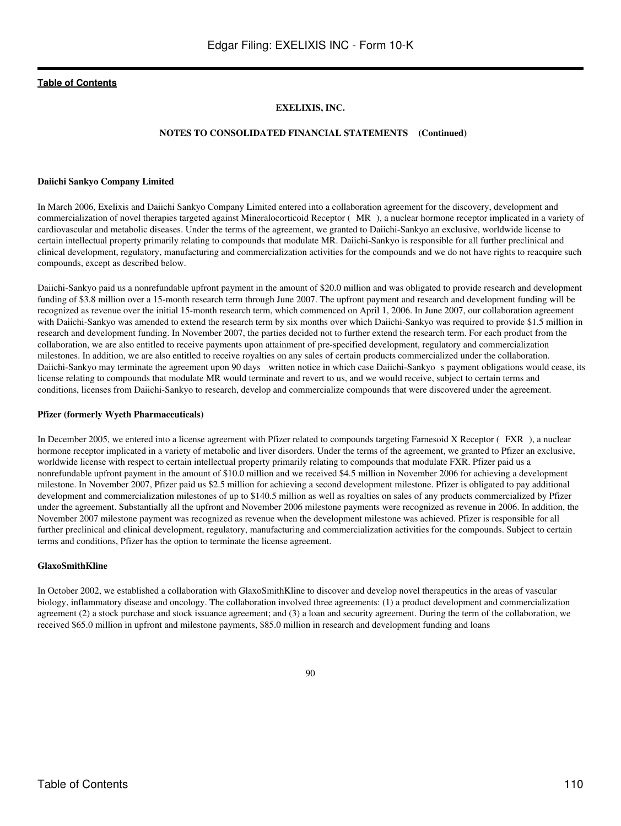# **EXELIXIS, INC.**

### **NOTES TO CONSOLIDATED FINANCIAL STATEMENTS (Continued)**

#### **Daiichi Sankyo Company Limited**

In March 2006, Exelixis and Daiichi Sankyo Company Limited entered into a collaboration agreement for the discovery, development and commercialization of novel therapies targeted against Mineralocorticoid Receptor (MR), a nuclear hormone receptor implicated in a variety of cardiovascular and metabolic diseases. Under the terms of the agreement, we granted to Daiichi-Sankyo an exclusive, worldwide license to certain intellectual property primarily relating to compounds that modulate MR. Daiichi-Sankyo is responsible for all further preclinical and clinical development, regulatory, manufacturing and commercialization activities for the compounds and we do not have rights to reacquire such compounds, except as described below.

Daiichi-Sankyo paid us a nonrefundable upfront payment in the amount of \$20.0 million and was obligated to provide research and development funding of \$3.8 million over a 15-month research term through June 2007. The upfront payment and research and development funding will be recognized as revenue over the initial 15-month research term, which commenced on April 1, 2006. In June 2007, our collaboration agreement with Daiichi-Sankyo was amended to extend the research term by six months over which Daiichi-Sankyo was required to provide \$1.5 million in research and development funding. In November 2007, the parties decided not to further extend the research term. For each product from the collaboration, we are also entitled to receive payments upon attainment of pre-specified development, regulatory and commercialization milestones. In addition, we are also entitled to receive royalties on any sales of certain products commercialized under the collaboration. Daiichi-Sankyo may terminate the agreement upon 90 days written notice in which case Daiichi-Sankyo s payment obligations would cease, its license relating to compounds that modulate MR would terminate and revert to us, and we would receive, subject to certain terms and conditions, licenses from Daiichi-Sankyo to research, develop and commercialize compounds that were discovered under the agreement.

#### **Pfizer (formerly Wyeth Pharmaceuticals)**

In December 2005, we entered into a license agreement with Pfizer related to compounds targeting Farnesoid X Receptor (FXR), a nuclear hormone receptor implicated in a variety of metabolic and liver disorders. Under the terms of the agreement, we granted to Pfizer an exclusive, worldwide license with respect to certain intellectual property primarily relating to compounds that modulate FXR. Pfizer paid us a nonrefundable upfront payment in the amount of \$10.0 million and we received \$4.5 million in November 2006 for achieving a development milestone. In November 2007, Pfizer paid us \$2.5 million for achieving a second development milestone. Pfizer is obligated to pay additional development and commercialization milestones of up to \$140.5 million as well as royalties on sales of any products commercialized by Pfizer under the agreement. Substantially all the upfront and November 2006 milestone payments were recognized as revenue in 2006. In addition, the November 2007 milestone payment was recognized as revenue when the development milestone was achieved. Pfizer is responsible for all further preclinical and clinical development, regulatory, manufacturing and commercialization activities for the compounds. Subject to certain terms and conditions, Pfizer has the option to terminate the license agreement.

### **GlaxoSmithKline**

In October 2002, we established a collaboration with GlaxoSmithKline to discover and develop novel therapeutics in the areas of vascular biology, inflammatory disease and oncology. The collaboration involved three agreements: (1) a product development and commercialization agreement (2) a stock purchase and stock issuance agreement; and (3) a loan and security agreement. During the term of the collaboration, we received \$65.0 million in upfront and milestone payments, \$85.0 million in research and development funding and loans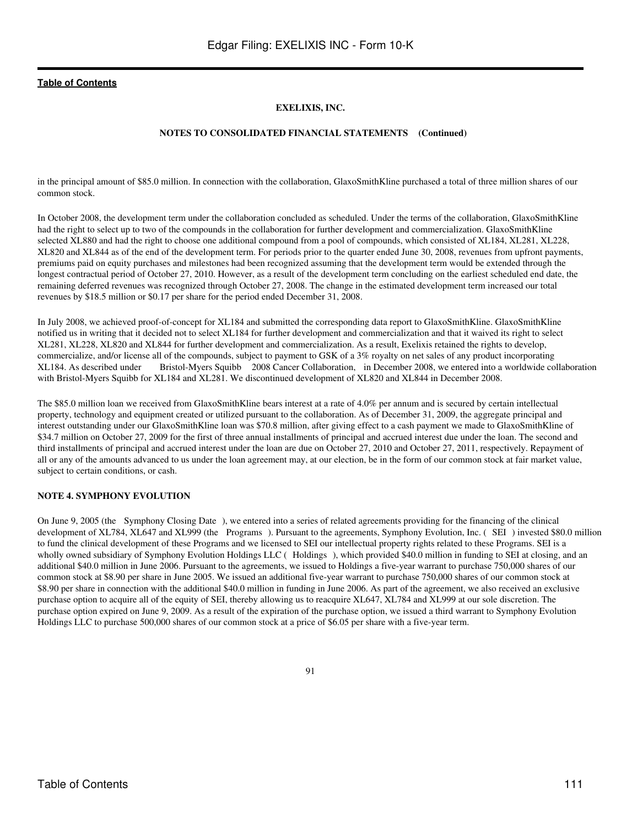# **EXELIXIS, INC.**

## **NOTES TO CONSOLIDATED FINANCIAL STATEMENTS (Continued)**

in the principal amount of \$85.0 million. In connection with the collaboration, GlaxoSmithKline purchased a total of three million shares of our common stock.

In October 2008, the development term under the collaboration concluded as scheduled. Under the terms of the collaboration, GlaxoSmithKline had the right to select up to two of the compounds in the collaboration for further development and commercialization. GlaxoSmithKline selected XL880 and had the right to choose one additional compound from a pool of compounds, which consisted of XL184, XL281, XL228, XL820 and XL844 as of the end of the development term. For periods prior to the quarter ended June 30, 2008, revenues from upfront payments, premiums paid on equity purchases and milestones had been recognized assuming that the development term would be extended through the longest contractual period of October 27, 2010. However, as a result of the development term concluding on the earliest scheduled end date, the remaining deferred revenues was recognized through October 27, 2008. The change in the estimated development term increased our total revenues by \$18.5 million or \$0.17 per share for the period ended December 31, 2008.

In July 2008, we achieved proof-of-concept for XL184 and submitted the corresponding data report to GlaxoSmithKline. GlaxoSmithKline notified us in writing that it decided not to select XL184 for further development and commercialization and that it waived its right to select XL281, XL228, XL820 and XL844 for further development and commercialization. As a result, Exelixis retained the rights to develop, commercialize, and/or license all of the compounds, subject to payment to GSK of a 3% royalty on net sales of any product incorporating XL184. As described under Bristol-Myers Squibb 2008 Cancer Collaboration, in December 2008, we entered into a worldwide collaboration with Bristol-Myers Squibb for XL184 and XL281. We discontinued development of XL820 and XL844 in December 2008.

The \$85.0 million loan we received from GlaxoSmithKline bears interest at a rate of 4.0% per annum and is secured by certain intellectual property, technology and equipment created or utilized pursuant to the collaboration. As of December 31, 2009, the aggregate principal and interest outstanding under our GlaxoSmithKline loan was \$70.8 million, after giving effect to a cash payment we made to GlaxoSmithKline of \$34.7 million on October 27, 2009 for the first of three annual installments of principal and accrued interest due under the loan. The second and third installments of principal and accrued interest under the loan are due on October 27, 2010 and October 27, 2011, respectively. Repayment of all or any of the amounts advanced to us under the loan agreement may, at our election, be in the form of our common stock at fair market value, subject to certain conditions, or cash.

## **NOTE 4. SYMPHONY EVOLUTION**

On June 9, 2005 (the Symphony Closing Date), we entered into a series of related agreements providing for the financing of the clinical development of XL784, XL647 and XL999 (the Programs). Pursuant to the agreements, Symphony Evolution, Inc. (SEI) invested \$80.0 million to fund the clinical development of these Programs and we licensed to SEI our intellectual property rights related to these Programs. SEI is a wholly owned subsidiary of Symphony Evolution Holdings LLC (Holdings), which provided \$40.0 million in funding to SEI at closing, and an additional \$40.0 million in June 2006. Pursuant to the agreements, we issued to Holdings a five-year warrant to purchase 750,000 shares of our common stock at \$8.90 per share in June 2005. We issued an additional five-year warrant to purchase 750,000 shares of our common stock at \$8.90 per share in connection with the additional \$40.0 million in funding in June 2006. As part of the agreement, we also received an exclusive purchase option to acquire all of the equity of SEI, thereby allowing us to reacquire XL647, XL784 and XL999 at our sole discretion. The purchase option expired on June 9, 2009. As a result of the expiration of the purchase option, we issued a third warrant to Symphony Evolution Holdings LLC to purchase 500,000 shares of our common stock at a price of \$6.05 per share with a five-year term.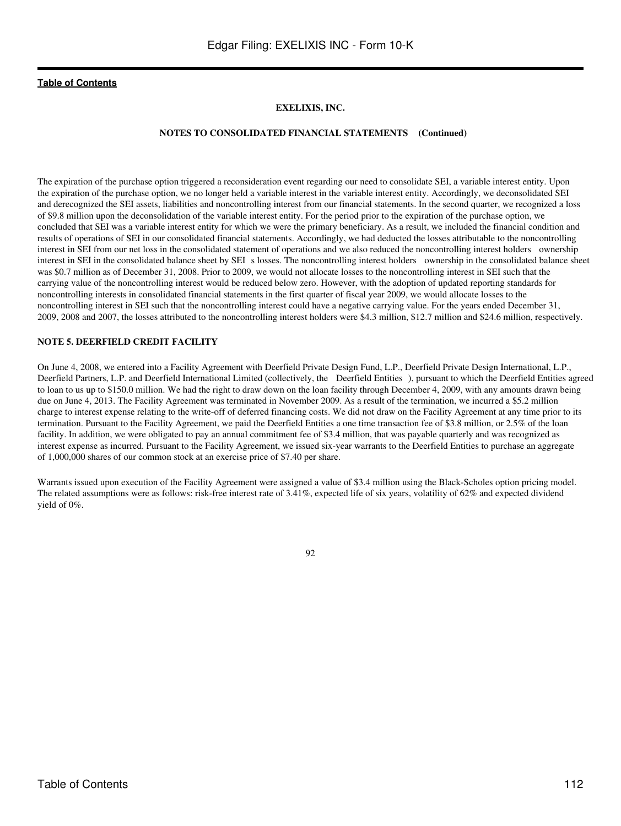## **EXELIXIS, INC.**

## **NOTES TO CONSOLIDATED FINANCIAL STATEMENTS (Continued)**

The expiration of the purchase option triggered a reconsideration event regarding our need to consolidate SEI, a variable interest entity. Upon the expiration of the purchase option, we no longer held a variable interest in the variable interest entity. Accordingly, we deconsolidated SEI and derecognized the SEI assets, liabilities and noncontrolling interest from our financial statements. In the second quarter, we recognized a loss of \$9.8 million upon the deconsolidation of the variable interest entity. For the period prior to the expiration of the purchase option, we concluded that SEI was a variable interest entity for which we were the primary beneficiary. As a result, we included the financial condition and results of operations of SEI in our consolidated financial statements. Accordingly, we had deducted the losses attributable to the noncontrolling interest in SEI from our net loss in the consolidated statement of operations and we also reduced the noncontrolling interest holders ownership interest in SEI in the consolidated balance sheet by SEI s losses. The noncontrolling interest holders ownership in the consolidated balance sheet was \$0.7 million as of December 31, 2008. Prior to 2009, we would not allocate losses to the noncontrolling interest in SEI such that the carrying value of the noncontrolling interest would be reduced below zero. However, with the adoption of updated reporting standards for noncontrolling interests in consolidated financial statements in the first quarter of fiscal year 2009, we would allocate losses to the noncontrolling interest in SEI such that the noncontrolling interest could have a negative carrying value. For the years ended December 31, 2009, 2008 and 2007, the losses attributed to the noncontrolling interest holders were \$4.3 million, \$12.7 million and \$24.6 million, respectively.

## **NOTE 5. DEERFIELD CREDIT FACILITY**

On June 4, 2008, we entered into a Facility Agreement with Deerfield Private Design Fund, L.P., Deerfield Private Design International, L.P., Deerfield Partners, L.P. and Deerfield International Limited (collectively, the Deerfield Entities), pursuant to which the Deerfield Entities agreed to loan to us up to \$150.0 million. We had the right to draw down on the loan facility through December 4, 2009, with any amounts drawn being due on June 4, 2013. The Facility Agreement was terminated in November 2009. As a result of the termination, we incurred a \$5.2 million charge to interest expense relating to the write-off of deferred financing costs. We did not draw on the Facility Agreement at any time prior to its termination. Pursuant to the Facility Agreement, we paid the Deerfield Entities a one time transaction fee of \$3.8 million, or 2.5% of the loan facility. In addition, we were obligated to pay an annual commitment fee of \$3.4 million, that was payable quarterly and was recognized as interest expense as incurred. Pursuant to the Facility Agreement, we issued six-year warrants to the Deerfield Entities to purchase an aggregate of 1,000,000 shares of our common stock at an exercise price of \$7.40 per share.

Warrants issued upon execution of the Facility Agreement were assigned a value of \$3.4 million using the Black-Scholes option pricing model. The related assumptions were as follows: risk-free interest rate of 3.41%, expected life of six years, volatility of 62% and expected dividend yield of 0%.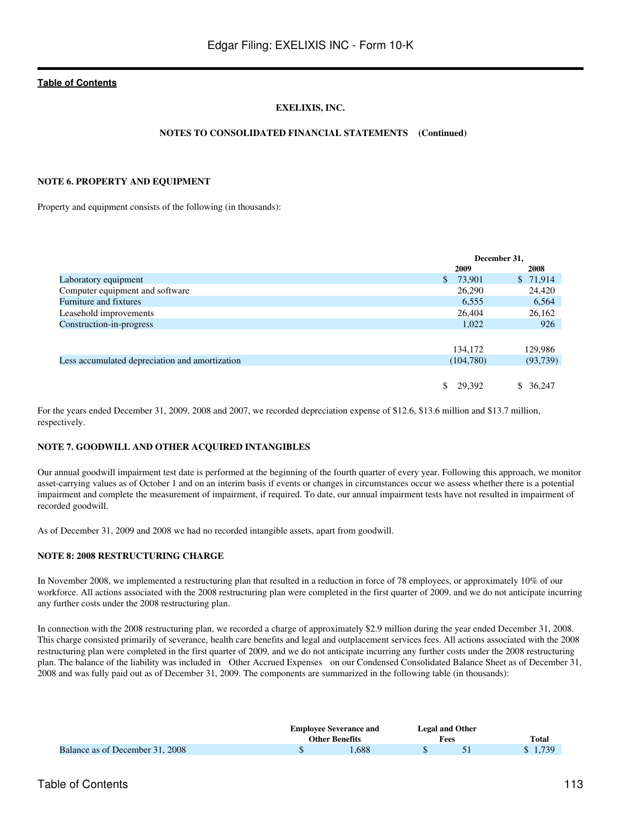# **EXELIXIS, INC.**

## **NOTES TO CONSOLIDATED FINANCIAL STATEMENTS (Continued)**

### **NOTE 6. PROPERTY AND EQUIPMENT**

Property and equipment consists of the following (in thousands):

|                                                | December 31,           |           |
|------------------------------------------------|------------------------|-----------|
|                                                | 2009                   | 2008      |
| Laboratory equipment                           | $\mathbb{S}$<br>73,901 | \$71,914  |
| Computer equipment and software                | 26,290                 | 24,420    |
| Furniture and fixtures                         | 6,555                  | 6,564     |
| Leasehold improvements                         | 26,404                 | 26,162    |
| Construction-in-progress                       | 1,022                  | 926       |
|                                                |                        |           |
|                                                | 134,172                | 129,986   |
| Less accumulated depreciation and amortization | (104, 780)             | (93, 739) |
|                                                |                        |           |
|                                                | \$<br>29,392           | 36,247    |

For the years ended December 31, 2009, 2008 and 2007, we recorded depreciation expense of \$12.6, \$13.6 million and \$13.7 million, respectively.

## **NOTE 7. GOODWILL AND OTHER ACQUIRED INTANGIBLES**

Our annual goodwill impairment test date is performed at the beginning of the fourth quarter of every year. Following this approach, we monitor asset-carrying values as of October 1 and on an interim basis if events or changes in circumstances occur we assess whether there is a potential impairment and complete the measurement of impairment, if required. To date, our annual impairment tests have not resulted in impairment of recorded goodwill.

As of December 31, 2009 and 2008 we had no recorded intangible assets, apart from goodwill.

#### **NOTE 8: 2008 RESTRUCTURING CHARGE**

In November 2008, we implemented a restructuring plan that resulted in a reduction in force of 78 employees, or approximately 10% of our workforce. All actions associated with the 2008 restructuring plan were completed in the first quarter of 2009, and we do not anticipate incurring any further costs under the 2008 restructuring plan.

In connection with the 2008 restructuring plan, we recorded a charge of approximately \$2.9 million during the year ended December 31, 2008. This charge consisted primarily of severance, health care benefits and legal and outplacement services fees. All actions associated with the 2008 restructuring plan were completed in the first quarter of 2009, and we do not anticipate incurring any further costs under the 2008 restructuring plan. The balance of the liability was included in Other Accrued Expenses on our Condensed Consolidated Balance Sheet as of December 31, 2008 and was fully paid out as of December 31, 2009. The components are summarized in the following table (in thousands):

|                                        | <b>Employee Severance and</b><br><b>Other Benefits</b> | <b>Legal and Other</b><br>Fees | <b>Total</b> |
|----------------------------------------|--------------------------------------------------------|--------------------------------|--------------|
| <b>Balance as of December 31, 2008</b> | .688                                                   |                                | 1,739        |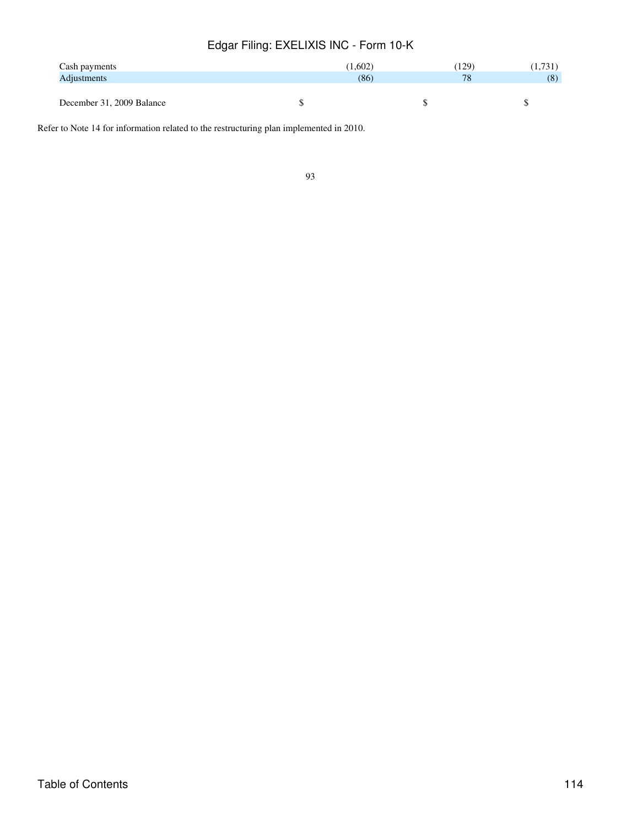# Edgar Filing: EXELIXIS INC - Form 10-K

| Cash payments             | (1,602) | (129) | (1,731) |
|---------------------------|---------|-------|---------|
| Adjustments               | (86)    | 78    | (8)     |
|                           |         |       |         |
| December 31, 2009 Balance |         |       |         |

Refer to Note 14 for information related to the restructuring plan implemented in 2010.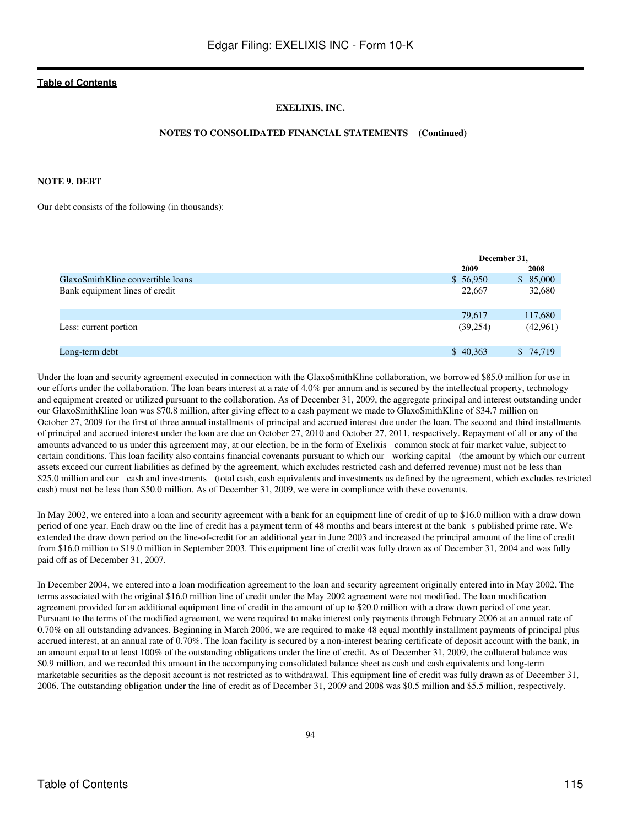# **EXELIXIS, INC.**

## **NOTES TO CONSOLIDATED FINANCIAL STATEMENTS (Continued)**

#### **NOTE 9. DEBT**

Our debt consists of the following (in thousands):

|                                   | December 31, |          |  |
|-----------------------------------|--------------|----------|--|
|                                   | 2009         | 2008     |  |
| GlaxoSmithKline convertible loans | \$56,950     | \$85,000 |  |
| Bank equipment lines of credit    | 22,667       | 32,680   |  |
|                                   | 79.617       | 117,680  |  |
| Less: current portion             | (39,254)     | (42,961) |  |
| Long-term debt                    | \$40,363     | \$74,719 |  |

Under the loan and security agreement executed in connection with the GlaxoSmithKline collaboration, we borrowed \$85.0 million for use in our efforts under the collaboration. The loan bears interest at a rate of 4.0% per annum and is secured by the intellectual property, technology and equipment created or utilized pursuant to the collaboration. As of December 31, 2009, the aggregate principal and interest outstanding under our GlaxoSmithKline loan was \$70.8 million, after giving effect to a cash payment we made to GlaxoSmithKline of \$34.7 million on October 27, 2009 for the first of three annual installments of principal and accrued interest due under the loan. The second and third installments of principal and accrued interest under the loan are due on October 27, 2010 and October 27, 2011, respectively. Repayment of all or any of the amounts advanced to us under this agreement may, at our election, be in the form of Exelixis common stock at fair market value, subject to certain conditions. This loan facility also contains financial covenants pursuant to which our working capital (the amount by which our current assets exceed our current liabilities as defined by the agreement, which excludes restricted cash and deferred revenue) must not be less than \$25.0 million and our cash and investments (total cash, cash equivalents and investments as defined by the agreement, which excludes restricted cash) must not be less than \$50.0 million. As of December 31, 2009, we were in compliance with these covenants.

In May 2002, we entered into a loan and security agreement with a bank for an equipment line of credit of up to \$16.0 million with a draw down period of one year. Each draw on the line of credit has a payment term of 48 months and bears interest at the banks published prime rate. We extended the draw down period on the line-of-credit for an additional year in June 2003 and increased the principal amount of the line of credit from \$16.0 million to \$19.0 million in September 2003. This equipment line of credit was fully drawn as of December 31, 2004 and was fully paid off as of December 31, 2007.

In December 2004, we entered into a loan modification agreement to the loan and security agreement originally entered into in May 2002. The terms associated with the original \$16.0 million line of credit under the May 2002 agreement were not modified. The loan modification agreement provided for an additional equipment line of credit in the amount of up to \$20.0 million with a draw down period of one year. Pursuant to the terms of the modified agreement, we were required to make interest only payments through February 2006 at an annual rate of 0.70% on all outstanding advances. Beginning in March 2006, we are required to make 48 equal monthly installment payments of principal plus accrued interest, at an annual rate of 0.70%. The loan facility is secured by a non-interest bearing certificate of deposit account with the bank, in an amount equal to at least 100% of the outstanding obligations under the line of credit. As of December 31, 2009, the collateral balance was \$0.9 million, and we recorded this amount in the accompanying consolidated balance sheet as cash and cash equivalents and long-term marketable securities as the deposit account is not restricted as to withdrawal. This equipment line of credit was fully drawn as of December 31, 2006. The outstanding obligation under the line of credit as of December 31, 2009 and 2008 was \$0.5 million and \$5.5 million, respectively.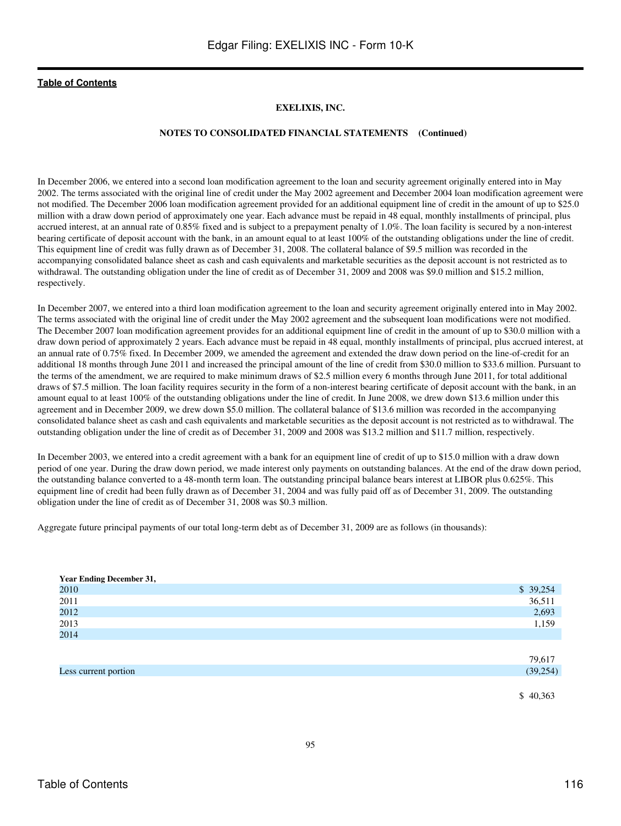# **EXELIXIS, INC.**

## **NOTES TO CONSOLIDATED FINANCIAL STATEMENTS (Continued)**

In December 2006, we entered into a second loan modification agreement to the loan and security agreement originally entered into in May 2002. The terms associated with the original line of credit under the May 2002 agreement and December 2004 loan modification agreement were not modified. The December 2006 loan modification agreement provided for an additional equipment line of credit in the amount of up to \$25.0 million with a draw down period of approximately one year. Each advance must be repaid in 48 equal, monthly installments of principal, plus accrued interest, at an annual rate of 0.85% fixed and is subject to a prepayment penalty of 1.0%. The loan facility is secured by a non-interest bearing certificate of deposit account with the bank, in an amount equal to at least 100% of the outstanding obligations under the line of credit. This equipment line of credit was fully drawn as of December 31, 2008. The collateral balance of \$9.5 million was recorded in the accompanying consolidated balance sheet as cash and cash equivalents and marketable securities as the deposit account is not restricted as to withdrawal. The outstanding obligation under the line of credit as of December 31, 2009 and 2008 was \$9.0 million and \$15.2 million, respectively.

In December 2007, we entered into a third loan modification agreement to the loan and security agreement originally entered into in May 2002. The terms associated with the original line of credit under the May 2002 agreement and the subsequent loan modifications were not modified. The December 2007 loan modification agreement provides for an additional equipment line of credit in the amount of up to \$30.0 million with a draw down period of approximately 2 years. Each advance must be repaid in 48 equal, monthly installments of principal, plus accrued interest, at an annual rate of 0.75% fixed. In December 2009, we amended the agreement and extended the draw down period on the line-of-credit for an additional 18 months through June 2011 and increased the principal amount of the line of credit from \$30.0 million to \$33.6 million. Pursuant to the terms of the amendment, we are required to make minimum draws of \$2.5 million every 6 months through June 2011, for total additional draws of \$7.5 million. The loan facility requires security in the form of a non-interest bearing certificate of deposit account with the bank, in an amount equal to at least 100% of the outstanding obligations under the line of credit. In June 2008, we drew down \$13.6 million under this agreement and in December 2009, we drew down \$5.0 million. The collateral balance of \$13.6 million was recorded in the accompanying consolidated balance sheet as cash and cash equivalents and marketable securities as the deposit account is not restricted as to withdrawal. The outstanding obligation under the line of credit as of December 31, 2009 and 2008 was \$13.2 million and \$11.7 million, respectively.

In December 2003, we entered into a credit agreement with a bank for an equipment line of credit of up to \$15.0 million with a draw down period of one year. During the draw down period, we made interest only payments on outstanding balances. At the end of the draw down period, the outstanding balance converted to a 48-month term loan. The outstanding principal balance bears interest at LIBOR plus 0.625%. This equipment line of credit had been fully drawn as of December 31, 2004 and was fully paid off as of December 31, 2009. The outstanding obligation under the line of credit as of December 31, 2008 was \$0.3 million.

Aggregate future principal payments of our total long-term debt as of December 31, 2009 are as follows (in thousands):

| <b>Year Ending December 31,</b> |                      |
|---------------------------------|----------------------|
| 2010                            | \$39,254             |
| 2011                            | 36,511               |
| 2012                            | 2,693                |
| 2013                            | 1,159                |
| 2014                            |                      |
|                                 |                      |
|                                 |                      |
| Less current portion            | $79,617$<br>(39,254) |
|                                 |                      |
|                                 | .                    |

\$ 40,363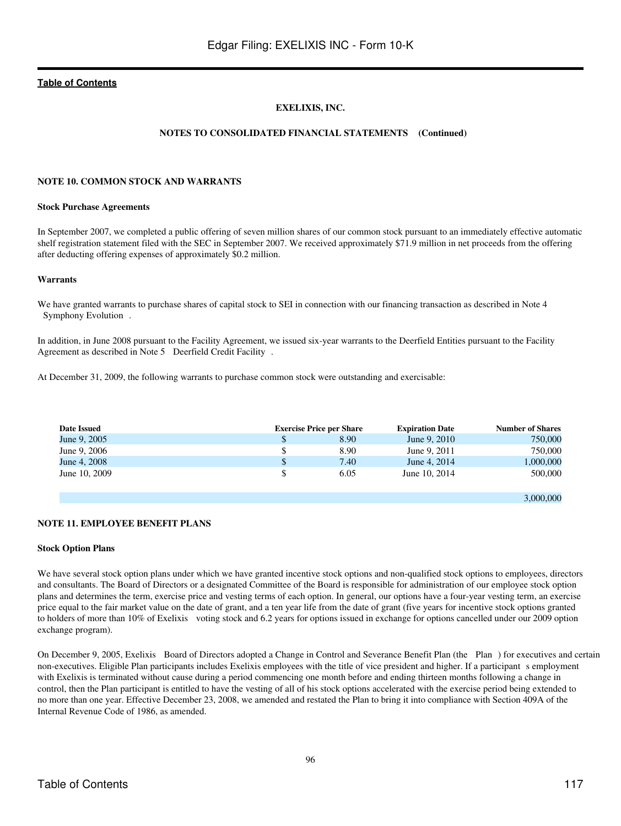# **EXELIXIS, INC.**

## **NOTES TO CONSOLIDATED FINANCIAL STATEMENTS (Continued)**

#### **NOTE 10. COMMON STOCK AND WARRANTS**

#### **Stock Purchase Agreements**

In September 2007, we completed a public offering of seven million shares of our common stock pursuant to an immediately effective automatic shelf registration statement filed with the SEC in September 2007. We received approximately \$71.9 million in net proceeds from the offering after deducting offering expenses of approximately \$0.2 million.

#### **Warrants**

We have granted warrants to purchase shares of capital stock to SEI in connection with our financing transaction as described in Note 4 Symphony Evolution.

In addition, in June 2008 pursuant to the Facility Agreement, we issued six-year warrants to the Deerfield Entities pursuant to the Facility Agreement as described in Note 5 Deerfield Credit Facility.

At December 31, 2009, the following warrants to purchase common stock were outstanding and exercisable:

| Date Issued   | <b>Exercise Price per Share</b> | <b>Expiration Date</b> | <b>Number of Shares</b> |
|---------------|---------------------------------|------------------------|-------------------------|
| June 9, 2005  | 8.90                            | June 9, 2010           | 750,000                 |
| June 9, 2006  | 8.90                            | June 9, 2011           | 750,000                 |
| June 4, 2008  | 7.40                            | June 4, 2014           | 1.000.000               |
| June 10, 2009 | 6.05                            | June 10, 2014          | 500,000                 |
|               |                                 |                        |                         |

#### **NOTE 11. EMPLOYEE BENEFIT PLANS**

#### **Stock Option Plans**

We have several stock option plans under which we have granted incentive stock options and non-qualified stock options to employees, directors and consultants. The Board of Directors or a designated Committee of the Board is responsible for administration of our employee stock option plans and determines the term, exercise price and vesting terms of each option. In general, our options have a four-year vesting term, an exercise price equal to the fair market value on the date of grant, and a ten year life from the date of grant (five years for incentive stock options granted to holders of more than 10% of Exelixis voting stock and 6.2 years for options issued in exchange for options cancelled under our 2009 option exchange program).

On December 9, 2005, Exelixis Board of Directors adopted a Change in Control and Severance Benefit Plan (the Plan) for executives and certain non-executives. Eligible Plan participants includes Exelixis employees with the title of vice president and higher. If a participants employment with Exelixis is terminated without cause during a period commencing one month before and ending thirteen months following a change in control, then the Plan participant is entitled to have the vesting of all of his stock options accelerated with the exercise period being extended to no more than one year. Effective December 23, 2008, we amended and restated the Plan to bring it into compliance with Section 409A of the Internal Revenue Code of 1986, as amended.

3,000,000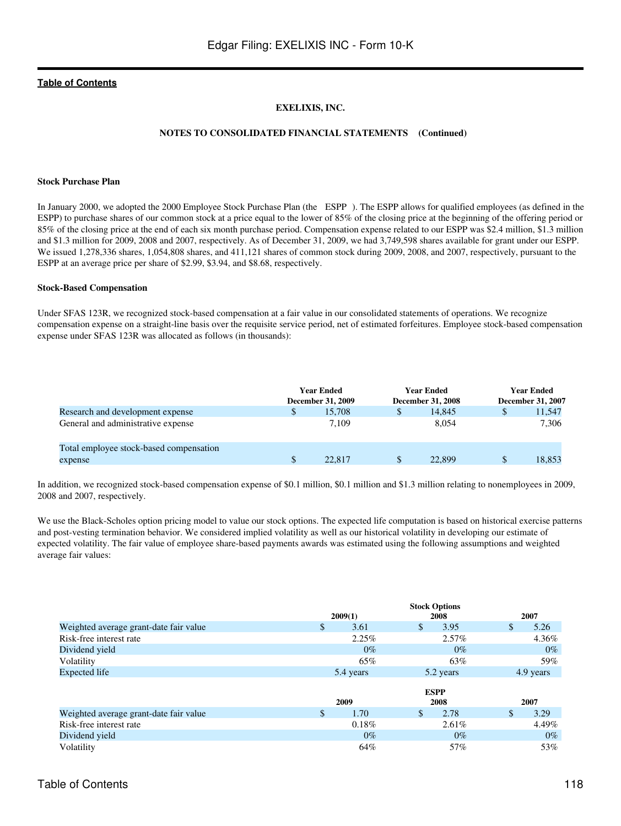# **EXELIXIS, INC.**

### **NOTES TO CONSOLIDATED FINANCIAL STATEMENTS (Continued)**

#### **Stock Purchase Plan**

In January 2000, we adopted the 2000 Employee Stock Purchase Plan (the ESPP). The ESPP allows for qualified employees (as defined in the ESPP) to purchase shares of our common stock at a price equal to the lower of 85% of the closing price at the beginning of the offering period or 85% of the closing price at the end of each six month purchase period. Compensation expense related to our ESPP was \$2.4 million, \$1.3 million and \$1.3 million for 2009, 2008 and 2007, respectively. As of December 31, 2009, we had 3,749,598 shares available for grant under our ESPP. We issued 1,278,336 shares, 1,054,808 shares, and 411,121 shares of common stock during 2009, 2008, and 2007, respectively, pursuant to the ESPP at an average price per share of \$2.99, \$3.94, and \$8.68, respectively.

#### **Stock-Based Compensation**

Under SFAS 123R, we recognized stock-based compensation at a fair value in our consolidated statements of operations. We recognize compensation expense on a straight-line basis over the requisite service period, net of estimated forfeitures. Employee stock-based compensation expense under SFAS 123R was allocated as follows (in thousands):

|                                                                        |   | <b>Year Ended</b><br><b>December 31, 2009</b> | <b>Year Ended</b><br><b>December 31, 2008</b> |     | <b>Year Ended</b><br><b>December 31, 2007</b> |
|------------------------------------------------------------------------|---|-----------------------------------------------|-----------------------------------------------|-----|-----------------------------------------------|
| Research and development expense<br>General and administrative expense | S | 15.708<br>7.109                               | \$<br>14.845<br>8.054                         | \$. | 11,547<br>7,306                               |
| Total employee stock-based compensation<br>expense                     |   | 22,817                                        | \$<br>22.899                                  | \$  | 18,853                                        |

In addition, we recognized stock-based compensation expense of \$0.1 million, \$0.1 million and \$1.3 million relating to nonemployees in 2009, 2008 and 2007, respectively.

We use the Black-Scholes option pricing model to value our stock options. The expected life computation is based on historical exercise patterns and post-vesting termination behavior. We considered implied volatility as well as our historical volatility in developing our estimate of expected volatility. The fair value of employee share-based payments awards was estimated using the following assumptions and weighted average fair values:

|                                        |           | 2009(1) |              | <b>Stock Options</b><br>2008 |           | 2007  |
|----------------------------------------|-----------|---------|--------------|------------------------------|-----------|-------|
| Weighted average grant-date fair value | \$        | 3.61    | $\mathbb{S}$ | 3.95                         | \$.       | 5.26  |
| Risk-free interest rate                |           | 2.25%   |              | $2.57\%$                     |           | 4.36% |
| Dividend yield                         |           | $0\%$   |              | $0\%$                        |           | $0\%$ |
| Volatility                             |           | 65%     |              | 63%                          |           | 59%   |
| Expected life                          | 5.4 years |         | 5.2 years    |                              | 4.9 years |       |
|                                        |           | 2009    |              | <b>ESPP</b><br>2008          |           | 2007  |
| Weighted average grant-date fair value | \$        | 1.70    | $\mathbb{S}$ | 2.78                         | \$        | 3.29  |
| Risk-free interest rate                |           | 0.18%   |              | 2.61%                        |           | 4.49% |
| Dividend yield                         |           | $0\%$   |              | $0\%$                        |           | $0\%$ |
| Volatility                             |           | 64%     |              | 57%                          |           | 53%   |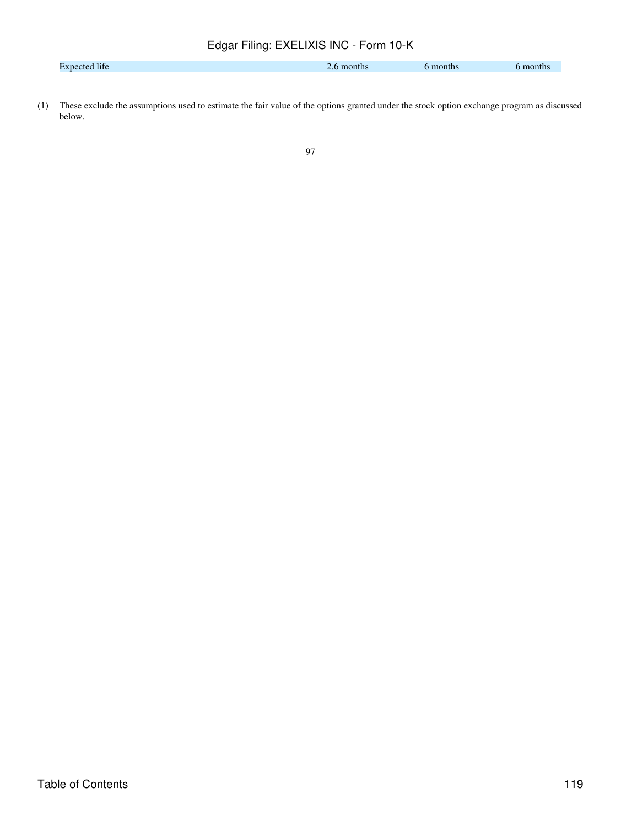# Edgar Filing: EXELIXIS INC - Form 10-K

| <b>Expected life</b> | months<br>2.6r | months | months<br>$\sim$ $\sim$ $\sim$ $\sim$ $\sim$ $\sim$ |
|----------------------|----------------|--------|-----------------------------------------------------|
|                      |                |        |                                                     |

(1) These exclude the assumptions used to estimate the fair value of the options granted under the stock option exchange program as discussed below.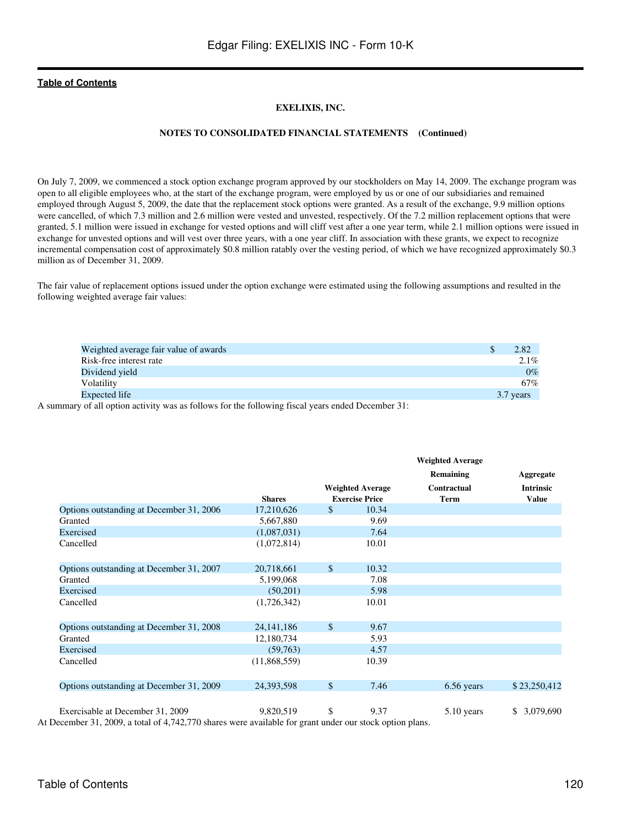# **EXELIXIS, INC.**

# **NOTES TO CONSOLIDATED FINANCIAL STATEMENTS (Continued)**

On July 7, 2009, we commenced a stock option exchange program approved by our stockholders on May 14, 2009. The exchange program was open to all eligible employees who, at the start of the exchange program, were employed by us or one of our subsidiaries and remained employed through August 5, 2009, the date that the replacement stock options were granted. As a result of the exchange, 9.9 million options were cancelled, of which 7.3 million and 2.6 million were vested and unvested, respectively. Of the 7.2 million replacement options that were granted, 5.1 million were issued in exchange for vested options and will cliff vest after a one year term, while 2.1 million options were issued in exchange for unvested options and will vest over three years, with a one year cliff. In association with these grants, we expect to recognize incremental compensation cost of approximately \$0.8 million ratably over the vesting period, of which we have recognized approximately \$0.3 million as of December 31, 2009.

The fair value of replacement options issued under the option exchange were estimated using the following assumptions and resulted in the following weighted average fair values:

| Weighted average fair value of awards | 2.82      |
|---------------------------------------|-----------|
| Risk-free interest rate               | $2.1\%$   |
| Dividend yield                        | $0\%$     |
| Volatility                            | 67%       |
| Expected life                         | 3.7 years |

A summary of all option activity was as follows for the following fiscal years ended December 31:

|                                                                |               |              |                                                  | <b>Weighted Average</b>    |                                  |
|----------------------------------------------------------------|---------------|--------------|--------------------------------------------------|----------------------------|----------------------------------|
|                                                                |               |              |                                                  | Remaining                  | Aggregate                        |
|                                                                | <b>Shares</b> |              | <b>Weighted Average</b><br><b>Exercise Price</b> | Contractual<br><b>Term</b> | <b>Intrinsic</b><br><b>Value</b> |
| Options outstanding at December 31, 2006                       | 17,210,626    | \$           | 10.34                                            |                            |                                  |
| Granted                                                        | 5,667,880     |              | 9.69                                             |                            |                                  |
| Exercised                                                      | (1,087,031)   |              | 7.64                                             |                            |                                  |
| Cancelled                                                      | (1,072,814)   |              | 10.01                                            |                            |                                  |
| Options outstanding at December 31, 2007                       | 20,718,661    | \$           | 10.32                                            |                            |                                  |
| Granted                                                        | 5,199,068     |              | 7.08                                             |                            |                                  |
| Exercised                                                      | (50,201)      |              | 5.98                                             |                            |                                  |
| Cancelled                                                      | (1,726,342)   |              | 10.01                                            |                            |                                  |
| Options outstanding at December 31, 2008                       | 24, 141, 186  | $\mathbb{S}$ | 9.67                                             |                            |                                  |
| Granted                                                        | 12,180,734    |              | 5.93                                             |                            |                                  |
| Exercised                                                      | (59,763)      |              | 4.57                                             |                            |                                  |
| Cancelled                                                      | (11,868,559)  |              | 10.39                                            |                            |                                  |
| Options outstanding at December 31, 2009                       | 24,393,598    | \$           | 7.46                                             | 6.56 years                 | \$23,250,412                     |
| Exercisable at December 31, 2009<br>$1.21.000 \t 1.64740.7701$ | 9,820,519     | \$           | 9.37<br>$1110$ $121$                             | $5.10$ years               | 3,079,690<br>\$                  |

At December 31, 2009, a total of 4,742,770 shares were available for grant under our stock option plans.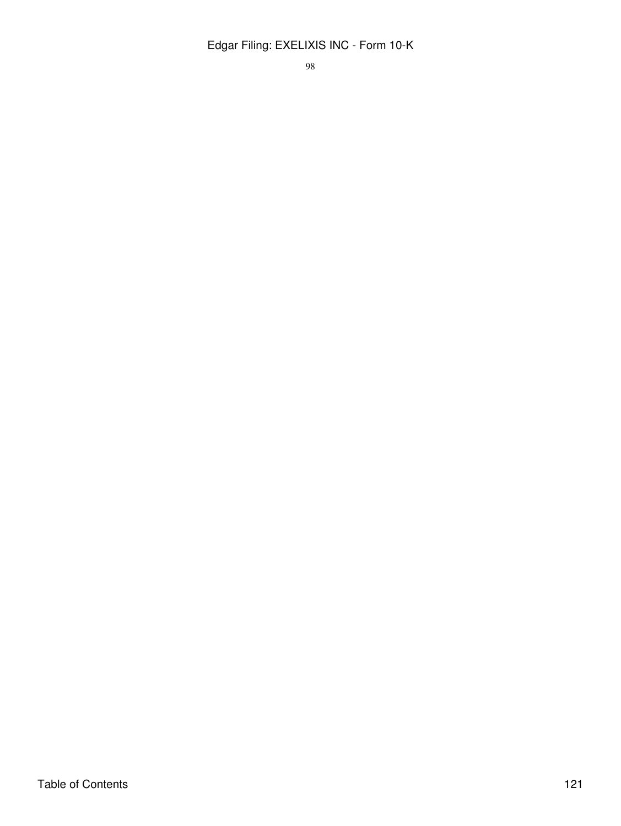# Edgar Filing: EXELIXIS INC - Form 10-K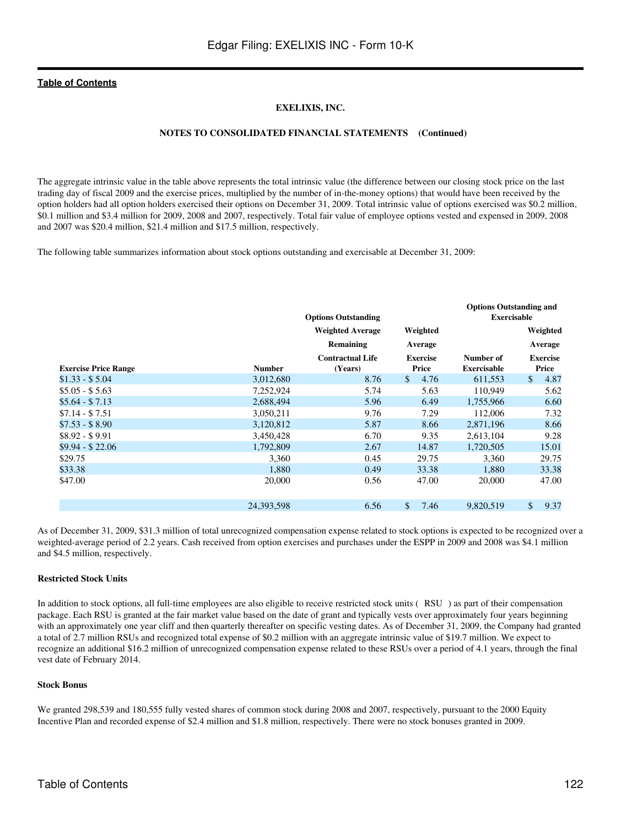# **EXELIXIS, INC.**

## **NOTES TO CONSOLIDATED FINANCIAL STATEMENTS (Continued)**

The aggregate intrinsic value in the table above represents the total intrinsic value (the difference between our closing stock price on the last trading day of fiscal 2009 and the exercise prices, multiplied by the number of in-the-money options) that would have been received by the option holders had all option holders exercised their options on December 31, 2009. Total intrinsic value of options exercised was \$0.2 million, \$0.1 million and \$3.4 million for 2009, 2008 and 2007, respectively. Total fair value of employee options vested and expensed in 2009, 2008 and 2007 was \$20.4 million, \$21.4 million and \$17.5 million, respectively.

The following table summarizes information about stock options outstanding and exercisable at December 31, 2009:

|                             |               | <b>Options Outstanding</b>          |                          | <b>Options Outstanding and</b><br><b>Exercisable</b> |                          |
|-----------------------------|---------------|-------------------------------------|--------------------------|------------------------------------------------------|--------------------------|
|                             |               | <b>Weighted Average</b><br>Weighted |                          |                                                      | Weighted                 |
|                             |               | Remaining                           | Average                  |                                                      | Average                  |
| <b>Exercise Price Range</b> | <b>Number</b> | <b>Contractual Life</b><br>(Years)  | <b>Exercise</b><br>Price | Number of<br><b>Exercisable</b>                      | <b>Exercise</b><br>Price |
| $$1.33 - $5.04$             | 3,012,680     | 8.76                                | $\mathbb{S}$<br>4.76     | 611,553                                              | \$<br>4.87               |
| $$5.05 - $5.63$             | 7,252,924     | 5.74                                | 5.63                     | 110,949                                              | 5.62                     |
| $$5.64 - $7.13$             | 2,688,494     | 5.96                                | 6.49                     | 1,755,966                                            | 6.60                     |
| $$7.14 - $7.51$             | 3,050,211     | 9.76                                | 7.29                     | 112,006                                              | 7.32                     |
| $$7.53 - $8.90$             | 3,120,812     | 5.87                                | 8.66                     | 2,871,196                                            | 8.66                     |
| $$8.92 - $9.91$             | 3,450,428     | 6.70                                | 9.35                     | 2,613,104                                            | 9.28                     |
| $$9.94 - $22.06$            | 1,792,809     | 2.67                                | 14.87                    | 1,720,505                                            | 15.01                    |
| \$29.75                     | 3,360         | 0.45                                | 29.75                    | 3,360                                                | 29.75                    |
| \$33.38                     | 1,880         | 0.49                                | 33.38                    | 1,880                                                | 33.38                    |
| \$47.00                     | 20,000        | 0.56                                | 47.00                    | 20,000                                               | 47.00                    |
|                             | 24,393,598    | 6.56                                | 7.46<br>\$               | 9,820,519                                            | \$<br>9.37               |

As of December 31, 2009, \$31.3 million of total unrecognized compensation expense related to stock options is expected to be recognized over a weighted-average period of 2.2 years. Cash received from option exercises and purchases under the ESPP in 2009 and 2008 was \$4.1 million and \$4.5 million, respectively.

## **Restricted Stock Units**

In addition to stock options, all full-time employees are also eligible to receive restricted stock units (RSU) as part of their compensation package. Each RSU is granted at the fair market value based on the date of grant and typically vests over approximately four years beginning with an approximately one year cliff and then quarterly thereafter on specific vesting dates. As of December 31, 2009, the Company had granted a total of 2.7 million RSUs and recognized total expense of \$0.2 million with an aggregate intrinsic value of \$19.7 million. We expect to recognize an additional \$16.2 million of unrecognized compensation expense related to these RSUs over a period of 4.1 years, through the final vest date of February 2014.

#### **Stock Bonus**

We granted 298,539 and 180,555 fully vested shares of common stock during 2008 and 2007, respectively, pursuant to the 2000 Equity Incentive Plan and recorded expense of \$2.4 million and \$1.8 million, respectively. There were no stock bonuses granted in 2009.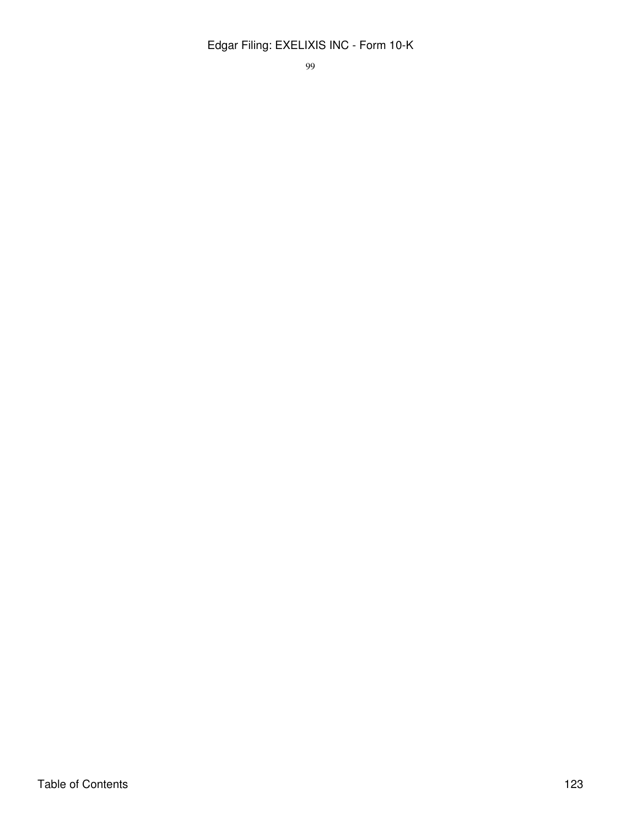# Edgar Filing: EXELIXIS INC - Form 10-K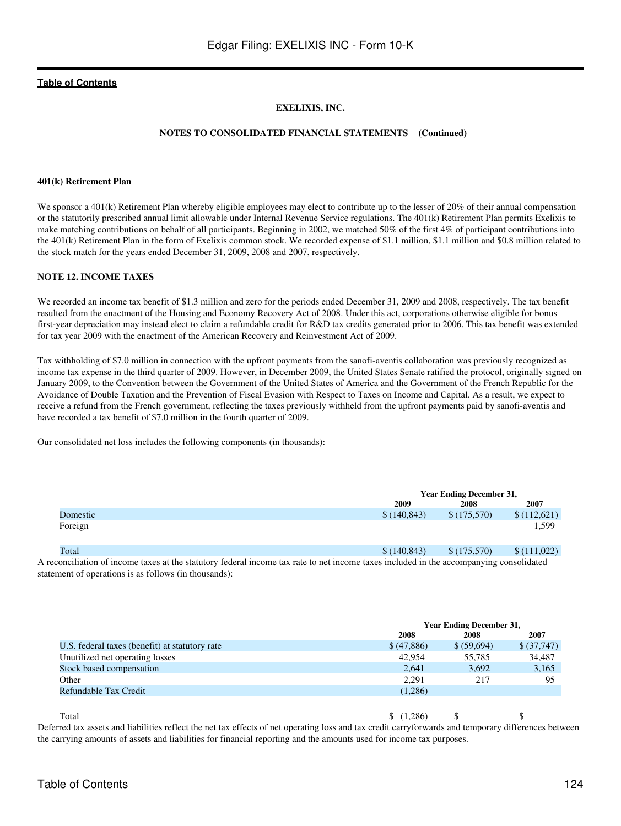# **EXELIXIS, INC.**

### **NOTES TO CONSOLIDATED FINANCIAL STATEMENTS (Continued)**

#### **401(k) Retirement Plan**

We sponsor a 401(k) Retirement Plan whereby eligible employees may elect to contribute up to the lesser of 20% of their annual compensation or the statutorily prescribed annual limit allowable under Internal Revenue Service regulations. The 401(k) Retirement Plan permits Exelixis to make matching contributions on behalf of all participants. Beginning in 2002, we matched 50% of the first 4% of participant contributions into the 401(k) Retirement Plan in the form of Exelixis common stock. We recorded expense of \$1.1 million, \$1.1 million and \$0.8 million related to the stock match for the years ended December 31, 2009, 2008 and 2007, respectively.

#### **NOTE 12. INCOME TAXES**

We recorded an income tax benefit of \$1.3 million and zero for the periods ended December 31, 2009 and 2008, respectively. The tax benefit resulted from the enactment of the Housing and Economy Recovery Act of 2008. Under this act, corporations otherwise eligible for bonus first-year depreciation may instead elect to claim a refundable credit for R&D tax credits generated prior to 2006. This tax benefit was extended for tax year 2009 with the enactment of the American Recovery and Reinvestment Act of 2009.

Tax withholding of \$7.0 million in connection with the upfront payments from the sanofi-aventis collaboration was previously recognized as income tax expense in the third quarter of 2009. However, in December 2009, the United States Senate ratified the protocol, originally signed on January 2009, to the Convention between the Government of the United States of America and the Government of the French Republic for the Avoidance of Double Taxation and the Prevention of Fiscal Evasion with Respect to Taxes on Income and Capital. As a result, we expect to receive a refund from the French government, reflecting the taxes previously withheld from the upfront payments paid by sanofi-aventis and have recorded a tax benefit of \$7.0 million in the fourth quarter of 2009.

Our consolidated net loss includes the following components (in thousands):

|          |             | <b>Year Ending December 31,</b> |             |  |
|----------|-------------|---------------------------------|-------------|--|
|          | 2009        | 2008                            | 2007        |  |
| Domestic | \$(140.843) | \$(175,570)                     | \$(112,621) |  |
| Foreign  |             |                                 | 1,599       |  |

Total \$ (140,843) \$ (175,570) \$ (111,022) A reconciliation of income taxes at the statutory federal income tax rate to net income taxes included in the accompanying consolidated

statement of operations is as follows (in thousands):

|                                                | <b>Year Ending December 31,</b> |             |             |
|------------------------------------------------|---------------------------------|-------------|-------------|
|                                                | 2008                            | 2008        | 2007        |
| U.S. federal taxes (benefit) at statutory rate | \$ (47,886)                     | \$ (59,694) | \$ (37,747) |
| Unutilized net operating losses                | 42,954                          | 55,785      | 34,487      |
| Stock based compensation                       | 2.641                           | 3.692       | 3,165       |
| Other                                          | 2.291                           | 217         | 95          |
| Refundable Tax Credit                          | (1,286)                         |             |             |
|                                                |                                 |             |             |

Total  $\qquad \qquad$   $\qquad \qquad$   $\qquad \qquad$   $\qquad \qquad$   $\qquad \qquad$   $\qquad \qquad$   $\qquad \qquad$   $\qquad \qquad$   $\qquad \qquad$   $\qquad \qquad$   $\qquad \qquad$   $\qquad \qquad$   $\qquad \qquad$   $\qquad \qquad$   $\qquad \qquad$   $\qquad \qquad$   $\qquad \qquad$   $\qquad \qquad$   $\qquad \qquad$   $\qquad \qquad$   $\qquad \qquad$   $\qquad \qquad$   $\qquad \qquad$   $\qquad \qquad$ 

Deferred tax assets and liabilities reflect the net tax effects of net operating loss and tax credit carryforwards and temporary differences between the carrying amounts of assets and liabilities for financial reporting and the amounts used for income tax purposes.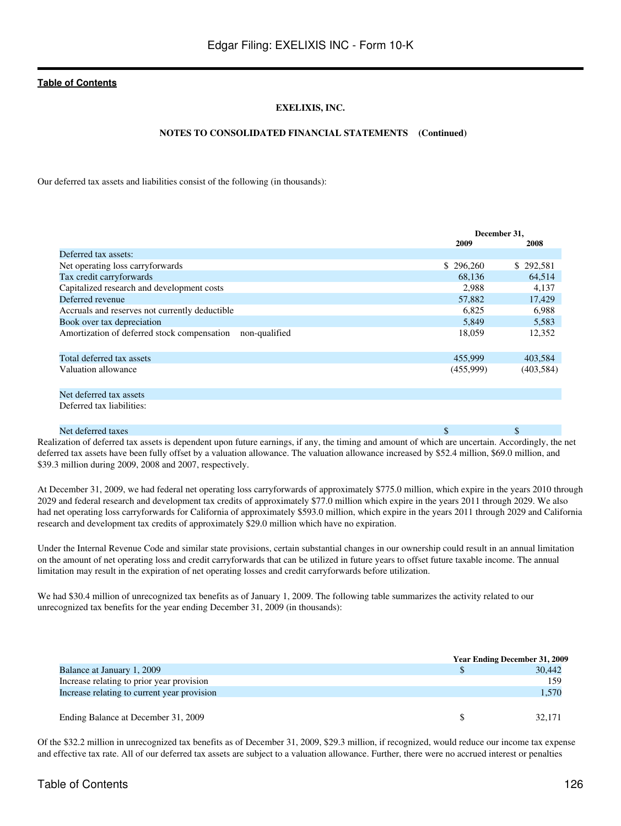# **EXELIXIS, INC.**

## **NOTES TO CONSOLIDATED FINANCIAL STATEMENTS (Continued)**

Our deferred tax assets and liabilities consist of the following (in thousands):

|                                                              | December 31, |            |
|--------------------------------------------------------------|--------------|------------|
|                                                              | 2009         | 2008       |
| Deferred tax assets:                                         |              |            |
| Net operating loss carryforwards                             | \$296,260    | \$292,581  |
| Tax credit carryforwards                                     | 68,136       | 64,514     |
| Capitalized research and development costs                   | 2,988        | 4,137      |
| Deferred revenue                                             | 57,882       | 17,429     |
| Accruals and reserves not currently deductible               | 6,825        | 6,988      |
| Book over tax depreciation                                   | 5,849        | 5,583      |
| Amortization of deferred stock compensation<br>non-qualified | 18,059       | 12,352     |
| Total deferred tax assets                                    | 455,999      | 403,584    |
| Valuation allowance                                          | (455,999)    | (403, 584) |
| Net deferred tax assets                                      |              |            |
| Deferred tax liabilities:                                    |              |            |
| Net deferred taxes                                           | \$           | \$         |

Realization of deferred tax assets is dependent upon future earnings, if any, the timing and amount of which are uncertain. Accordingly, the net deferred tax assets have been fully offset by a valuation allowance. The valuation allowance increased by \$52.4 million, \$69.0 million, and \$39.3 million during 2009, 2008 and 2007, respectively.

At December 31, 2009, we had federal net operating loss carryforwards of approximately \$775.0 million, which expire in the years 2010 through 2029 and federal research and development tax credits of approximately \$77.0 million which expire in the years 2011 through 2029. We also had net operating loss carryforwards for California of approximately \$593.0 million, which expire in the years 2011 through 2029 and California research and development tax credits of approximately \$29.0 million which have no expiration.

Under the Internal Revenue Code and similar state provisions, certain substantial changes in our ownership could result in an annual limitation on the amount of net operating loss and credit carryforwards that can be utilized in future years to offset future taxable income. The annual limitation may result in the expiration of net operating losses and credit carryforwards before utilization.

We had \$30.4 million of unrecognized tax benefits as of January 1, 2009. The following table summarizes the activity related to our unrecognized tax benefits for the year ending December 31, 2009 (in thousands):

|                                             | <b>Year Ending December 31, 2009</b> |
|---------------------------------------------|--------------------------------------|
| Balance at January 1, 2009                  | 30,442                               |
| Increase relating to prior year provision   | 159                                  |
| Increase relating to current year provision | 1,570                                |
|                                             |                                      |
| Ending Balance at December 31, 2009         | 32.171                               |

Of the \$32.2 million in unrecognized tax benefits as of December 31, 2009, \$29.3 million, if recognized, would reduce our income tax expense and effective tax rate. All of our deferred tax assets are subject to a valuation allowance. Further, there were no accrued interest or penalties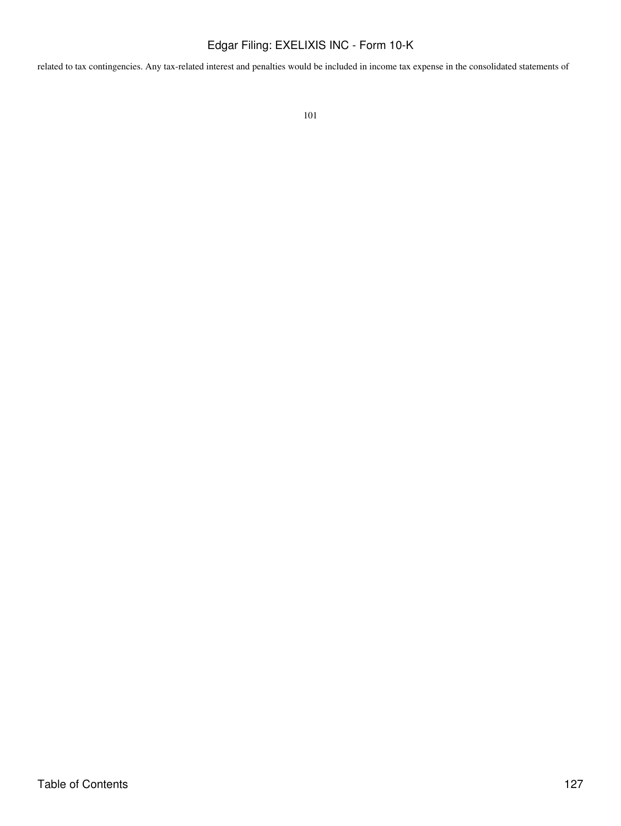# Edgar Filing: EXELIXIS INC - Form 10-K

related to tax contingencies. Any tax-related interest and penalties would be included in income tax expense in the consolidated statements of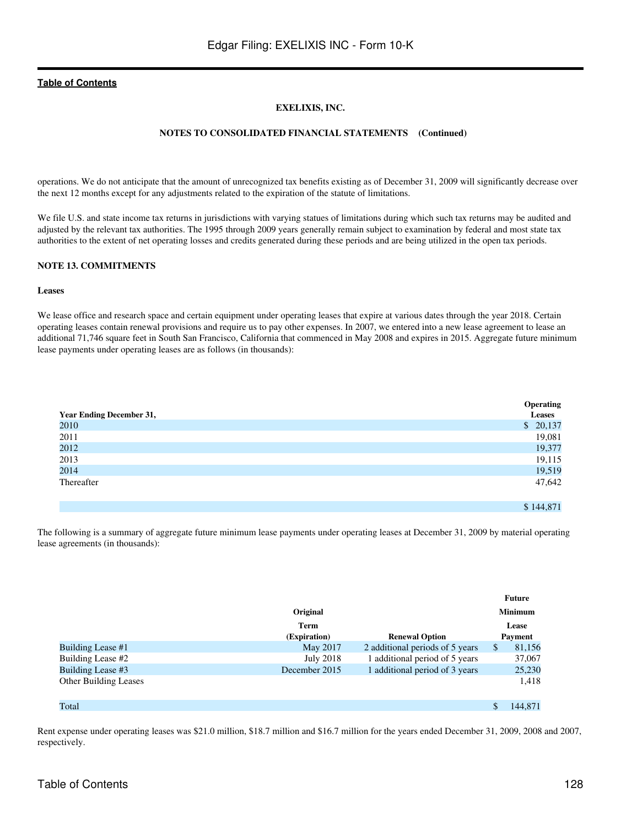# **EXELIXIS, INC.**

## **NOTES TO CONSOLIDATED FINANCIAL STATEMENTS (Continued)**

operations. We do not anticipate that the amount of unrecognized tax benefits existing as of December 31, 2009 will significantly decrease over the next 12 months except for any adjustments related to the expiration of the statute of limitations.

We file U.S. and state income tax returns in jurisdictions with varying statues of limitations during which such tax returns may be audited and adjusted by the relevant tax authorities. The 1995 through 2009 years generally remain subject to examination by federal and most state tax authorities to the extent of net operating losses and credits generated during these periods and are being utilized in the open tax periods.

#### **NOTE 13. COMMITMENTS**

#### **Leases**

We lease office and research space and certain equipment under operating leases that expire at various dates through the year 2018. Certain operating leases contain renewal provisions and require us to pay other expenses. In 2007, we entered into a new lease agreement to lease an additional 71,746 square feet in South San Francisco, California that commenced in May 2008 and expires in 2015. Aggregate future minimum lease payments under operating leases are as follows (in thousands):

|                                 | <b>Operating</b> |
|---------------------------------|------------------|
| <b>Year Ending December 31,</b> | Leases           |
| 2010                            | \$20,137         |
| 2011                            | 19,081           |
| 2012                            | 19,377           |
| 2013                            | 19,115           |
| 2014                            | 19,519           |
| Thereafter                      | 47,642           |

The following is a summary of aggregate future minimum lease payments under operating leases at December 31, 2009 by material operating lease agreements (in thousands):

|                              |                  |                                 |   | <b>Future</b>  |
|------------------------------|------------------|---------------------------------|---|----------------|
|                              | Original         |                                 |   | <b>Minimum</b> |
|                              | <b>Term</b>      |                                 |   | Lease          |
|                              | (Expiration)     | <b>Renewal Option</b>           |   | Payment        |
| Building Lease #1            | May 2017         | 2 additional periods of 5 years | S | 81,156         |
| Building Lease #2            | <b>July 2018</b> | 1 additional period of 5 years  |   | 37,067         |
| Building Lease #3            | December 2015    | 1 additional period of 3 years  |   | 25,230         |
| <b>Other Building Leases</b> |                  |                                 |   | 1,418          |
| Total                        |                  |                                 |   | 144,871        |

Rent expense under operating leases was \$21.0 million, \$18.7 million and \$16.7 million for the years ended December 31, 2009, 2008 and 2007, respectively.

\$ 144,871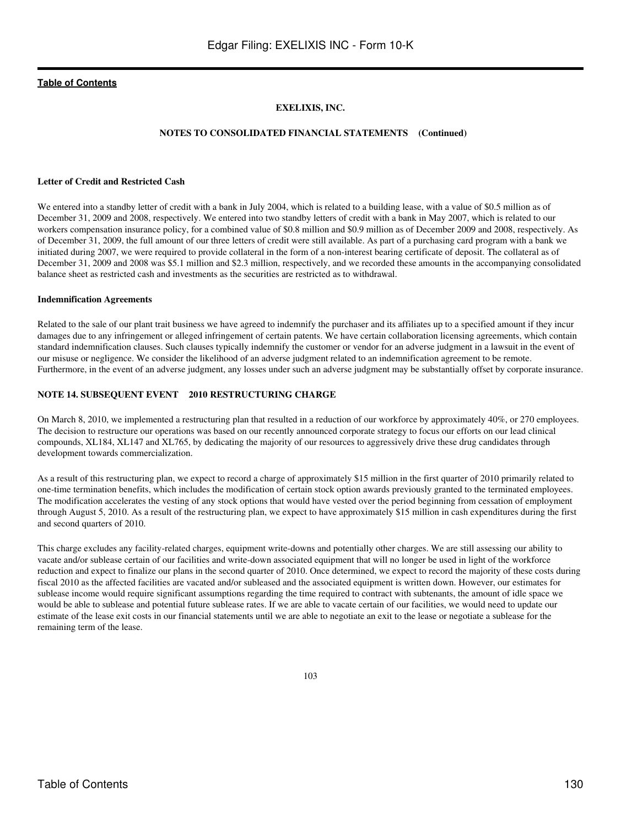# **EXELIXIS, INC.**

### **NOTES TO CONSOLIDATED FINANCIAL STATEMENTS (Continued)**

#### **Letter of Credit and Restricted Cash**

We entered into a standby letter of credit with a bank in July 2004, which is related to a building lease, with a value of \$0.5 million as of December 31, 2009 and 2008, respectively. We entered into two standby letters of credit with a bank in May 2007, which is related to our workers compensation insurance policy, for a combined value of \$0.8 million and \$0.9 million as of December 2009 and 2008, respectively. As of December 31, 2009, the full amount of our three letters of credit were still available. As part of a purchasing card program with a bank we initiated during 2007, we were required to provide collateral in the form of a non-interest bearing certificate of deposit. The collateral as of December 31, 2009 and 2008 was \$5.1 million and \$2.3 million, respectively, and we recorded these amounts in the accompanying consolidated balance sheet as restricted cash and investments as the securities are restricted as to withdrawal.

#### **Indemnification Agreements**

Related to the sale of our plant trait business we have agreed to indemnify the purchaser and its affiliates up to a specified amount if they incur damages due to any infringement or alleged infringement of certain patents. We have certain collaboration licensing agreements, which contain standard indemnification clauses. Such clauses typically indemnify the customer or vendor for an adverse judgment in a lawsuit in the event of our misuse or negligence. We consider the likelihood of an adverse judgment related to an indemnification agreement to be remote. Furthermore, in the event of an adverse judgment, any losses under such an adverse judgment may be substantially offset by corporate insurance.

#### **NOTE 14. SUBSEQUENT EVENT 2010 RESTRUCTURING CHARGE**

On March 8, 2010, we implemented a restructuring plan that resulted in a reduction of our workforce by approximately 40%, or 270 employees. The decision to restructure our operations was based on our recently announced corporate strategy to focus our efforts on our lead clinical compounds, XL184, XL147 and XL765, by dedicating the majority of our resources to aggressively drive these drug candidates through development towards commercialization.

As a result of this restructuring plan, we expect to record a charge of approximately \$15 million in the first quarter of 2010 primarily related to one-time termination benefits, which includes the modification of certain stock option awards previously granted to the terminated employees. The modification accelerates the vesting of any stock options that would have vested over the period beginning from cessation of employment through August 5, 2010. As a result of the restructuring plan, we expect to have approximately \$15 million in cash expenditures during the first and second quarters of 2010.

This charge excludes any facility-related charges, equipment write-downs and potentially other charges. We are still assessing our ability to vacate and/or sublease certain of our facilities and write-down associated equipment that will no longer be used in light of the workforce reduction and expect to finalize our plans in the second quarter of 2010. Once determined, we expect to record the majority of these costs during fiscal 2010 as the affected facilities are vacated and/or subleased and the associated equipment is written down. However, our estimates for sublease income would require significant assumptions regarding the time required to contract with subtenants, the amount of idle space we would be able to sublease and potential future sublease rates. If we are able to vacate certain of our facilities, we would need to update our estimate of the lease exit costs in our financial statements until we are able to negotiate an exit to the lease or negotiate a sublease for the remaining term of the lease.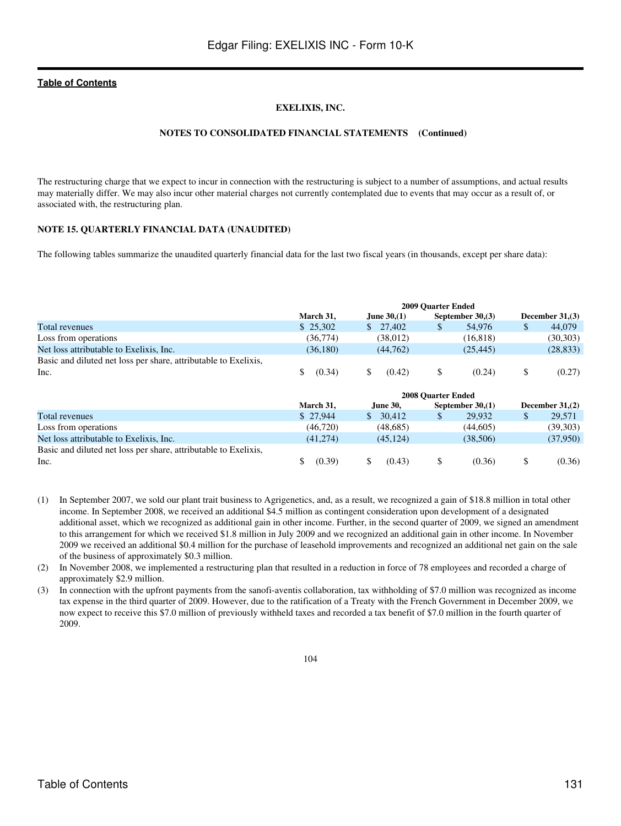# **EXELIXIS, INC.**

### **NOTES TO CONSOLIDATED FINANCIAL STATEMENTS (Continued)**

The restructuring charge that we expect to incur in connection with the restructuring is subject to a number of assumptions, and actual results may materially differ. We may also incur other material charges not currently contemplated due to events that may occur as a result of, or associated with, the restructuring plan.

### **NOTE 15. QUARTERLY FINANCIAL DATA (UNAUDITED)**

The following tables summarize the unaudited quarterly financial data for the last two fiscal years (in thousands, except per share data):

|                                                                 | <b>2009 Ouarter Ended</b> |                     |                   |           |                  |
|-----------------------------------------------------------------|---------------------------|---------------------|-------------------|-----------|------------------|
|                                                                 | March 31,                 | <b>June 30, (1)</b> | September $30(3)$ |           | December $31(3)$ |
| Total revenues                                                  | \$25.302                  | 27.402              |                   | 54,976    | 44,079           |
| Loss from operations                                            | (36, 774)                 | (38,012)            |                   | (16, 818) | (30, 303)        |
| Net loss attributable to Exelixis, Inc.                         | (36, 180)                 | (44,762)            |                   | (25, 445) | (28, 833)        |
| Basic and diluted net loss per share, attributable to Exelixis, |                           |                     |                   |           |                  |
| Inc.                                                            | (0.34)                    | (0.42)              |                   | (0.24)    | (0.27)           |

|                                                                 | <b>2008 Ouarter Ended</b> |                 |                   |                   |
|-----------------------------------------------------------------|---------------------------|-----------------|-------------------|-------------------|
|                                                                 | March 31,                 | <b>June 30,</b> | September $30(1)$ | December $31,(2)$ |
| Total revenues                                                  | \$27.944                  | 30.412          | 29.932            | 29.571            |
| Loss from operations                                            | (46,720)                  | (48.685)        | (44,605)          | (39,303)          |
| Net loss attributable to Exelixis, Inc.                         | (41.274)                  | (45.124)        | (38,506)          | (37,950)          |
| Basic and diluted net loss per share, attributable to Exelixis, |                           |                 |                   |                   |
| Inc.                                                            | (0.39)                    | (0.43)          | (0.36)            | (0.36)            |

(1) In September 2007, we sold our plant trait business to Agrigenetics, and, as a result, we recognized a gain of \$18.8 million in total other income. In September 2008, we received an additional \$4.5 million as contingent consideration upon development of a designated additional asset, which we recognized as additional gain in other income. Further, in the second quarter of 2009, we signed an amendment to this arrangement for which we received \$1.8 million in July 2009 and we recognized an additional gain in other income. In November 2009 we received an additional \$0.4 million for the purchase of leasehold improvements and recognized an additional net gain on the sale of the business of approximately \$0.3 million.

(2) In November 2008, we implemented a restructuring plan that resulted in a reduction in force of 78 employees and recorded a charge of approximately \$2.9 million.

(3) In connection with the upfront payments from the sanofi-aventis collaboration, tax withholding of \$7.0 million was recognized as income tax expense in the third quarter of 2009. However, due to the ratification of a Treaty with the French Government in December 2009, we now expect to receive this \$7.0 million of previously withheld taxes and recorded a tax benefit of \$7.0 million in the fourth quarter of 2009.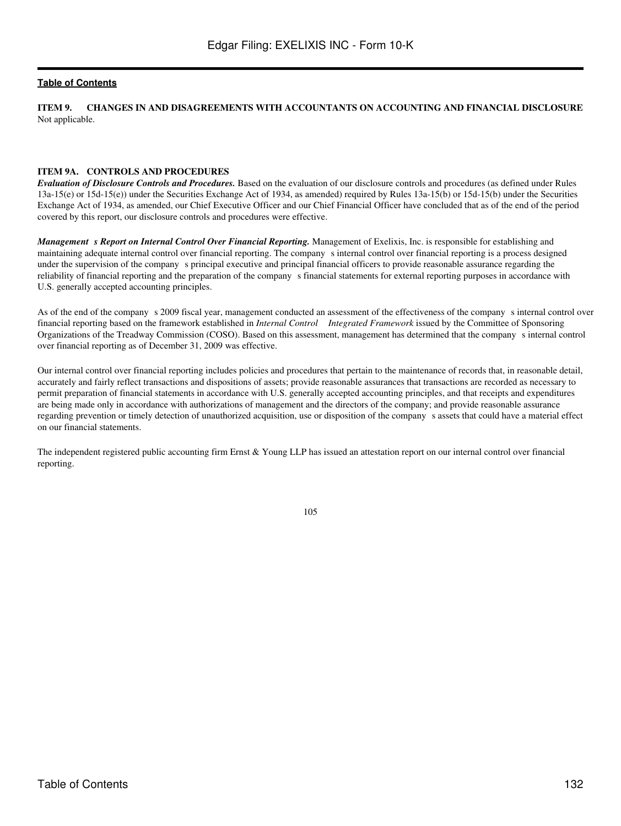**ITEM 9. CHANGES IN AND DISAGREEMENTS WITH ACCOUNTANTS ON ACCOUNTING AND FINANCIAL DISCLOSURE** Not applicable.

## **ITEM 9A. CONTROLS AND PROCEDURES**

*Evaluation of Disclosure Controls and Procedures.* Based on the evaluation of our disclosure controls and procedures (as defined under Rules 13a-15(e) or 15d-15(e)) under the Securities Exchange Act of 1934, as amended) required by Rules 13a-15(b) or 15d-15(b) under the Securities Exchange Act of 1934, as amended, our Chief Executive Officer and our Chief Financial Officer have concluded that as of the end of the period covered by this report, our disclosure controls and procedures were effective.

*Management s Report on Internal Control Over Financial Reporting.* Management of Exelixis, Inc. is responsible for establishing and maintaining adequate internal control over financial reporting. The companys internal control over financial reporting is a process designed under the supervision of the company s principal executive and principal financial officers to provide reasonable assurance regarding the reliability of financial reporting and the preparation of the companys financial statements for external reporting purposes in accordance with U.S. generally accepted accounting principles.

As of the end of the companys 2009 fiscal year, management conducted an assessment of the effectiveness of the companys internal control over financial reporting based on the framework established in *Internal Control Integrated Framework* issued by the Committee of Sponsoring Organizations of the Treadway Commission (COSO). Based on this assessment, management has determined that the companys internal control over financial reporting as of December 31, 2009 was effective.

Our internal control over financial reporting includes policies and procedures that pertain to the maintenance of records that, in reasonable detail, accurately and fairly reflect transactions and dispositions of assets; provide reasonable assurances that transactions are recorded as necessary to permit preparation of financial statements in accordance with U.S. generally accepted accounting principles, and that receipts and expenditures are being made only in accordance with authorizations of management and the directors of the company; and provide reasonable assurance regarding prevention or timely detection of unauthorized acquisition, use or disposition of the companys assets that could have a material effect on our financial statements.

The independent registered public accounting firm Ernst & Young LLP has issued an attestation report on our internal control over financial reporting.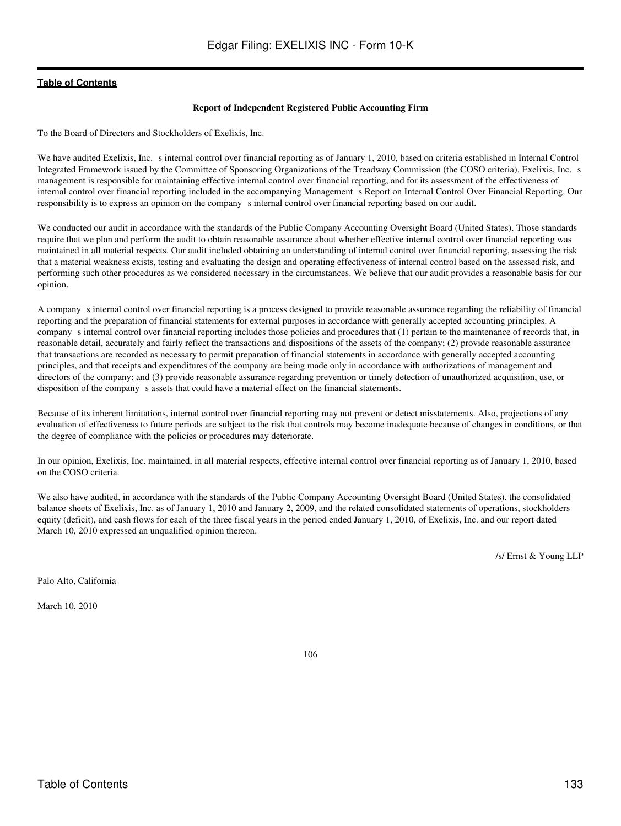#### **Report of Independent Registered Public Accounting Firm**

To the Board of Directors and Stockholders of Exelixis, Inc.

We have audited Exelixis, Inc. s internal control over financial reporting as of January 1, 2010, based on criteria established in Internal Control Integrated Framework issued by the Committee of Sponsoring Organizations of the Treadway Commission (the COSO criteria). Exelixis, Inc.s management is responsible for maintaining effective internal control over financial reporting, and for its assessment of the effectiveness of internal control over financial reporting included in the accompanying Management s Report on Internal Control Over Financial Reporting. Our responsibility is to express an opinion on the company s internal control over financial reporting based on our audit.

We conducted our audit in accordance with the standards of the Public Company Accounting Oversight Board (United States). Those standards require that we plan and perform the audit to obtain reasonable assurance about whether effective internal control over financial reporting was maintained in all material respects. Our audit included obtaining an understanding of internal control over financial reporting, assessing the risk that a material weakness exists, testing and evaluating the design and operating effectiveness of internal control based on the assessed risk, and performing such other procedures as we considered necessary in the circumstances. We believe that our audit provides a reasonable basis for our opinion.

A companys internal control over financial reporting is a process designed to provide reasonable assurance regarding the reliability of financial reporting and the preparation of financial statements for external purposes in accordance with generally accepted accounting principles. A companys internal control over financial reporting includes those policies and procedures that (1) pertain to the maintenance of records that, in reasonable detail, accurately and fairly reflect the transactions and dispositions of the assets of the company; (2) provide reasonable assurance that transactions are recorded as necessary to permit preparation of financial statements in accordance with generally accepted accounting principles, and that receipts and expenditures of the company are being made only in accordance with authorizations of management and directors of the company; and (3) provide reasonable assurance regarding prevention or timely detection of unauthorized acquisition, use, or disposition of the company s assets that could have a material effect on the financial statements.

Because of its inherent limitations, internal control over financial reporting may not prevent or detect misstatements. Also, projections of any evaluation of effectiveness to future periods are subject to the risk that controls may become inadequate because of changes in conditions, or that the degree of compliance with the policies or procedures may deteriorate.

In our opinion, Exelixis, Inc. maintained, in all material respects, effective internal control over financial reporting as of January 1, 2010, based on the COSO criteria.

We also have audited, in accordance with the standards of the Public Company Accounting Oversight Board (United States), the consolidated balance sheets of Exelixis, Inc. as of January 1, 2010 and January 2, 2009, and the related consolidated statements of operations, stockholders equity (deficit), and cash flows for each of the three fiscal years in the period ended January 1, 2010, of Exelixis, Inc. and our report dated March 10, 2010 expressed an unqualified opinion thereon.

/s/ Ernst & Young LLP

Palo Alto, California

March 10, 2010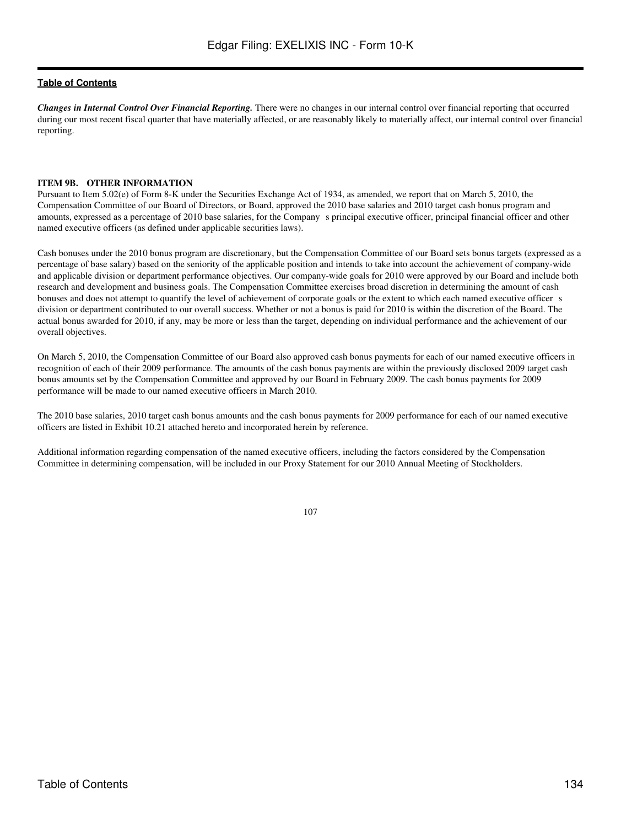*Changes in Internal Control Over Financial Reporting.* There were no changes in our internal control over financial reporting that occurred during our most recent fiscal quarter that have materially affected, or are reasonably likely to materially affect, our internal control over financial reporting.

# **ITEM 9B. OTHER INFORMATION**

Pursuant to Item 5.02(e) of Form 8-K under the Securities Exchange Act of 1934, as amended, we report that on March 5, 2010, the Compensation Committee of our Board of Directors, or Board, approved the 2010 base salaries and 2010 target cash bonus program and amounts, expressed as a percentage of 2010 base salaries, for the Companys principal executive officer, principal financial officer and other named executive officers (as defined under applicable securities laws).

Cash bonuses under the 2010 bonus program are discretionary, but the Compensation Committee of our Board sets bonus targets (expressed as a percentage of base salary) based on the seniority of the applicable position and intends to take into account the achievement of company-wide and applicable division or department performance objectives. Our company-wide goals for 2010 were approved by our Board and include both research and development and business goals. The Compensation Committee exercises broad discretion in determining the amount of cash bonuses and does not attempt to quantify the level of achievement of corporate goals or the extent to which each named executive officer s division or department contributed to our overall success. Whether or not a bonus is paid for 2010 is within the discretion of the Board. The actual bonus awarded for 2010, if any, may be more or less than the target, depending on individual performance and the achievement of our overall objectives.

On March 5, 2010, the Compensation Committee of our Board also approved cash bonus payments for each of our named executive officers in recognition of each of their 2009 performance. The amounts of the cash bonus payments are within the previously disclosed 2009 target cash bonus amounts set by the Compensation Committee and approved by our Board in February 2009. The cash bonus payments for 2009 performance will be made to our named executive officers in March 2010.

The 2010 base salaries, 2010 target cash bonus amounts and the cash bonus payments for 2009 performance for each of our named executive officers are listed in Exhibit 10.21 attached hereto and incorporated herein by reference.

Additional information regarding compensation of the named executive officers, including the factors considered by the Compensation Committee in determining compensation, will be included in our Proxy Statement for our 2010 Annual Meeting of Stockholders.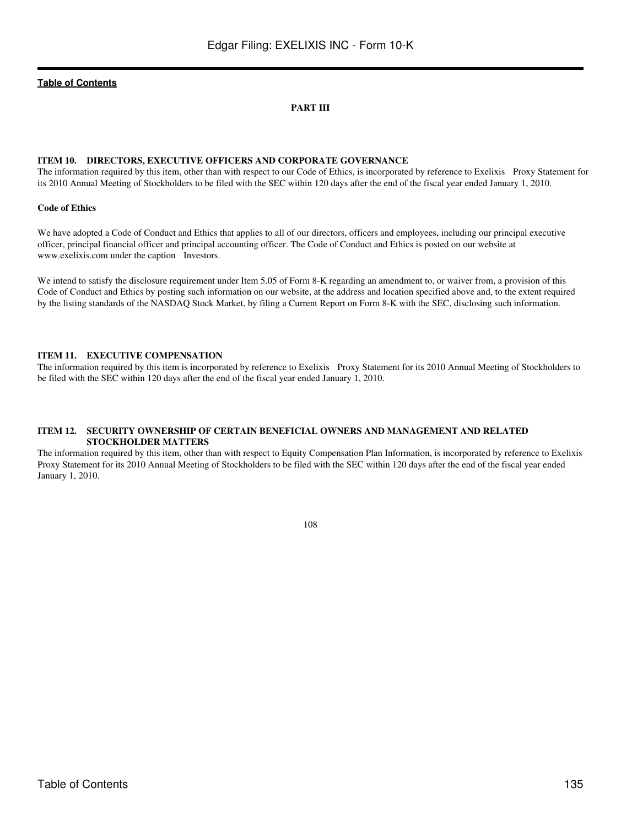#### **PART III**

#### **ITEM 10. DIRECTORS, EXECUTIVE OFFICERS AND CORPORATE GOVERNANCE**

The information required by this item, other than with respect to our Code of Ethics, is incorporated by reference to Exelixis Proxy Statement for its 2010 Annual Meeting of Stockholders to be filed with the SEC within 120 days after the end of the fiscal year ended January 1, 2010.

#### **Code of Ethics**

We have adopted a Code of Conduct and Ethics that applies to all of our directors, officers and employees, including our principal executive officer, principal financial officer and principal accounting officer. The Code of Conduct and Ethics is posted on our website at www.exelixis.com under the caption Investors.

We intend to satisfy the disclosure requirement under Item 5.05 of Form 8-K regarding an amendment to, or waiver from, a provision of this Code of Conduct and Ethics by posting such information on our website, at the address and location specified above and, to the extent required by the listing standards of the NASDAQ Stock Market, by filing a Current Report on Form 8-K with the SEC, disclosing such information.

#### **ITEM 11. EXECUTIVE COMPENSATION**

The information required by this item is incorporated by reference to Exelixis Proxy Statement for its 2010 Annual Meeting of Stockholders to be filed with the SEC within 120 days after the end of the fiscal year ended January 1, 2010.

# **ITEM 12. SECURITY OWNERSHIP OF CERTAIN BENEFICIAL OWNERS AND MANAGEMENT AND RELATED STOCKHOLDER MATTERS**

The information required by this item, other than with respect to Equity Compensation Plan Information, is incorporated by reference to Exelixis Proxy Statement for its 2010 Annual Meeting of Stockholders to be filed with the SEC within 120 days after the end of the fiscal year ended January 1, 2010.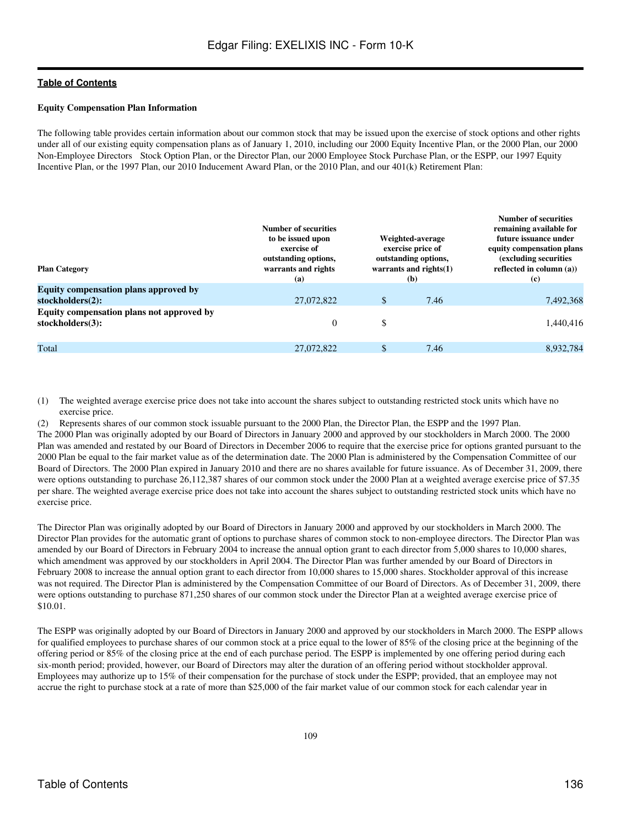### **Equity Compensation Plan Information**

The following table provides certain information about our common stock that may be issued upon the exercise of stock options and other rights under all of our existing equity compensation plans as of January 1, 2010, including our 2000 Equity Incentive Plan, or the 2000 Plan, our 2000 Non-Employee Directors Stock Option Plan, or the Director Plan, our 2000 Employee Stock Purchase Plan, or the ESPP, our 1997 Equity Incentive Plan, or the 1997 Plan, our 2010 Inducement Award Plan, or the 2010 Plan, and our 401(k) Retirement Plan:

| <b>Plan Category</b>                                          | Number of securities<br>to be issued upon<br>exercise of<br>outstanding options,<br>warrants and rights<br>(a) |     | Weighted-average<br>exercise price of<br>outstanding options,<br>warrants and rights $(1)$<br>(b) | <b>Number of securities</b><br>remaining available for<br>future issuance under<br>equity compensation plans<br>(excluding securities<br>reflected in column (a))<br>(c) |
|---------------------------------------------------------------|----------------------------------------------------------------------------------------------------------------|-----|---------------------------------------------------------------------------------------------------|--------------------------------------------------------------------------------------------------------------------------------------------------------------------------|
| Equity compensation plans approved by                         |                                                                                                                |     |                                                                                                   |                                                                                                                                                                          |
| stockholders(2):                                              | 27,072,822                                                                                                     | \$. | 7.46                                                                                              | 7,492,368                                                                                                                                                                |
| Equity compensation plans not approved by<br>stockholders(3): | 0                                                                                                              | \$  |                                                                                                   | 1,440,416                                                                                                                                                                |
| Total                                                         | 27,072,822                                                                                                     | \$  | 7.46                                                                                              | 8,932,784                                                                                                                                                                |

(1) The weighted average exercise price does not take into account the shares subject to outstanding restricted stock units which have no exercise price.

(2) Represents shares of our common stock issuable pursuant to the 2000 Plan, the Director Plan, the ESPP and the 1997 Plan. The 2000 Plan was originally adopted by our Board of Directors in January 2000 and approved by our stockholders in March 2000. The 2000 Plan was amended and restated by our Board of Directors in December 2006 to require that the exercise price for options granted pursuant to the

2000 Plan be equal to the fair market value as of the determination date. The 2000 Plan is administered by the Compensation Committee of our Board of Directors. The 2000 Plan expired in January 2010 and there are no shares available for future issuance. As of December 31, 2009, there were options outstanding to purchase 26,112,387 shares of our common stock under the 2000 Plan at a weighted average exercise price of \$7.35 per share. The weighted average exercise price does not take into account the shares subject to outstanding restricted stock units which have no exercise price.

The Director Plan was originally adopted by our Board of Directors in January 2000 and approved by our stockholders in March 2000. The Director Plan provides for the automatic grant of options to purchase shares of common stock to non-employee directors. The Director Plan was amended by our Board of Directors in February 2004 to increase the annual option grant to each director from 5,000 shares to 10,000 shares, which amendment was approved by our stockholders in April 2004. The Director Plan was further amended by our Board of Directors in February 2008 to increase the annual option grant to each director from 10,000 shares to 15,000 shares. Stockholder approval of this increase was not required. The Director Plan is administered by the Compensation Committee of our Board of Directors. As of December 31, 2009, there were options outstanding to purchase 871,250 shares of our common stock under the Director Plan at a weighted average exercise price of \$10.01.

The ESPP was originally adopted by our Board of Directors in January 2000 and approved by our stockholders in March 2000. The ESPP allows for qualified employees to purchase shares of our common stock at a price equal to the lower of 85% of the closing price at the beginning of the offering period or 85% of the closing price at the end of each purchase period. The ESPP is implemented by one offering period during each six-month period; provided, however, our Board of Directors may alter the duration of an offering period without stockholder approval. Employees may authorize up to 15% of their compensation for the purchase of stock under the ESPP; provided, that an employee may not accrue the right to purchase stock at a rate of more than \$25,000 of the fair market value of our common stock for each calendar year in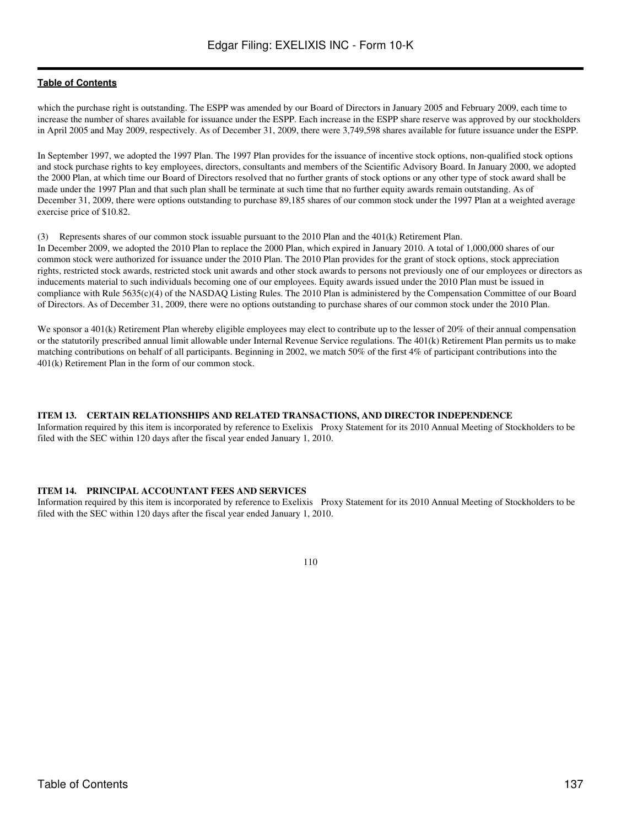which the purchase right is outstanding. The ESPP was amended by our Board of Directors in January 2005 and February 2009, each time to increase the number of shares available for issuance under the ESPP. Each increase in the ESPP share reserve was approved by our stockholders in April 2005 and May 2009, respectively. As of December 31, 2009, there were 3,749,598 shares available for future issuance under the ESPP.

In September 1997, we adopted the 1997 Plan. The 1997 Plan provides for the issuance of incentive stock options, non-qualified stock options and stock purchase rights to key employees, directors, consultants and members of the Scientific Advisory Board. In January 2000, we adopted the 2000 Plan, at which time our Board of Directors resolved that no further grants of stock options or any other type of stock award shall be made under the 1997 Plan and that such plan shall be terminate at such time that no further equity awards remain outstanding. As of December 31, 2009, there were options outstanding to purchase 89,185 shares of our common stock under the 1997 Plan at a weighted average exercise price of \$10.82.

#### (3) Represents shares of our common stock issuable pursuant to the 2010 Plan and the 401(k) Retirement Plan.

In December 2009, we adopted the 2010 Plan to replace the 2000 Plan, which expired in January 2010. A total of 1,000,000 shares of our common stock were authorized for issuance under the 2010 Plan. The 2010 Plan provides for the grant of stock options, stock appreciation rights, restricted stock awards, restricted stock unit awards and other stock awards to persons not previously one of our employees or directors as inducements material to such individuals becoming one of our employees. Equity awards issued under the 2010 Plan must be issued in compliance with Rule 5635(c)(4) of the NASDAQ Listing Rules. The 2010 Plan is administered by the Compensation Committee of our Board of Directors. As of December 31, 2009, there were no options outstanding to purchase shares of our common stock under the 2010 Plan.

We sponsor a 401(k) Retirement Plan whereby eligible employees may elect to contribute up to the lesser of 20% of their annual compensation or the statutorily prescribed annual limit allowable under Internal Revenue Service regulations. The 401(k) Retirement Plan permits us to make matching contributions on behalf of all participants. Beginning in 2002, we match 50% of the first 4% of participant contributions into the 401(k) Retirement Plan in the form of our common stock.

**ITEM 13. CERTAIN RELATIONSHIPS AND RELATED TRANSACTIONS, AND DIRECTOR INDEPENDENCE** Information required by this item is incorporated by reference to Exelixis Proxy Statement for its 2010 Annual Meeting of Stockholders to be

filed with the SEC within 120 days after the fiscal year ended January 1, 2010.

# **ITEM 14. PRINCIPAL ACCOUNTANT FEES AND SERVICES**

Information required by this item is incorporated by reference to Exelixis Proxy Statement for its 2010 Annual Meeting of Stockholders to be filed with the SEC within 120 days after the fiscal year ended January 1, 2010.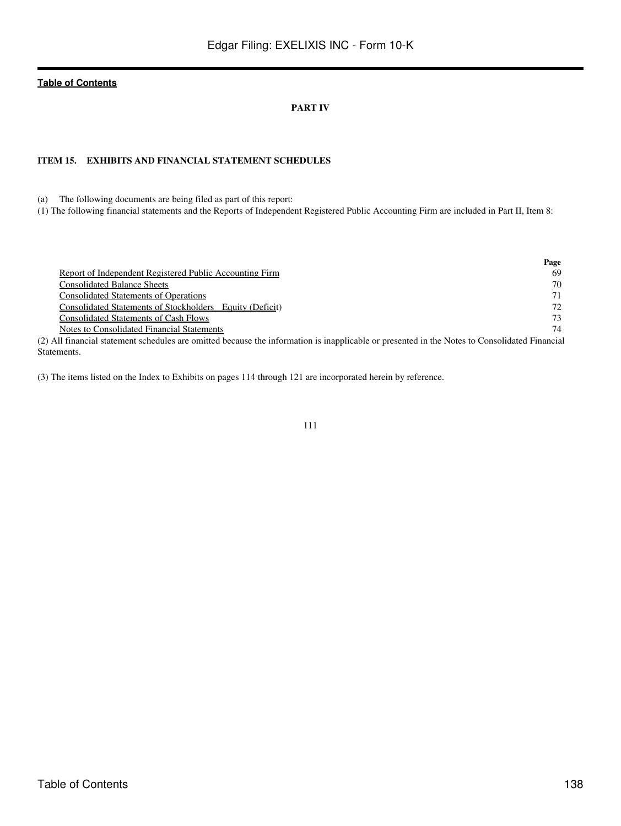# **PART IV**

# **ITEM 15. EXHIBITS AND FINANCIAL STATEMENT SCHEDULES**

(a) The following documents are being filed as part of this report:

(1) The following financial statements and the Reports of Independent Registered Public Accounting Firm are included in Part II, Item 8:

|                                                                                                                                               | Page |
|-----------------------------------------------------------------------------------------------------------------------------------------------|------|
| Report of Independent Registered Public Accounting Firm                                                                                       | 69   |
| <b>Consolidated Balance Sheets</b>                                                                                                            | 70   |
| <b>Consolidated Statements of Operations</b>                                                                                                  | 71   |
| Consolidated Statements of Stockholders Equity (Deficit)                                                                                      | 72   |
| <b>Consolidated Statements of Cash Flows</b>                                                                                                  | 73   |
| Notes to Consolidated Financial Statements                                                                                                    | 74   |
| (2) All financial statement schedules are omitted because the information is inapplicable or presented in the Notes to Consolidated Financial |      |
| Statements.                                                                                                                                   |      |

(3) The items listed on the Index to Exhibits on pages 114 through 121 are incorporated herein by reference.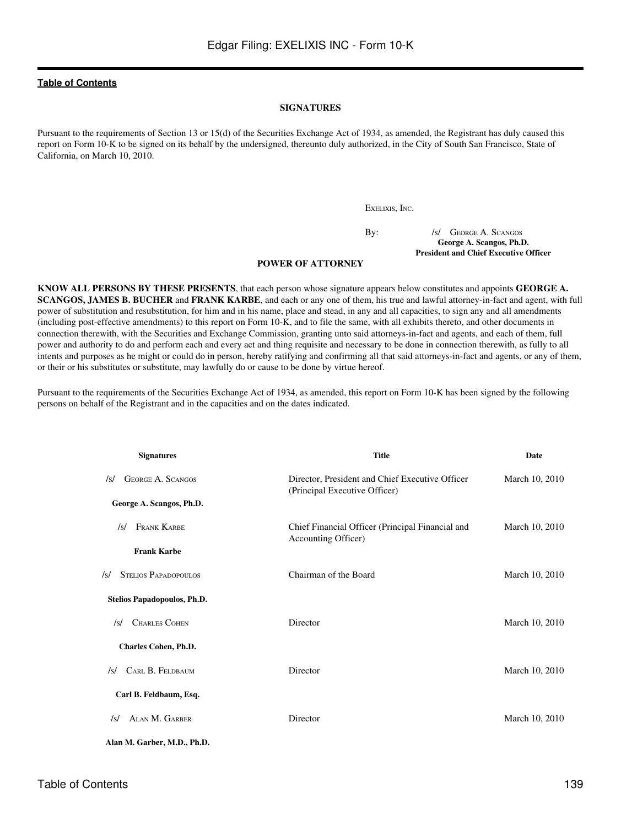### **SIGNATURES**

Pursuant to the requirements of Section 13 or 15(d) of the Securities Exchange Act of 1934, as amended, the Registrant has duly caused this report on Form 10-K to be signed on its behalf by the undersigned, thereunto duly authorized, in the City of South San Francisco, State of California, on March 10, 2010.

EXELIXIS, INC.

By: /s/ GEORGE A. SCANGOS **George A. Scangos, Ph.D. President and Chief Executive Officer**

### **POWER OF ATTORNEY**

**KNOW ALL PERSONS BY THESE PRESENTS**, that each person whose signature appears below constitutes and appoints **GEORGE A. SCANGOS, JAMES B. BUCHER** and **FRANK KARBE**, and each or any one of them, his true and lawful attorney-in-fact and agent, with full power of substitution and resubstitution, for him and in his name, place and stead, in any and all capacities, to sign any and all amendments (including post-effective amendments) to this report on Form 10-K, and to file the same, with all exhibits thereto, and other documents in connection therewith, with the Securities and Exchange Commission, granting unto said attorneys-in-fact and agents, and each of them, full power and authority to do and perform each and every act and thing requisite and necessary to be done in connection therewith, as fully to all intents and purposes as he might or could do in person, hereby ratifying and confirming all that said attorneys-in-fact and agents, or any of them, or their or his substitutes or substitute, may lawfully do or cause to be done by virtue hereof.

Pursuant to the requirements of the Securities Exchange Act of 1934, as amended, this report on Form 10-K has been signed by the following persons on behalf of the Registrant and in the capacities and on the dates indicated.

| <b>Signatures</b>                  | <b>Title</b>                                                                     | Date           |
|------------------------------------|----------------------------------------------------------------------------------|----------------|
| <b>GEORGE A. SCANGOS</b><br>/s/    | Director, President and Chief Executive Officer<br>(Principal Executive Officer) | March 10, 2010 |
| George A. Scangos, Ph.D.           |                                                                                  |                |
| FRANK KARBE<br>/s/                 | Chief Financial Officer (Principal Financial and<br>Accounting Officer)          | March 10, 2010 |
| <b>Frank Karbe</b>                 |                                                                                  |                |
| <b>STELIOS PAPADOPOULOS</b><br>/s/ | Chairman of the Board                                                            | March 10, 2010 |
| Stelios Papadopoulos, Ph.D.        |                                                                                  |                |
| <b>CHARLES COHEN</b><br>$\sqrt{s}$ | Director                                                                         | March 10, 2010 |
| <b>Charles Cohen, Ph.D.</b>        |                                                                                  |                |
| CARL B. FELDBAUM<br>$\sqrt{s}$     | Director                                                                         | March 10, 2010 |
| Carl B. Feldbaum, Esq.             |                                                                                  |                |
| ALAN M. GARBER<br>$\sqrt{s}$       | Director                                                                         | March 10, 2010 |
| Alan M. Garber, M.D., Ph.D.        |                                                                                  |                |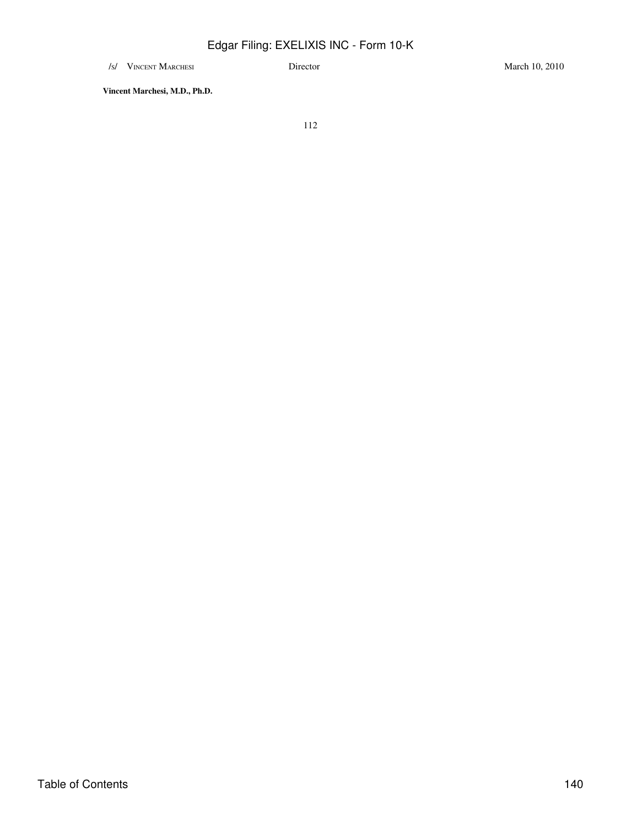# Edgar Filing: EXELIXIS INC - Form 10-K

/S/ VINCENT MARCHESI Director March 10, 2010

**Vincent Marchesi, M.D., Ph.D.**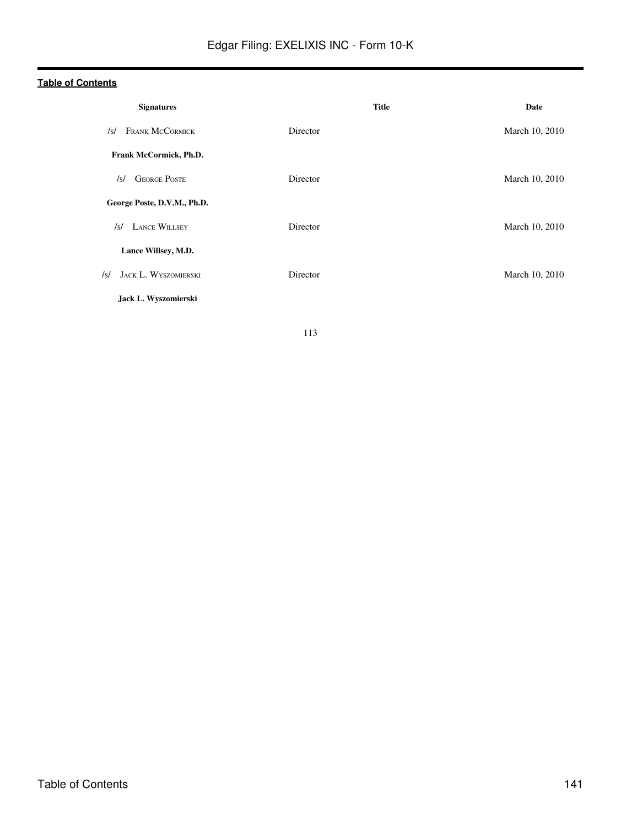| <b>Signatures</b>                    |          | <b>Title</b> | Date           |
|--------------------------------------|----------|--------------|----------------|
| <b>FRANK MCCORMICK</b><br>$\sqrt{s}$ | Director |              | March 10, 2010 |
| Frank McCormick, Ph.D.               |          |              |                |
| <b>GEORGE POSTE</b><br>/s/           | Director |              | March 10, 2010 |
| George Poste, D.V.M., Ph.D.          |          |              |                |
| <b>LANCE WILLSEY</b><br>/s/          | Director |              | March 10, 2010 |
| Lance Willsey, M.D.                  |          |              |                |
| <b>JACK L. WYSZOMIERSKI</b><br>/s/   | Director |              | March 10, 2010 |
| Jack L. Wyszomierski                 |          |              |                |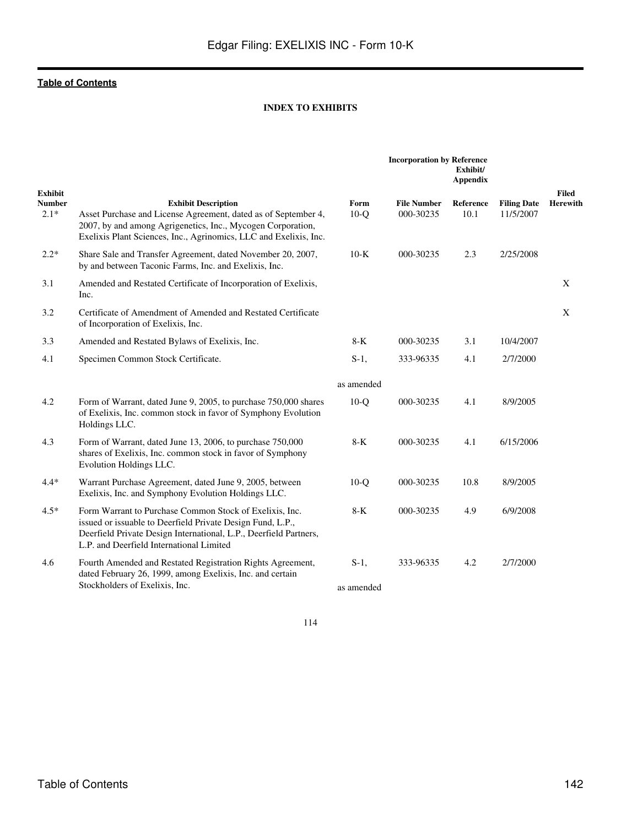# **INDEX TO EXHIBITS**

|                             |                                                                                                                                                                                                                                        |                       | <b>Incorporation by Reference</b> | Exhibit/<br><b>Appendix</b> |                                 |                          |
|-----------------------------|----------------------------------------------------------------------------------------------------------------------------------------------------------------------------------------------------------------------------------------|-----------------------|-----------------------------------|-----------------------------|---------------------------------|--------------------------|
| Exhibit<br>Number<br>$2.1*$ | <b>Exhibit Description</b><br>Asset Purchase and License Agreement, dated as of September 4,<br>2007, by and among Agrigenetics, Inc., Mycogen Corporation,<br>Exelixis Plant Sciences, Inc., Agrinomics, LLC and Exelixis, Inc.       | Form<br>$10-Q$        | <b>File Number</b><br>000-30235   | Reference<br>10.1           | <b>Filing Date</b><br>11/5/2007 | <b>Filed</b><br>Herewith |
| $2.2*$                      | Share Sale and Transfer Agreement, dated November 20, 2007,<br>by and between Taconic Farms, Inc. and Exelixis, Inc.                                                                                                                   | $10-K$                | 000-30235                         | 2.3                         | 2/25/2008                       |                          |
| 3.1                         | Amended and Restated Certificate of Incorporation of Exelixis,<br>Inc.                                                                                                                                                                 |                       |                                   |                             |                                 | X                        |
| 3.2                         | Certificate of Amendment of Amended and Restated Certificate<br>of Incorporation of Exelixis, Inc.                                                                                                                                     |                       |                                   |                             |                                 | X                        |
| 3.3                         | Amended and Restated Bylaws of Exelixis, Inc.                                                                                                                                                                                          | $8-K$                 | 000-30235                         | 3.1                         | 10/4/2007                       |                          |
| 4.1                         | Specimen Common Stock Certificate.                                                                                                                                                                                                     | $S-1$ ,               | 333-96335                         | 4.1                         | 2/7/2000                        |                          |
|                             |                                                                                                                                                                                                                                        | as amended            |                                   |                             |                                 |                          |
| 4.2                         | Form of Warrant, dated June 9, 2005, to purchase 750,000 shares<br>of Exelixis, Inc. common stock in favor of Symphony Evolution<br>Holdings LLC.                                                                                      | $10-Q$                | 000-30235                         | 4.1                         | 8/9/2005                        |                          |
| 4.3                         | Form of Warrant, dated June 13, 2006, to purchase 750,000<br>shares of Exelixis, Inc. common stock in favor of Symphony<br>Evolution Holdings LLC.                                                                                     | $8-K$                 | 000-30235                         | 4.1                         | 6/15/2006                       |                          |
| $4.4*$                      | Warrant Purchase Agreement, dated June 9, 2005, between<br>Exelixis, Inc. and Symphony Evolution Holdings LLC.                                                                                                                         | $10-Q$                | 000-30235                         | 10.8                        | 8/9/2005                        |                          |
| $4.5*$                      | Form Warrant to Purchase Common Stock of Exelixis, Inc.<br>issued or issuable to Deerfield Private Design Fund, L.P.,<br>Deerfield Private Design International, L.P., Deerfield Partners,<br>L.P. and Deerfield International Limited | $8-K$                 | 000-30235                         | 4.9                         | 6/9/2008                        |                          |
| 4.6                         | Fourth Amended and Restated Registration Rights Agreement,<br>dated February 26, 1999, among Exelixis, Inc. and certain<br>Stockholders of Exelixis, Inc.                                                                              | $S-1$ ,<br>as amended | 333-96335                         | 4.2                         | 2/7/2000                        |                          |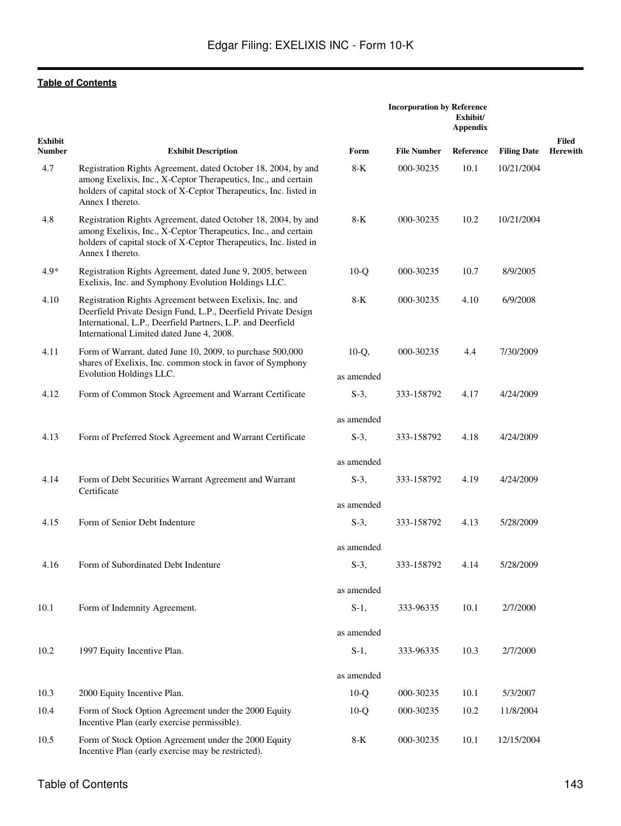| Exhibit<br>Number | <b>Exhibit Description</b>                                                                                                                                                                                                            | <b>Incorporation by Reference</b><br>Exhibit/<br><b>Appendix</b> |                    |           |                    |                   |
|-------------------|---------------------------------------------------------------------------------------------------------------------------------------------------------------------------------------------------------------------------------------|------------------------------------------------------------------|--------------------|-----------|--------------------|-------------------|
|                   |                                                                                                                                                                                                                                       | Form                                                             | <b>File Number</b> | Reference | <b>Filing Date</b> | Filed<br>Herewith |
| 4.7               | Registration Rights Agreement, dated October 18, 2004, by and<br>among Exelixis, Inc., X-Ceptor Therapeutics, Inc., and certain<br>holders of capital stock of X-Ceptor Therapeutics, Inc. listed in<br>Annex I thereto.              | $8-K$                                                            | 000-30235          | 10.1      | 10/21/2004         |                   |
| 4.8               | Registration Rights Agreement, dated October 18, 2004, by and<br>among Exelixis, Inc., X-Ceptor Therapeutics, Inc., and certain<br>holders of capital stock of X-Ceptor Therapeutics, Inc. listed in<br>Annex I thereto.              | $8-K$                                                            | 000-30235          | 10.2      | 10/21/2004         |                   |
| $4.9*$            | Registration Rights Agreement, dated June 9, 2005, between<br>Exelixis, Inc. and Symphony Evolution Holdings LLC.                                                                                                                     | $10-Q$                                                           | 000-30235          | 10.7      | 8/9/2005           |                   |
| 4.10              | Registration Rights Agreement between Exelixis, Inc. and<br>Deerfield Private Design Fund, L.P., Deerfield Private Design<br>International, L.P., Deerfield Partners, L.P. and Deerfield<br>International Limited dated June 4, 2008. | $8-K$                                                            | 000-30235          | 4.10      | 6/9/2008           |                   |
| 4.11              | Form of Warrant, dated June 10, 2009, to purchase 500,000<br>shares of Exelixis, Inc. common stock in favor of Symphony<br>Evolution Holdings LLC.                                                                                    | $10-Q,$<br>as amended                                            | 000-30235          | 4.4       | 7/30/2009          |                   |
| 4.12              | Form of Common Stock Agreement and Warrant Certificate                                                                                                                                                                                | $S-3$ ,                                                          | 333-158792         | 4.17      | 4/24/2009          |                   |
| 4.13              | Form of Preferred Stock Agreement and Warrant Certificate                                                                                                                                                                             | as amended<br>$S-3$ ,                                            | 333-158792         | 4.18      | 4/24/2009          |                   |
| 4.14              | Form of Debt Securities Warrant Agreement and Warrant<br>Certificate                                                                                                                                                                  | as amended<br>$S-3$ ,                                            | 333-158792         | 4.19      | 4/24/2009          |                   |
|                   |                                                                                                                                                                                                                                       | as amended                                                       |                    |           |                    |                   |
| 4.15              | Form of Senior Debt Indenture                                                                                                                                                                                                         | $S-3$ ,                                                          | 333-158792         | 4.13      | 5/28/2009          |                   |
|                   |                                                                                                                                                                                                                                       | as amended                                                       |                    |           |                    |                   |
| 4.16              | Form of Subordinated Debt Indenture                                                                                                                                                                                                   | $S-3$ ,                                                          | 333-158792         | 4.14      | 5/28/2009          |                   |
|                   |                                                                                                                                                                                                                                       | as amended                                                       |                    |           |                    |                   |
| 10.1              | Form of Indemnity Agreement.                                                                                                                                                                                                          | $S-1$ ,                                                          | 333-96335          | 10.1      | 2/7/2000           |                   |
|                   |                                                                                                                                                                                                                                       | as amended                                                       |                    |           |                    |                   |
| 10.2              | 1997 Equity Incentive Plan.                                                                                                                                                                                                           | $S-1$ ,                                                          | 333-96335          | 10.3      | 2/7/2000           |                   |
|                   |                                                                                                                                                                                                                                       | as amended                                                       |                    |           |                    |                   |
| 10.3              | 2000 Equity Incentive Plan.                                                                                                                                                                                                           | $10-Q$                                                           | 000-30235          | 10.1      | 5/3/2007           |                   |
| 10.4              | Form of Stock Option Agreement under the 2000 Equity<br>Incentive Plan (early exercise permissible).                                                                                                                                  | $10-Q$                                                           | 000-30235          | 10.2      | 11/8/2004          |                   |
| 10.5              | Form of Stock Option Agreement under the 2000 Equity<br>Incentive Plan (early exercise may be restricted).                                                                                                                            | $8-K$                                                            | 000-30235          | 10.1      | 12/15/2004         |                   |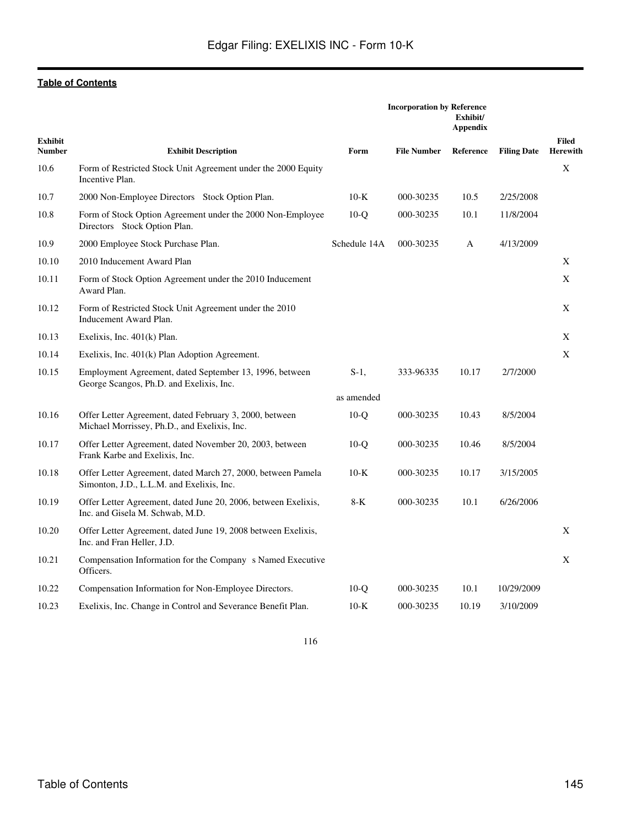|                   |                                                                                                           |              | <b>Incorporation by Reference</b> | Exhibit/<br><b>Appendix</b> |                    |                          |
|-------------------|-----------------------------------------------------------------------------------------------------------|--------------|-----------------------------------|-----------------------------|--------------------|--------------------------|
| Exhibit<br>Number | <b>Exhibit Description</b>                                                                                | Form         | <b>File Number</b>                | Reference                   | <b>Filing Date</b> | <b>Filed</b><br>Herewith |
| 10.6              | Form of Restricted Stock Unit Agreement under the 2000 Equity<br>Incentive Plan.                          |              |                                   |                             |                    | X                        |
| 10.7              | 2000 Non-Employee Directors Stock Option Plan.                                                            | $10-K$       | 000-30235                         | 10.5                        | 2/25/2008          |                          |
| 10.8              | Form of Stock Option Agreement under the 2000 Non-Employee<br>Directors Stock Option Plan.                | $10-o$       | 000-30235                         | 10.1                        | 11/8/2004          |                          |
| 10.9              | 2000 Employee Stock Purchase Plan.                                                                        | Schedule 14A | 000-30235                         | A                           | 4/13/2009          |                          |
| 10.10             | 2010 Inducement Award Plan                                                                                |              |                                   |                             |                    | X                        |
| 10.11             | Form of Stock Option Agreement under the 2010 Inducement<br>Award Plan.                                   |              |                                   |                             |                    | X                        |
| 10.12             | Form of Restricted Stock Unit Agreement under the 2010<br>Inducement Award Plan.                          |              |                                   |                             |                    | X                        |
| 10.13             | Exelixis, Inc. 401(k) Plan.                                                                               |              |                                   |                             |                    | X                        |
| 10.14             | Exelixis, Inc. 401(k) Plan Adoption Agreement.                                                            |              |                                   |                             |                    | X                        |
| 10.15             | Employment Agreement, dated September 13, 1996, between<br>George Scangos, Ph.D. and Exelixis, Inc.       | $S-1$ ,      | 333-96335                         | 10.17                       | 2/7/2000           |                          |
|                   |                                                                                                           | as amended   |                                   |                             |                    |                          |
| 10.16             | Offer Letter Agreement, dated February 3, 2000, between<br>Michael Morrissey, Ph.D., and Exelixis, Inc.   | $10-o$       | 000-30235                         | 10.43                       | 8/5/2004           |                          |
| 10.17             | Offer Letter Agreement, dated November 20, 2003, between<br>Frank Karbe and Exelixis, Inc.                | $10-Q$       | 000-30235                         | 10.46                       | 8/5/2004           |                          |
| 10.18             | Offer Letter Agreement, dated March 27, 2000, between Pamela<br>Simonton, J.D., L.L.M. and Exelixis, Inc. | $10-K$       | 000-30235                         | 10.17                       | 3/15/2005          |                          |
| 10.19             | Offer Letter Agreement, dated June 20, 2006, between Exelixis,<br>Inc. and Gisela M. Schwab, M.D.         | $8-K$        | 000-30235                         | 10.1                        | 6/26/2006          |                          |
| 10.20             | Offer Letter Agreement, dated June 19, 2008 between Exelixis,<br>Inc. and Fran Heller, J.D.               |              |                                   |                             |                    | X                        |
| 10.21             | Compensation Information for the Company s Named Executive<br>Officers.                                   |              |                                   |                             |                    | X                        |
| 10.22             | Compensation Information for Non-Employee Directors.                                                      | $10-Q$       | 000-30235                         | 10.1                        | 10/29/2009         |                          |
| 10.23             | Exelixis, Inc. Change in Control and Severance Benefit Plan.                                              | $10-K$       | 000-30235                         | 10.19                       | 3/10/2009          |                          |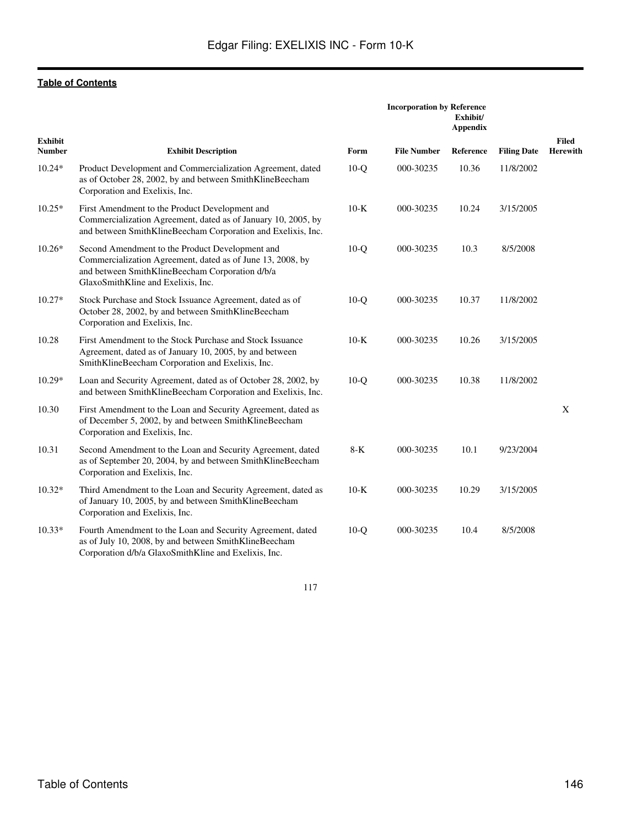|                                 |                                                                                                                                                                                                        |        | <b>Incorporation by Reference</b> | Exhibit/<br><b>Appendix</b> |                    |                   |
|---------------------------------|--------------------------------------------------------------------------------------------------------------------------------------------------------------------------------------------------------|--------|-----------------------------------|-----------------------------|--------------------|-------------------|
| <b>Exhibit</b><br><b>Number</b> | <b>Exhibit Description</b>                                                                                                                                                                             | Form   | <b>File Number</b>                | Reference                   | <b>Filing Date</b> | Filed<br>Herewith |
| 10.24*                          | Product Development and Commercialization Agreement, dated<br>as of October 28, 2002, by and between SmithKlineBeecham<br>Corporation and Exelixis, Inc.                                               | $10-Q$ | 000-30235                         | 10.36                       | 11/8/2002          |                   |
| $10.25*$                        | First Amendment to the Product Development and<br>Commercialization Agreement, dated as of January 10, 2005, by<br>and between SmithKlineBeecham Corporation and Exelixis, Inc.                        | $10-K$ | 000-30235                         | 10.24                       | 3/15/2005          |                   |
| $10.26*$                        | Second Amendment to the Product Development and<br>Commercialization Agreement, dated as of June 13, 2008, by<br>and between SmithKlineBeecham Corporation d/b/a<br>GlaxoSmithKline and Exelixis, Inc. | $10-Q$ | 000-30235                         | 10.3                        | 8/5/2008           |                   |
| $10.27*$                        | Stock Purchase and Stock Issuance Agreement, dated as of<br>October 28, 2002, by and between SmithKlineBeecham<br>Corporation and Exelixis, Inc.                                                       | $10-Q$ | 000-30235                         | 10.37                       | 11/8/2002          |                   |
| 10.28                           | First Amendment to the Stock Purchase and Stock Issuance<br>Agreement, dated as of January 10, 2005, by and between<br>SmithKlineBeecham Corporation and Exelixis, Inc.                                | $10-K$ | 000-30235                         | 10.26                       | 3/15/2005          |                   |
| $10.29*$                        | Loan and Security Agreement, dated as of October 28, 2002, by<br>and between SmithKlineBeecham Corporation and Exelixis, Inc.                                                                          | $10-Q$ | 000-30235                         | 10.38                       | 11/8/2002          |                   |
| 10.30                           | First Amendment to the Loan and Security Agreement, dated as<br>of December 5, 2002, by and between SmithKlineBeecham<br>Corporation and Exelixis, Inc.                                                |        |                                   |                             |                    | X                 |
| 10.31                           | Second Amendment to the Loan and Security Agreement, dated<br>as of September 20, 2004, by and between SmithKlineBeecham<br>Corporation and Exelixis, Inc.                                             | $8-K$  | 000-30235                         | 10.1                        | 9/23/2004          |                   |
| $10.32*$                        | Third Amendment to the Loan and Security Agreement, dated as<br>of January 10, 2005, by and between SmithKlineBeecham<br>Corporation and Exelixis, Inc.                                                | $10-K$ | 000-30235                         | 10.29                       | 3/15/2005          |                   |
| $10.33*$                        | Fourth Amendment to the Loan and Security Agreement, dated<br>as of July 10, 2008, by and between SmithKlineBeecham<br>Corporation d/b/a GlaxoSmithKline and Exelixis, Inc.                            | $10-Q$ | 000-30235                         | 10.4                        | 8/5/2008           |                   |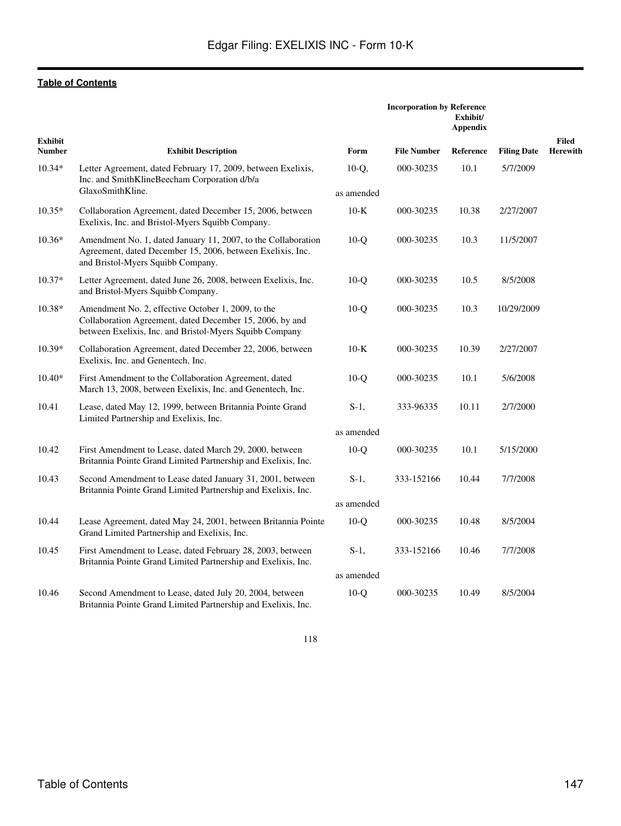|                                 |                                                                                                                                                                           |                        | <b>Incorporation by Reference</b> | Exhibit/<br><b>Appendix</b> |                    |                   |
|---------------------------------|---------------------------------------------------------------------------------------------------------------------------------------------------------------------------|------------------------|-----------------------------------|-----------------------------|--------------------|-------------------|
| <b>Exhibit</b><br><b>Number</b> | <b>Exhibit Description</b>                                                                                                                                                | Form                   | <b>File Number</b>                | Reference                   | <b>Filing Date</b> | Filed<br>Herewith |
| $10.34*$                        | Letter Agreement, dated February 17, 2009, between Exelixis,<br>Inc. and SmithKlineBeecham Corporation d/b/a<br>GlaxoSmithKline.                                          | $10-Q$ ,<br>as amended | 000-30235                         | 10.1                        | 5/7/2009           |                   |
| $10.35*$                        | Collaboration Agreement, dated December 15, 2006, between<br>Exelixis, Inc. and Bristol-Myers Squibb Company.                                                             | $10-K$                 | 000-30235                         | 10.38                       | 2/27/2007          |                   |
| 10.36*                          | Amendment No. 1, dated January 11, 2007, to the Collaboration<br>Agreement, dated December 15, 2006, between Exelixis, Inc.<br>and Bristol-Myers Squibb Company.          | $10-Q$                 | 000-30235                         | 10.3                        | 11/5/2007          |                   |
| $10.37*$                        | Letter Agreement, dated June 26, 2008, between Exelixis, Inc.<br>and Bristol-Myers Squibb Company.                                                                        | $10-Q$                 | 000-30235                         | 10.5                        | 8/5/2008           |                   |
| 10.38*                          | Amendment No. 2, effective October 1, 2009, to the<br>Collaboration Agreement, dated December 15, 2006, by and<br>between Exelixis, Inc. and Bristol-Myers Squibb Company | $10-Q$                 | 000-30235                         | 10.3                        | 10/29/2009         |                   |
| 10.39*                          | Collaboration Agreement, dated December 22, 2006, between<br>Exelixis, Inc. and Genentech, Inc.                                                                           | $10-K$                 | 000-30235                         | 10.39                       | 2/27/2007          |                   |
| $10.40*$                        | First Amendment to the Collaboration Agreement, dated<br>March 13, 2008, between Exelixis, Inc. and Genentech, Inc.                                                       | $10-Q$                 | 000-30235                         | 10.1                        | 5/6/2008           |                   |
| 10.41                           | Lease, dated May 12, 1999, between Britannia Pointe Grand<br>Limited Partnership and Exelixis, Inc.                                                                       | $S-1$ ,                | 333-96335                         | 10.11                       | 2/7/2000           |                   |
|                                 |                                                                                                                                                                           | as amended             |                                   |                             |                    |                   |
| 10.42                           | First Amendment to Lease, dated March 29, 2000, between<br>Britannia Pointe Grand Limited Partnership and Exelixis, Inc.                                                  | $10-Q$                 | 000-30235                         | 10.1                        | 5/15/2000          |                   |
| 10.43                           | Second Amendment to Lease dated January 31, 2001, between<br>Britannia Pointe Grand Limited Partnership and Exelixis, Inc.                                                | $S-1$ ,                | 333-152166                        | 10.44                       | 7/7/2008           |                   |
|                                 |                                                                                                                                                                           | as amended             |                                   |                             |                    |                   |
| 10.44                           | Lease Agreement, dated May 24, 2001, between Britannia Pointe<br>Grand Limited Partnership and Exelixis, Inc.                                                             | $10-Q$                 | 000-30235                         | 10.48                       | 8/5/2004           |                   |
| 10.45                           | First Amendment to Lease, dated February 28, 2003, between<br>Britannia Pointe Grand Limited Partnership and Exelixis, Inc.                                               | $S-1$ ,                | 333-152166                        | 10.46                       | 7/7/2008           |                   |
|                                 |                                                                                                                                                                           | as amended             |                                   |                             |                    |                   |
| 10.46                           | Second Amendment to Lease, dated July 20, 2004, between<br>Britannia Pointe Grand Limited Partnership and Exelixis, Inc.                                                  | $10-Q$                 | 000-30235                         | 10.49                       | 8/5/2004           |                   |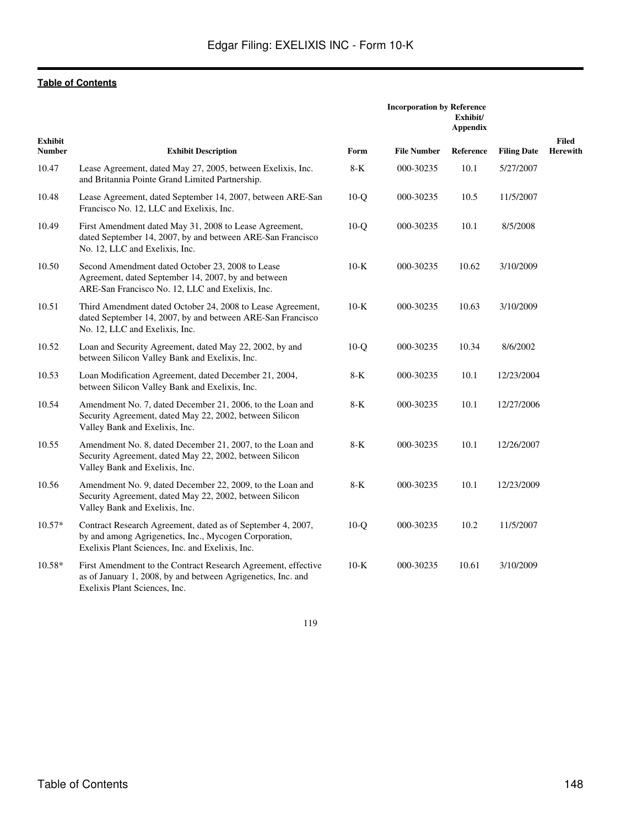|                          |                                                                                                                                                                          |        | <b>Incorporation by Reference</b> | Exhibit/<br><b>Appendix</b> |                    |                          |
|--------------------------|--------------------------------------------------------------------------------------------------------------------------------------------------------------------------|--------|-----------------------------------|-----------------------------|--------------------|--------------------------|
| Exhibit<br><b>Number</b> | <b>Exhibit Description</b>                                                                                                                                               | Form   | <b>File Number</b>                | Reference                   | <b>Filing Date</b> | <b>Filed</b><br>Herewith |
| 10.47                    | Lease Agreement, dated May 27, 2005, between Exelixis, Inc.<br>and Britannia Pointe Grand Limited Partnership.                                                           | $8-K$  | 000-30235                         | 10.1                        | 5/27/2007          |                          |
| 10.48                    | Lease Agreement, dated September 14, 2007, between ARE-San<br>Francisco No. 12, LLC and Exelixis, Inc.                                                                   | $10-Q$ | 000-30235                         | 10.5                        | 11/5/2007          |                          |
| 10.49                    | First Amendment dated May 31, 2008 to Lease Agreement,<br>dated September 14, 2007, by and between ARE-San Francisco<br>No. 12, LLC and Exelixis, Inc.                   | $10-Q$ | 000-30235                         | 10.1                        | 8/5/2008           |                          |
| 10.50                    | Second Amendment dated October 23, 2008 to Lease<br>Agreement, dated September 14, 2007, by and between<br>ARE-San Francisco No. 12, LLC and Exelixis, Inc.              | $10-K$ | 000-30235                         | 10.62                       | 3/10/2009          |                          |
| 10.51                    | Third Amendment dated October 24, 2008 to Lease Agreement,<br>dated September 14, 2007, by and between ARE-San Francisco<br>No. 12, LLC and Exelixis, Inc.               | $10-K$ | 000-30235                         | 10.63                       | 3/10/2009          |                          |
| 10.52                    | Loan and Security Agreement, dated May 22, 2002, by and<br>between Silicon Valley Bank and Exelixis, Inc.                                                                | $10-Q$ | 000-30235                         | 10.34                       | 8/6/2002           |                          |
| 10.53                    | Loan Modification Agreement, dated December 21, 2004,<br>between Silicon Valley Bank and Exelixis, Inc.                                                                  | $8-K$  | 000-30235                         | 10.1                        | 12/23/2004         |                          |
| 10.54                    | Amendment No. 7, dated December 21, 2006, to the Loan and<br>Security Agreement, dated May 22, 2002, between Silicon<br>Valley Bank and Exelixis, Inc.                   | $8-K$  | 000-30235                         | 10.1                        | 12/27/2006         |                          |
| 10.55                    | Amendment No. 8, dated December 21, 2007, to the Loan and<br>Security Agreement, dated May 22, 2002, between Silicon<br>Valley Bank and Exelixis, Inc.                   | $8-K$  | 000-30235                         | 10.1                        | 12/26/2007         |                          |
| 10.56                    | Amendment No. 9, dated December 22, 2009, to the Loan and<br>Security Agreement, dated May 22, 2002, between Silicon<br>Valley Bank and Exelixis, Inc.                   | $8-K$  | 000-30235                         | 10.1                        | 12/23/2009         |                          |
| $10.57*$                 | Contract Research Agreement, dated as of September 4, 2007,<br>by and among Agrigenetics, Inc., Mycogen Corporation,<br>Exelixis Plant Sciences, Inc. and Exelixis, Inc. | $10-Q$ | 000-30235                         | 10.2                        | 11/5/2007          |                          |
| 10.58*                   | First Amendment to the Contract Research Agreement, effective<br>as of January 1, 2008, by and between Agrigenetics, Inc. and<br>Exelixis Plant Sciences, Inc.           | $10-K$ | 000-30235                         | 10.61                       | 3/10/2009          |                          |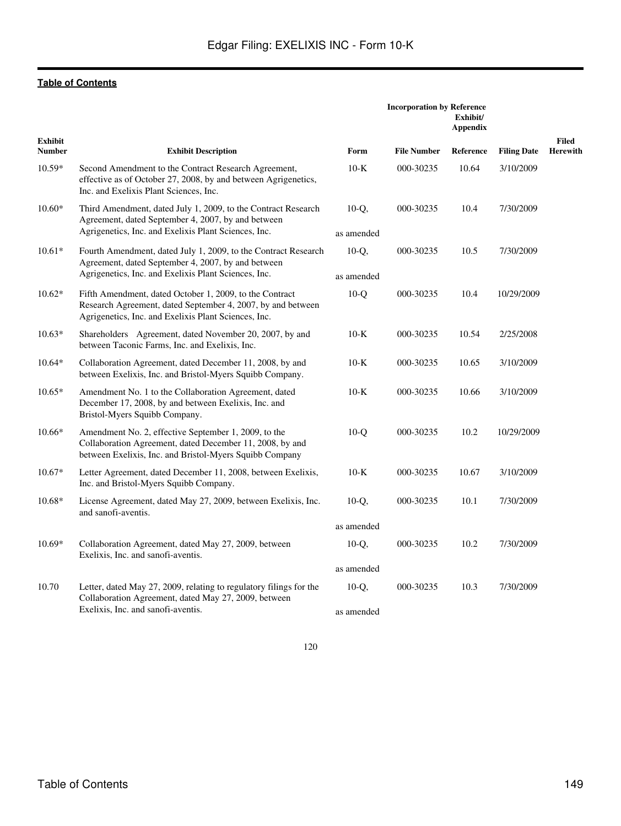|                          |                                                                                                                                                                                |                        | <b>Incorporation by Reference</b> | Exhibit/<br><b>Appendix</b> |                    |                   |
|--------------------------|--------------------------------------------------------------------------------------------------------------------------------------------------------------------------------|------------------------|-----------------------------------|-----------------------------|--------------------|-------------------|
| Exhibit<br><b>Number</b> | <b>Exhibit Description</b>                                                                                                                                                     | Form                   | <b>File Number</b>                | Reference                   | <b>Filing Date</b> | Filed<br>Herewith |
| $10.59*$                 | Second Amendment to the Contract Research Agreement,<br>effective as of October 27, 2008, by and between Agrigenetics,<br>Inc. and Exelixis Plant Sciences, Inc.               | $10-K$                 | 000-30235                         | 10.64                       | 3/10/2009          |                   |
| $10.60*$                 | Third Amendment, dated July 1, 2009, to the Contract Research<br>Agreement, dated September 4, 2007, by and between<br>Agrigenetics, Inc. and Exelixis Plant Sciences, Inc.    | $10-Q$ ,<br>as amended | 000-30235                         | 10.4                        | 7/30/2009          |                   |
| $10.61*$                 | Fourth Amendment, dated July 1, 2009, to the Contract Research<br>Agreement, dated September 4, 2007, by and between<br>Agrigenetics, Inc. and Exelixis Plant Sciences, Inc.   | $10-Q$ ,               | 000-30235                         | 10.5                        | 7/30/2009          |                   |
| $10.62*$                 | Fifth Amendment, dated October 1, 2009, to the Contract<br>Research Agreement, dated September 4, 2007, by and between<br>Agrigenetics, Inc. and Exelixis Plant Sciences, Inc. | as amended<br>$10-Q$   | 000-30235                         | 10.4                        | 10/29/2009         |                   |
| $10.63*$                 | Shareholders Agreement, dated November 20, 2007, by and<br>between Taconic Farms, Inc. and Exelixis, Inc.                                                                      | $10-K$                 | 000-30235                         | 10.54                       | 2/25/2008          |                   |
| 10.64*                   | Collaboration Agreement, dated December 11, 2008, by and<br>between Exelixis, Inc. and Bristol-Myers Squibb Company.                                                           | $10-K$                 | 000-30235                         | 10.65                       | 3/10/2009          |                   |
| $10.65*$                 | Amendment No. 1 to the Collaboration Agreement, dated<br>December 17, 2008, by and between Exelixis, Inc. and<br>Bristol-Myers Squibb Company.                                 | $10-K$                 | 000-30235                         | 10.66                       | 3/10/2009          |                   |
| 10.66*                   | Amendment No. 2, effective September 1, 2009, to the<br>Collaboration Agreement, dated December 11, 2008, by and<br>between Exelixis, Inc. and Bristol-Myers Squibb Company    | $10-Q$                 | 000-30235                         | 10.2                        | 10/29/2009         |                   |
| $10.67*$                 | Letter Agreement, dated December 11, 2008, between Exelixis,<br>Inc. and Bristol-Myers Squibb Company.                                                                         | $10-K$                 | 000-30235                         | 10.67                       | 3/10/2009          |                   |
| 10.68*                   | License Agreement, dated May 27, 2009, between Exelixis, Inc.<br>and sanofi-aventis.                                                                                           | $10-Q,$                | 000-30235                         | 10.1                        | 7/30/2009          |                   |
|                          |                                                                                                                                                                                | as amended             |                                   |                             |                    |                   |
| 10.69*                   | Collaboration Agreement, dated May 27, 2009, between<br>Exelixis, Inc. and sanofi-aventis.                                                                                     | $10-Q$ ,               | 000-30235                         | 10.2                        | 7/30/2009          |                   |
|                          |                                                                                                                                                                                | as amended             |                                   |                             |                    |                   |
| 10.70                    | Letter, dated May 27, 2009, relating to regulatory filings for the<br>Collaboration Agreement, dated May 27, 2009, between                                                     | $10-Q,$                | 000-30235                         | 10.3                        | 7/30/2009          |                   |
|                          | Exelixis, Inc. and sanofi-aventis.                                                                                                                                             | as amended             |                                   |                             |                    |                   |